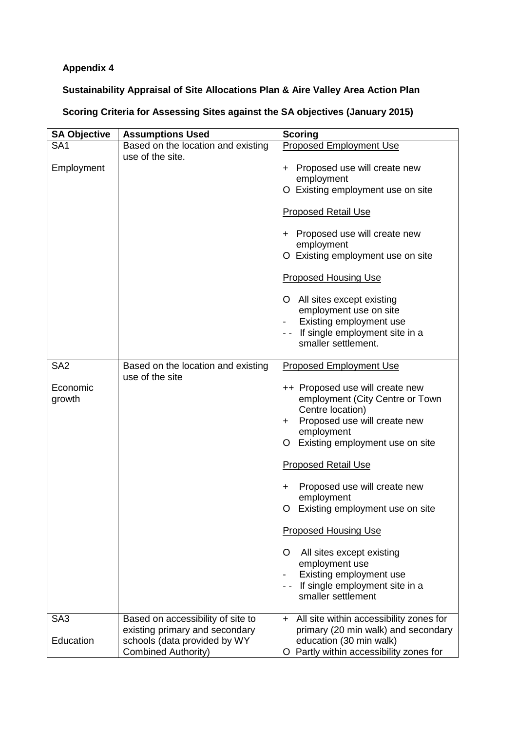## **Appendix 4**

## **Sustainability Appraisal of Site Allocations Plan & Aire Valley Area Action Plan**

## **Scoring Criteria for Assessing Sites against the SA objectives (January 2015)**

| <b>SA Objective</b>                   | <b>Assumptions Used</b>                                                                                                           | <b>Scoring</b>                                                                                                                                                                                                                                                                                                                                                                                                                                                                                                              |
|---------------------------------------|-----------------------------------------------------------------------------------------------------------------------------------|-----------------------------------------------------------------------------------------------------------------------------------------------------------------------------------------------------------------------------------------------------------------------------------------------------------------------------------------------------------------------------------------------------------------------------------------------------------------------------------------------------------------------------|
| SA <sub>1</sub>                       | Based on the location and existing                                                                                                | <b>Proposed Employment Use</b>                                                                                                                                                                                                                                                                                                                                                                                                                                                                                              |
| Employment                            | use of the site.                                                                                                                  | + Proposed use will create new<br>employment<br>O Existing employment use on site<br><b>Proposed Retail Use</b><br>+ Proposed use will create new<br>employment<br>O Existing employment use on site<br><b>Proposed Housing Use</b><br>O All sites except existing<br>employment use on site<br>Existing employment use<br>If single employment site in a<br>smaller settlement.                                                                                                                                            |
| SA <sub>2</sub><br>Economic<br>growth | Based on the location and existing<br>use of the site                                                                             | <b>Proposed Employment Use</b><br>++ Proposed use will create new<br>employment (City Centre or Town<br>Centre location)<br>Proposed use will create new<br>$\pm$<br>employment<br>Existing employment use on site<br>O.<br><b>Proposed Retail Use</b><br>Proposed use will create new<br>$\pm$<br>employment<br>Existing employment use on site<br>O<br><b>Proposed Housing Use</b><br>All sites except existing<br>O<br>employment use<br>Existing employment use<br>If single employment site in a<br>smaller settlement |
| SA <sub>3</sub><br>Education          | Based on accessibility of site to<br>existing primary and secondary<br>schools (data provided by WY<br><b>Combined Authority)</b> | + All site within accessibility zones for<br>primary (20 min walk) and secondary<br>education (30 min walk)<br>O Partly within accessibility zones for                                                                                                                                                                                                                                                                                                                                                                      |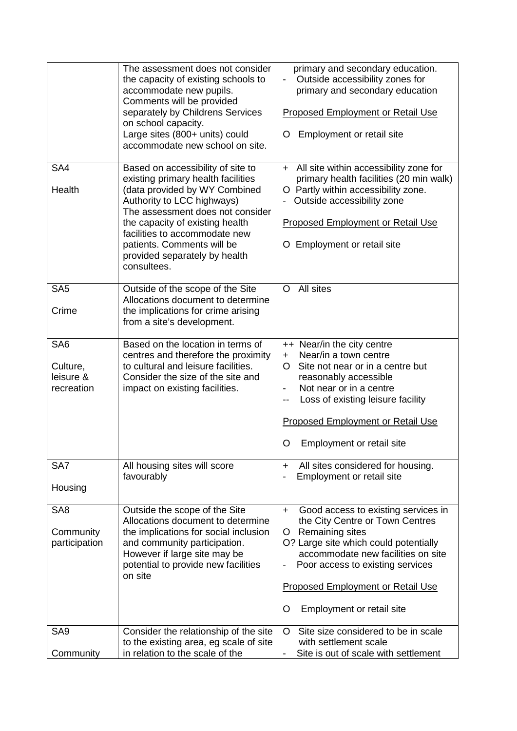|                                                        | The assessment does not consider<br>the capacity of existing schools to<br>accommodate new pupils.<br>Comments will be provided<br>separately by Childrens Services<br>on school capacity.<br>Large sites (800+ units) could<br>accommodate new school on site.                                                              | primary and secondary education.<br>Outside accessibility zones for<br>primary and secondary education<br><b>Proposed Employment or Retail Use</b><br>Employment or retail site<br>O                                                                                                                    |
|--------------------------------------------------------|------------------------------------------------------------------------------------------------------------------------------------------------------------------------------------------------------------------------------------------------------------------------------------------------------------------------------|---------------------------------------------------------------------------------------------------------------------------------------------------------------------------------------------------------------------------------------------------------------------------------------------------------|
| SA4<br>Health                                          | Based on accessibility of site to<br>existing primary health facilities<br>(data provided by WY Combined<br>Authority to LCC highways)<br>The assessment does not consider<br>the capacity of existing health<br>facilities to accommodate new<br>patients. Comments will be<br>provided separately by health<br>consultees. | + All site within accessibility zone for<br>primary health facilities (20 min walk)<br>O Partly within accessibility zone.<br>Outside accessibility zone<br><b>Proposed Employment or Retail Use</b><br>O Employment or retail site                                                                     |
| SA <sub>5</sub><br>Crime                               | Outside of the scope of the Site<br>Allocations document to determine<br>the implications for crime arising<br>from a site's development.                                                                                                                                                                                    | All sites<br>$\circ$                                                                                                                                                                                                                                                                                    |
| SA <sub>6</sub><br>Culture,<br>leisure &<br>recreation | Based on the location in terms of<br>centres and therefore the proximity<br>to cultural and leisure facilities.<br>Consider the size of the site and<br>impact on existing facilities.                                                                                                                                       | ++ Near/in the city centre<br>Near/in a town centre<br>$+$<br>Site not near or in a centre but<br>O<br>reasonably accessible<br>Not near or in a centre<br>Loss of existing leisure facility<br>--<br><b>Proposed Employment or Retail Use</b><br>Employment or retail site<br>O                        |
| SA7<br>Housing                                         | All housing sites will score<br>favourably                                                                                                                                                                                                                                                                                   | All sites considered for housing.<br>$+$<br>Employment or retail site                                                                                                                                                                                                                                   |
| SA <sub>8</sub><br>Community<br>participation          | Outside the scope of the Site<br>Allocations document to determine<br>the implications for social inclusion<br>and community participation.<br>However if large site may be<br>potential to provide new facilities<br>on site                                                                                                | Good access to existing services in<br>$+$<br>the City Centre or Town Centres<br>Remaining sites<br>O.<br>O? Large site which could potentially<br>accommodate new facilities on site<br>Poor access to existing services<br><b>Proposed Employment or Retail Use</b><br>Employment or retail site<br>O |
| SA <sub>9</sub><br>Community                           | Consider the relationship of the site<br>to the existing area, eg scale of site<br>in relation to the scale of the                                                                                                                                                                                                           | Site size considered to be in scale<br>O<br>with settlement scale<br>Site is out of scale with settlement                                                                                                                                                                                               |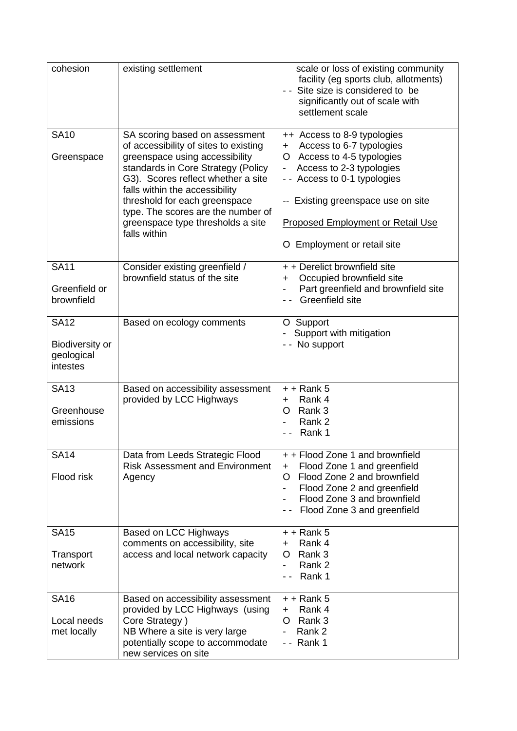| cohesion                                                        | existing settlement                                                                                                                                                                                                                                                                                                                                 | scale or loss of existing community<br>facility (eg sports club, allotments)<br>- - Site size is considered to be<br>significantly out of scale with<br>settlement scale                                                                                                             |
|-----------------------------------------------------------------|-----------------------------------------------------------------------------------------------------------------------------------------------------------------------------------------------------------------------------------------------------------------------------------------------------------------------------------------------------|--------------------------------------------------------------------------------------------------------------------------------------------------------------------------------------------------------------------------------------------------------------------------------------|
| <b>SA10</b><br>Greenspace                                       | SA scoring based on assessment<br>of accessibility of sites to existing<br>greenspace using accessibility<br>standards in Core Strategy (Policy<br>G3). Scores reflect whether a site<br>falls within the accessibility<br>threshold for each greenspace<br>type. The scores are the number of<br>greenspace type thresholds a site<br>falls within | ++ Access to 8-9 typologies<br>Access to 6-7 typologies<br>$+$<br>O Access to 4-5 typologies<br>Access to 2-3 typologies<br>$\blacksquare$<br>- - Access to 0-1 typologies<br>-- Existing greenspace use on site<br>Proposed Employment or Retail Use<br>O Employment or retail site |
| <b>SA11</b><br>Greenfield or<br>brownfield                      | Consider existing greenfield /<br>brownfield status of the site                                                                                                                                                                                                                                                                                     | + + Derelict brownfield site<br>Occupied brownfield site<br>$\pm$<br>Part greenfield and brownfield site<br>Greenfield site                                                                                                                                                          |
| <b>SA12</b><br><b>Biodiversity or</b><br>geological<br>intestes | Based on ecology comments                                                                                                                                                                                                                                                                                                                           | O Support<br>Support with mitigation<br>- - No support                                                                                                                                                                                                                               |
| <b>SA13</b><br>Greenhouse<br>emissions                          | Based on accessibility assessment<br>provided by LCC Highways                                                                                                                                                                                                                                                                                       | $+ +$ Rank 5<br>Rank 4<br>+<br>Rank 3<br>O<br>Rank 2<br>-<br>Rank 1                                                                                                                                                                                                                  |
| <b>SA14</b><br>Flood risk                                       | Data from Leeds Strategic Flood<br><b>Risk Assessment and Environment</b><br>Agency                                                                                                                                                                                                                                                                 | + + Flood Zone 1 and brownfield<br>Flood Zone 1 and greenfield<br>$\ddot{}$<br>Flood Zone 2 and brownfield<br>O<br>Flood Zone 2 and greenfield<br>Flood Zone 3 and brownfield<br>Flood Zone 3 and greenfield                                                                         |
| <b>SA15</b><br>Transport<br>network                             | Based on LCC Highways<br>comments on accessibility, site<br>access and local network capacity                                                                                                                                                                                                                                                       | $+$ + Rank 5<br>Rank 4<br>٠<br>O<br>Rank 3<br>Rank 2<br>-<br>Rank 1                                                                                                                                                                                                                  |
| <b>SA16</b><br>Local needs<br>met locally                       | Based on accessibility assessment<br>provided by LCC Highways (using<br>Core Strategy)<br>NB Where a site is very large<br>potentially scope to accommodate<br>new services on site                                                                                                                                                                 | $+$ + Rank 5<br>Rank 4<br>$\ddot{}$<br>Rank 3<br>O<br>Rank 2<br>Rank 1                                                                                                                                                                                                               |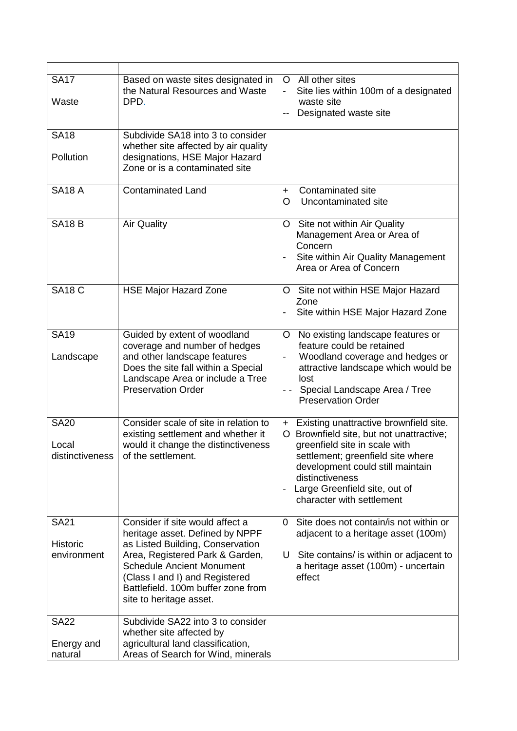| <b>SA17</b><br>Waste                          | Based on waste sites designated in<br>the Natural Resources and Waste<br>DPD.                                                                                                                                                                                                    | O All other sites<br>Site lies within 100m of a designated<br>waste site<br>Designated waste site<br>--                                                                                                                                                                         |
|-----------------------------------------------|----------------------------------------------------------------------------------------------------------------------------------------------------------------------------------------------------------------------------------------------------------------------------------|---------------------------------------------------------------------------------------------------------------------------------------------------------------------------------------------------------------------------------------------------------------------------------|
| <b>SA18</b><br>Pollution                      | Subdivide SA18 into 3 to consider<br>whether site affected by air quality<br>designations, HSE Major Hazard<br>Zone or is a contaminated site                                                                                                                                    |                                                                                                                                                                                                                                                                                 |
| <b>SA18 A</b>                                 | <b>Contaminated Land</b>                                                                                                                                                                                                                                                         | Contaminated site<br>$\ddot{}$<br>Uncontaminated site<br>O                                                                                                                                                                                                                      |
| <b>SA18 B</b>                                 | <b>Air Quality</b>                                                                                                                                                                                                                                                               | O Site not within Air Quality<br>Management Area or Area of<br>Concern<br>Site within Air Quality Management<br>Area or Area of Concern                                                                                                                                         |
| <b>SA18 C</b>                                 | <b>HSE Major Hazard Zone</b>                                                                                                                                                                                                                                                     | O Site not within HSE Major Hazard<br>Zone<br>Site within HSE Major Hazard Zone                                                                                                                                                                                                 |
| <b>SA19</b><br>Landscape                      | Guided by extent of woodland<br>coverage and number of hedges<br>and other landscape features<br>Does the site fall within a Special<br>Landscape Area or include a Tree<br><b>Preservation Order</b>                                                                            | O No existing landscape features or<br>feature could be retained<br>Woodland coverage and hedges or<br>-<br>attractive landscape which would be<br>lost<br>Special Landscape Area / Tree<br><b>Preservation Order</b>                                                           |
| <b>SA20</b><br>Local<br>distinctiveness       | Consider scale of site in relation to<br>existing settlement and whether it<br>would it change the distinctiveness<br>of the settlement.                                                                                                                                         | + Existing unattractive brownfield site.<br>O Brownfield site, but not unattractive;<br>greenfield site in scale with<br>settlement; greenfield site where<br>development could still maintain<br>distinctiveness<br>Large Greenfield site, out of<br>character with settlement |
| <b>SA21</b><br><b>Historic</b><br>environment | Consider if site would affect a<br>heritage asset. Defined by NPPF<br>as Listed Building, Conservation<br>Area, Registered Park & Garden,<br><b>Schedule Ancient Monument</b><br>(Class I and I) and Registered<br>Battlefield. 100m buffer zone from<br>site to heritage asset. | Site does not contain/is not within or<br>$\Omega$<br>adjacent to a heritage asset (100m)<br>Site contains/ is within or adjacent to<br>U<br>a heritage asset (100m) - uncertain<br>effect                                                                                      |
| <b>SA22</b><br>Energy and<br>natural          | Subdivide SA22 into 3 to consider<br>whether site affected by<br>agricultural land classification,<br>Areas of Search for Wind, minerals                                                                                                                                         |                                                                                                                                                                                                                                                                                 |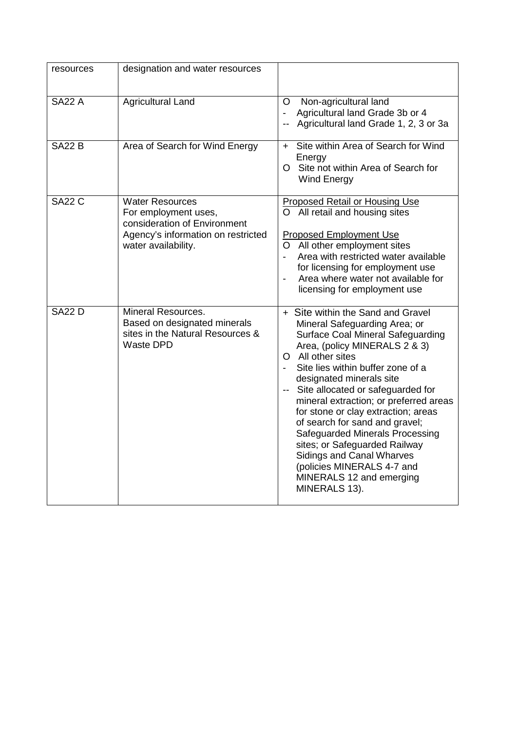| resources     | designation and water resources                                                                                                             |                                                                                                                                                                                                                                                                                                                                                                                                                                                                                                                                                                                  |
|---------------|---------------------------------------------------------------------------------------------------------------------------------------------|----------------------------------------------------------------------------------------------------------------------------------------------------------------------------------------------------------------------------------------------------------------------------------------------------------------------------------------------------------------------------------------------------------------------------------------------------------------------------------------------------------------------------------------------------------------------------------|
| <b>SA22 A</b> | <b>Agricultural Land</b>                                                                                                                    | Non-agricultural land<br>O.<br>Agricultural land Grade 3b or 4<br>Agricultural land Grade 1, 2, 3 or 3a                                                                                                                                                                                                                                                                                                                                                                                                                                                                          |
| <b>SA22 B</b> | Area of Search for Wind Energy                                                                                                              | Site within Area of Search for Wind<br>$+$<br>Energy<br>O Site not within Area of Search for<br>Wind Energy                                                                                                                                                                                                                                                                                                                                                                                                                                                                      |
| <b>SA22 C</b> | <b>Water Resources</b><br>For employment uses,<br>consideration of Environment<br>Agency's information on restricted<br>water availability. | <b>Proposed Retail or Housing Use</b><br>O All retail and housing sites<br><b>Proposed Employment Use</b><br>O All other employment sites<br>Area with restricted water available<br>for licensing for employment use<br>Area where water not available for<br>$\blacksquare$<br>licensing for employment use                                                                                                                                                                                                                                                                    |
| <b>SA22 D</b> | <b>Mineral Resources.</b><br>Based on designated minerals<br>sites in the Natural Resources &<br><b>Waste DPD</b>                           | + Site within the Sand and Gravel<br>Mineral Safeguarding Area; or<br><b>Surface Coal Mineral Safeguarding</b><br>Area, (policy MINERALS 2 & 3)<br>O All other sites<br>Site lies within buffer zone of a<br>designated minerals site<br>Site allocated or safeguarded for<br>mineral extraction; or preferred areas<br>for stone or clay extraction; areas<br>of search for sand and gravel;<br>Safeguarded Minerals Processing<br>sites; or Safeguarded Railway<br><b>Sidings and Canal Wharves</b><br>(policies MINERALS 4-7 and<br>MINERALS 12 and emerging<br>MINERALS 13). |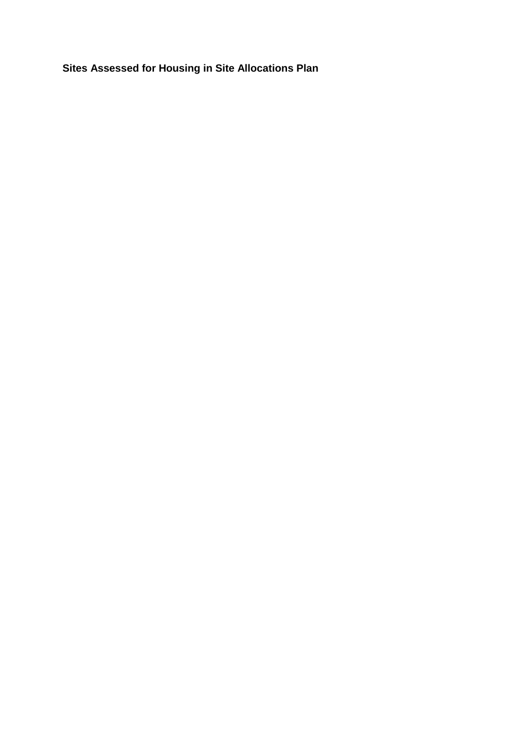**Sites Assessed for Housing in Site Allocations Plan**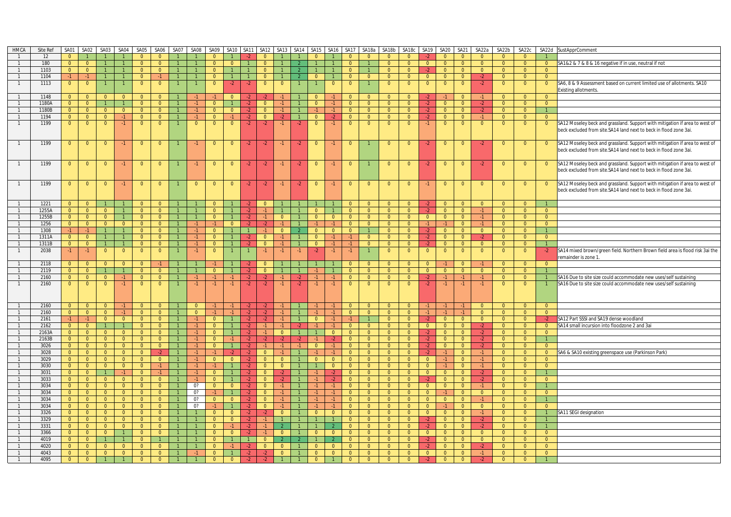| HMCA           | Site Ref | <b>SA01</b>    | SA02                     | SA03           | SA04           | SA05           | SA06           | SA07                           | SA08 SA09      |                | SA10 SA11      |                | <b>SA12</b>    |                |                | SA13 SA14 SA15 |                | SA16 SA17      | SA18a          | SA18b          | SA18c          | SA <sub>19</sub> | <b>SA20</b>    | <b>SA21</b>    | SA22a                   | SA22b                      | SA22c          |                | SA22d SustApprComment                                                         |
|----------------|----------|----------------|--------------------------|----------------|----------------|----------------|----------------|--------------------------------|----------------|----------------|----------------|----------------|----------------|----------------|----------------|----------------|----------------|----------------|----------------|----------------|----------------|------------------|----------------|----------------|-------------------------|----------------------------|----------------|----------------|-------------------------------------------------------------------------------|
|                | 12       | $\overline{0}$ |                          | $\mathbf{1}$   |                | $\overline{0}$ | $\overline{0}$ |                                |                | $\Omega$       |                |                | $\overline{0}$ |                |                | $\overline{0}$ |                | $\Omega$       | $\Omega$       | $\Omega$       | $\Omega$       |                  | $\overline{0}$ | $\Omega$       | $\Omega$                | $\Omega$                   | $\Omega$       |                |                                                                               |
|                |          |                |                          |                |                |                |                |                                |                |                |                |                |                |                |                | $\mathbf{1}$   |                | $\Omega$       |                | $\Omega$       |                |                  |                |                | $\Omega$                | $\Omega$                   |                |                |                                                                               |
|                | 180      | $\overline{0}$ | $\overline{0}$           | $\mathbf{1}$   |                | $\overline{0}$ | $\overline{0}$ | $\mathbf{1}$<br>$\overline{1}$ |                | $\overline{0}$ | $\overline{0}$ |                | $\overline{0}$ |                |                |                |                |                |                |                | $\overline{0}$ | $\overline{0}$   | $\overline{0}$ | $\overline{0}$ |                         |                            | $\overline{0}$ | $\overline{0}$ | SA1&2 & 7 & 8 & 16 negative if in use, neutral if not                         |
|                | 1103     | $\overline{0}$ | $\overline{0}$           | $\overline{1}$ |                | $\overline{0}$ | $\overline{0}$ |                                |                | $\overline{0}$ |                |                | $\overline{0}$ |                |                | $\overline{1}$ |                | $\overline{0}$ |                | $\overline{0}$ | $\overline{0}$ |                  | $\overline{0}$ | $\overline{0}$ | $\overline{0}$          | $\overline{0}$<br>$\Omega$ | $\overline{0}$ | $\overline{0}$ |                                                                               |
| $\overline{1}$ | 1104     | $-1$           | $-1$                     | $\overline{1}$ | $\mathbf{1}$   | $\overline{0}$ | $-1$           |                                |                | $\overline{0}$ | $\overline{1}$ |                | $\overline{0}$ |                | $\overline{2}$ | $\overline{0}$ | $\mathbf{1}$   | $\Omega$       | $\Omega$       | $\overline{0}$ | $\overline{0}$ | $\overline{0}$   | $\overline{0}$ | $\overline{0}$ | $-2$                    |                            | $\overline{0}$ | $\overline{0}$ |                                                                               |
| $\overline{1}$ | 1113     | $\overline{0}$ | $\overline{0}$           | $\mathbf{1}$   |                | $\overline{0}$ | $\overline{0}$ |                                |                | $\Omega$       | $-2$           | $-2$           | $\mathbf{0}$   | $\overline{0}$ |                |                | $\mathbf{0}$   | $\Omega$       |                | $\Omega$       | $\overline{0}$ | $\overline{0}$   | $\overline{0}$ | $\Omega$       | $-2$                    | $\Omega$                   | $\overline{0}$ | $\overline{0}$ | SA6, 8 & 9 Assessment based on current limited use of allotments. SA10        |
|                |          |                |                          |                |                |                |                |                                |                |                |                |                |                |                |                |                |                |                |                |                |                |                  |                |                |                         |                            |                |                | Existing allotments.                                                          |
| $\mathbf{1}$   | 1148     | $\overline{0}$ | $\overline{0}$           | $\overline{0}$ | $\overline{0}$ | $\overline{0}$ | $\overline{0}$ |                                |                | $-1$           | $\overline{0}$ | -2             |                | $-1$           |                | $\overline{0}$ | $-1$           | $\Omega$       | $\overline{0}$ | $\Omega$       | $\Omega$       |                  |                | $\overline{0}$ | $-1$                    | $\Omega$                   | $\overline{0}$ | $\overline{0}$ |                                                                               |
| $\overline{1}$ | 1180A    | $\overline{0}$ | $\overline{0}$           | $\overline{1}$ |                | $\overline{0}$ | $\overline{0}$ |                                | $-1$           | $\overline{0}$ |                | $-2$           | $\overline{0}$ | $-1$           |                | $\overline{0}$ | $-1$           | $\overline{0}$ | $\overline{0}$ | $\overline{0}$ | $\overline{0}$ | $-2$             | $\overline{0}$ | $\overline{0}$ | $-2$                    | $\Omega$                   | $\overline{0}$ | $\overline{0}$ |                                                                               |
| $\overline{1}$ | 1180B    | $\overline{0}$ | $\overline{0}$           | $\overline{0}$ | $\overline{0}$ | $\overline{0}$ | $\overline{0}$ |                                |                | $\overline{0}$ | $\overline{0}$ | $-2$           | $\overline{0}$ |                |                | $-1$           | $-1$           | $\Omega$       | $\overline{0}$ | $\Omega$       | $\overline{0}$ |                  | $\overline{0}$ | $\overline{0}$ | $-2$                    | $\Omega$                   | $\overline{0}$ | $\mathbf{1}$   |                                                                               |
| $\overline{1}$ | 1194     | $\overline{0}$ | $\overline{0}$           | $\overline{0}$ | $-1$           | $\overline{0}$ | $\overline{0}$ |                                | $-1$           | $\overline{0}$ | $-1$           | $-2$           | $\overline{0}$ | $-2$           | $\overline{1}$ | $\overline{0}$ | $-2$           | $\overline{0}$ | $\overline{0}$ | $\overline{0}$ | $\overline{0}$ | $-2$             | $\overline{0}$ | $\overline{0}$ | $-1$                    | $\overline{0}$             | $\overline{0}$ | $\overline{0}$ |                                                                               |
| $\overline{1}$ | 1199     | $\overline{0}$ | $\overline{0}$           | $\overline{0}$ | $-1$           | $\overline{0}$ | $\overline{0}$ |                                | $\overline{0}$ | $\mathbf{0}$   | $\overline{0}$ | $-2$           | $-2$           | $-1$           | -2             | $\overline{0}$ | $-1$           | $\mathbf{0}$   | $\overline{0}$ | $\mathbf{0}$   | $\overline{0}$ |                  | $\overline{0}$ | $\overline{0}$ | $\overline{0}$          | $\overline{0}$             | $\overline{0}$ | $\overline{0}$ | SA12 Moseley beck and grassland. Support with mitigation if area to west of   |
|                |          |                |                          |                |                |                |                |                                |                |                |                |                |                |                |                |                |                |                |                |                |                |                  |                |                |                         |                            |                |                | beck excluded from site.SA14 land next to beck in flood zone 3ai.             |
|                |          |                |                          |                |                |                |                |                                |                |                |                |                |                |                |                |                |                |                |                |                |                |                  |                |                |                         |                            |                |                |                                                                               |
| $\overline{1}$ | 1199     | $\overline{0}$ | $\overline{0}$           | $\overline{0}$ | $-1$           | $\overline{0}$ | $\overline{0}$ |                                |                | $\overline{0}$ | $\overline{0}$ | $-2$           | $-2$           |                | $-2$           | $\overline{0}$ |                | $\overline{0}$ |                | $\overline{0}$ | $\overline{0}$ | $-2$             | $\overline{0}$ | $\Omega$       | $-2$                    | $\overline{0}$             | $\overline{0}$ | $\overline{0}$ | SA12 Moseley beck and grassland. Support with mitigation if area to west of   |
|                |          |                |                          |                |                |                |                |                                |                |                |                |                |                |                |                |                |                |                |                |                |                |                  |                |                |                         |                            |                |                | beck excluded from site.SA14 land next to beck in flood zone 3ai.             |
|                |          |                |                          |                |                |                |                |                                |                |                |                |                |                |                |                |                |                |                |                |                |                |                  |                |                |                         |                            |                |                |                                                                               |
| $\overline{1}$ | 1199     | $\overline{0}$ | $\overline{0}$           | $\overline{0}$ | $-1$           | $\overline{0}$ | $\overline{0}$ |                                | $-1$           | $\overline{0}$ | $\overline{0}$ | $-2$           | $-2$           | $-1$           | $-2$           | $\overline{0}$ | $-1$           | $\overline{0}$ |                | $\Omega$       | $\overline{0}$ | $-2$             | $\overline{0}$ | $\overline{0}$ | $-2$                    | $\Omega$                   | $\overline{0}$ | $\overline{0}$ | SA12 Moseley beck and grassland. Support with mitigation if area to west of   |
|                |          |                |                          |                |                |                |                |                                |                |                |                |                |                |                |                |                |                |                |                |                |                |                  |                |                |                         |                            |                |                | beck excluded from site.SA14 land next to beck in flood zone 3ai.             |
|                |          |                |                          |                |                |                |                |                                |                |                |                |                |                |                |                |                |                |                |                |                |                |                  |                |                |                         |                            |                |                |                                                                               |
| $\overline{1}$ | 1199     | $\overline{0}$ | $\overline{0}$           | $\overline{0}$ | -1.            | $\overline{0}$ | $\mathbf{0}$   |                                | $\mathbf{0}$   | $\mathbf{0}$   | $\overline{0}$ | $-2$           | $-2$           | $-1$           | $-2$           | $\overline{0}$ | -1.            | $\mathbf{0}$   | $\mathbf{0}$   | $\mathbf{0}$   | $\overline{0}$ |                  | $\mathbf{0}$   | $\mathbf{0}$   | $\overline{0}$          | $\Omega$                   | $\overline{0}$ | $\overline{0}$ | SA12 Moseley beck and grassland. Support with mitigation if area to west of   |
|                |          |                |                          |                |                |                |                |                                |                |                |                |                |                |                |                |                |                |                |                |                |                |                  |                |                |                         |                            |                |                | beck excluded from site.SA14 land next to beck in flood zone 3ai.             |
|                |          |                |                          |                |                |                |                |                                |                |                |                |                |                |                |                |                |                |                |                |                |                |                  |                |                |                         |                            |                |                |                                                                               |
| $\overline{1}$ | 1221     | $\overline{0}$ | $\overline{0}$           |                |                | $\Omega$       | $\overline{0}$ |                                |                | $\overline{0}$ |                | $-2$           | $\overline{0}$ |                |                |                |                | $\overline{0}$ | $\overline{0}$ | $\overline{0}$ | $\overline{0}$ |                  | $\overline{0}$ | $\overline{0}$ | $\overline{0}$          | $\Omega$                   | $\overline{0}$ | $\overline{1}$ |                                                                               |
|                | 1255A    | $\overline{0}$ | $\overline{0}$           | $\overline{0}$ |                | $\Omega$       | $\Omega$       |                                |                | $\Omega$       |                | $-2$           |                |                |                | $\overline{0}$ |                | $\Omega$       | $\Omega$       | $\Omega$       | $\Omega$       |                  | $\Omega$       | $\Omega$       | $-1$                    |                            | $\overline{0}$ | $\overline{0}$ |                                                                               |
|                | 1255B    | $\overline{0}$ | $\overline{0}$           | $\overline{0}$ | $\mathbf{1}$   | $\overline{0}$ | $\overline{0}$ |                                |                | $\overline{0}$ | $\overline{1}$ | $-2$           | $-1$           | $\overline{0}$ | $\overline{1}$ | $\overline{0}$ | $\overline{0}$ | $\overline{0}$ | $\overline{0}$ | $\overline{0}$ | $\overline{0}$ | $\overline{0}$   | $\overline{0}$ | $\overline{0}$ | $-1$                    | $\Omega$                   | $\overline{0}$ | $\overline{0}$ |                                                                               |
| $\overline{1}$ | 1256     | $\overline{0}$ | $\overline{0}$           | $\overline{0}$ | $\overline{0}$ | $\overline{0}$ | $\overline{0}$ | $\mathbf{1}$                   | $-1$           | $-1$           | $\overline{0}$ | $-2$           | $-2$           | $-1$           | $\overline{1}$ | $-1$           | $-1$           | $\overline{0}$ | $\overline{0}$ | $\overline{0}$ | $\overline{0}$ | $-1$             | $-1$           | $\overline{0}$ | $-1$                    | $\overline{0}$             | $\overline{0}$ | $\overline{0}$ |                                                                               |
| $\overline{1}$ | 1308     | $-1$           | $-1$                     | $\overline{1}$ |                | $\overline{0}$ | $\overline{0}$ |                                | $-1$           | $\overline{0}$ | $\overline{1}$ |                | $-1$           | $\overline{0}$ | $\overline{2}$ | $\overline{0}$ | $\overline{0}$ | $\overline{0}$ |                | $\overline{0}$ | $\overline{0}$ | $-2$             | $\overline{0}$ | $\overline{0}$ | $\overline{0}$          | $\Omega$                   | $\overline{0}$ | $\mathbf{1}$   |                                                                               |
| $\mathbf{1}$   | 1311A    | $\overline{0}$ | $\overline{0}$           | $\mathbf{1}$   |                | $\overline{0}$ | $\overline{0}$ |                                | $-1$           | $\mathbf{0}$   |                | $-2$           | $\overline{0}$ | $-1$           |                | $\overline{0}$ | $-1$           | $-1$           | $\overline{0}$ | $\overline{0}$ | $\overline{0}$ | $-2$             | $\overline{0}$ | $\mathbf{0}$   | $-2$                    | $\Omega$                   | $\overline{0}$ | $\overline{0}$ |                                                                               |
|                | 1311B    | $\overline{0}$ | $\overline{0}$           | $\overline{1}$ | $\mathbf{1}$   | $\Omega$       | $\Omega$       | $\overline{1}$                 | $-1$           | $\Omega$       | $\overline{1}$ | $-2$           | $\Omega$       | $-1$           | $\overline{1}$ | $\Omega$       | $-1$           | $-1$           | $\overline{0}$ | $\Omega$       | $\Omega$       | $-2$             | $\overline{0}$ | $\overline{0}$ | $\overline{0}$          | $\Omega$                   | $\overline{0}$ | $\mathbf{1}$   |                                                                               |
| $\overline{1}$ | 2038     | $-1$           | $-1$                     | $\overline{0}$ | $\overline{0}$ | $\overline{0}$ | $\overline{0}$ |                                | $-1$           | $\Omega$       |                |                | $-1$           | $-1$           | $-1$           | $-2$           | $-1$           | $-1$           |                | $\overline{0}$ | $\overline{0}$ | $\overline{0}$   | $\overline{0}$ | $\overline{0}$ | $\overline{0}$          | $\overline{0}$             | $\overline{0}$ | $-2$           | SA14 mixed brown/green field. Northern Brown field area is flood risk 3ai the |
|                |          |                |                          |                |                |                |                |                                |                |                |                |                |                |                |                |                |                |                |                |                |                |                  |                |                |                         |                            |                |                | emainder is zone 1                                                            |
| $\overline{1}$ | 2118     | $\overline{0}$ | $\overline{0}$           | $\overline{0}$ | $\overline{0}$ | $\overline{0}$ | $-1$           |                                |                | $-1$           |                | $-2$           | $\overline{0}$ |                |                |                |                | $\overline{0}$ | $\overline{0}$ | $\overline{0}$ | $\overline{0}$ | $\overline{0}$   | $-1$           | $\overline{0}$ | $-1$                    | $\Omega$                   | $\overline{0}$ | $\overline{0}$ |                                                                               |
| $\overline{1}$ | 2119     | $\overline{0}$ | $\overline{0}$           | $\mathbf{1}$   |                | $\overline{0}$ | $\overline{0}$ |                                |                | $\overline{0}$ | $\mathbf{1}$   | $-2$           | $\overline{0}$ |                |                | $-1$           |                | $\overline{0}$ | $\overline{0}$ | $\Omega$       | $\overline{0}$ | $\overline{0}$   | $\overline{0}$ | $\overline{0}$ | $\overline{0}$          | $\Omega$                   | $\overline{0}$ | $\overline{1}$ |                                                                               |
| $\overline{1}$ | 2160     | $\overline{0}$ | $\overline{0}$           | $\overline{0}$ | $-1$           | $\overline{0}$ | $\overline{0}$ | $\overline{1}$                 | $-1$           | $-1$           | $\overline{1}$ | $-2$           |                |                | $-2$           | $-1$           | $-1$           | $\overline{0}$ | $\overline{0}$ | $\overline{0}$ | $\overline{0}$ |                  | $-1$           | $-1$           | $-1$                    | $\Omega$                   | $\overline{0}$ | $\overline{1}$ | SA16 Due to site size could accommodate new uses/self sustaining              |
| $\overline{1}$ | 2160     | $\overline{0}$ | $\overline{0}$           | $\overline{0}$ | $-1$           | $\overline{0}$ | $\overline{0}$ |                                | $-1$           | $-1$           | $-1$           | $-2$           | $-2$           | $-1$           | $-2$           | $-1$           | $-1$           | $\Omega$       | $\Omega$       | $\overline{0}$ | $\overline{0}$ | $-2$             | $-1$           | $-1$           | $-1$                    | $\Omega$                   | $\overline{0}$ |                | SA16 Due to site size could accommodate new uses/self sustaining              |
|                |          |                |                          |                |                |                |                |                                |                |                |                |                |                |                |                |                |                |                |                |                |                |                  |                |                |                         |                            |                |                |                                                                               |
|                |          |                |                          |                |                |                |                |                                |                |                |                |                |                |                |                |                |                |                |                |                |                |                  |                |                |                         |                            |                |                |                                                                               |
|                | 2160     | $\overline{0}$ | $\overline{0}$           | $\overline{0}$ | $-1$           | $\overline{0}$ | $\overline{0}$ |                                | $\overline{0}$ | $-1$           | $-1$           | $-2$           | $-2$           | $-1$           | $\overline{1}$ | $-1$           | $-1$           | $\overline{0}$ | $\overline{0}$ | $\overline{0}$ | $\overline{0}$ |                  | $-1$           | $-1$           | $\overline{\mathbf{0}}$ | $\overline{0}$             | $\overline{0}$ | $\overline{0}$ |                                                                               |
|                | 2160     | $\overline{0}$ | $\overline{0}$           | $\bullet$      | $-1$           | $\overline{0}$ | $\overline{0}$ |                                | $\overline{0}$ |                | $-1$           | $-2$           | $-2$           |                |                | $-1$           | $-1$           | $\overline{0}$ | $\overline{0}$ | $\overline{0}$ | $\overline{0}$ |                  |                | $-1$           | $\overline{0}$          | $\overline{0}$             | $\overline{0}$ | $\overline{0}$ |                                                                               |
| $\overline{1}$ | 2161     | $-1$           | $-1$                     | $\overline{0}$ | $\Omega$       | $\Omega$       | $\Omega$       | $\overline{1}$                 | $-1$           | $\overline{0}$ | $\overline{1}$ | $-2$           | $-2$           | $-1$           | $\overline{1}$ | $\overline{0}$ | $-1$           | $-1$           |                | $\Omega$       | $\Omega$       | $-2$             | $\overline{0}$ | $\Omega$       | $\overline{0}$          | $\overline{0}$             | $\Omega$       | $-2$           | SA12 Part SSSI and SA19 dense woodland                                        |
| $\overline{1}$ | 2162     | $\overline{0}$ | $\overline{0}$           | $\overline{1}$ | $\mathbf{1}$   | $\overline{0}$ | $\overline{0}$ |                                | $-1$           | $\overline{0}$ | $\mathbf{1}$   | $-2$           | $-1$           | $-1$           | $-2$           | $-1$           | $-1$           | $\overline{0}$ | $\overline{0}$ | $\overline{0}$ | $\overline{0}$ | $\overline{0}$   | $\overline{0}$ | $\overline{0}$ | $-2$                    | $\Omega$                   | $\overline{0}$ | $\overline{0}$ | SA14 small incursion into floodzone 2 and 3ai                                 |
| $\overline{1}$ | 2163A    | $\overline{0}$ | $\overline{0}$           | $\overline{0}$ | $\overline{0}$ | $\overline{0}$ | $\overline{0}$ | $\mathbf{1}$                   | $-1$           | $\overline{0}$ | $\overline{1}$ | $-2$           | $-1$           | $\overline{0}$ | $\mathbf{1}$   | $\mathbf{1}$   | $\overline{0}$ | $\overline{0}$ | $\overline{0}$ | $\overline{0}$ | $\overline{0}$ | $-2$             | $\overline{0}$ | $\overline{0}$ | $-2$                    | $\overline{0}$             | $\overline{0}$ | $\overline{0}$ |                                                                               |
| $\overline{1}$ | 2163B    | $\overline{0}$ | $\overline{\mathbf{0}}$  | $\overline{0}$ | $\overline{0}$ | $\overline{0}$ | $\overline{0}$ | $\mathbf{1}$                   |                | $\overline{0}$ | $-1$           | $-2$           |                |                |                | $-1$           | $-2$           | $\overline{0}$ | $\overline{0}$ | $\overline{0}$ | $\overline{0}$ |                  | $\overline{0}$ | $\overline{0}$ | $-2$                    | $\Omega$                   | $\overline{0}$ | $\overline{1}$ |                                                                               |
| $\overline{1}$ | 3026     | $\overline{0}$ | $\overline{0}$           | $\overline{0}$ | $\overline{0}$ | $\overline{0}$ | $\overline{0}$ |                                |                | $\overline{0}$ | $\overline{1}$ | $-2$           |                | $-1$           | $-1$           | $\overline{0}$ | $-1$           | $\overline{0}$ | $\overline{0}$ | $\Omega$       | $\overline{0}$ | $-2$             | $\overline{0}$ | $\overline{0}$ | $-2$                    | $\Omega$                   | $\overline{0}$ | $\Omega$       |                                                                               |
| $\overline{1}$ | 3028     | $\overline{0}$ | $\overline{0}$           | $\overline{0}$ | $\overline{0}$ | $\overline{0}$ | $-2$           |                                | $-1$           | $-1$           | $-2$           | $-2$           | $\overline{0}$ | $-1$           |                | $-1$           | $-1$           | $\overline{0}$ | $\overline{0}$ | $\overline{0}$ | $\overline{0}$ | $-2$             | $-1$           | $\overline{0}$ | $-1$                    | $\overline{0}$             | $\overline{0}$ | $\overline{0}$ | SA6 & SA10 existing greenspace use (Parkinson Park)                           |
| $\overline{1}$ | 3029     | $\overline{0}$ | $\overline{0}$           | $\overline{0}$ | $\overline{0}$ | $\overline{0}$ | $\overline{0}$ | $\mathbf{1}$                   | $-1$           | $\overline{0}$ | $\overline{0}$ | $-2$           | $\overline{0}$ | $\overline{0}$ | $\overline{1}$ | $\overline{0}$ | $\overline{0}$ | $\overline{0}$ | $\overline{0}$ | $\overline{0}$ | $\overline{0}$ | $\overline{0}$   | $-1$           | $\overline{0}$ | $-1$                    | $\Omega$                   | $\overline{0}$ | $\overline{0}$ |                                                                               |
| $\overline{1}$ | 3030     | $\overline{0}$ | $\overline{0}$           | $\overline{0}$ | $\overline{0}$ | $\overline{0}$ | $-1$           | $\mathbf{1}$                   | $-1$           | $-1$           | $\overline{1}$ | $-2$           | $\overline{0}$ | $\overline{0}$ | $\mathbf{1}$   | $\mathbf{1}$   | $\overline{0}$ | $\overline{0}$ | $\overline{0}$ | $\overline{0}$ | $\overline{0}$ | $\overline{0}$   | $-1$           | $\overline{0}$ | $-1$                    | $\Omega$                   | $\overline{0}$ | $\overline{0}$ |                                                                               |
| $\overline{1}$ | 3031     | $\overline{0}$ | $\overline{0}$           | $\overline{1}$ | $-1$           | $\overline{0}$ | $-1$           | $\mathbf{1}$                   |                | $\overline{0}$ | $\overline{1}$ | $-2$           | $\overline{0}$ | ◆              | ◆              | $-1$           | $-2$           | $\overline{0}$ | $\overline{0}$ | $\overline{0}$ | $\overline{0}$ | $\overline{0}$   | $\overline{0}$ | $\overline{0}$ | $-2$                    | $\Omega$                   | $\overline{0}$ | $\overline{1}$ |                                                                               |
| $\overline{1}$ | 3033     | $\overline{0}$ | $\overline{0}$           | $\overline{0}$ | $\overline{0}$ | $\overline{0}$ | $\overline{0}$ |                                |                | $\overline{0}$ | $\overline{1}$ | $-2$           | $\Omega$       | $-2$           | $\overline{1}$ | $-1$           | $-2$           | $\Omega$       | $\overline{0}$ | $\Omega$       | $\overline{0}$ | $-2$             | $\overline{0}$ | $\overline{0}$ | $-2$                    | $\Omega$                   | $\overline{0}$ | $\Omega$       |                                                                               |
| $\overline{1}$ | 3034     | $\overline{0}$ | $\overline{0}$           | $\overline{0}$ | $\overline{0}$ | $\overline{0}$ | $\overline{0}$ |                                | 0?             | $\overline{0}$ | $\overline{0}$ | $-2$           | $\overline{0}$ | $-1$           | $\overline{1}$ | $-1$           | $-1$           | $\overline{0}$ | $\overline{0}$ | $\overline{0}$ | $\overline{0}$ | $\overline{0}$   | $\overline{0}$ | $\overline{0}$ | $-1$                    | $\overline{0}$             | $\overline{0}$ | $\mathbf{1}$   |                                                                               |
| $\overline{1}$ | 3034     | $\overline{0}$ | $\overline{0}$           | $\overline{0}$ | $\overline{0}$ | $\overline{0}$ | $\overline{0}$ |                                | 0?             | $-1$           | $\overline{1}$ | $-2$           | $\overline{0}$ | $-1$           | $\overline{1}$ | $-1$           | $-1$           | $\overline{0}$ | $\overline{0}$ | $\overline{0}$ | $\overline{0}$ | $\overline{0}$   | $-1$           | $\overline{0}$ | $\overline{0}$          | $\Omega$                   | $\overline{0}$ | $\overline{0}$ |                                                                               |
|                | 3034     | $\overline{0}$ | $\overline{0}$           | $\overline{0}$ | $\overline{0}$ | $\overline{0}$ | $\overline{0}$ |                                | 0?             | $\overline{0}$ | $\overline{0}$ | $-2$           | $\Omega$       |                |                | $-1$           | $-1$           | $\Omega$       | $\overline{0}$ | $\overline{0}$ | $\overline{0}$ | $\overline{0}$   | $\overline{0}$ | $\overline{0}$ | $-1$                    | $\Omega$                   | $\overline{0}$ | $\mathbf{1}$   |                                                                               |
| $\overline{1}$ | 3034     | $\overline{0}$ | $\overline{0}$           | $\overline{0}$ | $\overline{0}$ | $\overline{0}$ | $\overline{0}$ | $\overline{1}$                 | 0?             | $-1$           | $\overline{1}$ | $-2$           | $\Omega$       |                |                | $-1$           | $-1$           | $\overline{0}$ | $\overline{0}$ | $\overline{0}$ | $\overline{0}$ | $\overline{0}$   | $-1$           | $\overline{0}$ | $\overline{0}$          | $\overline{0}$             | $\overline{0}$ | $\overline{0}$ |                                                                               |
| $\overline{1}$ | 3326     | $\overline{0}$ | $\overline{0}$           | $\overline{0}$ | $\overline{0}$ | $\overline{0}$ | $\overline{0}$ |                                |                | $\overline{0}$ | $\overline{0}$ | $-2$           | $-2$           | $\overline{0}$ | $\overline{1}$ | $\overline{0}$ | $\overline{0}$ | $\overline{0}$ | $\overline{0}$ | $\overline{0}$ | $\overline{0}$ | $\overline{0}$   | $\overline{0}$ | $\overline{0}$ | $-1$                    | $\overline{0}$             | $\overline{0}$ | $\overline{1}$ | SA11 SEGI designation                                                         |
| $\overline{1}$ | 3329     | $\overline{0}$ | $\overline{0}$           | $\overline{0}$ | $\overline{0}$ | $\overline{0}$ | $\overline{0}$ |                                |                | $\overline{0}$ | $\overline{0}$ | $-2$           | $-1$           |                | $\overline{1}$ | $\overline{1}$ | $\mathbf{1}$   | $\overline{0}$ | $\overline{0}$ | $\overline{0}$ | $\overline{0}$ | $-2$             | $\overline{0}$ | $\overline{0}$ | $-2$                    | $\Omega$                   | $\overline{0}$ | $\mathbf{1}$   |                                                                               |
| $\overline{1}$ | 3331     | $\overline{0}$ | $\overline{\phantom{0}}$ | $\overline{0}$ | $\overline{0}$ | $\overline{0}$ | $\overline{0}$ | $\mathbf{1}$                   |                | $\overline{0}$ | $-1$           | $-2$           | $-1$           |                | $\overline{1}$ | $\mathbf{1}$   | $\overline{2}$ | $\overline{0}$ | $\overline{0}$ | $\overline{0}$ | $\overline{0}$ | $-2$             | $\overline{0}$ | $\overline{0}$ | $-2$                    | $\Omega$                   | $\overline{0}$ | $\overline{1}$ |                                                                               |
|                | 3366     | $\overline{0}$ | $\overline{0}$           | $\overline{0}$ | $\mathbf{1}$   | $\Omega$       | $\overline{0}$ | $\mathbf{1}$                   |                | $\overline{0}$ | $\overline{0}$ | $-2$           | $-1$           | $\overline{0}$ | $\overline{1}$ | $\overline{0}$ | $\overline{0}$ | $\Omega$       | $\bullet$      | $\Omega$       | $\overline{0}$ | $\overline{0}$   | $\overline{0}$ | $\overline{0}$ | $\Omega$                | $\Omega$                   | $\overline{0}$ | $\overline{0}$ |                                                                               |
|                | 4019     | $\overline{0}$ | $\overline{0}$           | $\overline{1}$ | $\mathbf{1}$   | $\overline{0}$ |                |                                |                | $\overline{0}$ | $\overline{1}$ | $\overline{1}$ | $\overline{0}$ |                |                | $\overline{1}$ |                | $\overline{0}$ | $\overline{0}$ | $\overline{0}$ | $\overline{0}$ | $-2$             | $\overline{0}$ | $\overline{0}$ | $\overline{0}$          | $\Omega$                   | $\overline{0}$ | $\overline{0}$ |                                                                               |
|                | 4020     | $\overline{0}$ | $\overline{0}$           | $\overline{0}$ | $\overline{0}$ | $\overline{0}$ | $\overline{0}$ |                                |                | $\overline{0}$ |                | $-2$           | $\Omega$       | $\Omega$       |                | $\overline{0}$ | $\overline{0}$ | $\overline{0}$ | $\overline{0}$ | $\Omega$       | $\overline{0}$ | $-2$             | $\overline{0}$ | $\overline{0}$ | $-2$                    | $\Omega$                   | $\overline{0}$ | $\Omega$       |                                                                               |
|                | 4043     | $\overline{0}$ | $\overline{0}$           | $\overline{0}$ | $\overline{0}$ | $\overline{0}$ | $\overline{0}$ |                                |                | $\overline{0}$ |                | $-2$           | $-2$           | $\Omega$       |                | $\overline{0}$ | $\overline{0}$ | $\overline{0}$ | $\overline{0}$ | $\overline{0}$ | $\overline{0}$ | $\overline{0}$   | $\overline{0}$ | $\overline{0}$ | $-1$                    | $\Omega$                   | $\overline{0}$ | $\overline{0}$ |                                                                               |
|                | 4095     | $\Omega$       | $\Omega$                 |                |                | $\Omega$       | $\overline{0}$ |                                |                | $\Omega$       | $\Omega$       |                |                |                |                | $\Omega$       |                | $\Omega$       | $\Omega$       | $\Omega$       | $\Omega$       |                  | $\Omega$       | $\Omega$       |                         |                            | $\Omega$       |                |                                                                               |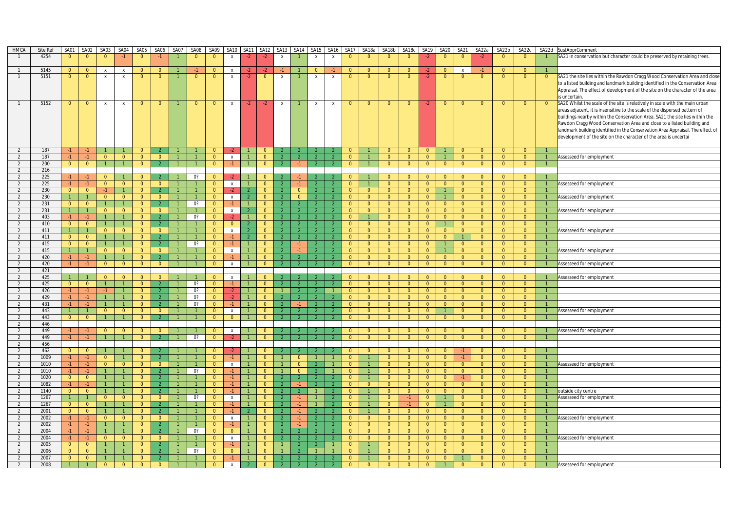| HMCA                             | Site Ref     | SA01                             | SA02                             | SA03                             | SA04                           | SA05                             | SA06                             | SA07                           | SA08           | SA09                       |                           | SA10 SA11      | SA <sub>12</sub>                 | SA13           | SA14           | <b>SA15</b>                    | SA16                           | SA17                             | SA18a                            | SA18b                            | SA18c                            | SA19                             | SA <sub>20</sub>                 | SA21                             | SA22a                            | SA22b                            | SA22c                            | SA22d          | <b>SustApprComment</b>                                                                                                                                        |
|----------------------------------|--------------|----------------------------------|----------------------------------|----------------------------------|--------------------------------|----------------------------------|----------------------------------|--------------------------------|----------------|----------------------------|---------------------------|----------------|----------------------------------|----------------|----------------|--------------------------------|--------------------------------|----------------------------------|----------------------------------|----------------------------------|----------------------------------|----------------------------------|----------------------------------|----------------------------------|----------------------------------|----------------------------------|----------------------------------|----------------|---------------------------------------------------------------------------------------------------------------------------------------------------------------|
|                                  | 4254         | $\overline{0}$                   | $\overline{0}$                   | $\overline{0}$                   | $-1$                           | $\Omega$                         |                                  |                                | $\Omega$       | $\Omega$                   | $\mathsf{x}$              | $-2$           | $-2$                             | $\,$ X         |                | $\mathsf{x}$                   | $\mathbf{x}$                   | $\overline{0}$                   | $\mathbf{0}$                     | $\overline{0}$                   | $\overline{0}$                   | $-2$                             | $\overline{0}$                   | $\overline{0}$                   |                                  | $\Omega$                         | $\overline{0}$                   |                | SA21 in conservation but character could be preserved by retaining trees.                                                                                     |
|                                  |              |                                  |                                  |                                  |                                |                                  |                                  |                                |                |                            |                           |                |                                  |                |                |                                |                                |                                  |                                  |                                  |                                  |                                  |                                  |                                  |                                  |                                  |                                  |                |                                                                                                                                                               |
|                                  | 5145         | $\Omega$                         | $\overline{0}$                   | $\mathbf{x}$                     | $\mathbf{x}$                   | $\Omega$                         | $\Omega$                         |                                |                |                            | $\mathbf{x}$              |                |                                  |                |                | $\mathbf{0}$                   |                                | $\Omega$                         | $\Omega$                         | $\Omega$                         | $\Omega$                         | -2                               | $\Omega$                         | $\mathbf{x}$                     |                                  | $\Omega$                         | $\overline{0}$                   |                |                                                                                                                                                               |
|                                  | 5151         | $\mathbf{0}$                     | $\overline{0}$                   | X                                | $\boldsymbol{X}$               | $\mathbf{0}$                     | $\mathbf{0}$                     |                                | $\mathbf{0}$   | $\mathbf 0$                | $\mathsf{x}$              | $-2$           | $\mathbf{0}$                     | x              |                | X                              | $\,$ X                         | $\mathbf{0}$                     | $\mathbf{0}$                     | $\mathbf{0}$                     | $\mathbf{0}$                     | $-2$                             | $\mathbf{0}$                     | $\mathbf 0$                      | $\Omega$                         | $\mathbf{0}$                     | $\overline{0}$                   | $\overline{0}$ | SA21 the site lies within the Rawdon Cragg Wood Conservation Area and close<br>to a listed building and landmark building identified in the Conservation Area |
|                                  |              |                                  |                                  |                                  |                                |                                  |                                  |                                |                |                            |                           |                |                                  |                |                |                                |                                |                                  |                                  |                                  |                                  |                                  |                                  |                                  |                                  |                                  |                                  |                | Appraisal. The effect of development of the site on the character of the area<br>is uncertain.                                                                |
|                                  | 5152         | $\mathbf{0}$                     | $\overline{0}$                   | $\mathsf{x}$                     | $\mathsf{x}$                   | $\mathbf{0}$                     | $\mathbf{0}$                     |                                | $\overline{0}$ | $\overline{0}$             | X                         | $-2$           | $-2$                             | $\mathsf{X}$   |                | $\mathsf{X}$                   | $\mathbf{x}$                   | $\mathbf{0}$                     | $\mathbf{0}$                     | $\mathbf{0}$                     | $\overline{0}$                   | $-2$                             | $\mathbf{0}$                     | $\mathbf{0}$                     | $\mathbf{0}$                     | $\overline{0}$                   | $\overline{0}$                   | $\overline{0}$ | SA20 Whilst the scale of the site is relatively in scale with the main urban                                                                                  |
|                                  |              |                                  |                                  |                                  |                                |                                  |                                  |                                |                |                            |                           |                |                                  |                |                |                                |                                |                                  |                                  |                                  |                                  |                                  |                                  |                                  |                                  |                                  |                                  |                | areas adjacent, it is insensitive to the scale of the dispersed pattern of                                                                                    |
|                                  |              |                                  |                                  |                                  |                                |                                  |                                  |                                |                |                            |                           |                |                                  |                |                |                                |                                |                                  |                                  |                                  |                                  |                                  |                                  |                                  |                                  |                                  |                                  |                | buildings nearby within the Conservation Area. SA21 the site lies within the                                                                                  |
|                                  |              |                                  |                                  |                                  |                                |                                  |                                  |                                |                |                            |                           |                |                                  |                |                |                                |                                |                                  |                                  |                                  |                                  |                                  |                                  |                                  |                                  |                                  |                                  |                | Rawdon Cragg Wood Conservation Area and close to a listed building and                                                                                        |
|                                  |              |                                  |                                  |                                  |                                |                                  |                                  |                                |                |                            |                           |                |                                  |                |                |                                |                                |                                  |                                  |                                  |                                  |                                  |                                  |                                  |                                  |                                  |                                  |                | landmark building identified in the Conservation Area Appraisal. The effect of                                                                                |
|                                  |              |                                  |                                  |                                  |                                |                                  |                                  |                                |                |                            |                           |                |                                  |                |                |                                |                                |                                  |                                  |                                  |                                  |                                  |                                  |                                  |                                  |                                  |                                  |                | development of the site on the character of the area is uncertai                                                                                              |
|                                  |              |                                  |                                  |                                  |                                |                                  |                                  |                                |                |                            |                           |                |                                  |                |                |                                |                                |                                  |                                  |                                  |                                  |                                  |                                  |                                  |                                  |                                  |                                  |                |                                                                                                                                                               |
| 2                                | 187          | $-1$                             | $-1$                             | $\overline{1}$                   | $\overline{1}$                 | $\Omega$                         |                                  |                                |                | $\Omega$<br>$\Omega$       |                           | $\overline{1}$ | $\Omega$                         |                |                | $\mathcal{P}$                  |                                | $\Omega$                         |                                  | $\Omega$                         | $\overline{0}$                   | $\Omega$                         |                                  | $\Omega$                         | $\Omega$                         | $\Omega$                         | $\Omega$                         | $\overline{1}$ |                                                                                                                                                               |
| 2<br>2                           | 187<br>200   | $-1$<br>$\overline{0}$           | $-1$<br>$\overline{0}$           | $\overline{0}$<br>$\overline{1}$ | $\overline{0}$<br>$\mathbf{1}$ | $\overline{0}$<br>$\overline{0}$ | $\mathbf{0}$<br>2                |                                |                | $\overline{0}$             | $\mathsf{x}$<br>$-1$      |                | $\mathbf{0}$<br>$\overline{0}$   |                | $-1$           | $\mathcal{P}$                  | $\mathcal{P}$                  | $\overline{0}$<br>$\overline{0}$ |                                  | $\overline{0}$<br>$\overline{0}$ | $\overline{0}$<br>$\overline{0}$ | $\mathbf{0}$<br>$\overline{0}$   | $\overline{0}$                   | $\mathbf{0}$<br>$\overline{0}$   | $\overline{0}$<br>$\overline{0}$ | $\overline{0}$<br>$\overline{0}$ | $\overline{0}$<br>$\overline{0}$ |                | Assesseed for employment                                                                                                                                      |
| $\overline{2}$                   | 216          |                                  |                                  |                                  |                                |                                  |                                  |                                |                |                            |                           |                |                                  |                |                |                                |                                |                                  |                                  |                                  |                                  |                                  |                                  |                                  |                                  |                                  |                                  |                |                                                                                                                                                               |
| 2                                | 225          | $-1$                             | $-1$                             | $\overline{0}$                   |                                | $\overline{0}$                   |                                  |                                | 0?             | $\Omega$                   |                           |                | $\Omega$                         |                |                |                                |                                | $\overline{0}$                   |                                  | $\overline{0}$                   | $\overline{0}$                   | $\overline{0}$                   | $\overline{0}$                   | $\Omega$                         | $\Omega$                         | $\overline{0}$                   | $\overline{0}$                   |                |                                                                                                                                                               |
| $\overline{2}$                   | 225          | $-1$                             | $-1$                             | $\overline{0}$                   | $\overline{0}$                 | $\overline{0}$                   | $\mathbf{0}$                     |                                |                | $\overline{0}$             | $\mathsf{x}$              | $\overline{1}$ | $\mathbf{0}$                     |                | $-1$           | -2                             | $\mathcal{P}$                  | $\overline{0}$                   |                                  | $\overline{0}$                   | $\overline{0}$                   | $\overline{0}$                   | $\overline{0}$                   | $\overline{0}$                   | $\mathbf{0}$                     | $\overline{0}$                   | $\overline{0}$                   | $\overline{1}$ | Assesseed for employment                                                                                                                                      |
| 2                                | 230          | $\overline{0}$                   | $\overline{0}$                   | $-1$                             | $\mathbf{1}$                   | $\overline{0}$                   | $\mathcal{L}$                    | $\mathbf{1}$                   |                | $\Omega$                   | $-2$                      | $\mathcal{P}$  | $\overline{0}$                   | $\overline{2}$ | $\overline{0}$ | $\overline{2}$                 | $\overline{2}$                 | $\overline{0}$                   | $\overline{0}$                   | $\overline{0}$                   | $\overline{0}$                   | $\overline{0}$                   | $\mathbf{1}$                     | $\overline{0}$                   | $\overline{0}$                   | $\overline{0}$                   | $\overline{0}$                   |                |                                                                                                                                                               |
| 2                                | 230          |                                  |                                  | $\overline{0}$                   | $\overline{0}$                 | $\overline{0}$                   | $\overline{0}$                   |                                |                | $\Omega$                   | $\mathsf{x}$              |                | $\Omega$                         |                | $\Omega$       | 2                              |                                | $\overline{0}$                   | $\overline{0}$                   | $\overline{0}$                   | $\overline{0}$                   | $\overline{0}$                   |                                  | $\overline{0}$                   | $\Omega$                         | $\overline{0}$                   | $\overline{0}$                   |                | Assesseed for employment                                                                                                                                      |
| 2                                | 231          | $\overline{0}$                   | $\overline{0}$                   | $\mathbf{1}$                     | $\mathbf{1}$                   | $\overline{0}$                   | $\overline{2}$                   |                                | 0?             | $\Omega$                   | $-1$                      | $\mathbf{1}$   | $\Omega$                         |                |                | $\overline{2}$                 |                                | $\overline{0}$                   | $\overline{0}$                   | $\overline{0}$                   | $\overline{0}$                   | $\overline{0}$                   | $\overline{0}$                   | $\Omega$                         | $\Omega$                         | $\overline{0}$                   | $\overline{0}$                   | $\overline{1}$ |                                                                                                                                                               |
| 2                                | 231          | $\overline{1}$                   | $\overline{1}$                   | $\overline{0}$                   | $\overline{0}$                 | $\overline{0}$                   | $\overline{0}$                   |                                |                | $\Omega$                   | $\mathsf{x}$              | $\mathcal{P}$  | $\overline{0}$                   |                |                | $\overline{2}$                 |                                | $\overline{0}$                   | $\overline{0}$                   | $\overline{0}$                   | $\overline{0}$                   | $\overline{0}$                   | $\overline{0}$                   | $\overline{0}$                   | $\overline{0}$                   | $\overline{0}$                   | $\overline{0}$                   | $\overline{1}$ | Assesseed for employment                                                                                                                                      |
| 2                                | 403          | $-1$                             | $-1$                             | $\mathbf{1}$                     | $\mathbf{1}$                   | $\overline{0}$                   | $\overline{2}$                   |                                | 0?             | $\Omega$                   | $-2$                      | $\overline{1}$ | $\overline{0}$                   |                |                | $\mathcal{L}$                  | $\overline{2}$                 | $\overline{0}$                   |                                  | $\overline{0}$                   | $\overline{0}$                   | $\overline{0}$                   | $\overline{0}$                   | $\overline{0}$                   | $\overline{0}$                   | $\overline{0}$                   | $\overline{0}$                   | $\overline{1}$ |                                                                                                                                                               |
| $\overline{2}$                   | 410          | $\overline{0}$                   | $\overline{0}$                   | $\mathbf{1}$                     | $\mathbf{1}$                   | $\overline{0}$                   | $\overline{2}$                   | $\mathbf{1}$                   |                | $\mathbf{0}$               | $\overline{0}$            |                | $\overline{0}$                   |                |                | $\overline{2}$                 |                                | $\overline{0}$                   | $\overline{0}$                   | $\overline{0}$                   | $\overline{0}$                   | $\overline{0}$                   | $\mathbf{1}$                     | $\overline{0}$                   | $\overline{0}$                   | $\overline{0}$                   | $\overline{0}$                   | $\overline{1}$ |                                                                                                                                                               |
| 2                                | 411          | $\mathbf{1}$                     | $\overline{1}$                   | $\overline{0}$<br>$\mathbf{1}$   | $\overline{0}$                 | $\overline{0}$                   | $\Omega$<br>$\mathcal{P}$        | $\mathbf{1}$                   |                | $\Omega$<br>$\Omega$       | $\mathsf{x}$<br>$-1$      | $\mathcal{P}$  | $\Omega$                         |                |                |                                | $\mathcal{P}$                  | $\overline{0}$                   | $\overline{0}$                   | $\overline{0}$                   | $\overline{0}$                   | $\overline{0}$                   | $\overline{0}$                   | $\Omega$                         | $\Omega$                         | $\overline{0}$                   | $\overline{0}$                   |                | Assesseed for employment                                                                                                                                      |
| $\overline{2}$<br>$\overline{2}$ | 411<br>415   | $\overline{0}$<br>$\overline{0}$ | $\overline{0}$<br>$\overline{0}$ | $\overline{1}$                   | 1<br>$\mathbf{1}$              | $\overline{0}$<br>$\overline{0}$ | $\overline{2}$                   |                                | 0?             | $\Omega$                   |                           | $\mathbf{1}$   | $\mathbf{0}$<br>$\overline{0}$   |                |                | -2<br>$\overline{2}$           |                                | $\overline{0}$<br>$\overline{0}$ | $\overline{0}$<br>$\overline{0}$ | $\overline{0}$<br>$\overline{0}$ | $\overline{0}$<br>$\overline{0}$ | $\overline{0}$<br>$\overline{0}$ | $\overline{0}$<br>$\mathbf{1}$   | $\Omega$                         | $\overline{0}$<br>$\Omega$       | $\overline{0}$<br>$\overline{0}$ | $\overline{0}$<br>$\overline{0}$ | $\overline{1}$ |                                                                                                                                                               |
| 2                                | 415          | $\overline{1}$                   | $\overline{1}$                   | $\overline{0}$                   | $\overline{0}$                 | $\overline{0}$                   | $\mathbf{0}$                     |                                |                | $\Omega$                   | $\mathsf{x}$              | $\overline{1}$ | $\overline{0}$                   |                |                | $\overline{2}$                 |                                | $\overline{0}$                   | $\overline{0}$                   | $\overline{0}$                   | $\overline{0}$                   | $\overline{0}$                   |                                  | $\Omega$                         | $\Omega$                         | $\overline{0}$                   | $\overline{0}$                   | $\overline{1}$ | Assesseed for employment                                                                                                                                      |
| 2                                | 420          | $-1$                             | $-1$                             | $\mathbf{1}$                     | $\mathbf{1}$                   | $\Omega$                         | $\overline{2}$                   | $\mathbf{1}$                   |                | $\overline{0}$             | $-1$                      | $\mathbf{1}$   | $\Omega$                         |                |                | $\overline{2}$                 | $\overline{2}$                 | $\Omega$                         | $\overline{0}$                   | $\overline{0}$                   | $\overline{0}$                   | $\Omega$                         | $\overline{0}$                   | $\overline{0}$                   | $\Omega$                         | $\overline{0}$                   | $\Omega$                         | $\overline{1}$ |                                                                                                                                                               |
| 2                                | 420          | $-1$                             | $-1$                             | $\overline{0}$                   | $\overline{0}$                 | $\overline{0}$                   | $\overline{0}$                   | $\overline{1}$                 |                | $\overline{0}$             | $\mathsf{x}$              | $\mathbf{1}$   | $\overline{0}$                   |                |                |                                |                                | $\overline{0}$                   | $\overline{0}$                   | $\overline{0}$                   | $\overline{0}$                   | $\overline{0}$                   | $\overline{0}$                   | $\overline{0}$                   | $\overline{0}$                   | $\overline{0}$                   | $\overline{0}$                   | $\overline{1}$ | Assesseed for employment                                                                                                                                      |
| 2                                | 421          |                                  |                                  |                                  |                                |                                  |                                  |                                |                |                            |                           |                |                                  |                |                |                                |                                |                                  |                                  |                                  |                                  |                                  |                                  |                                  |                                  |                                  |                                  |                |                                                                                                                                                               |
| $\overline{2}$                   | 425          |                                  | $\overline{1}$                   | $\overline{0}$                   | $\overline{0}$                 | $\overline{0}$                   | $\Omega$                         |                                |                | $\Omega$                   | $\boldsymbol{\mathsf{x}}$ | $\mathbf{1}$   | $\mathbf{0}$                     |                |                |                                |                                | $\overline{0}$                   | $\overline{0}$                   | $\overline{0}$                   | $\overline{0}$                   | $\overline{0}$                   | $\overline{0}$                   | $\Omega$                         | $\overline{0}$                   | $\overline{0}$                   | $\overline{0}$                   | $\overline{1}$ | Assesseed for employment                                                                                                                                      |
| 2                                | 425          | $\overline{0}$                   | $\overline{0}$                   | $\overline{1}$                   |                                | $\overline{0}$                   | $\overline{2}$                   |                                | 0?             | $\Omega$                   |                           | $\mathbf{1}$   | $\overline{0}$                   |                |                | $\overline{2}$                 |                                | $\overline{0}$                   | $\overline{0}$                   | $\overline{0}$                   | $\overline{0}$                   | $\overline{0}$                   | $\overline{0}$                   | $\Omega$                         | $\Omega$                         | $\overline{0}$                   | $\overline{0}$                   | $\overline{1}$ |                                                                                                                                                               |
| 2<br>$\overline{2}$              | 426<br>429   | $-1$                             | $-1$<br>$-1$                     | $-1$<br>$\mathbf{1}$             | 1<br>$\mathbf{1}$              | $\overline{0}$<br>$\overline{0}$ | $\mathcal{P}$<br>$\mathcal{P}$   |                                | 0?<br>0?       | $\Omega$<br>$\Omega$       | $-2$<br>$-2$              | $\mathbf{1}$   | $\overline{0}$<br>$\overline{0}$ | $\mathbf{1}$   |                | $\mathcal{L}$<br>$\mathcal{P}$ | $\mathbf{1}$<br>$\overline{2}$ | $\overline{0}$<br>$\overline{0}$ | $\overline{0}$<br>$\overline{0}$ | $\overline{0}$<br>$\overline{0}$ | $\overline{0}$<br>$\overline{0}$ | $\overline{0}$<br>$\overline{0}$ | $\overline{0}$<br>$\overline{0}$ | $\overline{0}$<br>$\overline{0}$ | $\overline{0}$<br>$\overline{0}$ | $\overline{0}$<br>$\overline{0}$ | $\overline{0}$<br>$\overline{0}$ | $\overline{1}$ |                                                                                                                                                               |
| 2                                | 431          | -1.                              | $-1$                             | $\mathbf{1}$                     | $\mathbf{1}$                   | $\overline{0}$                   | -2                               |                                | 0?             | $\Omega$                   | $-1$                      |                | $\Omega$                         |                |                | -2                             |                                | $\mathbf{0}$                     | $\mathbf{0}$                     | $\overline{0}$                   | $\overline{0}$                   | $\overline{0}$                   | $\overline{0}$                   | $\Omega$                         | $\Omega$                         | $\mathbf{0}$                     | $\mathbf{0}$                     |                |                                                                                                                                                               |
| 2                                | 443          | $\overline{1}$                   | $\overline{1}$                   | $\Omega$                         | $\overline{0}$                 | $\overline{0}$                   | $\Omega$                         | $\mathbf{1}$                   |                | $\Omega$                   | $\mathsf{x}$              | $\mathbf{1}$   | $\Omega$                         |                |                | $\mathcal{L}$                  |                                | $\overline{0}$                   | $\overline{0}$                   | $\overline{0}$                   | $\overline{0}$                   | $\overline{0}$                   | 1                                | $\Omega$                         | $\Omega$                         | $\overline{0}$                   | $\Omega$                         | $\overline{1}$ | Assesseed for employment                                                                                                                                      |
| 2                                | 443          | $\overline{0}$                   | $\overline{0}$                   | $\mathbf{1}$                     | $\mathbf{1}$                   | $\overline{0}$                   | $\overline{2}$                   |                                |                | $\Omega$                   | $\overline{0}$            |                | $\overline{0}$                   |                |                |                                |                                | $\overline{0}$                   | $\overline{0}$                   | $\overline{0}$                   | $\overline{0}$                   | $\overline{0}$                   | $\overline{0}$                   | $\overline{0}$                   | $\overline{0}$                   | $\overline{0}$                   | $\overline{0}$                   | $\overline{1}$ |                                                                                                                                                               |
| 2                                | 446          |                                  |                                  |                                  |                                |                                  |                                  |                                |                |                            |                           |                |                                  |                |                |                                |                                |                                  |                                  |                                  |                                  |                                  |                                  |                                  |                                  |                                  |                                  |                |                                                                                                                                                               |
| 2                                | 449          | $-1$                             | $-1$                             | $\overline{0}$                   | $\overline{0}$                 | $\overline{0}$                   | $\Omega$                         |                                |                | $\Omega$                   | $\mathsf{x}$              |                | $\Omega$                         |                |                |                                |                                | $\overline{0}$                   | $\overline{0}$                   | $\overline{0}$                   | $\overline{0}$                   | $\overline{0}$                   | $\overline{0}$                   | $\Omega$                         | $\Omega$                         | $\Omega$                         | $\overline{0}$                   |                | Assesseed for employment                                                                                                                                      |
| $\overline{2}$                   | 449          | -1.                              | $-1$                             | $\overline{1}$                   | $\mathbf{1}$                   | $\overline{0}$                   | $\overline{2}$                   |                                | 0?             | $\Omega$                   |                           |                | $\overline{0}$                   |                |                |                                |                                | $\overline{0}$                   | $\overline{0}$                   | $\overline{0}$                   | $\overline{0}$                   | $\overline{0}$                   | $\overline{0}$                   | $\overline{0}$                   | $\overline{0}$                   | $\overline{0}$                   | $\overline{0}$                   | -1.            |                                                                                                                                                               |
| 2<br>$\overline{2}$              | 456<br>462   | $\overline{0}$                   | $\overline{0}$                   | $\overline{1}$                   | $\mathbf{1}$                   | $\overline{0}$                   |                                  |                                |                | $\Omega$                   |                           |                | $\overline{0}$                   |                |                |                                |                                | $\overline{0}$                   | $\overline{0}$                   | $\overline{0}$                   | $\overline{0}$                   | $\overline{0}$                   | $\mathbf{0}$                     |                                  | $\overline{0}$                   | $\overline{0}$                   | $\overline{0}$                   | $\overline{1}$ |                                                                                                                                                               |
| 2                                | 1009         | $-1$                             | $-1$                             | $\overline{0}$                   | $\mathbf{1}$                   | $\overline{0}$                   | $\mathcal{P}$                    |                                |                | $\Omega$                   | $-1$                      | $\mathbf{1}$   | $\Omega$                         |                | $\mathbf{0}$   | $\overline{1}$                 |                                | $\mathbf{0}$                     |                                  | $\overline{0}$                   | $\overline{0}$                   | $\overline{0}$                   | $\overline{0}$                   | $-1$                             | $\Omega$                         | $\mathbf{0}$                     | $\mathbf{0}$                     |                |                                                                                                                                                               |
| $\overline{2}$                   | 1010         | $-1$                             | $-1$                             | $\Omega$                         | $\overline{0}$                 | $\Omega$                         | $\Omega$                         |                                |                | $\Omega$                   | $\mathbf{x}$              |                | $\Omega$                         |                | $\Omega$       | $\overline{2}$                 |                                | $\Omega$                         |                                  | $\Omega$                         | $\overline{0}$                   | $\Omega$                         | $\overline{0}$                   | $\Omega$                         | $\Omega$                         | $\overline{0}$                   | $\Omega$                         |                | Assesseed for employment                                                                                                                                      |
| 2                                | 1010         | $-1$                             | $-1$                             | $\mathbf{1}$                     | $\mathbf{1}$                   | $\overline{0}$                   | $\overline{2}$                   | $\mathbf{1}$                   | 0?             | $\Omega$                   | $-1$                      |                | $\overline{0}$                   |                | $\Omega$       | $\overline{2}$                 |                                | $\overline{0}$                   |                                  | $\overline{0}$                   | $\overline{0}$                   | $\overline{0}$                   | $\overline{0}$                   | $\overline{0}$                   | $\overline{0}$                   | $\overline{0}$                   | $\overline{0}$                   | $\mathbf{1}$   |                                                                                                                                                               |
| 2                                | 1020         | $\overline{0}$                   | $\overline{0}$                   | $\mathbf{1}$                     | 1                              | $\overline{0}$                   | $\mathcal{P}$                    |                                |                | $\Omega$                   |                           |                | $\Omega$                         |                |                | $\mathcal{P}$                  |                                | $\Omega$                         |                                  | $\overline{0}$                   | $\overline{0}$                   | $\overline{0}$                   | $\overline{0}$                   |                                  | $\Omega$                         | $\overline{0}$                   | $\overline{0}$                   |                |                                                                                                                                                               |
| $\overline{2}$                   | 1082         | $-1$                             | $-1$                             | $\mathbf{1}$                     | $\mathbf{1}$                   | $\overline{0}$                   | $\overline{2}$                   | $\overline{1}$                 |                | $\Omega$                   | $-1$                      | $\overline{1}$ | $\overline{0}$                   | $\overline{2}$ | $-1$           | $\overline{2}$                 |                                | $\overline{0}$                   | $\overline{0}$                   | $\overline{0}$                   | $\overline{0}$                   | $\overline{0}$                   | $\overline{0}$                   | $\overline{0}$                   | $\overline{0}$                   | $\overline{0}$                   | $\overline{0}$                   | $\overline{1}$ |                                                                                                                                                               |
| $\overline{2}$                   | 1140         | $\overline{0}$                   | $\overline{0}$                   | $\mathbf{1}$                     | $\mathbf{1}$                   | $\overline{0}$                   |                                  |                                |                | $\Omega$                   |                           | $\mathbf{1}$   | $\overline{0}$                   |                |                |                                |                                | $\overline{0}$                   |                                  | $\overline{0}$                   | $\overline{0}$                   | $\overline{0}$                   | $\overline{0}$                   | $\Omega$                         | $\Omega$                         | $\overline{0}$                   | $\overline{0}$                   |                | outside city centre                                                                                                                                           |
| 2                                | 1267         | $\overline{1}$                   | $\overline{1}$                   | $\overline{0}$                   | $\overline{0}$                 | $\overline{0}$                   | $\overline{0}$<br>$\overline{2}$ | $\overline{1}$<br>$\mathbf{1}$ | 0?             | $\overline{0}$<br>$\Omega$ | $\mathsf{x}$              | $\overline{1}$ | $\overline{0}$                   | $\overline{2}$ |                | $\overline{1}$                 | $\overline{2}$                 | $\overline{0}$                   | $\mathbf{1}$                     | $\overline{0}$                   | $-1$                             | $\overline{0}$                   | $\mathbf{1}$                     | $\overline{0}$                   | $\overline{0}$                   | $\overline{0}$                   | $\overline{0}$                   | $\overline{1}$ | Assesseed for employment                                                                                                                                      |
| 2<br>2                           | 1267<br>2001 | $\overline{0}$<br>$\overline{0}$ | $\overline{0}$<br>$\overline{0}$ |                                  | 1<br>$\mathbf{1}$              | $\overline{0}$<br>$\overline{0}$ | 2                                |                                |                | $\Omega$                   |                           |                | $\overline{0}$<br>$\Omega$       | $\mathcal{D}$  |                |                                |                                | $\overline{0}$<br>$\overline{0}$ |                                  | $\overline{0}$<br>$\overline{0}$ | $-1$<br>$\overline{0}$           | $\overline{0}$<br>$\overline{0}$ | $\mathbf{0}$                     | $\overline{0}$<br>$\Omega$       | $\overline{0}$<br>$\Omega$       | $\overline{0}$<br>$\overline{0}$ | $\overline{0}$<br>$\overline{0}$ |                |                                                                                                                                                               |
| $\overline{2}$                   | 2002         | $-1$                             | $-1$                             | $\overline{0}$                   | $\overline{0}$                 | $\overline{0}$                   | $\overline{0}$                   |                                |                | $\Omega$                   | $\mathbf{x}$              | $\overline{1}$ | $\overline{0}$                   |                |                | $\overline{2}$                 |                                | $\overline{0}$                   | $\overline{0}$                   | $\Omega$                         | $\overline{0}$                   | $\overline{0}$                   | $\overline{0}$                   | $\overline{0}$                   | $\Omega$                         | $\overline{0}$                   | $\overline{0}$                   | $\overline{1}$ | Assesseed for employment                                                                                                                                      |
| 2                                | 2002         | $-1$                             | $-1$                             | $\mathbf{1}$                     |                                | $\overline{0}$                   | $\mathcal{P}$                    |                                |                | $\Omega$                   |                           |                | $\overline{0}$                   |                |                | $\overline{2}$                 |                                | $\overline{0}$                   | $\overline{0}$                   | $\overline{0}$                   | $\overline{0}$                   | $\overline{0}$                   | $\mathbf{0}$                     | $\overline{0}$                   | $\overline{0}$                   | $\overline{0}$                   | $\overline{0}$                   | $\overline{1}$ |                                                                                                                                                               |
| $\overline{2}$                   | 2004         | $-1$                             | $-1$                             | $\mathbf{1}$                     | $\mathbf{1}$                   | $\overline{0}$                   |                                  |                                | 0?             | $\Omega$                   | $\overline{0}$            | $\mathbf{1}$   | $\Omega$                         |                |                | $\mathcal{L}$                  | $\mathcal{P}$                  | $\overline{0}$                   | $\overline{0}$                   | $\overline{0}$                   | $\overline{0}$                   | $\overline{0}$                   | $\overline{0}$                   | $\overline{0}$                   | $\Omega$                         | $\overline{0}$                   | $\overline{0}$                   |                |                                                                                                                                                               |
| $\overline{2}$                   | 2004         | $-1$                             | $-1$                             | $\overline{0}$                   | $\overline{0}$                 | $\overline{0}$                   | $\overline{0}$                   | $\mathbf{1}$                   |                | $\Omega$                   | $\pmb{\chi}$              |                | $\mathbf{0}$                     |                |                | $\overline{2}$                 | $\mathcal{P}$                  | $\overline{0}$                   | $\overline{0}$                   | $\overline{0}$                   | $\overline{0}$                   | $\overline{0}$                   | $\mathbf{0}$                     | $\overline{0}$                   | $\overline{0}$                   | $\overline{0}$                   | $\overline{0}$                   | $\vert$ 1      | Assesseed for employment                                                                                                                                      |
| 2                                | 2005         | $\overline{0}$                   | $\overline{0}$                   | $\mathbf{1}$                     | 1                              | $\overline{0}$                   | -2                               |                                |                | $\Omega$                   | -1                        |                | $\mathbf{0}$                     |                |                | $\mathcal{P}$                  |                                | $\mathbf{0}$                     |                                  | $\mathbf{0}$                     | $\overline{0}$                   | $\overline{0}$                   | $\overline{0}$                   | $\mathbf{0}$                     | $\Omega$                         | $\overline{0}$                   | $\overline{0}$                   |                |                                                                                                                                                               |
| $\overline{2}$<br>2              | 2006<br>2007 | $\overline{0}$<br>$\overline{0}$ | $\overline{0}$<br>$\overline{0}$ | $\mathbf{1}$                     | $\mathbf{1}$                   | $\overline{0}$<br>$\overline{0}$ | $\overline{2}$                   |                                | 0?             | $\Omega$<br>$\Omega$       | $\overline{0}$            |                | $\overline{0}$<br>$\overline{0}$ |                |                | $\mathcal{P}$                  |                                | $\overline{0}$<br>$\overline{0}$ |                                  | $\overline{0}$<br>$\overline{0}$ | $\overline{0}$<br>$\overline{0}$ | $\overline{0}$<br>$\overline{0}$ | $\mathbf{0}$<br>$\overline{0}$   | $\overline{0}$                   | $\Omega$<br>$\Omega$             | $\overline{0}$<br>$\overline{0}$ | $\overline{0}$<br>$\overline{0}$ | $\mathbf{1}$   |                                                                                                                                                               |
| 2                                | 2008         |                                  |                                  | $\overline{0}$                   | $\Omega$                       | $\Omega$                         | $\Omega$                         |                                |                |                            |                           |                | $\Omega$                         |                |                |                                |                                | $\Omega$                         |                                  | $\Omega$                         | $\Omega$                         | $\Omega$                         |                                  |                                  |                                  | $\overline{0}$                   | $\overline{0}$                   |                | Assesseed for employment                                                                                                                                      |
|                                  |              |                                  |                                  |                                  |                                |                                  |                                  |                                |                |                            |                           |                |                                  |                |                |                                |                                |                                  |                                  |                                  |                                  |                                  |                                  |                                  |                                  |                                  |                                  |                |                                                                                                                                                               |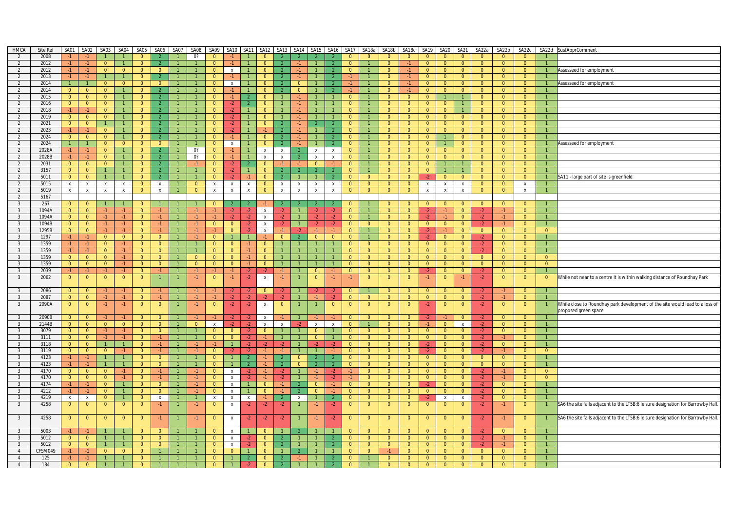| HMCA                    | Site Ref | SA01           | SA02                             | <b>SA03</b>                      | SA04                         | SA05           | SA06                            | SA07           | SA08           | SA09           | SA10 SA11      |                           | SA12                      | <b>SA13</b>               | <b>SA14</b>           | SA <sub>15</sub>                |                          |                | SA16 SA17 SA18a | SA18b          | SA18c          | SA19           | SA <sub>20</sub> | <b>SA21</b>                      | SA22a          | SA22b          | SA22c          |                                | SA22d SustApprComment                                                            |
|-------------------------|----------|----------------|----------------------------------|----------------------------------|------------------------------|----------------|---------------------------------|----------------|----------------|----------------|----------------|---------------------------|---------------------------|---------------------------|-----------------------|---------------------------------|--------------------------|----------------|-----------------|----------------|----------------|----------------|------------------|----------------------------------|----------------|----------------|----------------|--------------------------------|----------------------------------------------------------------------------------|
| 2                       | 2008     | $-1$           | $-1$                             | $\overline{1}$                   |                              | $\overline{0}$ |                                 | $\overline{1}$ | 0?             | $\Omega$       |                |                           | $\Omega$                  |                           |                       |                                 |                          | $\overline{0}$ | $\Omega$        | $\overline{0}$ | $\Omega$       | $\overline{0}$ | $\overline{0}$   | $\overline{0}$                   | $\overline{0}$ | $\overline{0}$ | $\overline{0}$ |                                |                                                                                  |
| 2                       | 2012     | $-1$           | $-1$                             | $\overline{0}$                   |                              | $\overline{0}$ | $\overline{2}$                  | $\mathbf{1}$   |                | $\overline{0}$ | $-1$           |                           | $\overline{0}$            | $\overline{2}$            | $-1$                  | $\mathbf{1}$                    | $\overline{2}$           | $\overline{0}$ |                 | $\Omega$       | $-1$           | $\overline{0}$ | $\overline{0}$   | $\overline{0}$                   | $\overline{0}$ | $\overline{0}$ | $\overline{0}$ |                                |                                                                                  |
| $\overline{2}$          | 2012     | $-1$           | $-1$                             | $\overline{0}$                   | $\overline{0}$               | $\overline{0}$ | $\mathbf{0}$                    |                |                | $\Omega$       | X              |                           | $\Omega$                  |                           |                       |                                 | $\overline{2}$           | $\Omega$       |                 | $\Omega$       | $-1$           | $\Omega$       | $\mathbf{0}$     | $\mathbf{0}$                     | $\mathbf{0}$   | $\overline{0}$ | $\overline{0}$ |                                | Assesseed for employment                                                         |
| 2                       | 2013     | $-1$           | $-1$                             | $\overline{1}$                   | $\mathbf{1}$                 | $\Omega$       |                                 | $\overline{1}$ |                | $\Omega$       |                |                           | $\Omega$                  |                           |                       | $\overline{1}$                  | $\overline{2}$           | $-1$           |                 | $\Omega$       | $-1$           | $\overline{0}$ | $\Omega$         | $\Omega$                         | $\Omega$       | $\overline{0}$ | $\overline{0}$ | $\overline{1}$                 |                                                                                  |
| $\overline{2}$          | 2014     | $\mathbf{1}$   | $\mathbf{1}$                     | $\overline{0}$                   | $\overline{0}$               | $\overline{0}$ | $\overline{0}$                  |                |                | $\overline{0}$ | $\mathbf{x}$   |                           | $\mathbf{0}$              |                           | $\mathbf{0}$          |                                 | $\overline{\phantom{a}}$ |                |                 | $\mathbf{0}$   | $-1$           | $\overline{0}$ | $\overline{0}$   | $\overline{0}$                   | $\overline{0}$ | $\overline{0}$ | $\overline{0}$ | $\mathbf{1}$                   | Assesseed for employment                                                         |
| $\overline{2}$          | 2014     | $\overline{0}$ | $\overline{0}$                   | $\overline{0}$                   |                              | $\overline{0}$ | 2                               |                |                | $\mathbf{0}$   | $-1$           |                           | $\mathbf{0}$              |                           | $\overline{0}$        | $\mathbf{1}$                    |                          | -1.            |                 | $\mathbf{0}$   | $-1$           | $\overline{0}$ | $\mathbf{0}$     | $\overline{0}$                   | $\overline{0}$ | $\overline{0}$ | $\overline{0}$ | $\mathbf{1}$                   |                                                                                  |
| $\overline{2}$          | 2015     | $\overline{0}$ | $\overline{0}$                   | $\overline{0}$                   | 1                            | $\overline{0}$ | $\overline{2}$                  | $\overline{1}$ |                | $\overline{0}$ | $-1$           |                           | $\overline{0}$            |                           | $-1$                  | $\mathbf{1}$                    | $\overline{1}$           | $\overline{0}$ |                 | $\Omega$       | $\overline{0}$ | $\overline{0}$ | $\mathbf{1}$     | $\overline{1}$                   | $\overline{0}$ | $\overline{0}$ | $\overline{0}$ | $\mathbf{1}$                   |                                                                                  |
| $\overline{2}$          | 2016     | $\overline{0}$ | $\overline{0}$                   | $\overline{0}$                   |                              | $\overline{0}$ | $\overline{2}$                  |                |                | $\overline{0}$ | $-2$           |                           | $\overline{0}$            |                           | $-1$                  |                                 | $\overline{1}$           | $\overline{0}$ |                 | $\overline{0}$ | $\overline{0}$ | $\overline{0}$ | $\overline{0}$   | $\overline{1}$                   | $\overline{0}$ | $\overline{0}$ | $\overline{0}$ | $\mathbf{1}$                   |                                                                                  |
| 2                       | 2018     | $-1$           | $-1$                             | $\overline{0}$                   |                              | $\overline{0}$ | $\mathcal{P}$                   |                |                | $\Omega$       | $-2$           |                           | $\overline{0}$            |                           |                       |                                 |                          | $\Omega$       |                 | $\Omega$       | $\overline{0}$ | $\overline{0}$ | $\overline{0}$   |                                  | $\overline{0}$ | $\overline{0}$ | $\overline{0}$ | $\mathbf{1}$                   |                                                                                  |
| 2                       | 2019     | $\overline{0}$ | $\overline{0}$                   | $\overline{0}$                   | $\mathbf{1}$                 | $\overline{0}$ | $\overline{2}$                  | $\overline{1}$ |                | $\Omega$       | $-2$           |                           | $\overline{0}$            |                           |                       | $\mathbf{1}$                    |                          | $\overline{0}$ |                 | $\overline{0}$ | $\overline{0}$ | $\overline{0}$ | $\overline{0}$   | $\overline{0}$                   | $\overline{0}$ | $\overline{0}$ | $\overline{0}$ | $\mathbf{1}$                   |                                                                                  |
| $\overline{2}$          | 2021     | $\overline{0}$ | $\overline{0}$                   | $\overline{1}$                   |                              | $\overline{0}$ |                                 |                |                | $\overline{0}$ | $-2$           |                           | $\Omega$                  |                           | $-1$                  |                                 |                          | $\Omega$       |                 | $\Omega$       | $\overline{0}$ | $\overline{0}$ | $\overline{0}$   | $\overline{0}$                   | $\Omega$       | $\overline{0}$ | $\overline{0}$ |                                |                                                                                  |
| $\overline{2}$          | 2023     | $-1$           | $-1$                             | $\overline{0}$                   | $\mathbf{1}$                 | $\overline{0}$ | $\mathcal{P}$                   |                |                | $\overline{0}$ | $-2$           |                           | $-1$                      |                           | -1                    | $\mathbf{1}$                    | $\mathcal{P}$            | $\overline{0}$ |                 | $\overline{0}$ | $\overline{0}$ | $\overline{0}$ | $\overline{0}$   | $\overline{0}$                   | $\overline{0}$ | $\overline{0}$ | $\overline{0}$ | $\mathbf{1}$                   |                                                                                  |
| $\overline{2}$          | 2024     | $\overline{0}$ | $\overline{0}$                   | $\overline{0}$                   |                              | $\Omega$       | $\mathcal{P}$                   |                |                | $\Omega$       | $-1$           |                           | $\overline{0}$            |                           | $-1$                  |                                 | $\overline{2}$           | $\Omega$       |                 | $\Omega$       | $\overline{0}$ | $\overline{0}$ |                  | $\Omega$                         | $\Omega$       | $\Omega$       | $\overline{0}$ |                                |                                                                                  |
| $\overline{2}$          | 2024     | $\overline{1}$ | $\overline{1}$                   | $\overline{0}$                   | $\overline{0}$               | $\overline{0}$ | $\overline{0}$                  | $\mathbf{1}$   |                | $\Omega$       | $\mathsf{x}$   |                           | $\overline{0}$            |                           | -1                    |                                 | $\overline{2}$           | $\overline{0}$ |                 | $\overline{0}$ | $\overline{0}$ | $\overline{0}$ |                  | $\overline{0}$                   | $\overline{0}$ | $\overline{0}$ | $\overline{0}$ | 1.                             | Assesseed for employment                                                         |
| $\overline{2}$          | 2028A    | $-1$           | $-1$                             | $\overline{0}$                   | $\mathbf{1}$                 | $\overline{0}$ | $\mathcal{P}$                   |                | 0?             | $\overline{0}$ | $-1$           |                           | $\boldsymbol{\mathsf{x}}$ | $\boldsymbol{\mathsf{x}}$ |                       | $\mathsf{x}$                    |                          | $\Omega$       |                 | $\overline{0}$ | $\overline{0}$ | $\overline{0}$ | $\overline{0}$   | $\overline{0}$                   | $\overline{0}$ | $\overline{0}$ | $\overline{0}$ | $\mathbf{1}$                   |                                                                                  |
| $\overline{2}$          | 2028B    | $-1$           | $-1$                             | $\overline{0}$                   | $\mathbf{1}$                 | $\overline{0}$ | 2                               |                | 0?             | $\overline{0}$ | $-1$           |                           |                           |                           | $\overline{2}$        |                                 | $\mathbf{x}$             | $\overline{0}$ |                 | $\overline{0}$ | $\overline{0}$ | $\overline{0}$ | $\overline{0}$   | $\overline{0}$                   | $\overline{0}$ | $\overline{0}$ | $\overline{0}$ | $\mathbf{1}$                   |                                                                                  |
|                         |          |                |                                  |                                  |                              |                |                                 |                |                |                |                |                           | $\mathsf{x}$              | $\mathbf{x}$              |                       | $\mathsf{X}$                    | $\mathsf{X}$             |                |                 |                |                |                |                  |                                  |                |                |                |                                |                                                                                  |
| 2                       | 2031     | $\overline{0}$ | $\overline{0}$<br>$\overline{0}$ | $\overline{0}$<br>$\overline{1}$ | $\mathbf{1}$<br>$\mathbf{1}$ | $\overline{0}$ | $\overline{2}$<br>$\mathcal{P}$ |                | $-1$           | $\Omega$       | $-2$           | $\overline{1}$            | $\overline{0}$            | $-1$                      | $-1$<br>$\mathcal{P}$ | $\overline{0}$<br>$\mathcal{P}$ | -1.                      | $\overline{0}$ |                 | $\overline{0}$ | $\overline{0}$ | $\overline{0}$ |                  | $\overline{1}$<br>$\overline{1}$ | $\overline{0}$ | $\overline{0}$ | $\overline{0}$ | $\mathbf{1}$<br>$\overline{1}$ |                                                                                  |
| $\overline{2}$          | 3157     | $\overline{0}$ |                                  |                                  |                              | $\overline{0}$ |                                 |                |                | $\overline{0}$ | $-2$           |                           | $\overline{0}$            |                           |                       |                                 |                          | $\overline{0}$ |                 | $\overline{0}$ | $\overline{0}$ | $\overline{0}$ |                  |                                  | $\overline{0}$ | $\overline{0}$ | $\overline{0}$ |                                |                                                                                  |
| $\overline{2}$          | 5011     | $\overline{0}$ | $\overline{0}$                   | $\overline{1}$                   |                              | $\overline{0}$ | $\overline{2}$                  |                |                | $\overline{0}$ | $-2$           | $-1$                      | $\overline{0}$            | $\mathcal{P}$             | $\overline{1}$        |                                 | $\overline{2}$           | $\overline{0}$ | $\Omega$        | $\overline{0}$ | $\overline{0}$ | $-2$           | $\overline{0}$   | $\mathbf{0}$                     | $\Omega$       | $\overline{0}$ | $\overline{0}$ | $\mathbf{1}$                   | SA11 - large part of site is greenfield                                          |
| 2                       | 5015     | x              | $\mathsf{x}$                     | $\mathsf{x}$                     | X                            | $\mathbf{0}$   | $\boldsymbol{\mathsf{X}}$       |                | $\overline{0}$ | $\mathsf{x}$   | $\mathsf{x}$   | $\boldsymbol{\mathsf{x}}$ | $\Omega$                  | $\boldsymbol{\mathsf{x}}$ | $\mathsf{x}$          | $\mathsf{x}$                    | x                        | $\overline{0}$ | $\overline{0}$  | $\overline{0}$ | $\Omega$       | $\mathsf{X}$   | $\mathsf{x}$     | $\boldsymbol{\mathsf{x}}$        | $\mathbf{0}$   | $\overline{0}$ | $\mathbf{x}$   |                                |                                                                                  |
| $\overline{2}$          | 5019     | $\mathbf{x}$   | $\mathbf{x}$                     | $\,$ X                           | $\mathbf{x}$                 | $\overline{0}$ | $\mathsf{x}$                    | $\overline{1}$ | $\overline{0}$ | $\pmb{\chi}$   | $\mathbf{x}$   | $\pmb{\chi}$              | $\mathbf{0}$              | $\mathbf{x}$              | $\mathbf x$           | $\,$ X                          | $\pmb{\chi}$             | $\overline{0}$ | $\overline{0}$  | $\overline{0}$ | $\overline{0}$ | $\mathbf{x}$   | $\mathsf{x}$     | $\,$ X                           | $\overline{0}$ | $\overline{0}$ | $\mathbf{x}$   | $\vert$ 1                      |                                                                                  |
| $\overline{2}$          | 5167     |                |                                  |                                  |                              |                |                                 |                |                |                |                |                           |                           |                           |                       |                                 |                          |                |                 |                |                |                |                  |                                  |                |                |                |                                |                                                                                  |
| $\overline{3}$          | 267      | $\overline{0}$ | $\overline{0}$                   | $\overline{1}$                   |                              | $\Omega$       |                                 |                |                | $\overline{0}$ | $\overline{2}$ |                           |                           |                           |                       | $\mathcal{P}$                   |                          | $\Omega$       |                 | $\Omega$       | $\Omega$       | $\overline{0}$ | $\overline{0}$   | $\overline{\mathbf{0}}$          | $\overline{0}$ | $\overline{0}$ | $\Omega$       |                                |                                                                                  |
| $\overline{3}$          | 1094A    | $\overline{0}$ | $\overline{0}$                   | $-1$                             | $-1$                         | $\overline{0}$ | $-1$                            |                | $-1$           | $-1$           | $-2$           | $-2$                      | $\mathsf{X}$              | $-2$                      | $\mathbf{1}$          | $-2$                            | $-2$                     | $\overline{0}$ |                 | $\Omega$       | $\overline{0}$ | $-2$           | $-1$             | $\overline{0}$                   | $-2$           | $-1$           | $\overline{0}$ | $\mathbf{1}$                   |                                                                                  |
| $\overline{3}$          | 1094A    | $\overline{0}$ | $\overline{0}$                   | $-1$                             | $-1$                         | $\overline{0}$ | $-1$                            |                | $-1$           | $-1$           | $-2$           | $-2$                      | $\mathsf{X}$              | $-2$                      | $\overline{1}$        | $-2$                            | $-2$                     | $\overline{0}$ |                 | $\overline{0}$ | $\overline{0}$ | $-2$           | $-1$             | $\overline{0}$                   | $-2$           | $-1$           | $\overline{0}$ | $\mathbf{1}$                   |                                                                                  |
| $\overline{3}$          | 1094B    | $\mathbf{0}$   | $\overline{0}$                   | $-1$                             | $-1$                         | $\overline{0}$ | $\cdot$ 1                       |                | $-1$           | $\Omega$       | $\Omega$       | -2                        | $\mathsf{x}$              | -2                        |                       | $-2$                            | $-2$                     | $\overline{0}$ | $\overline{0}$  | $\Omega$       | $\overline{0}$ | $\overline{0}$ | $\overline{0}$   | $\overline{0}$                   | $-2$           | $-1$           | $\overline{0}$ | $\mathbf{1}$                   |                                                                                  |
| $\overline{3}$          | 1295B    | $\overline{0}$ | $\overline{0}$                   | $-1$                             | $-1$                         | $\overline{0}$ | $-1$                            |                | $-1$           |                | $\overline{0}$ |                           | $\mathsf{x}$              | $-1$                      | $-2$                  | $-1$                            | $-1$                     | $\overline{0}$ |                 | $\overline{0}$ | $\overline{0}$ | $-2$           | $-1$             | $\overline{0}$                   | $\overline{0}$ | $\overline{0}$ | $\overline{0}$ | $\overline{0}$                 |                                                                                  |
| $\overline{3}$          | 1297     | $-1$           | $-1$                             | $\overline{0}$                   | $\overline{0}$               | $\overline{0}$ | $\overline{0}$                  |                |                | $\overline{0}$ | $\overline{1}$ |                           |                           | $\overline{0}$            | $\overline{2}$        | $\overline{0}$                  | $\overline{0}$           | $\overline{0}$ |                 | $\overline{0}$ | $\overline{0}$ | $-2$           | $\overline{0}$   | $\overline{0}$                   | $-2$           | $\overline{0}$ | $\overline{0}$ |                                |                                                                                  |
| $\overline{3}$          | 1359     | $-1$           | $-1$                             | $\overline{0}$                   | $-1$                         | $\overline{0}$ | $\overline{0}$                  |                |                | $\overline{0}$ | $\Omega$       | $-1$                      | $\overline{0}$            |                           | $\overline{1}$        | $\mathbf{1}$                    |                          | $\overline{0}$ | $\Omega$        | $\overline{0}$ | $\overline{0}$ | $\overline{0}$ | $\overline{0}$   | $\overline{0}$                   | $-2$           | $\overline{0}$ | $\overline{0}$ | $\mathbf{1}$                   |                                                                                  |
| $\overline{3}$          | 1359     | $-1$           | $-1$                             | $\overline{0}$                   | $-1$                         | $\overline{0}$ | $\overline{0}$                  | $\mathbf{1}$   |                | $\overline{0}$ | $\overline{0}$ | $-1$                      | $\overline{0}$            |                           | $\overline{1}$        |                                 | $\overline{1}$           | $\overline{0}$ | $\Omega$        | $\Omega$       | $\overline{0}$ | $\overline{0}$ | $\overline{0}$   | $\overline{0}$                   | $-2$           | $\Omega$       | $\overline{0}$ | $\mathbf{1}$                   |                                                                                  |
| $\overline{\mathbf{3}}$ | 1359     | $\overline{0}$ | $\overline{0}$                   | $\overline{0}$                   | $-1$                         | $\overline{0}$ | $\overline{0}$                  | $\mathbf{1}$   | $\overline{0}$ | $\mathbf{0}$   | $\overline{0}$ | $-1$                      | $\mathbf{0}$              |                           | $\mathbf{1}$          |                                 | $\mathbf{1}$             | $\overline{0}$ | $\overline{0}$  | $\mathbf{0}$   | $\mathbf{0}$   | $\overline{0}$ | $\mathbf{0}$     | $\overline{0}$                   | $\overline{0}$ | $\mathbf{0}$   | $\overline{0}$ | $\overline{0}$                 |                                                                                  |
| $\overline{3}$          | 1359     | $\overline{0}$ | $\overline{0}$                   | $\overline{0}$                   | $-1$                         | $\Omega$       | $\overline{0}$                  | $\mathbf{1}$   | $\overline{0}$ | $\overline{0}$ | $\overline{0}$ | $-1$                      | $\Omega$                  | $\overline{1}$            | $\mathbf{1}$          | $\mathbf{1}$                    | $\mathbf{1}$             | $\Omega$       | $\overline{0}$  | $\overline{0}$ | $\Omega$       | $\overline{0}$ | $\Omega$         | $\Omega$                         | $\overline{0}$ | $\overline{0}$ | $\overline{0}$ | $\overline{0}$                 |                                                                                  |
| $\overline{3}$          | 2039     | $-1$           | $-1$                             | $-1$                             | $-1$                         | $\overline{0}$ | $-1$                            |                |                |                | -1             | $-2$                      | $-2$                      | $-1$                      |                       | $\overline{0}$                  | $-1$                     | $\Omega$       | $\overline{0}$  | $\Omega$       | $\overline{0}$ | $-2$           | $\overline{0}$   | $\overline{0}$                   | $-2$           | $\overline{0}$ | $\overline{0}$ |                                |                                                                                  |
| $\overline{3}$          | 2062     | $\overline{0}$ | $\overline{0}$                   | $\overline{0}$                   | $\overline{0}$               | $\mathbf{0}$   |                                 |                | $-1$           | $\mathbf{0}$   | -1             | $-2$                      | $\boldsymbol{\mathsf{x}}$ | $-1$                      |                       | $\overline{0}$                  | -1                       | $-1$           | $\overline{0}$  | $\overline{0}$ | $\overline{0}$ | $-1$           | $\mathbf{0}$     | $-1$                             | $-2$           | $\overline{0}$ | $\overline{0}$ | $\overline{0}$                 | While not near to a centre it is within walking distance of Roundhay Park        |
|                         |          |                |                                  |                                  |                              |                |                                 |                |                |                |                |                           |                           |                           |                       |                                 |                          |                |                 |                |                |                |                  |                                  |                |                |                |                                |                                                                                  |
| $\overline{\mathbf{3}}$ | 2086     | $\overline{0}$ | $\overline{0}$                   | $-1$                             | $-1$                         | $\overline{0}$ | $-1$                            |                | $-1$           | $-1$           | $-2$           | $-2$                      | $\overline{0}$            | -2                        | $\overline{1}$        | -2                              | $-2$                     | $\Omega$       |                 | $\Omega$       | $\overline{0}$ | $\overline{0}$ | $\overline{0}$   | $\overline{0}$                   | $-2$           | $-1$           | $\overline{0}$ |                                |                                                                                  |
| $\overline{\mathbf{3}}$ | 2087     | $\mathbf{0}$   | $\overline{0}$                   | $-1$                             | $-1$                         | $\mathbf{0}$   | $-1$                            | $\mathbf{1}$   | $-1$           | -1             | $-2$           | $-2$                      | $-2$                      | $-2$                      | $\mathbf{1}$          | -1 -                            | $-2$                     | $\overline{0}$ | $\overline{0}$  | $\overline{0}$ | $\mathbf{0}$   | $\overline{0}$ | $\mathbf{0}$     | $\overline{0}$                   | $-2$           | -1             | $\overline{0}$ | $\mathbf{1}$                   |                                                                                  |
| $\overline{3}$          | 2090A    | $\overline{0}$ | $\overline{0}$                   | $-1$                             | $-1$                         | $\overline{0}$ | $\overline{0}$                  |                | $-1$           | $\mathbf{0}$   | $-2$           | $-2$                      | $\mathsf{x}$              | $\overline{0}$            |                       |                                 | $\overline{0}$           | $\overline{0}$ | $\overline{0}$  | $\overline{0}$ | $\overline{0}$ | $-2$           | $\mathbf{0}$     | $\overline{0}$                   | $-2$           | $\overline{0}$ | $\overline{0}$ | $\mathbf{1}$                   | While close to Roundhay park development of the site would lead to a loss of     |
|                         |          |                |                                  |                                  |                              |                |                                 |                |                |                |                |                           |                           |                           |                       |                                 |                          |                |                 |                |                |                |                  |                                  |                |                |                |                                | proposed green space                                                             |
| $\overline{3}$          | 2090B    | $\overline{0}$ | $\overline{0}$                   | $-1$                             | $-1$                         | $\Omega$       | $\Omega$                        |                |                |                | $-2$           | -2                        | $\mathsf{x}$              |                           |                       |                                 |                          | $\Omega$       | $\Omega$        | $\overline{0}$ | $\Omega$       | $-2$           | $-1$             | $\overline{0}$                   | $-2$           | $\overline{0}$ | $\overline{0}$ |                                |                                                                                  |
| $\overline{3}$          | 2144B    | $\overline{0}$ | $\overline{0}$                   | $\overline{0}$                   | $\overline{0}$               | $\Omega$       | $\overline{0}$                  |                | $\overline{0}$ | $\mathsf{x}$   | $-2$           | $-2$                      | $\mathsf{x}$              | $\pmb{\chi}$              | $-2$                  | $\mathbf{x}$                    | $\mathsf X$              | $\Omega$       |                 | $\Omega$       | $\overline{0}$ | $-1$           | $\overline{0}$   | $\mathbf{x}$                     | $-2$           | $\overline{0}$ | $\overline{0}$ | $\mathbf{1}$                   |                                                                                  |
| $\overline{3}$          | 3079     | $\overline{0}$ | $\overline{0}$                   | $-1$                             | $-1$                         | $\overline{0}$ | $\overline{0}$                  | $\mathbf{1}$   |                | $\overline{0}$ | $\overline{0}$ | $-2$                      | $\Omega$                  |                           | $\overline{1}$        | $\Omega$                        | $\mathbf{1}$             | $\overline{0}$ | $\overline{0}$  | $\overline{0}$ | $\overline{0}$ | $\overline{0}$ | $\overline{0}$   | $\overline{0}$                   | $-2$           | $\overline{0}$ | $\mathbf{0}$   | $\mathbf{1}$                   |                                                                                  |
| $\overline{3}$          | 3111     | $\overline{0}$ | $\overline{0}$                   | $-1$                             | $-1$                         | $\overline{0}$ | $-1$                            |                |                | $\overline{0}$ | $\overline{0}$ | $-2$                      | $-1$                      |                           |                       | $\overline{0}$                  | $\mathbf{1}$             | $\overline{0}$ | $\overline{0}$  | $\overline{0}$ | $\overline{0}$ | $\overline{0}$ | $\overline{0}$   | $\overline{0}$                   | $-2$           | $-1$           | $\overline{0}$ | $\mathbf{1}$                   |                                                                                  |
| $\overline{3}$          | 3118     | $\overline{0}$ | $\overline{0}$                   | $\overline{1}$                   | $\mathbf{1}$                 | $\overline{0}$ | $-1$                            |                | $-1$           | $-1$           | $\overline{1}$ | -2                        | $-2$                      | -2                        | $\overline{1}$        | $-2$                            | $-2$                     | $\overline{0}$ | $\Omega$        | $\overline{0}$ | $\overline{0}$ | $-2$           | $\Omega$         | $\overline{0}$                   | $-2$           | $\overline{0}$ | $\overline{0}$ | $\mathbf{1}$                   |                                                                                  |
| $\overline{\mathbf{3}}$ | 3119     | $\overline{0}$ | $\overline{0}$                   | $\overline{0}$                   | $-1$                         | $\overline{0}$ | $-1$                            | 1              | $-1$           | $\overline{0}$ | $-2$           | $-2$                      | -1.                       | $-1$                      | $\overline{1}$        | $\mathbf{1}$                    | $-1$                     | $\overline{0}$ | $\overline{0}$  | $\overline{0}$ | $\overline{0}$ | $-2$           | $\overline{0}$   | $\overline{0}$                   | $-2$           | $-1$           | $\overline{0}$ | $\overline{0}$                 |                                                                                  |
| $\overline{3}$          | 4123     | $-1$           | $-1$                             | $\overline{1}$                   | $\overline{1}$               | $\overline{0}$ | $\overline{0}$                  | $\overline{1}$ |                | $\overline{0}$ | $\overline{1}$ |                           | $-1$                      |                           | $\Omega$              | $\mathcal{P}$                   |                          | $\overline{0}$ | $\Omega$        | $\overline{0}$ | $\overline{0}$ | $\overline{0}$ | $\overline{0}$   | $\overline{0}$                   | $\overline{0}$ | $\overline{0}$ | $\overline{0}$ | $\mathbf{1}$                   |                                                                                  |
| $\overline{3}$          | 4123     | $-1$           | $-1$                             | $\overline{1}$                   |                              | $\overline{0}$ | $\overline{0}$                  |                |                | $\overline{0}$ | $\mathbf{1}$   |                           | $-1$                      | -2                        | $\mathbf{0}$          | $\mathcal{P}$                   | $\mathcal{P}$            | $\overline{0}$ | $\mathbf{0}$    | $\overline{0}$ | $\overline{0}$ | $\overline{0}$ | $\mathbf{0}$     | $\overline{0}$                   | $\overline{0}$ | $\overline{0}$ | $\overline{0}$ | $\mathbf{1}$                   |                                                                                  |
| 3                       | 4170     | $\overline{0}$ | $\overline{0}$                   | $\overline{0}$                   | $-1$                         | $\Omega$       | $-1$                            | $\mathbf{1}$   | $-1$           | $\overline{0}$ | $\mathsf{x}$   | $-2$                      | $-1$                      | -2                        | $\mathbf{1}$          | $-1$                            | $-2$                     | $-1$           | $\overline{0}$  | $\overline{0}$ | $\overline{0}$ | $\overline{0}$ | $\overline{0}$   | $\overline{0}$                   | $-2$           | $-1$           | $\overline{0}$ | $\overline{0}$                 |                                                                                  |
| $\overline{3}$          | 4170     | $\overline{0}$ | $\overline{0}$                   | $\overline{0}$                   | $-1$                         | $\overline{0}$ | $-1$                            | $\mathbf{1}$   | $-1$           | $\overline{0}$ | $\mathsf{x}$   | $\cdot$                   | $-1$                      |                           | $\overline{1}$        | $-1$                            | $-2$                     | $-1$           | $\overline{0}$  | $\overline{0}$ | $\overline{0}$ | $\overline{0}$ | $\overline{0}$   | $\overline{0}$                   | $-2$           | $-1$           | $\overline{0}$ | $\overline{0}$                 |                                                                                  |
| $\overline{3}$          | 4174     | $-1$           | $-1$                             | $\overline{0}$                   | $\mathbf{1}$                 | $\overline{0}$ | $\overline{0}$                  |                |                | $\overline{0}$ | $\mathbf{x}$   |                           | $\mathbf{0}$              | $-1$                      | $\overline{2}$        | $\overline{0}$                  | $-1$                     | $\overline{0}$ | $\overline{0}$  | $\overline{0}$ | $\overline{0}$ | $-2$           | $\overline{0}$   | $\overline{0}$                   | $-2$           | $\overline{0}$ | $\overline{0}$ | $\overline{1}$                 |                                                                                  |
| $\overline{3}$          | 4212     | $-1$           | $-1$                             | $\overline{0}$                   |                              | $\overline{0}$ | $\mathbf{0}$                    |                | $-1$           | $\overline{0}$ | $\mathsf{x}$   |                           | $\overline{0}$            | $-1$                      | $\overline{2}$        | $\overline{0}$                  | $-1$                     | $\overline{0}$ | $\Omega$        | $\overline{0}$ | $\overline{0}$ | $\overline{0}$ | $\overline{0}$   | $\overline{0}$                   | $-2$           | $\overline{0}$ | $\overline{0}$ | $\mathbf{1}$                   |                                                                                  |
| $\overline{3}$          | 4219     | $\mathbf{x}$   | $\mathbf{x}$                     | $\overline{0}$                   | $\mathbf{1}$                 | $\Omega$       | $\mathsf{X}$                    |                |                | $\pmb{\chi}$   | $\mathbf{x}$   | $\mathsf{x}$              | $-1$                      | $\overline{2}$            | $\mathbf{x}$          | $\overline{1}$                  | $\overline{2}$           | $\overline{0}$ | $\overline{0}$  | $\overline{0}$ | $\Omega$       | $-2$           | $\mathsf{x}$     | $\mathbf{x}$                     | $-2$           | $\overline{0}$ | $\overline{0}$ | $\mathbf{1}$                   |                                                                                  |
| $\overline{3}$          | 4258     | $\overline{0}$ | $\overline{0}$                   | $\overline{0}$                   | $\overline{0}$               | $\overline{0}$ | $-1$                            |                | $-1$           | $\mathbf{0}$   | $\mathbf{x}$   | $-2$                      | $-2$                      | $-2$                      |                       | $-1$                            | $-2$                     | $\overline{0}$ | $\overline{0}$  | $\mathbf{0}$   | $\overline{0}$ | $\overline{0}$ | $\overline{0}$   | $\overline{0}$                   | $-2$           | $-1$           | $\overline{0}$ | $\mathbf{1}$                   | SA6 the site falls adjacent to the LT5B:6 leisure designation for Barrowby Hall. |
|                         |          |                |                                  |                                  |                              |                |                                 |                |                |                |                |                           |                           |                           |                       |                                 |                          |                |                 |                |                |                |                  |                                  |                |                |                |                                |                                                                                  |
| $\overline{3}$          | 4258     | $\overline{0}$ | $\overline{0}$                   | $\overline{0}$                   | $\overline{0}$               | $\mathbf{0}$   | $-1$                            |                | $-1$           | $\mathbf{0}$   | $\mathsf{x}$   | $-2$                      | $-2$                      | $-2$                      |                       | $-1$                            | $-2$                     | $\overline{0}$ | $\overline{0}$  | $\overline{0}$ | $\overline{0}$ | $\overline{0}$ | $\mathbf{0}$     | $\overline{0}$                   | $-2$           | $-1$           | $\overline{0}$ |                                | SA6 the site falls adjacent to the LT5B:6 leisure designation for Barrowby Hall. |
|                         |          |                |                                  |                                  |                              |                |                                 |                |                |                |                |                           |                           |                           |                       |                                 |                          |                |                 |                |                |                |                  |                                  |                |                |                |                                |                                                                                  |
| $\overline{3}$          | 5003     | $-1$           |                                  |                                  |                              | $\Omega$       | $\Omega$                        |                |                | $\Omega$       | $\mathsf{x}$   |                           |                           |                           |                       |                                 |                          | $\Omega$       | $\Omega$        | $\Omega$       | $\Omega$       | $\Omega$       | $\Omega$         | $\Omega$                         | $-2$           | $\overline{0}$ | $\overline{0}$ |                                |                                                                                  |
| 3                       | 5012     | $\overline{0}$ | $\overline{0}$                   | $\overline{1}$                   |                              | $\Omega$       | $\overline{0}$                  |                |                | $\mathbf{0}$   | $\mathsf{x}$   |                           | $\overline{0}$            |                           | $\mathbf{1}$          |                                 | $\overline{2}$           | $\overline{0}$ | $\overline{0}$  | $\Omega$       | $\overline{0}$ | $\overline{0}$ | $\overline{0}$   | $\overline{0}$                   | $-2$           | $-1$           | $\overline{0}$ | $\mathbf{1}$                   |                                                                                  |
| 3                       | 5012     | $\mathbf{0}$   | $\overline{0}$                   | -1                               |                              | $\overline{0}$ | $\overline{0}$                  |                |                | $\mathbf{0}$   | $\mathsf{x}$   |                           | $\overline{0}$            |                           |                       |                                 |                          | $\overline{0}$ | $\mathbf{0}$    | $\overline{0}$ | $\overline{0}$ | $\overline{0}$ | $\mathbf{0}$     | $\mathbf{0}$                     | $-2$           | -1             | $\mathbf{0}$   | п.                             |                                                                                  |
| $\overline{4}$          | CFSM049  | $-1$           | $-1$                             | $\overline{0}$                   | $\overline{0}$               | $\overline{0}$ | $\mathbf{1}$                    | $\overline{1}$ |                | $\overline{0}$ | $\overline{0}$ | $\overline{1}$            | $\overline{0}$            | $\overline{1}$            | $\overline{2}$        | $\mathbf{1}$                    | $\overline{1}$           | $\overline{0}$ | $\overline{0}$  | $-1$           | $\overline{0}$ | $\overline{0}$ | $\overline{0}$   | $\overline{0}$                   | $\overline{0}$ | $\overline{0}$ | $\overline{0}$ | $\sim$                         |                                                                                  |
| $\overline{4}$          | 125      | $-1$           | $-1$                             | $\mathbf{1}$                     |                              | $\Omega$       |                                 |                |                | $\Omega$       | $\mathbf{1}$   |                           | $\overline{0}$            |                           |                       |                                 | $\overline{\phantom{a}}$ | $\Omega$       |                 | $\Omega$       | $\overline{0}$ | $\overline{0}$ | $\Omega$         | $\overline{0}$                   | $\overline{0}$ | $\Omega$       | $\overline{0}$ | $\mathbf{1}$                   |                                                                                  |
| $\overline{4}$          | 184      | $\overline{0}$ | $\overline{0}$                   |                                  |                              | $\Omega$       |                                 |                |                |                |                |                           |                           |                           |                       |                                 |                          |                |                 |                |                | $\Omega$       | $\Omega$         | $\overline{0}$                   | $\mathbf{0}$   | $\Omega$       | $\mathbf{0}$   |                                |                                                                                  |
|                         |          |                |                                  |                                  |                              |                |                                 |                |                |                |                |                           |                           |                           |                       |                                 |                          |                |                 |                |                |                |                  |                                  |                |                |                |                                |                                                                                  |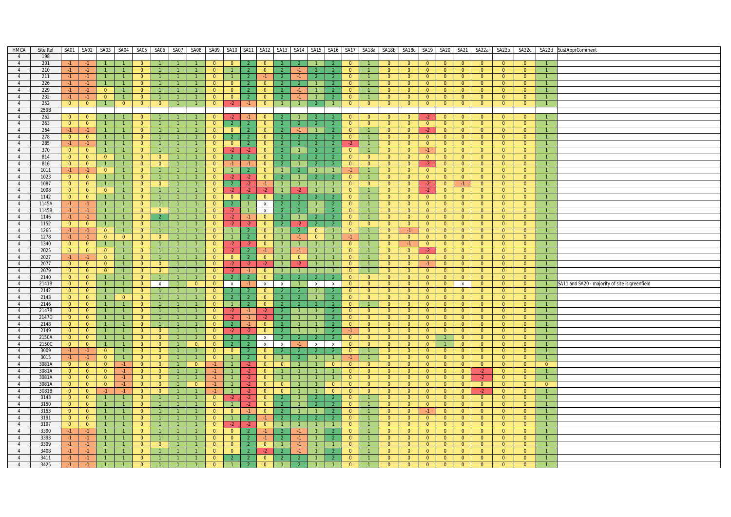| HMCA           | Site Ref | SA01           | SA02                    | SA03           | SA04           | SA05           | SA06           | SA07           | SA08           |                | SA09 SA10      | SA <sub>11</sub> | SA12           | SA <sub>13</sub> | SA14 SA15      |                | SA <sub>16</sub> |                |                | SA17 SA18a SA18b SA18c |                | SA19   SA20   SA21 |                |                | SA22a          | SA22b          | SA22c          |                | SA22d SustApprComment                          |
|----------------|----------|----------------|-------------------------|----------------|----------------|----------------|----------------|----------------|----------------|----------------|----------------|------------------|----------------|------------------|----------------|----------------|------------------|----------------|----------------|------------------------|----------------|--------------------|----------------|----------------|----------------|----------------|----------------|----------------|------------------------------------------------|
| $\overline{4}$ | 198      |                |                         |                |                |                |                |                |                |                |                |                  |                |                  |                |                |                  |                |                |                        |                |                    |                |                |                |                |                |                |                                                |
| $\overline{4}$ | 201      |                | $-1$                    |                | $\mathbf{1}$   | $\overline{0}$ |                |                |                | $\overline{0}$ | $\overline{0}$ | $\overline{2}$   | $\overline{0}$ |                  |                |                |                  | $\overline{0}$ |                | $\overline{0}$         | $\overline{0}$ | $\overline{0}$     | $\overline{0}$ | $\overline{0}$ | $\overline{0}$ | $\overline{0}$ | $\overline{0}$ |                |                                                |
|                |          | $-1$           |                         |                |                |                |                |                |                |                |                |                  |                |                  |                |                |                  |                |                |                        |                |                    |                |                |                |                |                |                |                                                |
| $\overline{4}$ | 210      | $-1$           | $-1$                    | $\overline{1}$ | $\overline{1}$ | $\overline{0}$ | $\overline{1}$ |                | $\overline{1}$ | $\overline{0}$ | $\overline{1}$ | $\overline{2}$   | $\overline{0}$ | <sup>2</sup>     |                | $\overline{2}$ | 2 <sup>7</sup>   | $\overline{0}$ | $\mathbf{1}$   | $\overline{0}$         | $\overline{0}$ | $\overline{0}$     | $\overline{0}$ | $\overline{0}$ | $\overline{0}$ | $\overline{0}$ | $\overline{0}$ | $\overline{1}$ |                                                |
| 4              | 211      | $-1$           | $-1$                    |                |                | $\overline{0}$ |                |                | $\overline{1}$ | $\overline{0}$ |                |                  | $-1$           | $\overline{2}$   |                | $\overline{2}$ | $\overline{2}$   | $\overline{0}$ |                | $\overline{0}$         | $\overline{0}$ | $\overline{0}$     | $\overline{0}$ | $\overline{0}$ | $\overline{0}$ | $\overline{0}$ | $\overline{0}$ |                |                                                |
| $\overline{4}$ | 226      | $-1$           | $-1$                    | $\overline{1}$ | $\mathbf{1}$   | $\overline{0}$ | $\mathbf{1}$   |                |                | $\overline{0}$ | $\overline{0}$ |                  | $\Omega$       |                  |                |                | 2                | $\overline{0}$ |                | $\overline{0}$         | $\overline{0}$ | $\overline{0}$     | $\overline{0}$ | $\overline{0}$ | $\overline{0}$ | $\overline{0}$ | $\overline{0}$ | $\mathbf{1}$   |                                                |
| $\overline{4}$ | 229      | $-1$           | $-1$                    | $\overline{0}$ | $\overline{1}$ | $\overline{0}$ |                |                |                | $\overline{0}$ | $\overline{0}$ |                  | $\overline{0}$ |                  |                |                | $\overline{2}$   | $\overline{0}$ |                | $\overline{0}$         | $\overline{0}$ | $\Omega$           | $\overline{0}$ | $\overline{0}$ | $\overline{0}$ | $\overline{0}$ | $\Omega$       | $\overline{1}$ |                                                |
| $\overline{4}$ | 232      | $-1$           | $-1$                    | $\overline{0}$ | $\overline{1}$ | $\overline{0}$ | $\mathbf{1}$   |                |                | $\overline{0}$ | $\overline{0}$ | $\overline{2}$   | $\overline{0}$ | $\overline{2}$   | $-1$           | $\overline{1}$ |                  | $\overline{0}$ | $\vert$ 1      | $\overline{0}$         | $\overline{0}$ | $\overline{0}$     | $\overline{0}$ | $\overline{0}$ | $\overline{0}$ | $\overline{0}$ | $\mathbf{0}$   |                |                                                |
|                |          |                |                         |                |                |                |                |                |                |                |                |                  |                |                  |                |                |                  |                |                |                        |                |                    |                |                |                |                |                |                |                                                |
| $\overline{4}$ | 252      | $\overline{0}$ | $\overline{0}$          | $\overline{1}$ | $\overline{0}$ | $\overline{0}$ | $\overline{0}$ |                |                | $\overline{0}$ | $-2$           | $-1$             | $\overline{0}$ |                  |                | $\overline{2}$ |                  | $\overline{0}$ | $\overline{0}$ | $\overline{0}$         | $\overline{0}$ | $\overline{0}$     | $\overline{0}$ | $\overline{0}$ | $\overline{0}$ | $\overline{0}$ | $\overline{0}$ | $\overline{1}$ |                                                |
| $\overline{4}$ | 259B     |                |                         |                |                |                |                |                |                |                |                |                  |                |                  |                |                |                  |                |                |                        |                |                    |                |                |                |                |                |                |                                                |
| $\overline{4}$ | 262      | $\overline{0}$ | $\overline{\mathbf{0}}$ | $\overline{1}$ | $\mathbf{1}$   | $\overline{0}$ |                |                |                | $\overline{0}$ | $-2$           | $-1$             | $\overline{0}$ | $\mathcal{P}$    |                | $\overline{2}$ | $\mathcal{P}$    | $\overline{0}$ | $\overline{0}$ | $\overline{0}$         | $\overline{0}$ | $-2$               | $\overline{0}$ | $\overline{0}$ | $\overline{0}$ | $\overline{0}$ | $\overline{0}$ |                |                                                |
| $\overline{4}$ | 263      | $\overline{0}$ | $\overline{0}$          | $\overline{1}$ | $\overline{1}$ | $\overline{0}$ | $\overline{1}$ |                | $\overline{1}$ | $\overline{0}$ | $\overline{2}$ |                  | $\mathbf{0}$   | $\overline{2}$   |                |                | $\overline{2}$   | $\overline{0}$ | $\overline{0}$ | $\overline{0}$         | $\overline{0}$ | $\overline{0}$     | $\overline{0}$ | $\overline{0}$ | $\overline{0}$ | $\overline{0}$ | $\overline{0}$ | $\overline{1}$ |                                                |
| 4              | 264      | $-1$           | $-1$                    | $\overline{1}$ | $\overline{1}$ | $\overline{0}$ | $\overline{1}$ |                | $\overline{1}$ | $\overline{0}$ | $\overline{0}$ | $\overline{2}$   | $\overline{0}$ | 2 <sup>7</sup>   |                | $\overline{1}$ | 2 <sup>7</sup>   | $\overline{0}$ | $\mathbf{1}$   | $\overline{0}$         | $\overline{0}$ | $-2$               | $\overline{0}$ | $\overline{0}$ | $\overline{0}$ | $\overline{0}$ | $\overline{0}$ | $\overline{1}$ |                                                |
|                |          |                |                         |                |                |                |                |                |                |                |                |                  |                |                  |                |                |                  |                |                |                        |                |                    |                |                |                |                |                |                |                                                |
| $\overline{4}$ | 278      | $\overline{0}$ | $\overline{\mathbf{0}}$ | $\vert$ 1      | $\mathbf{1}$   | $\overline{0}$ |                |                |                | $\overline{0}$ |                | $\overline{2}$   | $\overline{0}$ | $\overline{2}$   |                | $\overline{2}$ | $\overline{2}$   | $\overline{0}$ |                | $\overline{0}$         | $\overline{0}$ | $\overline{0}$     | $\overline{0}$ | $\overline{0}$ | $\mathbf{0}$   | $\overline{0}$ | $\mathbf{0}$   | $\mathbf{1}$   |                                                |
| $\overline{4}$ | 285      | $-1$           | $-1$                    | $\overline{1}$ | $\overline{1}$ | $\overline{0}$ | $\overline{1}$ | $\bullet$      | $\overline{1}$ | $\overline{0}$ | $\overline{0}$ | $\overline{2}$   | $\overline{0}$ | 2 <sup>7</sup>   |                | $\overline{2}$ | $\overline{2}$   | $-2$           | $\mathbf{1}$   | $\overline{0}$         | $\overline{0}$ | $\overline{0}$     | $\overline{0}$ | $\overline{0}$ | $\overline{0}$ | $\overline{0}$ | $\overline{0}$ | $\overline{1}$ |                                                |
| 4              | 370      | $\overline{0}$ | $\overline{0}$          | $\overline{1}$ | $\overline{1}$ | $\overline{0}$ | $\mathbf{1}$   |                | $\overline{1}$ | $\overline{0}$ | $-2$           | $-2$             | $\overline{0}$ | $\overline{2}$   |                | $\overline{2}$ | $\mathcal{P}$    | $\overline{0}$ | $\mathbf{1}$   | $\overline{0}$         | $\overline{0}$ | $-1$               | $\overline{0}$ | $\overline{0}$ | $\overline{0}$ | $\overline{0}$ | $\overline{0}$ |                |                                                |
| $\overline{4}$ | 814      | $\overline{0}$ | $\overline{0}$          | $\overline{0}$ | $\overline{1}$ | $\overline{0}$ | $\overline{0}$ |                |                | $\overline{0}$ | 2              |                  | $\overline{0}$ |                  |                |                | $\overline{2}$   | $\overline{0}$ | $\overline{0}$ | $\overline{0}$         | $\overline{0}$ | $\overline{0}$     | $\overline{0}$ | $\overline{0}$ | $\overline{0}$ | $\overline{0}$ | $\overline{0}$ |                |                                                |
| $\overline{4}$ | 816      | $\overline{0}$ | $\overline{0}$          | $\overline{1}$ | $\overline{1}$ | $\overline{0}$ | $\overline{0}$ |                |                | $\overline{0}$ | $-1$           | $-1$             | $\overline{0}$ | $\overline{2}$   |                |                | $\overline{2}$   | $\overline{0}$ | $\overline{0}$ | $\overline{0}$         | $\overline{0}$ | $-2$               | $\overline{0}$ | $\overline{0}$ | $\overline{0}$ | $\overline{0}$ | $\overline{0}$ | $\overline{1}$ |                                                |
| 4              | 1011     | $-1$           | $-1$                    | $\overline{0}$ | $\overline{1}$ | $\overline{0}$ | $1 -$          | $\overline{1}$ |                | $\overline{0}$ | $\sim$ 1       | $\overline{2}$   | $\overline{0}$ | $\mathbf{1}$     |                | $\overline{1}$ | $\mathbf{1}$     | -1.            | $\overline{1}$ | $\overline{0}$         | $\overline{0}$ | $\overline{0}$     | $\overline{0}$ | $\overline{0}$ | $\overline{0}$ | $\overline{0}$ | $\overline{0}$ | $\overline{1}$ |                                                |
|                |          |                |                         |                |                |                |                |                |                |                |                |                  |                |                  |                |                |                  |                |                |                        |                |                    |                |                |                |                |                |                |                                                |
| $\overline{4}$ | 1023     | $\overline{0}$ | $\overline{\mathbf{0}}$ | $\overline{1}$ | $\overline{1}$ | $\overline{0}$ | $\mathbf{1}$   |                | $\mathbf{1}$   | $\overline{0}$ | $-2$           | $-2$             | $\overline{0}$ | $\mathcal{P}$    |                | $\overline{2}$ | $\mathcal{P}$    | $\overline{0}$ | $\mathbf{1}$   | $\overline{0}$         | $\overline{0}$ | $\overline{0}$     | $\overline{0}$ | $\overline{0}$ | $\overline{0}$ | $\overline{0}$ | $\overline{0}$ | $\overline{1}$ |                                                |
| $\overline{4}$ | 1087     | $\overline{0}$ | $\overline{0}$          | $\overline{1}$ | $\mathbf{1}$   | $\overline{0}$ | $\overline{0}$ | $\overline{1}$ | $\mathbf{1}$   | $\overline{0}$ | $\overline{2}$ | $-2$             | $-1$           | 1                | $\overline{1}$ | $\overline{1}$ | $\mathbf{1}$     | $\overline{0}$ | $\overline{0}$ | $\overline{0}$         | $\overline{0}$ | $-2$               | $\overline{0}$ | $-1$           | $\overline{0}$ | $\overline{0}$ | $\overline{0}$ | $\overline{1}$ |                                                |
| 4              | 1098     | $\overline{0}$ | $\overline{0}$          | $\overline{0}$ | $\vert$ 1      | $\overline{0}$ | $\mathbf{1}$   |                | $\mathbf{1}$   | $\overline{0}$ | $-2$           | $-2$             | $-2$           |                  | $-2$           |                | $\mathbf{1}$     | $\overline{0}$ | $\mathbf{1}$   | $\overline{0}$         | $\overline{0}$ | $-2$               | $\overline{0}$ | $\overline{0}$ | $\mathbf{0}$   | $\overline{0}$ | $\mathbf{0}$   | $\mathbf{1}$   |                                                |
| $\overline{4}$ | 1142     | $\overline{0}$ | $\overline{0}$          |                | $\overline{1}$ | $\overline{0}$ | 1              |                |                | $\Omega$       | $\overline{0}$ |                  | $\overline{0}$ | $\overline{2}$   |                |                |                  | $\overline{0}$ |                | $\overline{0}$         | $\overline{0}$ | $\overline{0}$     | $\overline{0}$ | $\overline{0}$ | $\Omega$       | $\overline{0}$ | $\Omega$       | $\mathbf{1}$   |                                                |
| 4              | 1145A    | $-1$           | $-1$                    | $\overline{1}$ | $\mathbf{1}$   | $\overline{0}$ | $1 -$          | $\overline{1}$ | $\overline{1}$ | $\overline{0}$ | $\overline{2}$ | $\overline{1}$   | x              | 2 <sup>7</sup>   |                | $\overline{1}$ | $\mathcal{L}$    | $\overline{0}$ | $\overline{1}$ | $\overline{0}$         | $\overline{0}$ | $\overline{0}$     | $\overline{0}$ | $\overline{0}$ | $\overline{0}$ | $\overline{0}$ | $\overline{0}$ | $\overline{1}$ |                                                |
|                |          |                |                         |                |                |                |                |                |                |                |                |                  |                |                  |                |                |                  |                |                |                        |                |                    |                |                |                |                |                |                |                                                |
| $\overline{4}$ | 1145B    | $-1$           | $-1$                    | $\overline{1}$ | $\overline{1}$ | $\overline{0}$ | $\overline{0}$ |                |                | $\overline{0}$ | $-2$           |                  | $\mathsf{X}$   | 2 <sup>2</sup>   |                | $\overline{1}$ | $\overline{2}$   | $\overline{0}$ | $\mathbf{1}$   | $\overline{0}$         | $\overline{0}$ | $\overline{0}$     | $\overline{0}$ | $\overline{0}$ | $\overline{0}$ | $\overline{0}$ | $\overline{0}$ | $\mathbf{1}$   |                                                |
| $\overline{4}$ | 1146     | $-1$           | $-1$                    | $\vert$ 1      | $\vert$ 1      | $\overline{0}$ | $\overline{2}$ | $\mathbf{1}$   | $\mathbf{1}$   | $\overline{0}$ | $-2$           | $-1$             | $\mathbf{0}$   | 2 <sup>1</sup>   |                | $\overline{2}$ | $\overline{2}$   | $\overline{0}$ | $\mathbf{1}$   | $\overline{0}$         | $\overline{0}$ | $\overline{0}$     | $\overline{0}$ | $\overline{0}$ | $\overline{0}$ | $\overline{0}$ | $\overline{0}$ | $\overline{1}$ |                                                |
| $\overline{4}$ | 1152     | $\overline{0}$ | $\overline{0}$          | $\overline{1}$ | $\mathbf{1}$   | $\overline{0}$ | $\mathbf{1}$   | $\overline{1}$ | $\mathbf{1}$   | $\overline{0}$ | $-2$           | $-2$             | $\overline{0}$ | $\mathcal{L}$    | $-2$           | $\overline{2}$ | $\mathcal{L}$    | $\overline{0}$ | $\overline{0}$ | $\overline{0}$         | $\overline{0}$ | $\overline{0}$     | $\overline{0}$ | $\overline{0}$ | $\overline{0}$ | $\overline{0}$ | $\overline{0}$ | $\mathbf{1}$   |                                                |
| $\overline{4}$ | 1265     | $-1$           | $-1$                    | $\overline{0}$ | $\overline{1}$ | $\overline{0}$ | $\mathbf{1}$   |                | $\overline{1}$ | $\overline{0}$ | $\overline{1}$ |                  | $\overline{0}$ |                  |                | $\overline{0}$ | $\overline{1}$   | $\overline{0}$ |                | $\overline{0}$         | $-1$           | $\overline{0}$     | $\overline{0}$ | $\overline{0}$ | $\overline{0}$ | $\overline{0}$ | $\overline{0}$ | $\overline{1}$ |                                                |
| $\overline{4}$ | 1278     | $-1$           | $-1$                    | $\overline{0}$ | $\overline{0}$ | $\overline{0}$ | $\overline{0}$ |                | $\mathbf{1}$   | $\overline{0}$ | $\overline{1}$ | 2                | $\overline{0}$ | $\overline{1}$   |                | $\overline{0}$ | $\mathbf{1}$     | $-1$           | $\mathbf{1}$   | $\overline{0}$         | $\overline{0}$ | $\overline{0}$     | $\overline{0}$ | $\overline{0}$ | $\overline{0}$ | $\overline{0}$ | $\overline{0}$ | $\mathbf{1}$   |                                                |
|                | 1340     |                | $\overline{0}$          |                | $\overline{1}$ | $\overline{0}$ | $\mathbf{1}$   |                |                | $\overline{0}$ |                | $-2$             | $\overline{0}$ |                  |                | $\overline{1}$ | $\mathbf{1}$     | $\overline{0}$ |                | $\overline{0}$         | $-1$           | $\overline{0}$     | $\overline{0}$ | $\overline{0}$ | $\overline{0}$ | $\overline{0}$ |                | $\mathbf{1}$   |                                                |
| 4              |          | $\overline{0}$ |                         | $\vert$ 1      |                |                |                |                |                |                | $-2$           |                  |                |                  |                |                |                  |                |                |                        |                |                    |                |                |                |                | $\mathbf{0}$   |                |                                                |
| $\overline{4}$ | 2025     | $\overline{0}$ | $\overline{\mathbf{0}}$ | $\overline{0}$ | $\overline{1}$ | $\overline{0}$ | 1              |                | $\overline{1}$ | $\overline{0}$ | $-2$           | $\overline{2}$   | $-1$           | 1                |                | $\overline{1}$ | $\mathbf{1}$     | $\overline{0}$ | $\mathbf{1}$   | $\overline{0}$         | $\overline{0}$ | $-2$               | $\overline{0}$ | $\overline{0}$ | $\Omega$       | $\overline{0}$ | $\Omega$       | $\overline{1}$ |                                                |
| $\overline{4}$ | 2027     | $-1$           | $-1$                    | $\overline{0}$ | $\overline{1}$ | $\overline{0}$ |                |                | $\overline{1}$ | $\overline{0}$ | $\overline{0}$ | $\overline{2}$   | $\overline{0}$ | $\mathbf{1}$     | $\overline{0}$ | $\overline{1}$ |                  | $\overline{0}$ | $\overline{1}$ | $\overline{0}$         | $\overline{0}$ | $\overline{0}$     | $\overline{0}$ | $\overline{0}$ | $\overline{0}$ | $\overline{0}$ | $\overline{0}$ |                |                                                |
| $\overline{4}$ | 2077     | $\overline{0}$ | $\overline{0}$          | $\overline{0}$ | $\mathbf{1}$   | $\overline{0}$ | $\overline{0}$ |                |                | $\overline{0}$ | $-2$           | $-2$             | $-2$           |                  | $-2$           |                | $\mathbf{1}$     | $\overline{0}$ |                | $\overline{0}$         | $\overline{0}$ | $-1$               | $\overline{0}$ | $\overline{0}$ | $\overline{0}$ | $\overline{0}$ | $\overline{0}$ | $\overline{1}$ |                                                |
| $\overline{4}$ | 2079     | $\overline{0}$ | $\overline{0}$          | $\overline{0}$ | $\overline{1}$ | $\overline{0}$ | $\overline{0}$ |                |                | $\overline{0}$ | $-2$           | $-1$             | $\overline{0}$ | $\mathbf{1}$     |                | $\overline{1}$ | $\mathbf{1}$     | $\overline{0}$ | $\mathbf{1}$   | $\overline{0}$         | $\overline{0}$ | $\overline{0}$     | $\overline{0}$ | $\overline{0}$ | $\overline{0}$ | $\overline{0}$ | $\overline{0}$ | $\overline{1}$ |                                                |
| 4              | 2140     | $\overline{0}$ | $\overline{0}$          | $\vert$ 1      | $\overline{1}$ | $\overline{0}$ | $\mathbf{1}$   |                |                | $\overline{0}$ |                | $\overline{2}$   | $\mathbf{0}$   | $\mathcal{L}$    |                |                |                  | $\overline{0}$ | $\overline{0}$ | $\overline{0}$         | $\overline{0}$ | $\overline{0}$     | $\overline{0}$ | $\overline{0}$ | $\overline{0}$ | $\overline{0}$ | $\overline{0}$ |                |                                                |
|                |          |                |                         |                |                |                |                |                |                |                |                |                  |                |                  |                |                |                  |                |                |                        |                |                    |                |                |                |                |                |                |                                                |
| $\overline{4}$ | 2141B    | $\overline{0}$ | $\overline{\mathbf{0}}$ | $\overline{1}$ | $\overline{1}$ | $\overline{0}$ | $\mathsf{x}$   |                | $\overline{0}$ | $\overline{0}$ | $\mathsf{X}$   | $-1$             | $\mathsf{X}$   | $\mathsf{x}$     | $\overline{1}$ | $\mathsf{x}$   | $\mathbf{x}$     | $\overline{0}$ | $\overline{0}$ | $\overline{0}$         | $\overline{0}$ | $\overline{0}$     | $\overline{0}$ | $\mathbf{x}$   | $\overline{0}$ | $\overline{0}$ | $\overline{0}$ | $\overline{1}$ | SA11 and SA20 - majority of site is greenfield |
| $\overline{4}$ | 2142     | $\overline{0}$ | $\overline{0}$          | $\overline{1}$ | $\overline{1}$ | $\overline{0}$ | $\mathbf{1}$   | $\overline{1}$ | $\overline{1}$ | $\overline{0}$ | $\overline{2}$ | $\overline{2}$   | $\overline{0}$ | $\overline{2}$   | $\overline{2}$ | $\overline{1}$ | $\overline{2}$   | $\overline{0}$ | $\overline{0}$ | $\overline{0}$         | $\overline{0}$ | $\overline{0}$     | $\overline{0}$ | $\overline{0}$ | $\overline{0}$ | $\overline{0}$ | $\overline{0}$ |                |                                                |
| $\overline{4}$ | 2143     | $\overline{0}$ | $\overline{0}$          |                | $\overline{0}$ | $\overline{0}$ |                |                |                | $\overline{0}$ | 2              |                  | $\overline{0}$ |                  |                |                | $\overline{2}$   | $\overline{0}$ | $\overline{0}$ | $\overline{0}$         | $\overline{0}$ | $\overline{0}$     | $\overline{0}$ | $\overline{0}$ | $\overline{0}$ | $\overline{0}$ | $\overline{0}$ |                |                                                |
| $\overline{4}$ | 2146     | $\overline{0}$ | $\overline{0}$          | $\overline{1}$ | $\overline{1}$ | $\overline{0}$ | $\mathbf{1}$   |                |                | $\overline{0}$ |                |                  | $\overline{0}$ | $2^{\circ}$      |                |                | $\overline{2}$   | $\overline{0}$ |                | $\overline{0}$         | $\overline{0}$ | $\overline{0}$     | $\overline{0}$ | $\overline{0}$ | $\overline{0}$ | $\overline{0}$ | $\overline{0}$ | $\overline{1}$ |                                                |
| $\overline{4}$ | 2147B    | $\overline{0}$ | $\overline{\mathbf{0}}$ | $\vert$ 1      | $\overline{1}$ | $\overline{0}$ | $1 -$          | $\overline{1}$ | $\overline{1}$ | $\overline{0}$ | $-2$           | $-1$             | $-2$           | 2 <sup>7</sup>   |                | $\overline{1}$ |                  | $\overline{0}$ | $\overline{0}$ | $\overline{0}$         | $\overline{0}$ | $\overline{0}$     | $\overline{0}$ | $\overline{0}$ | $\overline{0}$ | $\overline{0}$ | $\overline{0}$ | $\overline{1}$ |                                                |
| $\overline{4}$ | 2147D    | $\overline{0}$ | $\overline{0}$          | $\overline{1}$ | $\overline{1}$ | $\overline{0}$ |                |                |                | $\overline{0}$ | $-2$           | $-1$             | $-2$           | $\mathcal{P}$    |                |                | $\mathcal{L}$    | $\overline{0}$ | $\overline{0}$ | $\overline{0}$         | $\overline{0}$ | $\overline{0}$     | $\overline{0}$ | $\overline{0}$ | $\overline{0}$ | $\overline{0}$ | $\overline{0}$ | $\overline{1}$ |                                                |
|                |          |                |                         |                |                |                |                |                |                |                |                |                  |                |                  |                |                |                  |                |                |                        |                |                    |                |                |                |                |                |                |                                                |
| $\overline{4}$ | 2148     | $\overline{0}$ | $\overline{0}$          | $\overline{1}$ | $\overline{1}$ | $\overline{0}$ | $\mathbf{1}$   | $\overline{1}$ | $\overline{1}$ | $\overline{0}$ | $\overline{2}$ | $-1$             | $\overline{0}$ | $\overline{2}$   |                | $\overline{1}$ | $\overline{2}$   | $\overline{0}$ | $\overline{0}$ | $\overline{0}$         | $\overline{0}$ | $\overline{0}$     | $\overline{0}$ | $\overline{0}$ | $\overline{0}$ | $\overline{0}$ | $\overline{0}$ | $\overline{1}$ |                                                |
| 4              | 2149     | $\overline{0}$ | $\overline{0}$          |                | $\overline{1}$ | $\bullet$      | $\overline{0}$ |                |                | $\overline{0}$ | $-2$           | $-2$             | $\overline{0}$ | $\overline{2}$   |                |                |                  |                | $\overline{0}$ | $\overline{0}$         | $\overline{0}$ | $\overline{0}$     | $\overline{0}$ | $\overline{0}$ | $\overline{0}$ | $\overline{0}$ | $\overline{0}$ |                |                                                |
| $\overline{4}$ | 2150A    | $\overline{0}$ | $\overline{\mathbf{0}}$ | $\overline{1}$ | $\overline{1}$ | $\overline{0}$ | $\overline{0}$ |                | $\mathbf{1}$   | $\overline{0}$ | $\overline{2}$ | $\overline{2}$   | $\mathsf{x}$   | 2 <sup>7</sup>   |                |                | $\overline{2}$   | $\overline{0}$ | $\overline{0}$ | $\overline{0}$         | $\overline{0}$ | $\overline{0}$     | 1              | $\overline{0}$ | $\overline{0}$ | $\overline{0}$ | $\overline{0}$ | $\overline{1}$ |                                                |
| $\overline{4}$ | 2150C    | $\overline{0}$ | $\overline{\mathbf{0}}$ | $\vert$ 1      | $\overline{1}$ | $\overline{0}$ | $\overline{0}$ | $\overline{1}$ | $\overline{0}$ | $\overline{0}$ | $\overline{2}$ |                  | x              | x                | $-1$           | $\mathsf{X}$   | $\mathbf{x}$     | $\overline{0}$ | $\overline{0}$ | $\overline{0}$         | $\overline{0}$ | $\overline{0}$     | 1              | $\overline{0}$ | $\overline{0}$ | $\overline{0}$ | $\overline{0}$ | $\overline{1}$ |                                                |
| $\overline{4}$ | 3009     | $-1$           | $-1$                    | $\overline{0}$ | $\mathbf{1}$   | $\overline{0}$ | $\overline{0}$ |                | $\mathbf{1}$   | $\overline{0}$ | $\overline{0}$ | $\overline{2}$   | $\overline{0}$ | 2 <sup>7</sup>   |                | $\overline{2}$ | $\mathcal{P}$    | $\overline{0}$ | $\mathbf{1}$   | $\overline{0}$         | $\overline{0}$ | $\overline{0}$     | $\overline{0}$ | $\overline{0}$ | $\overline{0}$ | $\overline{0}$ | $\overline{0}$ | $\overline{1}$ |                                                |
| $\overline{4}$ | 3015     | $-1$           | $-1$                    | $\overline{0}$ | $\overline{1}$ | $\overline{0}$ | $\overline{0}$ |                |                | $\overline{0}$ |                | $\overline{2}$   | $\overline{0}$ | $\mathbf{1}$     |                | $\overline{1}$ | $\mathbf{1}$     | $-1$           |                | $\overline{0}$         | $\overline{0}$ | $\overline{0}$     | $\overline{0}$ | $\overline{0}$ | $\overline{0}$ | $\overline{0}$ | $\overline{0}$ | $\overline{1}$ |                                                |
|                |          |                |                         |                |                |                |                |                |                |                |                |                  |                |                  |                |                |                  |                |                |                        |                |                    |                |                |                |                |                |                |                                                |
| $\overline{4}$ | 3081A    | $\overline{0}$ | $\overline{0}$          | $\overline{0}$ | $-1$           | $\overline{0}$ | $\overline{0}$ |                | $\overline{0}$ | $-1$           |                | $-2$             | $\overline{0}$ | $\overline{0}$   |                |                | $\overline{0}$   | $\overline{0}$ | $\overline{0}$ | $\overline{0}$         | $\overline{0}$ | $\overline{0}$     | $\overline{0}$ | $\overline{0}$ | $\overline{0}$ | $\overline{0}$ | $\overline{0}$ | $\overline{0}$ |                                                |
| $\overline{4}$ | 3081A    | $\overline{0}$ | $\overline{0}$          | $\overline{0}$ | $-1$           | $\overline{0}$ | $\overline{0}$ |                | $\mathbf{1}$   | $-1$           |                | $-2$             | $\overline{0}$ |                  |                |                | $\mathbf{1}$     | $\overline{0}$ | $\overline{0}$ | $\overline{0}$         | $\overline{0}$ | $\overline{0}$     | $\overline{0}$ | $\overline{0}$ | $-2$           | $\overline{0}$ | $\overline{0}$ | $\overline{1}$ |                                                |
| $\overline{4}$ | 3081A    | $\overline{0}$ | $\overline{\mathbf{0}}$ | $\overline{0}$ | $-1$           | $\overline{0}$ | $\overline{0}$ |                |                |                |                |                  | $\overline{0}$ |                  |                |                |                  | $\overline{0}$ | $\overline{0}$ | $\overline{0}$         | $\overline{0}$ | $\overline{0}$     | $\overline{0}$ | $\overline{0}$ |                | $\overline{0}$ | $\Omega$       |                |                                                |
| $\overline{4}$ | 3081A    | $\overline{0}$ | $\overline{0}$          | $\overline{0}$ | $-1$           | $\bullet$      | $\overline{0}$ | $\overline{1}$ | $\overline{0}$ | $-1$           |                | $-2$             | $\overline{0}$ | $\overline{0}$   |                | $\overline{1}$ | $\bullet$        | $\overline{0}$ | $\overline{0}$ | $\overline{0}$         | $\overline{0}$ | $\overline{0}$     | $\overline{0}$ | $\overline{0}$ | $\overline{0}$ | $\overline{0}$ | $\overline{0}$ | $\overline{0}$ |                                                |
| $\overline{4}$ | 3081B    | $\overline{0}$ | $\overline{0}$          | $-1$           | $-1$           | $\overline{0}$ | $\overline{0}$ |                |                | $-1$           | $\overline{1}$ | $-2$             | $\Omega$       | $\overline{0}$   |                |                | $\Omega$         | $\overline{0}$ | $\overline{0}$ | $\overline{0}$         | $\overline{0}$ | $\Omega$           | $\overline{0}$ | $\Omega$       | $-2$           | $\Omega$       | $\Omega$       | $\overline{1}$ |                                                |
| $\overline{4}$ | 3143     | $\overline{0}$ | $\overline{0}$          | $\overline{1}$ |                | $\overline{0}$ |                |                |                | $\overline{0}$ | $-2$           | $-2$             | $\overline{0}$ | $\overline{2}$   |                | $\overline{2}$ | $\overline{2}$   | $\overline{0}$ |                | $\overline{0}$         | $\overline{0}$ | $\overline{0}$     | $\overline{0}$ | $\overline{0}$ | $\overline{0}$ | $\overline{0}$ | $\overline{0}$ |                |                                                |
|                |          |                |                         |                |                |                |                |                |                |                |                |                  |                |                  |                |                |                  |                |                |                        |                |                    |                |                |                |                |                |                |                                                |
| $\overline{4}$ | 3150     | $\overline{0}$ | $\overline{0}$          | $\vert$ 1      | $\overline{1}$ | $\overline{0}$ |                |                | $\mathbf{1}$   | $\overline{0}$ |                | $-2$             | $\overline{0}$ | $\mathcal{P}$    |                | $\overline{2}$ | $\mathcal{P}$    | $\overline{0}$ | $\mathbf{1}$   | $\overline{0}$         | $\overline{0}$ | $\overline{0}$     | $\overline{0}$ | $\overline{0}$ | $\overline{0}$ | $\overline{0}$ | $\mathbf{0}$   | $\mathbf{1}$   |                                                |
| $\overline{4}$ | 3153     | $\overline{0}$ | $\overline{0}$          | $\overline{1}$ | $\overline{1}$ | $\overline{0}$ | 1              |                | $\mathbf{1}$   | $\overline{0}$ | $\overline{0}$ | $-1$             | $\overline{0}$ | 2 <sup>1</sup>   |                | $\overline{1}$ | $\overline{2}$   | $\overline{0}$ | $\mathbf{1}$   | $\overline{0}$         | $\overline{0}$ | $-1$               | $\overline{0}$ | $\overline{0}$ | $\overline{0}$ | $\overline{0}$ | $\overline{0}$ | $\overline{1}$ |                                                |
| $\overline{4}$ | 3191     | $\overline{0}$ | $\overline{\mathbf{0}}$ | $\overline{1}$ | $\mathbf{1}$   | $\overline{0}$ | 1              | $\overline{1}$ | $\mathbf{1}$   | $\overline{0}$ | $\overline{1}$ | $\overline{2}$   | $-1$           |                  |                | $\overline{2}$ |                  | $\overline{0}$ | $\mathbf{1}$   | $\overline{0}$         | $\overline{0}$ | $\overline{0}$     | $\overline{0}$ | $\overline{0}$ | $\overline{0}$ | $\overline{0}$ | $\Omega$       | $\overline{1}$ |                                                |
| $\overline{4}$ | 3197     | $\overline{0}$ | $\overline{0}$          | $\overline{1}$ | $\mathbf{1}$   | $\overline{0}$ |                |                |                | $\overline{0}$ | $-2$           | $-2$             | $\overline{0}$ |                  |                |                | $\mathbf{1}$     | $\overline{0}$ |                | $\overline{0}$         | $\overline{0}$ | $\overline{0}$     | $\overline{0}$ | $\overline{0}$ | $\overline{0}$ | $\overline{0}$ | $\overline{0}$ | $\overline{1}$ |                                                |
| $\overline{4}$ | 3390     | $-1$           | $-1$                    | $\overline{1}$ | $\vert$ 1      | $\overline{0}$ | $\mathbf{1}$   |                | $\mathbf{1}$   | $\overline{0}$ | $\overline{0}$ | $\overline{2}$   | $-1$           | 2 <sup>1</sup>   | $-1$           | $\overline{1}$ | $\overline{2}$   | $\overline{0}$ | $\mathbf{1}$   | $\overline{0}$         | $\overline{0}$ | $\overline{0}$     | $\overline{0}$ | $\overline{0}$ | $\overline{0}$ | $\overline{0}$ | $\overline{0}$ | $\overline{1}$ |                                                |
|                |          |                |                         |                | $\mathbf{1}$   |                |                |                |                | $\overline{0}$ |                |                  |                | $\mathcal{L}$    |                |                | $\mathcal{P}$    |                |                |                        |                |                    |                |                |                |                |                |                |                                                |
| $\overline{4}$ | 3393     | $-1$           | $-1$                    | $\overline{1}$ |                | $\bullet$      |                |                |                |                | $\overline{0}$ | $\overline{2}$   | $-1$           |                  |                |                |                  | $\overline{0}$ |                | $\overline{0}$         | $\overline{0}$ | $\overline{0}$     | $\overline{0}$ | $\overline{0}$ | $\overline{0}$ | $\overline{0}$ | $\overline{0}$ |                |                                                |
| $\overline{4}$ | 3399     | $-1$           | $-1$                    | $\overline{1}$ | $\overline{1}$ | $\overline{0}$ | $\overline{0}$ |                | $\overline{1}$ | $\overline{0}$ | $\overline{0}$ | $\overline{2}$   | $\overline{0}$ |                  |                | $\overline{1}$ | $\overline{1}$   | $\overline{0}$ | $\mathbf{1}$   | $\overline{0}$         | $\overline{0}$ | $\overline{0}$     | $\overline{0}$ | $\overline{0}$ | $\overline{0}$ | $\overline{0}$ | $\overline{0}$ | $\overline{1}$ |                                                |
| 4              | 3408     | $-1$           | $-1$                    | $\overline{1}$ | $\overline{1}$ | $\overline{0}$ | $\mathbf{1}$   | $\mathbf{1}$   | $\overline{1}$ | $\overline{0}$ | $\overline{0}$ |                  | $-2$           | $\overline{2}$   |                | $\overline{1}$ |                  | $\overline{0}$ |                | $\overline{0}$         | $\overline{0}$ | $\overline{0}$     | $\overline{0}$ | $\overline{0}$ | $\overline{0}$ | $\overline{0}$ | $\overline{0}$ |                |                                                |
| 4              | 3411     | $-1$           | $-1$                    | $\overline{1}$ | $\mathbf{1}$   | $\overline{0}$ |                |                |                | $\overline{0}$ | $\overline{2}$ | $\overline{2}$   | $\overline{0}$ | $\overline{2}$   |                | $\overline{1}$ | $\overline{2}$   | $\overline{0}$ |                | $\overline{0}$         | $\overline{0}$ | $\overline{0}$     | $\overline{0}$ | $\overline{0}$ | $\overline{0}$ | $\overline{0}$ | $\overline{0}$ |                |                                                |
| $\overline{4}$ | 3425     | $-1$           | $-1$                    |                | $\mathbf{1}$   | $\overline{0}$ |                |                |                | $\overline{0}$ |                | $\mathcal{L}$    | $\overline{0}$ | $\overline{1}$   |                |                |                  | $\Omega$       |                | $\Omega$               | $\overline{0}$ | $\Omega$           | $\overline{0}$ | $\Omega$       | $\Omega$       | $\overline{0}$ | $\Omega$       |                |                                                |
|                |          |                |                         |                |                |                |                |                |                |                |                |                  |                |                  |                |                |                  |                |                |                        |                |                    |                |                |                |                |                |                |                                                |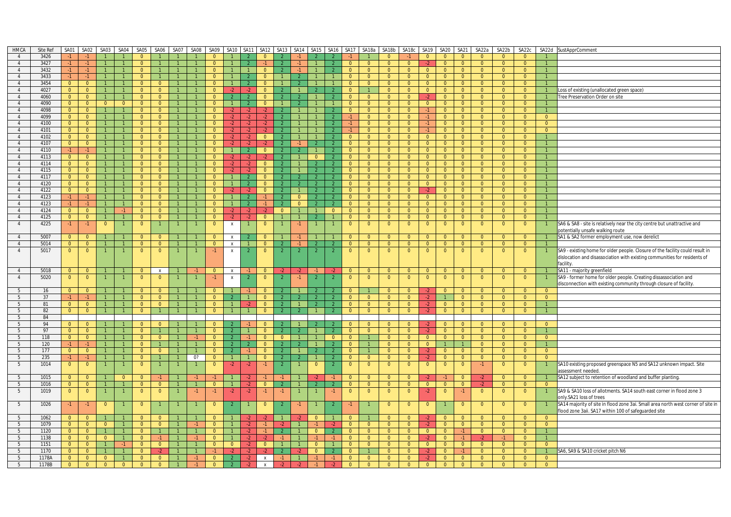| <b>HMCA</b>     | Site Ref | SA01           | SA02           | SA03           | SA04           | SA05           | SA06           | SA07           | SA08 | SA09           | <b>SA10</b>               | <b>SA11</b>    | <b>SA12</b>    | SA <sub>13</sub> | SA14           | SA <sub>15</sub> | SA16           |                | SA17 SA18a     | SA18b          | SA18c          | SA19           | SA20           | <b>SA21</b>    | SA22a          | SA22b          | SA22c          | SA22d          | SustApprComment                                                                  |
|-----------------|----------|----------------|----------------|----------------|----------------|----------------|----------------|----------------|------|----------------|---------------------------|----------------|----------------|------------------|----------------|------------------|----------------|----------------|----------------|----------------|----------------|----------------|----------------|----------------|----------------|----------------|----------------|----------------|----------------------------------------------------------------------------------|
|                 | 3426     | $-1$           |                |                |                |                |                |                |      | $\Omega$       |                           |                | $\Omega$       |                  |                |                  |                |                |                | $\Omega$       |                | $\Omega$       | $\Omega$       | $\Omega$       | $\Omega$       | $\Omega$       | $\Omega$       |                |                                                                                  |
| $\overline{4}$  | 3427     | $-1$           | $-1$           | $\mathbf{1}$   |                | $\overline{0}$ |                |                |      | $\Omega$       |                           | $\overline{2}$ | $-1$           |                  |                | $\overline{1}$   |                | $\overline{0}$ | $\overline{0}$ | $\overline{0}$ | $\overline{0}$ | $-2$           | $\overline{0}$ | $\Omega$       | $\Omega$       | $\overline{0}$ | $\overline{0}$ |                |                                                                                  |
|                 |          |                |                |                |                |                |                |                |      |                |                           |                |                |                  |                |                  |                |                |                |                |                |                |                |                |                |                |                |                |                                                                                  |
| $\overline{4}$  | 3432     | $-1$           | $-1$           | $\mathbf{1}$   | $\mathbf{1}$   | $\overline{0}$ |                | $\mathbf{1}$   |      | $\overline{0}$ |                           | $\overline{1}$ | $\overline{0}$ |                  | $-1$           | $\overline{1}$   | $\overline{2}$ | $\overline{0}$ | $\overline{0}$ | $\overline{0}$ | $\overline{0}$ | $\overline{0}$ | $\overline{0}$ | $\overline{0}$ | $\overline{0}$ | $\overline{0}$ | $\overline{0}$ | $\overline{1}$ |                                                                                  |
| $\overline{4}$  | 3433     | $-1$           | $-1$           | $\mathbf{1}$   | $\mathbf{1}$   | $\overline{0}$ | $\overline{1}$ | $\mathbf{1}$   |      | $\Omega$       |                           | <sup>2</sup>   | $\overline{0}$ |                  |                | $\mathbf{1}$     |                | $\overline{0}$ | $\overline{0}$ | $\overline{0}$ | $\overline{0}$ | $\overline{0}$ | $\overline{0}$ | $\overline{0}$ | $\overline{0}$ | $\overline{0}$ | $\overline{0}$ |                |                                                                                  |
| 4               | 3454     | $\overline{0}$ | $\overline{0}$ | $\mathbf{1}$   |                | $\overline{0}$ | $\Omega$       |                |      | $\Omega$       |                           |                | $\Omega$       |                  |                |                  |                | $\overline{0}$ | $\overline{0}$ | $\overline{0}$ | $\overline{0}$ | $\Omega$       | $\overline{0}$ | $\overline{0}$ | $\Omega$       | $\overline{0}$ | $\overline{0}$ |                |                                                                                  |
| $\overline{4}$  | 4027     | $\overline{0}$ | $\overline{0}$ | $\overline{1}$ | $\mathbf{1}$   | $\Omega$       | $\Omega$       |                |      | $\Omega$       | $-2$                      | $-2$           | $\Omega$       |                  |                |                  |                | $\Omega$       |                | $\Omega$       | $\overline{0}$ | $\Omega$       | $\overline{0}$ | $\Omega$       | $\Omega$       | $\overline{0}$ | $\Omega$       |                | Loss of existing (unallocated green space)                                       |
| $\overline{4}$  | 4060     | $\overline{0}$ | $\overline{0}$ | $\mathbf{1}$   |                | $\overline{0}$ | $\overline{0}$ |                |      | $\Omega$       | $\overline{2}$            | 2 <sup>7</sup> | $\mathbf{0}$   |                  |                | $\overline{1}$   |                | $\overline{0}$ | $\overline{0}$ | $\overline{0}$ | $\overline{0}$ | $-2$           | $\overline{0}$ | $\overline{0}$ | $\overline{0}$ | $\overline{0}$ | $\overline{0}$ |                | Free Preservation Order on site                                                  |
| $\overline{4}$  | 4090     | $\overline{0}$ | $\overline{0}$ | $\overline{0}$ | $\overline{0}$ | $\overline{0}$ | $\overline{0}$ |                |      | $\Omega$       |                           | $\overline{2}$ | $\overline{0}$ |                  |                | $\overline{1}$   |                | $\overline{0}$ | $\overline{0}$ | $\overline{0}$ | $\overline{0}$ | $\overline{0}$ | $\overline{0}$ | $\overline{0}$ | $\overline{0}$ | $\overline{0}$ | $\overline{0}$ | $\overline{1}$ |                                                                                  |
|                 |          |                |                | $\mathbf{1}$   | $\mathbf{1}$   |                |                |                |      |                |                           | $\cdot$        | $\cdot$        |                  |                | $\mathbf{1}$     |                |                |                |                |                |                |                |                |                |                |                | $\overline{1}$ |                                                                                  |
| $\overline{4}$  | 4098     | $\overline{0}$ | $\overline{0}$ |                |                | $\overline{0}$ | $\overline{0}$ | $\mathbf{1}$   |      | $\overline{0}$ | $-2$                      |                |                |                  |                |                  |                | $\overline{0}$ | $\overline{0}$ | $\mathbf{0}$   | $\overline{0}$ | $-1$           | $\overline{0}$ | $\overline{0}$ | $\overline{0}$ | $\overline{0}$ | $\overline{0}$ |                |                                                                                  |
| $\overline{4}$  | 4099     | $\overline{0}$ | $\overline{0}$ | $\mathbf{1}$   | $\mathbf{1}$   | $\Omega$       | $\Omega$       | $\mathbf{1}$   |      | $\Omega$       | $-2$                      | $-2$           | $-2$           |                  |                | $\mathbf{1}$     |                | $-1$           | $\overline{0}$ | $\overline{0}$ | $\overline{0}$ | $-1$           | $\overline{0}$ | $\Omega$       | $\Omega$       | $\overline{0}$ | $\Omega$       | $\overline{0}$ |                                                                                  |
| $\overline{4}$  | 4100     | $\overline{0}$ | $\overline{0}$ | $\mathbf{1}$   | $\mathbf{1}$   | $\overline{0}$ | $\overline{0}$ |                |      | $\Omega$       | $-2$                      | $-2$           | $-2$           |                  |                |                  |                | $-1$           | $\overline{0}$ | $\overline{0}$ | $\overline{0}$ | $-1$           | $\overline{0}$ | $\overline{0}$ | $\overline{0}$ | $\overline{0}$ | $\overline{0}$ | $\overline{0}$ |                                                                                  |
| $\overline{4}$  | 4101     | $\overline{0}$ | $\overline{0}$ | $\overline{1}$ | $\mathbf{1}$   | $\overline{0}$ | $\overline{0}$ | $\mathbf{1}$   |      | $\Omega$       |                           | $-2$           | $-2$           |                  |                | $\overline{1}$   |                | $-1$           | $\overline{0}$ | $\overline{0}$ | $\overline{0}$ | $-1$           | $\overline{0}$ | $\overline{0}$ | $\mathbf{0}$   | $\overline{0}$ | $\Omega$       | $\overline{0}$ |                                                                                  |
| $\overline{4}$  | 4102     | $\overline{0}$ | $\overline{0}$ | $\mathbf{1}$   | 1              | $\overline{0}$ | $\overline{0}$ |                |      | $\overline{0}$ | $-2$                      | $-2$           | $\overline{0}$ | $\mathcal{P}$    |                | $\overline{1}$   | $\overline{2}$ | $\overline{0}$ | $\overline{0}$ | $\overline{0}$ | $\overline{0}$ | $\overline{0}$ | $\overline{0}$ | $\overline{0}$ | $\Omega$       | $\overline{0}$ | $\mathbf{0}$   |                |                                                                                  |
| $\overline{4}$  | 4107     | $\overline{0}$ | $\overline{0}$ | $\mathbf{1}$   | $\mathbf{1}$   | $\overline{0}$ | $\overline{0}$ | $\mathbf{1}$   |      | $\Omega$       | $-2$                      | $-2$           | $-2$           |                  |                | $\overline{2}$   | $\overline{2}$ | $\overline{0}$ | $\overline{0}$ | $\overline{0}$ | $\overline{0}$ | $\overline{0}$ | $\overline{0}$ | $\overline{0}$ | $\overline{0}$ | $\overline{0}$ | $\overline{0}$ | $\mathbf{1}$   |                                                                                  |
| $\overline{4}$  | 4110     | $-1$           | $-1$           | $\mathbf{1}$   |                | $\overline{0}$ | $\overline{0}$ | $\mathbf{1}$   |      | $\Omega$       | $\overline{1}$            | 2 <sup>7</sup> | $\overline{0}$ | $\overline{2}$   |                | $\mathbf{1}$     | $\overline{2}$ | $\overline{0}$ | $\overline{0}$ | $\overline{0}$ | $\overline{0}$ | $\overline{0}$ | $\overline{0}$ | $\overline{0}$ | $\overline{0}$ | $\overline{0}$ | $\overline{0}$ |                |                                                                                  |
|                 |          |                |                |                |                |                |                |                |      |                |                           |                |                |                  |                |                  |                |                |                |                |                |                |                |                |                |                |                |                |                                                                                  |
| 4               | 4113     | $\overline{0}$ | $\overline{0}$ | $\mathbf{1}$   | $\mathbf{1}$   | $\overline{0}$ | $\Omega$       |                |      | $\Omega$       | $-2$                      | $-2$           |                | -2               |                | $\mathbf{0}$     | $\overline{2}$ | $\mathbf{0}$   | $\overline{0}$ | $\overline{0}$ | $\overline{0}$ | $\overline{0}$ | $\overline{0}$ | $\overline{0}$ | $\Omega$       | $\overline{0}$ | $\mathbf{0}$   |                |                                                                                  |
| $\overline{4}$  | 4114     | $\overline{0}$ | $\overline{0}$ | $\mathbf{1}$   | $\mathbf{1}$   | $\overline{0}$ | $\Omega$       | $\mathbf{1}$   |      | $\Omega$       |                           | $-2$           | $\overline{0}$ | $\overline{2}$   |                | $\overline{2}$   |                | $\overline{0}$ | $\overline{0}$ | $\overline{0}$ | $\overline{0}$ | $\overline{0}$ | $\overline{0}$ | $\overline{0}$ | $\Omega$       | $\overline{0}$ | $\Omega$       |                |                                                                                  |
| $\overline{4}$  | 4115     | $\overline{0}$ | $\overline{0}$ | $\mathbf{1}$   |                | $\overline{0}$ | $\overline{0}$ |                |      | $\Omega$       | $-2$                      | $-2$           | $\overline{0}$ |                  |                | $\overline{2}$   |                | $\overline{0}$ | $\overline{0}$ | $\overline{0}$ | $\overline{0}$ | $\overline{0}$ | $\overline{0}$ | $\overline{0}$ | $\Omega$       | $\overline{0}$ | $\overline{0}$ |                |                                                                                  |
| $\overline{4}$  | 4117     | $\overline{0}$ | $\overline{0}$ | $\mathbf{1}$   | $\mathbf{1}$   | $\overline{0}$ | $\Omega$       | $\mathbf{1}$   |      | $\overline{0}$ |                           | $\overline{2}$ | $\Omega$       | $\overline{2}$   |                | $\mathcal{L}$    | $\overline{2}$ | $\overline{0}$ | $\overline{0}$ | $\overline{0}$ | $\overline{0}$ | $\overline{0}$ | $\overline{0}$ | $\overline{0}$ | $\Omega$       | $\overline{0}$ | $\overline{0}$ |                |                                                                                  |
| $\overline{4}$  | 4120     | $\overline{0}$ | $\overline{0}$ | $\mathbf{1}$   | $\mathbf{1}$   | $\overline{0}$ | $\overline{0}$ | $\overline{1}$ |      | $\mathbf{0}$   |                           | $\overline{2}$ | $\overline{0}$ | 2                |                | $\overline{2}$   | $\overline{2}$ | $\overline{0}$ | $\overline{0}$ | $\overline{0}$ | $\overline{0}$ | $\overline{0}$ | $\overline{0}$ | $\overline{0}$ | $\overline{0}$ | $\overline{0}$ | $\Omega$       |                |                                                                                  |
| $\overline{4}$  | 4122     | $\mathbf{0}$   | $\overline{0}$ | $\mathbf{1}$   |                | $\overline{0}$ | $\overline{0}$ |                |      | $\Omega$       | -2                        | -2.            | $\mathbf{0}$   | $\overline{2}$   |                | $\overline{2}$   |                | $\mathbf{0}$   | $\overline{0}$ | $\mathbf{0}$   | $\overline{0}$ | -2             | $\overline{0}$ | $\overline{0}$ | $\Omega$       | $\overline{0}$ | $\mathbf{0}$   |                |                                                                                  |
| $\overline{4}$  | 4123     | $-1$           | $-1$           | $\mathbf{1}$   | $\mathbf{1}$   | $\overline{0}$ | $\overline{0}$ | $\mathbf{1}$   |      | $\Omega$       |                           | 2              | $-1$           |                  | $\overline{0}$ | <sup>2</sup>     |                | $\overline{0}$ | $\overline{0}$ | $\overline{0}$ | $\overline{0}$ | $\overline{0}$ | $\overline{0}$ | $\overline{0}$ | $\overline{0}$ | $\overline{0}$ | $\overline{0}$ | $\mathbf{1}$   |                                                                                  |
|                 |          |                |                | $\mathbf{1}$   | $\mathbf{1}$   |                |                | $\mathbf{1}$   |      | $\Omega$       |                           |                |                |                  |                |                  |                |                |                |                |                |                |                |                |                |                |                |                |                                                                                  |
| $\overline{4}$  | 4123     | $-1$           | $-1$           |                |                | $\overline{0}$ | $\overline{0}$ |                |      |                |                           | $\mathcal{L}$  | $-1$           |                  | $\Omega$       | $\overline{2}$   | -2             | $\overline{0}$ | $\overline{0}$ | $\overline{0}$ | $\overline{0}$ | $\overline{0}$ | $\overline{0}$ | $\overline{0}$ | $\overline{0}$ | $\overline{0}$ | $\Omega$       |                |                                                                                  |
| $\overline{4}$  | 4124     | $\overline{0}$ | $\overline{0}$ | $\mathbf{1}$   | $-1$           | $\overline{0}$ | $\overline{0}$ | $\mathbf{1}$   |      | $\Omega$       | $-2$                      | $-2$           | $-2$           | $\overline{0}$   |                | $\overline{1}$   | $\overline{0}$ | $\overline{0}$ | $\overline{0}$ | $\overline{0}$ | $\overline{0}$ | $\overline{0}$ | $\overline{0}$ | $\overline{0}$ | $\overline{0}$ | $\overline{0}$ | $\overline{0}$ |                |                                                                                  |
| $\overline{4}$  | 4125     | $\overline{0}$ | $\overline{0}$ | $\mathbf{1}$   | $\mathbf{1}$   | $\overline{0}$ | $\overline{0}$ | $\overline{1}$ |      | $\Omega$       | $-2$                      | $-2$           | $\overline{0}$ |                  |                | $\overline{2}$   |                | $\overline{0}$ | $\overline{0}$ | $\overline{0}$ | $\overline{0}$ | $\overline{0}$ | $\overline{0}$ | $\Omega$       | $\Omega$       | $\overline{0}$ | $\overline{0}$ |                |                                                                                  |
| $\overline{4}$  | 4225     | $-1$           | $-1$           | $\overline{0}$ |                | $\overline{0}$ |                |                |      | $\Omega$       | $\pmb{\chi}$              | $\mathbf{1}$   | $\overline{0}$ |                  | $-1$           |                  |                | $\overline{0}$ | $\overline{0}$ | $\overline{0}$ | $\overline{0}$ | $\overline{0}$ | $\overline{0}$ | $\overline{0}$ | $\overline{0}$ | $\overline{0}$ | $\overline{0}$ |                | SA6 & SA8 - site is relatively near the city centre but unattractive and         |
|                 |          |                |                |                |                |                |                |                |      |                |                           |                |                |                  |                |                  |                |                |                |                |                |                |                |                |                |                |                |                | potentially unsafe walking route                                                 |
| $\overline{4}$  | 5007     | $\Omega$       | $\overline{0}$ | $\mathbf{1}$   |                | $\overline{0}$ | $\Omega$       |                |      | $\Omega$       | $\boldsymbol{\mathsf{X}}$ |                | $\overline{0}$ |                  |                |                  |                | $\overline{0}$ | $\Omega$       | $\overline{0}$ | $\overline{0}$ | $\Omega$       | $\overline{0}$ | $\Omega$       | $\Omega$       | $\Omega$       | $\overline{0}$ | $\overline{1}$ | SA1 & SA2 former employment use, now derelict                                    |
| $\overline{4}$  | 5014     | $\overline{0}$ | $\overline{0}$ |                |                | $\overline{0}$ | $\overline{0}$ |                |      | $\Omega$       | $\pmb{\chi}$              | $\mathbf{1}$   | $\overline{0}$ |                  |                | $\overline{2}$   |                | $\overline{0}$ | $\overline{0}$ | $\overline{0}$ | $\overline{0}$ | $\overline{0}$ | $\overline{0}$ | $\Omega$       | $\Omega$       | $\overline{0}$ | $\overline{0}$ |                |                                                                                  |
| $\overline{4}$  | 5017     |                | $\overline{0}$ | $\mathbf{1}$   |                | $\overline{0}$ | $\overline{0}$ |                |      | $-1$           |                           | $\overline{2}$ | $\overline{0}$ | 2                |                | $\overline{2}$   | $\overline{2}$ | $\overline{0}$ | $\overline{0}$ | $\overline{0}$ | $\overline{0}$ | $\overline{0}$ |                | $\overline{0}$ | $\overline{0}$ | $\overline{0}$ | $\overline{0}$ |                |                                                                                  |
|                 |          | $\overline{0}$ |                |                |                |                |                |                |      |                | X                         |                |                |                  |                |                  |                |                |                |                |                |                | $\overline{0}$ |                |                |                |                |                | SA9 - existing home for older people. Closure of the facility could result in    |
|                 |          |                |                |                |                |                |                |                |      |                |                           |                |                |                  |                |                  |                |                |                |                |                |                |                |                |                |                |                |                | dislocation and disassociation with existing communities for residents of        |
|                 |          |                |                |                |                |                |                |                |      |                |                           |                |                |                  |                |                  |                |                |                |                |                |                |                |                |                |                |                |                | facility.                                                                        |
| $\overline{4}$  | 5018     | $\overline{0}$ | $\overline{0}$ | $\overline{1}$ |                | $\overline{0}$ | $\mathbf{x}$   |                |      | $\overline{0}$ | $\mathbf{x}$              | $-1$           | $\Omega$       |                  | $-2$           | $-1$             | $-2$           | $\Omega$       | $\Omega$       | $\overline{0}$ | $\overline{0}$ | $\Omega$       | $\Omega$       | $\Omega$       | $\Omega$       | $\overline{0}$ | $\Omega$       |                | SA11 - majority greenfield                                                       |
| $\overline{4}$  | 5020     | $\overline{0}$ | $\overline{0}$ |                |                | $\overline{0}$ | $\overline{0}$ |                |      | $-1$           | X                         | $\overline{2}$ | $\mathbf{0}$   | $\overline{2}$   | $-1$           | $\overline{2}$   | $\overline{2}$ | $\mathbf{0}$   | $\overline{0}$ | $\overline{0}$ | $\overline{0}$ | $\overline{0}$ | $\mathbf{0}$   | $\overline{0}$ | $\overline{0}$ | $\overline{0}$ | $\overline{0}$ |                | SA9 - former home for older people. Creating dissassociation and                 |
|                 |          |                |                |                |                |                |                |                |      |                |                           |                |                |                  |                |                  |                |                |                |                |                |                |                |                |                |                |                |                | disconnection with existing community through closure of facility.               |
| 5               | 16       | $\overline{0}$ | $\overline{0}$ | $\mathbf{1}$   | $\mathbf{1}$   | $\overline{0}$ | $\overline{0}$ |                |      | $\mathbf{0}$   |                           | $-1$           | $\mathbf{0}$   |                  |                | $\overline{2}$   |                | $\overline{0}$ |                | $\overline{0}$ | $\overline{0}$ | $-2$           | $\overline{0}$ | $\overline{0}$ | $\overline{0}$ | $\overline{0}$ | $\overline{0}$ | $\overline{0}$ |                                                                                  |
| 5               | 37       | $-1$           | $-1$           | $\mathbf{1}$   |                | $\overline{0}$ | $\Omega$       |                |      | $\Omega$       |                           | 4              | $\overline{0}$ | $\mathcal{L}$    |                | $\overline{2}$   | $\overline{2}$ | $\overline{0}$ | $\overline{0}$ | $\overline{0}$ | $\overline{0}$ | $-2$           |                | $\Omega$       | $\Omega$       | $\overline{0}$ | $\overline{0}$ | $\overline{0}$ |                                                                                  |
|                 |          |                |                |                |                | $\overline{0}$ |                | $\overline{1}$ |      |                | $\overline{1}$            |                |                | $\overline{2}$   |                |                  | $\overline{2}$ |                |                |                | $\overline{0}$ |                |                |                |                | $\overline{0}$ |                |                |                                                                                  |
| $5\overline{)}$ | 81       | $\overline{0}$ | $\overline{0}$ | $\overline{1}$ | $\mathbf{1}$   |                | $\overline{0}$ |                |      | $\overline{0}$ |                           | $-2$           | $\overline{0}$ |                  |                | <sup>2</sup>     |                | $\overline{0}$ | $\overline{0}$ | $\overline{0}$ |                | $-2$           | $\overline{0}$ | $\overline{0}$ | $\overline{0}$ |                | $\overline{0}$ | $\overline{1}$ |                                                                                  |
| - 5             | 82       | $\overline{0}$ | $\overline{0}$ | $\mathbf{1}$   | $\mathbf{1}$   | $\overline{0}$ | $\overline{1}$ | $\mathbf{1}$   |      | $\overline{0}$ | $\mathbf{1}$              | 1              | $\overline{0}$ | -2.              |                | $\mathbf{1}$     |                | $\overline{0}$ | $\overline{0}$ | $\overline{0}$ | $\overline{0}$ | $-2$           | $\overline{0}$ | $\overline{0}$ | $\overline{0}$ | $\overline{0}$ | $\overline{0}$ | $\overline{1}$ |                                                                                  |
| 5               | 84       |                |                |                |                |                |                |                |      |                |                           |                |                |                  |                |                  |                |                |                |                |                |                |                |                |                |                |                |                |                                                                                  |
| 5               | 94       | $\Omega$       | $\overline{0}$ | $\mathbf{1}$   |                | $\Omega$       | $\Omega$       |                |      | $\Omega$       |                           |                | $\Omega$       |                  |                | $\mathcal{P}$    |                | $\Omega$       | $\Omega$       | $\Omega$       | $\overline{0}$ | $-2$           | $\Omega$       | $\Omega$       | $\Omega$       | $\Omega$       | $\Omega$       | $\Omega$       |                                                                                  |
| 5               | 97       | $\overline{0}$ | $\overline{0}$ | $\mathbf{1}$   |                | $\overline{0}$ | $\overline{1}$ | $\mathbf{1}$   |      | $\Omega$       | $\overline{2}$            |                | $\overline{0}$ |                  |                | $\mathbf{1}$     |                | $\overline{0}$ | $\overline{0}$ | $\overline{0}$ | $\overline{0}$ | $-2$           | $\overline{0}$ | $\overline{0}$ | $\overline{0}$ | $\overline{0}$ | $\overline{0}$ |                |                                                                                  |
| - 5             | 118      | $\overline{0}$ | $\overline{0}$ | $\mathbf{1}$   | $\mathbf{1}$   | $\overline{0}$ | $\mathbf{0}$   |                |      | $\Omega$       | -2                        |                | $\mathbf{0}$   | $\overline{0}$   |                |                  | $\mathbf{0}$   | $\mathbf{0}$   |                | $\mathbf{0}$   | $\overline{0}$ | $\overline{0}$ | $\overline{0}$ | $\overline{0}$ | $\mathbf{0}$   | $\overline{0}$ | $\mathbf{0}$   | $\overline{0}$ |                                                                                  |
| 5               | 120      | $-1$           | $-1$           | $\mathbf{1}$   | $\mathbf{1}$   | $\overline{0}$ |                | $\overline{1}$ |      | $\overline{0}$ |                           | $\overline{2}$ | $\overline{0}$ |                  |                | $\overline{1}$   |                | $\overline{0}$ |                | $\overline{0}$ | $\overline{0}$ | $\overline{0}$ | $\mathbf{1}$   |                | $\overline{0}$ | $\overline{0}$ | $\Omega$       | $\overline{1}$ |                                                                                  |
| 5               | 177      | $\overline{0}$ | $\overline{0}$ | $\mathbf{1}$   |                | $\overline{0}$ | $\overline{0}$ |                |      | $\Omega$       |                           | $-1$           | $\overline{0}$ |                  |                | $\overline{2}$   |                | $\overline{0}$ |                | $\overline{0}$ | $\overline{0}$ | $-2$           | $\overline{0}$ | $\overline{0}$ | $\Omega$       | $\overline{0}$ | $\overline{0}$ | $\overline{0}$ |                                                                                  |
|                 |          |                |                |                |                |                |                | $\mathbf{1}$   |      |                |                           |                |                |                  |                |                  |                |                |                |                |                |                |                |                |                |                |                |                |                                                                                  |
| 5               | 235      | $-1$           | $-1$           | $\mathbf{1}$   | $\mathbf{1}$   | $\overline{0}$ |                |                | 0?   | $\overline{0}$ | $\overline{1}$            | $\overline{1}$ | $\overline{0}$ | $\overline{2}$   |                | $\overline{1}$   | $\overline{2}$ | $\overline{0}$ | $\overline{0}$ | $\overline{0}$ | $\overline{0}$ | $-2$           | $\overline{0}$ | $\overline{0}$ | $\Omega$       | $\overline{0}$ | $\overline{0}$ | $\Omega$       |                                                                                  |
| 5               | 1014     | $\overline{0}$ | $\overline{0}$ | $\overline{1}$ |                | $\overline{0}$ |                |                |      | $\mathbf{0}$   | $-2$                      | $-2$           | $-1$           | $\overline{2}$   |                | $\overline{0}$   | $\overline{2}$ | $\overline{0}$ | $\overline{0}$ | $\overline{0}$ | $\overline{0}$ | $\overline{0}$ | $\overline{0}$ | $\overline{0}$ | -1             | $\overline{0}$ | $\overline{0}$ |                | SA10 existing proposed greenspace N5 and SA12 unknown impact. Site               |
|                 |          |                |                |                |                |                |                |                |      |                |                           |                |                |                  |                |                  |                |                |                |                |                |                |                |                |                |                |                |                | assessment needed.                                                               |
| 5               | 1015     | $\overline{0}$ | $\overline{0}$ | $\overline{1}$ | $\overline{0}$ | $\overline{0}$ |                |                | $-1$ | $-1$           |                           | $-2$           | $-1$           |                  |                |                  | $-1$           | $\overline{0}$ | $\overline{0}$ | $\overline{0}$ | $\overline{0}$ |                |                | $\Omega$       | $-2$           | $\overline{0}$ | $\Omega$       | $\overline{1}$ | SA12 subject to retention of woodland and buffer planting.                       |
| - 5             | 1016     | $\overline{0}$ | $\overline{0}$ | $\overline{1}$ | $\mathbf{1}$   | $\overline{0}$ | $\overline{0}$ |                |      | $\Omega$       |                           | $-2$           | $\overline{0}$ |                  |                | $\overline{2}$   | $\overline{2}$ | $\overline{0}$ | $\overline{0}$ | $\overline{0}$ | $\overline{0}$ | $\overline{0}$ | $\overline{0}$ | $\overline{0}$ | $\cdot$        | $\overline{0}$ | $\overline{0}$ | $\Omega$       |                                                                                  |
| 5               | 1019     | $\overline{0}$ | $\overline{0}$ | $\overline{1}$ | $\mathbf{1}$   | $\overline{0}$ | $\mathbf{0}$   |                | $-1$ | $-1$           | $-2$                      | $-2$           | $-1$           | $-1$             |                |                  | $-1$           | $\overline{0}$ | $\overline{0}$ | $\overline{0}$ | $\overline{0}$ | $-2$           | $\overline{0}$ | $-1$           | $\overline{0}$ | $\overline{0}$ | $\overline{0}$ |                | SA9 & SA10 loss of allotments. SA14 south east corner in flood zone 3            |
|                 |          |                |                |                |                |                |                |                |      |                |                           |                |                |                  |                |                  |                |                |                |                |                |                |                |                |                |                |                |                | only.SA21 loss of trees                                                          |
|                 |          |                |                |                |                | $\overline{0}$ |                |                |      | $\overline{0}$ | $\overline{2}$            | $\mathbf{1}$   | $\mathbf{0}$   |                  | $-1$           |                  | $\overline{2}$ |                |                | $\overline{0}$ |                | $\overline{0}$ |                | $\overline{0}$ | $\overline{0}$ | $\overline{0}$ |                |                |                                                                                  |
| 5               | 1026     | $-1$           | $-1$           | $\overline{0}$ |                |                |                |                |      |                |                           |                |                |                  |                |                  |                | $-1$           |                |                | $\overline{0}$ |                |                |                |                |                | $\overline{0}$ |                | SA14 majority of site in flood zone 3ai. Small area north west corner of site in |
|                 |          |                |                |                |                |                |                |                |      |                |                           |                |                |                  |                |                  |                |                |                |                |                |                |                |                |                |                |                |                | flood zone 3aii. SA17 within 100 of safeguarded site                             |
| -5              | 1062     | $\overline{0}$ | $\overline{0}$ | $\overline{1}$ |                | $\overline{0}$ | $\Omega$       |                |      | $\Omega$       |                           | $-2$           | $-2$           |                  |                | $\overline{0}$   |                | $\overline{0}$ |                | $\overline{0}$ | $\overline{0}$ | $-2$           | $\overline{0}$ | $\overline{0}$ | $\overline{0}$ | $\overline{0}$ | $\overline{0}$ | $\overline{0}$ |                                                                                  |
| 5               | 1079     | $\overline{0}$ | $\overline{0}$ | $\overline{0}$ | $\mathbf{1}$   | $\overline{0}$ | $\overline{0}$ |                |      | $\Omega$       |                           | $-2$           | -1.            | -2               |                | $-1$             | -2             | $\mathbf{0}$   | $\overline{0}$ | $\overline{0}$ | $\overline{0}$ |                | $\overline{0}$ | $\overline{0}$ | $\Omega$       | $\overline{0}$ | $\overline{0}$ | $\overline{0}$ |                                                                                  |
| 5               | 1120     | $\overline{0}$ | $\overline{0}$ | $\overline{1}$ | $\mathbf{1}$   | $\Omega$       | $\mathbf{1}$   | $\mathbf{1}$   |      | $\Omega$       |                           | $-2$           | $-1$           |                  |                | $\overline{0}$   | $\overline{2}$ | $\Omega$       | $\overline{0}$ | $\Omega$       | $\Omega$       | $\Omega$       | $\overline{0}$ | $\cdot$ 1      | $\Omega$       | $\overline{0}$ | $\Omega$       | $\mathbf{1}$   |                                                                                  |
| 5               | 1138     | $\overline{0}$ | $\overline{0}$ | $\overline{0}$ |                | $\overline{0}$ | $-1$           |                |      | $\Omega$       |                           | $-2$           | $-2$           | $-1$             |                | $-1$             |                | $\overline{0}$ | $\overline{0}$ | $\overline{0}$ | $\overline{0}$ | $-2$           | $\overline{0}$ |                | $-2$           | $-1$           | $\overline{0}$ |                |                                                                                  |
| 5               | 1151     | $\overline{0}$ | $\overline{0}$ | $\mathbf{1}$   | $-1$           | $\overline{0}$ | $\overline{0}$ |                |      | $\overline{0}$ | $\overline{0}$            | $-2$           | $\overline{0}$ |                  |                | $\Omega$         |                | $\overline{0}$ | $\overline{0}$ | $\overline{0}$ | $\overline{0}$ | $\overline{0}$ | $\overline{0}$ | $\overline{0}$ | $\overline{0}$ | $\overline{0}$ | $\overline{0}$ | $\overline{0}$ |                                                                                  |
| 5               | 1170     | $\overline{0}$ | $\overline{0}$ | $\mathbf{1}$   | $\mathbf{1}$   | $\overline{0}$ | $-2$           |                |      |                |                           | $-2$           |                |                  |                | $\overline{0}$   |                | $\overline{0}$ | $\mathbf{1}$   | $\overline{0}$ | $\overline{0}$ | $-2$           | $\overline{0}$ |                | $\Omega$       | $\overline{0}$ | $\Omega$       | $\overline{1}$ | SA6, SA9 & SA10 cricket pitch N6                                                 |
| 5               | 1178A    | $\overline{0}$ | $\overline{0}$ | $\Omega$       |                | $\Omega$       | $\Omega$       |                |      | $\Omega$       |                           | $-2$           | $\mathsf{x}$   | $-1$             |                | $-1$             | $-1$           | $\overline{0}$ | $\overline{0}$ | $\Omega$       | $\Omega$       |                | $\overline{0}$ | $\Omega$       | $\Omega$       | $\overline{0}$ | $\Omega$       | $\overline{0}$ |                                                                                  |
|                 |          |                |                |                |                |                |                |                |      |                |                           |                |                |                  |                |                  |                |                |                |                |                | $-2$           |                |                |                |                |                |                |                                                                                  |
| 5               | 1178B    | $\overline{0}$ | $\Omega$       | $\overline{0}$ | $\overline{0}$ | $\overline{0}$ | $\Omega$       |                |      |                |                           | $-2$           | $\mathsf{x}$   |                  |                |                  |                | $\Omega$       | $\Omega$       | $\Omega$       | $\Omega$       | $\overline{0}$ | $\overline{0}$ |                |                | $\Omega$       | $\overline{0}$ | $\overline{0}$ |                                                                                  |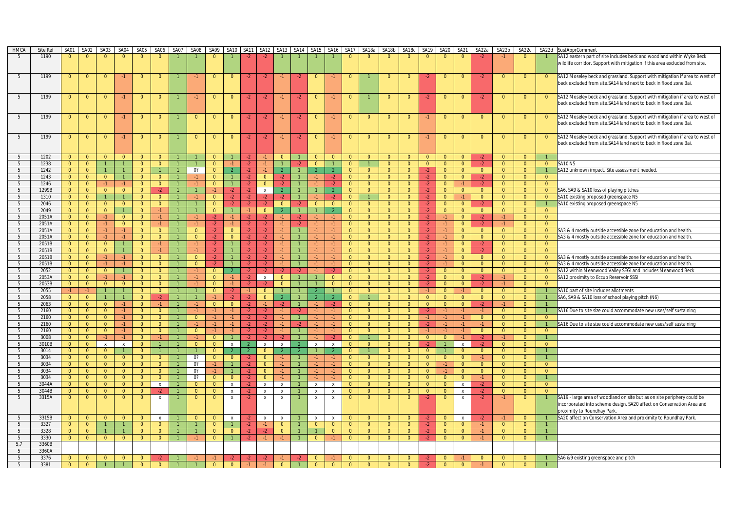| <b>HMCA</b>     | Site Ref | SA01           | SA02                    | SA03           | SA04           | SA05           | SA06           | SA07           | SA08           | SA09           | SA10           | SA <sub>11</sub> | SA12           | SA13           |      |                | SA14 SA15 SA16 | SA17           | SA18a          | SA18b          | SA18c          | SA19           | <b>SA20</b>             | SA21           | SA22a          | SA22b          | SA22c          |                | SA22d SustApprComment                                                       |
|-----------------|----------|----------------|-------------------------|----------------|----------------|----------------|----------------|----------------|----------------|----------------|----------------|------------------|----------------|----------------|------|----------------|----------------|----------------|----------------|----------------|----------------|----------------|-------------------------|----------------|----------------|----------------|----------------|----------------|-----------------------------------------------------------------------------|
| -5              | 1190     | $\Omega$       | $\Omega$                |                | $\Omega$       | $\Omega$       | $\Omega$       |                |                | $\overline{0}$ |                | $-2$             | $-2$           |                |      |                |                | $\Omega$       | $\Omega$       | $\Omega$       | $\Omega$       | $\Omega$       | $\Omega$                | $\Omega$       | $-2$           |                | $\overline{0}$ |                | SA12 eastern part of site includes beck and woodland within Wyke Beck       |
|                 |          |                |                         |                |                |                |                |                |                |                |                |                  |                |                |      |                |                |                |                |                |                |                |                         |                |                |                |                |                | wildlife corridor. Support with mitigation if this area excluded from site. |
|                 |          |                |                         |                |                |                |                |                |                |                |                |                  |                |                |      |                |                |                |                |                |                |                |                         |                |                |                |                |                |                                                                             |
| 5               | 1199     | $\overline{0}$ | $\overline{0}$          | $\mathbf{0}$   | $-1$           | $\overline{0}$ | $\mathbf{0}$   |                | -1             | $\bullet$      | $\overline{0}$ | $-2$             | $-2$           | $-1$           | $-2$ | $\overline{0}$ | $-1$           | $\mathbf{0}$   |                | $\mathbf{0}$   | $\mathbf{0}$   | $-2$           | $\overline{\mathbf{0}}$ | $\mathbf{0}$   | $-2$           | $\mathbf{0}$   | $\mathbf{0}$   | $\overline{0}$ | SA12 Moseley beck and grassland. Support with mitigation if area to west of |
|                 |          |                |                         |                |                |                |                |                |                |                |                |                  |                |                |      |                |                |                |                |                |                |                |                         |                |                |                |                |                |                                                                             |
|                 |          |                |                         |                |                |                |                |                |                |                |                |                  |                |                |      |                |                |                |                |                |                |                |                         |                |                |                |                |                | beck excluded from site.SA14 land next to beck in flood zone 3ai.           |
|                 |          |                |                         |                |                |                |                |                |                |                |                |                  |                |                |      |                |                |                |                |                |                |                |                         |                |                |                |                |                |                                                                             |
| 5               | 1199     | $\mathbf{0}$   | $\overline{0}$          | $\Omega$       | $-1$           | $\mathbf{0}$   | $\Omega$       |                | -1             | $\overline{0}$ | $\overline{0}$ | $-2$             | $-2$           | $-1$           | $-2$ | $\overline{0}$ | $-1$           | $\mathbf{0}$   |                | $\mathbf{0}$   | $\overline{0}$ | $-2$           | -0                      | $\mathbf{0}$   | $-2$           | $\Omega$       | $\overline{0}$ | $\overline{0}$ | SA12 Moseley beck and grassland. Support with mitigation if area to west of |
|                 |          |                |                         |                |                |                |                |                |                |                |                |                  |                |                |      |                |                |                |                |                |                |                |                         |                |                |                |                |                | beck excluded from site.SA14 land next to beck in flood zone 3ai.           |
|                 |          |                |                         |                |                |                |                |                |                |                |                |                  |                |                |      |                |                |                |                |                |                |                |                         |                |                |                |                |                |                                                                             |
| 5               | 1199     | $\overline{0}$ | $\overline{0}$          | $\overline{0}$ | $-1$           | $\overline{0}$ | $\mathbf{0}$   |                | $\Omega$       | $\overline{0}$ | $\Omega$       | $-2$             | $-2$           | $-1$           | $-2$ | $\overline{0}$ | $-1$           | $\mathbf{0}$   | $\overline{0}$ | $\mathbf{0}$   | $\overline{0}$ | $-1$           | $\Omega$                | $\overline{0}$ | $\Omega$       | $\mathbf{0}$   | $\overline{0}$ | $\overline{0}$ | SA12 Moseley beck and grassland. Support with mitigation if area to west of |
|                 |          |                |                         |                |                |                |                |                |                |                |                |                  |                |                |      |                |                |                |                |                |                |                |                         |                |                |                |                |                | beck excluded from site.SA14 land next to beck in flood zone 3ai.           |
|                 |          |                |                         |                |                |                |                |                |                |                |                |                  |                |                |      |                |                |                |                |                |                |                |                         |                |                |                |                |                |                                                                             |
|                 |          |                |                         |                |                |                |                |                |                |                |                |                  |                |                |      |                |                |                |                |                |                |                |                         |                |                |                |                |                |                                                                             |
| 5               | 1199     | $\overline{0}$ | $\overline{0}$          | $\overline{0}$ | $-1$           | $\overline{0}$ | $\mathbf{0}$   |                | $\overline{0}$ | $\overline{0}$ | $\overline{0}$ | $-2$             | $-2$           | $-1$           | $-2$ | $\overline{0}$ | $-1$           | $\mathbf{0}$   | $\overline{0}$ | $\mathbf{0}$   | $\mathbf{0}$   | -1             | $\mathbf{0}$            | $\overline{0}$ | $\overline{0}$ | $\overline{0}$ | $\overline{0}$ | $\mathbf{0}$   | SA12 Moseley beck and grassland. Support with mitigation if area to west of |
|                 |          |                |                         |                |                |                |                |                |                |                |                |                  |                |                |      |                |                |                |                |                |                |                |                         |                |                |                |                |                | beck excluded from site. SA14 land next to beck in flood zone 3ai.          |
|                 |          |                |                         |                |                |                |                |                |                |                |                |                  |                |                |      |                |                |                |                |                |                |                |                         |                |                |                |                |                |                                                                             |
| 5               | 1202     | $\Omega$       | $\overline{0}$          | $\overline{0}$ | $\overline{0}$ | $\overline{0}$ | $\overline{0}$ |                |                | $\Omega$       |                | -2               |                | $\Omega$       |      | $\overline{0}$ | $\Omega$       | $\overline{0}$ | $\overline{0}$ | $\overline{0}$ | $\overline{0}$ | $\overline{0}$ | $\Omega$                | $\Omega$       | $-2$           | $\overline{0}$ | $\overline{0}$ |                |                                                                             |
| 5               | 1238     | $\overline{0}$ | $\Omega$                |                | $\overline{1}$ | $\overline{0}$ | $\overline{0}$ |                |                | $\Omega$       |                |                  | $-1$           |                |      | $\Omega$       |                | $\Omega$       |                | $\overline{0}$ | $\overline{0}$ | $\overline{0}$ | $\Omega$                | $\overline{0}$ |                | $\overline{0}$ | $\overline{0}$ | $\overline{0}$ | <b>SA10 N5</b>                                                              |
| 5               | 1242     | $\overline{0}$ | $\overline{0}$          |                | $\overline{1}$ | $\overline{0}$ | $\mathbf{1}$   |                | 0?             | $\overline{0}$ |                | $-2$             | $-1$           | $\overline{2}$ |      | $\overline{2}$ | 2 <sup>1</sup> | $\overline{0}$ | $\overline{0}$ | $\overline{0}$ | $\overline{0}$ | $-2$           | $\overline{0}$          | $\overline{0}$ | $\overline{0}$ | $\overline{0}$ | $\overline{0}$ | $\overline{1}$ | SA12 unknown impact. Site assessment needed.                                |
|                 |          |                |                         |                |                |                |                |                |                |                |                |                  |                |                |      |                |                |                |                |                |                |                |                         |                |                |                |                |                |                                                                             |
| 5               | 1243     | $\overline{0}$ | $\overline{0}$          | $\overline{0}$ | $\mathbf{1}$   | $\overline{0}$ | $\overline{0}$ |                | $-1$           | $\overline{0}$ |                | $-2$             | $\overline{0}$ | $-2$           |      | $-1$           | $-2$           | $\overline{0}$ | $\overline{0}$ | $\overline{0}$ | $\overline{0}$ | $-2$           | $\overline{0}$          | $\overline{0}$ | $-2$           | $\overline{0}$ | $\overline{0}$ | $\mathbf{0}$   |                                                                             |
| 5               | 1246     | $\Omega$       | $\overline{0}$          | $-1$           | $-1$           | $\overline{0}$ | $\overline{0}$ | $\mathbf{1}$   | $-1$           | $\Omega$       | $\overline{1}$ | $-2$             | $\Omega$       | $-2$           |      | $-1$           | $-2$           | $\Omega$       | $\Omega$       | $\overline{0}$ | $\overline{0}$ | $-2$           | $\Omega$                | $-1$           | $-2$           | $\overline{0}$ | $\Omega$       | $\Omega$       |                                                                             |
| 5               | 1299B    | $\overline{0}$ | $\overline{0}$          | $\overline{0}$ | $\overline{0}$ | $\overline{0}$ | $-2$           |                | $\overline{1}$ |                | $-2$           | $-2$             | $\mathsf{x}$   | $\mathcal{L}$  |      | $\mathbf{1}$   | $\mathcal{L}$  | $\overline{0}$ | $\overline{0}$ | $\overline{0}$ | $\overline{0}$ | $-2$           | $\overline{0}$          | $\overline{0}$ | $\overline{0}$ | $\overline{0}$ | $\overline{0}$ | $\overline{0}$ | SA6, SA9 & SA10 loss of playing pitches                                     |
| 5               | 1310     | $\overline{0}$ | $\Omega$                |                | 1              | $\overline{0}$ | $\mathbf{0}$   |                | -1             | $\Omega$       | $-2$           | -2               | $-2$           | -2             |      |                | $-2$           | $\Omega$       |                | $\mathbf{0}$   | $\overline{0}$ | $-2$           | $\Omega$                |                | $\Omega$       | $\mathbf{0}$   | $\overline{0}$ | $\mathbf{0}$   | SA10 existing proposed greenspace N5                                        |
| 5               | 2046     | $\overline{0}$ | $\overline{0}$          | $\overline{0}$ | $\overline{0}$ | $\overline{0}$ | $\overline{0}$ |                |                | $\overline{0}$ |                |                  | $-2$           | $\overline{0}$ |      | $\overline{0}$ | $\overline{0}$ | $\overline{0}$ | $\overline{0}$ | $\mathbf{0}$   | $\overline{0}$ | $-2$           | $\Omega$                | $\overline{0}$ |                | $\overline{0}$ | $\overline{0}$ | $\overline{1}$ | SA10 existing proposed greenspace N5                                        |
| 5               | 2049     | $\Omega$       | $\overline{0}$          | $\overline{0}$ | $\mathbf{1}$   | $\overline{0}$ | $-1$           | $\mathbf{1}$   |                | $\Omega$       |                | $-1$             | $\overline{0}$ | $\mathcal{L}$  |      | $\overline{1}$ | $\mathcal{L}$  | $\overline{0}$ | $\overline{0}$ | $\overline{0}$ | $\overline{0}$ | $-2$           | $\overline{0}$          | $\overline{0}$ | $\overline{0}$ | $\overline{0}$ | $\overline{0}$ | $\overline{0}$ |                                                                             |
|                 |          |                |                         |                |                |                |                |                | $-1$           | $-2$           | $-1$           | $-2$             |                |                |      | $-1$           |                |                |                |                |                |                | $-1$                    |                |                |                |                |                |                                                                             |
| 5               | 2051A    | $\overline{0}$ | $\overline{0}$          | $-1$           | $\overline{0}$ | $\overline{0}$ | $-1$           |                |                |                |                |                  | $-2$           | $-1$           | $-2$ |                | $-1$           | $\overline{0}$ | $\overline{0}$ | $\overline{0}$ | $\overline{0}$ | $-2$           |                         | $\overline{0}$ | $-2$           | $-1$           | $\overline{0}$ | $\overline{0}$ |                                                                             |
| 5               | 2051A    | $\overline{0}$ | $\overline{0}$          | $-1$           | $\overline{0}$ | $\overline{0}$ | $-1$           | $\mathbf{1}$   | $-1$           | $-2$           | $-1$           | $-2$             | $-2$           | $-1$           | $-2$ | $-1$           | $-1$           | $\overline{0}$ | $\overline{0}$ | $\overline{0}$ | $\overline{0}$ | $-2$           | $-1$                    | $\overline{0}$ | $-2$           | $-1$           | $\overline{0}$ | $\overline{0}$ |                                                                             |
| 5               | 2051A    | $\overline{0}$ | $\overline{0}$          | $-1$           | $-1$           | $\overline{0}$ | $\overline{0}$ |                | $\Omega$       | $-2$           | $\Omega$       | $-2$             | $-2$           | $-1$           |      | -1             | $-1$           | $\overline{0}$ | $\overline{0}$ | $\overline{0}$ | $\overline{0}$ | $-2$           | $-1$                    | $\overline{0}$ | $\overline{0}$ | $\overline{0}$ | $\overline{0}$ | $\Omega$       | SA3 & 4 mostly outside accessible zone for education and health             |
| 5               | 2051A    | $\overline{0}$ | $\overline{0}$          | $-1$           | $-1$           | $\overline{0}$ | $\overline{0}$ |                | $\overline{0}$ | $-2$           | $\overline{0}$ | $-2$             | $-2$           | $-1$           |      | $\cdot$ 1      | $-1$           | $\overline{0}$ | $\overline{0}$ | $\overline{0}$ | $\overline{0}$ | $-2$           | $-1$                    | $\overline{0}$ | $\overline{0}$ | $\overline{0}$ | $\overline{0}$ | $\overline{0}$ | SA3 & 4 mostly outside accessible zone for education and health.            |
| 5               | 2051B    | $\overline{0}$ | $\overline{0}$          | $\overline{0}$ | $\overline{1}$ | $\overline{0}$ | $-1$           |                | $-1$           | $\cdot$        |                | $-2$             | $-2$           | $-1$           |      |                | $-1$           | $\overline{0}$ | $\overline{0}$ | $\overline{0}$ | $\overline{0}$ | $-2$           | $-1$                    | $\overline{0}$ | $-2$           | $\overline{0}$ | $\overline{0}$ | $\overline{0}$ |                                                                             |
| 5               | 2051B    | $\overline{0}$ | $\overline{0}$          | $\overline{0}$ | $\overline{1}$ | $\overline{0}$ | $-1$           |                | $-1$           | $-2$           |                | $-2$             | $-2$           | $-1$           |      |                | $-1$           | $\overline{0}$ | $\overline{0}$ | $\overline{0}$ | $\overline{0}$ | $-2$           | $-1$                    | $\overline{0}$ | $-2$           | $\overline{0}$ | $\overline{0}$ | $\overline{0}$ |                                                                             |
| 5               | 2051B    | $\overline{0}$ | $\overline{0}$          | $-1$           | $-1$           | $\overline{0}$ | $\overline{0}$ |                | $\overline{0}$ | $-2$           |                | $-2$             | $-2$           | $-1$           |      | $-1$           | $-1$           | $\overline{0}$ | $\overline{0}$ | $\overline{0}$ | $\overline{0}$ | $-2$           | $-1$                    | $\overline{0}$ | $\Omega$       | $\overline{0}$ | $\overline{0}$ | $\Omega$       | SA3 & 4 mostly outside accessible zone for education and health.            |
|                 |          |                |                         |                |                |                |                |                |                |                |                |                  |                |                |      |                |                |                |                |                |                |                | $-1$                    |                | $\Omega$       |                |                | $\Omega$       |                                                                             |
| 5               | 2051B    | $\overline{0}$ | $\overline{0}$          | $-1$           | $-1$           | $\overline{0}$ | $\overline{0}$ |                | $\overline{0}$ |                |                | -2               | $-2$           | $-1$           |      | $-1$           | $-1$           | $\overline{0}$ | $\overline{0}$ | $\overline{0}$ | $\overline{0}$ | $-2$           |                         | $\overline{0}$ |                | $\overline{0}$ | $\overline{0}$ |                | SA3 & 4 mostly outside accessible zone for education and health.            |
| 5               | 2052     | $\overline{0}$ | $\overline{0}$          | $\overline{0}$ | $\overline{1}$ | $\overline{0}$ | $\overline{0}$ |                | $-1$           | $\mathbf{0}$   |                | $-2$             | $-2$           | $-2$           | $-2$ | $-1$           | $-2$           | $\overline{0}$ | $\overline{0}$ | $\overline{0}$ | $\overline{0}$ | $-2$           | $\overline{0}$          | $\overline{0}$ | $\overline{0}$ | $\overline{0}$ | $\overline{0}$ | $\overline{0}$ | SA12 within Meanwood Valley SEGI and includes Meanwood Beck                 |
| 5               | 2053A    | $\overline{0}$ | $\overline{\mathbf{0}}$ | $-1$           | $-1$           | $\overline{0}$ | $\overline{0}$ |                | $-1$           | $\overline{0}$ |                | $-2$             | $\mathsf{x}$   | $\overline{0}$ |      |                | $\overline{0}$ | $\overline{0}$ | $\overline{0}$ | $\overline{0}$ | $\overline{0}$ | $-2$           | $\overline{0}$          | $\overline{0}$ | $-2$           | $-1$           | $\overline{0}$ | $\overline{0}$ | SA12 proximity to Eccup Reservoir SSSI                                      |
| $5\phantom{.0}$ | 2053B    | $\overline{0}$ | $\overline{0}$          | $\overline{0}$ | $\overline{0}$ | $\overline{0}$ | $\overline{0}$ |                | -1             | $\Omega$       | $-1$           | $-2$             | $-2$           | $\overline{0}$ |      |                | $\overline{0}$ | $\overline{0}$ | $\overline{0}$ | $\overline{0}$ | $\overline{0}$ | $-2$           | $\overline{0}$          | $\overline{0}$ | -2             | $-1$           | $\mathbf{0}$   | $\Omega$       |                                                                             |
| 5               | 2055     | $-1$           | $-1$                    | $\overline{1}$ | $\mathbf{1}$   | $\overline{0}$ | $\overline{0}$ |                |                | $\Omega$       | $-2$           | $-1$             | $\Omega$       |                |      |                | $\mathbf{1}$   | $\Omega$       | $\overline{0}$ | $\overline{0}$ | $\overline{0}$ | $-1$           | $\overline{0}$          | $-1$           | $\Omega$       | $\overline{0}$ | $\overline{0}$ |                | SA10 part of site includes allotments                                       |
| 5               | 2058     | $\overline{0}$ | $\overline{0}$          |                | $\overline{1}$ | $\overline{0}$ | $-2$           |                |                |                | $-2$           | $-2$             | $\mathbf{0}$   | $\mathcal{P}$  |      |                | $\mathcal{L}$  | $\overline{0}$ |                | $\overline{0}$ | $\overline{0}$ | $\overline{0}$ | $\overline{0}$          | $\overline{0}$ | $\overline{0}$ | $\overline{0}$ | $\overline{0}$ |                | SA6, SA9 & SA10 loss of school playing pitch (N6)                           |
| 5               | 2063     | $\overline{0}$ | $\overline{0}$          | $\overline{0}$ | $-1$           | $\overline{0}$ | $-1$           |                | $-1$           | $\overline{0}$ | $\overline{0}$ | $-2$             | $-1$           | $-2$           |      | $-1$           | $-2$           | $\overline{0}$ | $\overline{0}$ | $\overline{0}$ | $\overline{0}$ | $\overline{0}$ | $\overline{0}$          | $\overline{0}$ | $-2$           | $-1$           | $\overline{0}$ |                |                                                                             |
|                 |          | $\overline{0}$ | $\overline{0}$          | $\overline{0}$ | $-1$           | $\overline{0}$ | $\overline{0}$ |                | $\cdot$ 1      |                | $-1$           |                  | $-2$           | $-1$           |      | $-1$           | $-1$           | $\overline{0}$ | $\overline{0}$ | $\overline{0}$ | $\overline{0}$ | $-2$           | $-1$                    | $-1$           |                | $\overline{0}$ | $\overline{0}$ | $\overline{1}$ |                                                                             |
| 5               | 2160     |                |                         |                |                |                |                |                |                |                |                |                  |                |                |      |                |                |                |                |                |                |                |                         |                |                |                |                |                | SA16 Due to site size could accommodate new uses/self sustaining            |
| 5               | 2160     | $\overline{0}$ | $\overline{0}$          | $\overline{0}$ | $-1$           | $\overline{0}$ | $\overline{0}$ |                | $\overline{0}$ | $-1$           | $-1$           | $-2$             | $-2$           | $-1$           |      | $-1$           | $-1$           | $\overline{0}$ | $\overline{0}$ | $\overline{0}$ | $\overline{0}$ | $-1$           | $-1$                    | $-1$           | $\Omega$       | $\overline{0}$ | $\overline{0}$ | $\Omega$       |                                                                             |
| 5               | 2160     | $\overline{0}$ | $\overline{0}$          | $\overline{0}$ | $-1$           | $\overline{0}$ | $\overline{0}$ |                | $-1$           | $-1$           | $-1$           | $-2$             | $-2$           | $-1$           | $-2$ | $-1$           | $-1$           | $\overline{0}$ | $\overline{0}$ | $\overline{0}$ | $\overline{0}$ | $-2$           | $-1$                    | $-1$           |                | $\overline{0}$ | $\overline{0}$ | $\overline{1}$ | SA16 Due to site size could accommodate new uses/self sustaining            |
| 5               | 2160     | $\overline{0}$ | $\overline{0}$          | $\overline{0}$ | $-1$           | $\overline{0}$ | $\overline{0}$ |                | $\overline{0}$ | $-1$           | $-1$           | $-2$             | $-2$           | $-1$           |      | $-1$           | $-1$           | $\overline{0}$ | $\overline{0}$ | $\overline{0}$ | $\overline{0}$ | $-1$           | $-1$                    | $-1$           | $\Omega$       | $\overline{0}$ | $\overline{0}$ | $\overline{0}$ |                                                                             |
| 5               | 3008     | $\overline{0}$ | $\overline{0}$          | $-1$           | $-1$           | $\overline{0}$ | $-1$           |                | $-1$           | $\overline{0}$ |                | $-2$             |                | -2             |      |                | $-2$           | $\overline{0}$ |                | $\overline{0}$ | $\bullet$      | $\overline{0}$ | $\overline{0}$          |                | $-2$           | $-1$           | $\overline{0}$ |                |                                                                             |
| 5               | 3010B    | $\overline{0}$ | $\overline{0}$          | $\mathsf{x}$   | $\mathsf{x}$   | $\overline{0}$ | $\mathbf{1}$   |                | $\Omega$       | $\Omega$       | $\mathsf{x}$   | $\overline{2}$   | $\mathsf{x}$   | $\mathsf{x}$   |      | $\mathsf{x}$   | $\mathsf{x}$   | $\Omega$       | $\overline{0}$ | $\overline{0}$ | $\overline{0}$ | $-2$           |                         | $\mathbf{x}$   | $-2$           | $\overline{0}$ | $\Omega$       | $\overline{0}$ |                                                                             |
| 5               | 3014     | $\overline{0}$ | $\overline{0}$          | $\overline{0}$ | $\overline{1}$ | $\overline{0}$ | $\mathbf{1}$   |                |                | $\overline{0}$ |                |                  | $\mathbf{0}$   |                |      |                |                | $\overline{0}$ |                | $\overline{0}$ | $\overline{0}$ | $\overline{0}$ |                         | $\mathbf{0}$   | $\overline{0}$ | $\overline{0}$ | $\overline{0}$ |                |                                                                             |
| 5               | 3034     | $\overline{0}$ | $\overline{0}$          | $\overline{0}$ | $\overline{0}$ | $\overline{0}$ | $\overline{0}$ |                | 0?             | $\overline{0}$ | $\overline{0}$ | $-2$             | $\overline{0}$ | $-1$           |      | $-1$           | $-1$           | $\overline{0}$ | $\overline{0}$ | $\overline{0}$ | $\overline{0}$ | $\overline{0}$ | $\overline{0}$          | $\overline{0}$ | $-1$           | $\overline{0}$ | $\overline{0}$ |                |                                                                             |
|                 |          |                |                         |                |                |                |                |                |                |                |                |                  |                |                |      |                |                |                |                |                |                |                |                         |                |                |                |                | $\Omega$       |                                                                             |
| 5               | 3034     | $\overline{0}$ | $\overline{0}$          | $\overline{0}$ | $\overline{0}$ | $\overline{0}$ | $\overline{0}$ |                | 0?             |                |                | $-2$             | $\overline{0}$ | $-1$           |      | $-1$           | $-1$           | $\overline{0}$ | $\overline{0}$ | $\overline{0}$ | $\overline{0}$ | $\overline{0}$ | $-1$                    | $\overline{0}$ | $\Omega$       | $\overline{0}$ | $\Omega$       |                |                                                                             |
| 5               | 3034     | $\Omega$       | $\overline{0}$          | $\Omega$       | $\overline{0}$ | $\Omega$       | $\overline{0}$ | $\overline{1}$ | 0?             |                |                | $-2$             | $\Omega$       | $-1$           |      | $-1$           | $-1$           | $\Omega$       | $\Omega$       | $\overline{0}$ | $\overline{0}$ | $\Omega$       | $-1$                    | $\overline{0}$ | $\Omega$       | $\overline{0}$ | $\Omega$       | $\Omega$       |                                                                             |
| 5               | 3034     | $\overline{0}$ | $\overline{0}$          | $\overline{0}$ | $\overline{0}$ | $\overline{0}$ | $\overline{0}$ |                | 0?             | $\Omega$       | $\overline{0}$ | $-2$             | $\overline{0}$ | $-1$           |      |                | $-1$           | $\overline{0}$ | $\overline{0}$ | $\overline{0}$ | $\overline{0}$ | $\overline{0}$ | $\overline{0}$          | $\overline{0}$ | $-1$           | $\overline{0}$ | $\overline{0}$ |                |                                                                             |
| -5              | 3044A    | $\overline{0}$ | $\overline{0}$          | $\overline{0}$ | $\overline{0}$ | $\overline{0}$ | $\mathsf{x}$   | $\mathbf{1}$   | $\overline{0}$ | $\overline{0}$ | $\mathsf{x}$   | $-2$             | X              | $\mathsf{X}$   |      | $\mathbf{x}$   | $\mathsf{x}$   | $\overline{0}$ | $\overline{0}$ | $\overline{0}$ | $\overline{0}$ | $\overline{0}$ | $\overline{0}$          | $\mathsf{x}$   | $-2$           | $\overline{0}$ | $\overline{0}$ | $\overline{0}$ |                                                                             |
| 5               | 3044B    | $\overline{0}$ | $\overline{0}$          | $\overline{0}$ | $\overline{0}$ | $\overline{0}$ | $-2$           |                | $\overline{0}$ | $\overline{0}$ | $\mathsf{x}$   | $-2$             | X              | $\mathsf{x}$   |      | $\pmb{\chi}$   | $\mathsf{x}$   | $\overline{0}$ | $\overline{0}$ | $\overline{0}$ | $\overline{0}$ | $\overline{0}$ | $\overline{0}$          | $\mathsf{x}$   | $-2$           | $\overline{0}$ | $\overline{0}$ | $\Omega$       |                                                                             |
| 5               | 3315A    | $\Omega$       | $\mathbf{0}$            | $\Omega$       | $\overline{0}$ | $\overline{0}$ | X              |                | $\mathbf{0}$   | $\overline{0}$ | $\mathbf{x}$   | -2               | x              | $\,$ X         |      | $\,$ X         | x              | $\mathbf{0}$   | $\mathbf{0}$   | $\overline{0}$ | $\mathbf{0}$   | $-2$           | $\mathbf{0}$            | $\pmb{\chi}$   | $-2$           | $-1$           | $\overline{0}$ |                | SA19 - large area of woodland on site but as on site periphery could be     |
|                 |          |                |                         |                |                |                |                |                |                |                |                |                  |                |                |      |                |                |                |                |                |                |                |                         |                |                |                |                |                | incorporated into scheme design. SA20 affect on Conservation Area and       |
|                 |          |                |                         |                |                |                |                |                |                |                |                |                  |                |                |      |                |                |                |                |                |                |                |                         |                |                |                |                |                |                                                                             |
|                 |          |                |                         |                |                |                |                |                |                |                |                |                  |                |                |      |                |                |                |                |                |                |                |                         |                |                |                |                |                | proximity to Roundhay Park.                                                 |
| 5               | 3315B    | $\Omega$       | $\overline{0}$          | $\overline{0}$ | $\overline{0}$ | $\overline{0}$ | $\mathbf{x}$   |                | $\overline{0}$ | $\Omega$       | $\mathsf{x}$   |                  | $\mathsf{x}$   | $\pmb{\chi}$   |      | $\mathbf{x}$   | $\mathbf{x}$   | $\overline{0}$ | $\overline{0}$ | $\overline{0}$ | $\overline{0}$ | $-2$           | $\Omega$                | $\mathsf{x}$   |                | $-1$           | $\Omega$       |                | SA20 affect on Conservation Area and proximity to Roundhay Park.            |
| 5               | 3327     | $\overline{0}$ | $\overline{0}$          |                |                | $\overline{0}$ | $\overline{0}$ |                |                | $\Omega$       |                | $-2$             | $-1$           | $\mathbf{0}$   |      | $\overline{0}$ | $\Omega$       | $\overline{0}$ | $\overline{0}$ | $\overline{0}$ | $\overline{0}$ | $-2$           | $\Omega$                | $\overline{0}$ |                | $\overline{0}$ | $\overline{0}$ |                |                                                                             |
| 5               | 3328     | $\overline{0}$ | $\overline{0}$          | $\overline{1}$ | $\overline{1}$ | $\overline{0}$ | $\overline{0}$ |                |                | $\Omega$       | $\overline{0}$ | $-2$             | $\cdot$        | $\Omega$       |      |                | $\overline{0}$ | $\overline{0}$ | $\overline{0}$ | $\overline{0}$ | $\overline{0}$ | $-2$           | $\overline{0}$          | $\overline{0}$ | $-1$           | $\overline{0}$ | $\overline{0}$ |                |                                                                             |
| 5               | 3330     | $\overline{0}$ | $\overline{0}$          | $\overline{0}$ | $\overline{0}$ | $\overline{0}$ | $\overline{0}$ | $\mathbf{1}$   | $-1$           | $\overline{0}$ | $\overline{1}$ | $-2$             | $-1$           | $-1$           |      | $\overline{0}$ | $-1$           | $\overline{0}$ | $\overline{0}$ | $\overline{0}$ | $\overline{0}$ | $-2$           | $\overline{0}$          | $\overline{0}$ |                | $\overline{0}$ | $\overline{0}$ |                |                                                                             |
| 5,7             | 3360B    |                |                         |                |                |                |                |                |                |                |                |                  |                |                |      |                |                |                |                |                |                |                |                         |                |                |                |                |                |                                                                             |
| 5               | 3360A    |                |                         |                |                |                |                |                |                |                |                |                  |                |                |      |                |                |                |                |                |                |                |                         |                |                |                |                |                |                                                                             |
| 5               | 3376     |                | $\Omega$                |                | $\Omega$       | $\Omega$       |                |                |                |                |                |                  |                |                |      | $\Omega$       |                | $\Omega$       |                | $\Omega$       | $\Omega$       |                |                         |                |                |                | $\Omega$       |                | SA6 &9 existing greenspace and pitch                                        |
|                 | 3381     |                |                         |                |                | $\overline{0}$ | $\Omega$       |                |                |                |                |                  |                | $\Omega$       |      |                |                |                |                |                | $\Omega$       |                |                         |                |                |                | $\Omega$       |                |                                                                             |
| 5               |          |                |                         |                |                |                |                |                |                |                |                |                  |                |                |      |                |                |                |                |                |                |                |                         |                |                |                |                |                |                                                                             |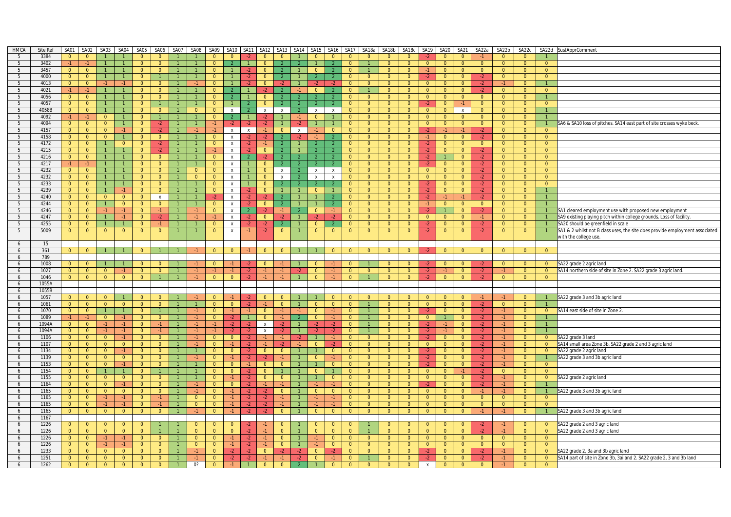| HMCA   | Site Ref      | SA01                             | SA02                             | SA03                             | SA04                             | SA05                             |                                | SA06 SA07      | SA08           | SA09                       |                                |                | SA10   SA11   SA12        |                           |                | SA13 SA14 SA15 SA16              |                                  | SA17                             |                                  | SA18a SA18b                      |                                  | SA18c SA19                 | SA20 SA21                  |                                  | SA22a          | SA22b                      | SA22c                            |                                  | SA22d SustApprComment                                                        |
|--------|---------------|----------------------------------|----------------------------------|----------------------------------|----------------------------------|----------------------------------|--------------------------------|----------------|----------------|----------------------------|--------------------------------|----------------|---------------------------|---------------------------|----------------|----------------------------------|----------------------------------|----------------------------------|----------------------------------|----------------------------------|----------------------------------|----------------------------|----------------------------|----------------------------------|----------------|----------------------------|----------------------------------|----------------------------------|------------------------------------------------------------------------------|
| 5      | 3384          | $\overline{0}$                   | $\overline{0}$                   |                                  |                                  | $\overline{0}$                   | $\mathbf{0}$                   |                |                |                            | $\Omega$                       |                | $\overline{0}$            | $\Omega$                  |                | $\Omega$                         | $\mathbf{0}$                     | $\Omega$                         | $\Omega$                         | $\Omega$                         | $\Omega$                         |                            | $\Omega$                   | $\mathbf{0}$                     |                | $\Omega$                   | $\Omega$                         |                                  |                                                                              |
| 5      | 3402          | $-1$                             | $-1$                             | $\mathbf{1}$                     |                                  | $\overline{0}$                   | $\overline{0}$                 |                |                | $\Omega$                   |                                | $\mathbf{1}$   | $\Omega$                  |                           |                |                                  |                                  | $\Omega$                         |                                  | $\Omega$                         | $\overline{0}$                   | $\overline{0}$             | $\overline{0}$             | $\Omega$                         | $\overline{0}$ | $\mathbf{0}$               | $\overline{0}$                   | $\overline{0}$                   |                                                                              |
| 5      | 3457          | $\overline{0}$                   | $\overline{0}$                   | $\overline{1}$                   |                                  | $\Omega$                         | $\overline{0}$                 |                |                | $\Omega$                   |                                | $-2$           | $\Omega$                  |                           |                | $\overline{0}$                   |                                  | $\Omega$                         |                                  | $\Omega$                         | $\overline{0}$                   | $-1$                       | $\overline{0}$             | $\overline{0}$                   | $\overline{0}$ | $\Omega$                   | $\overline{0}$                   | $\overline{0}$                   |                                                                              |
| 5      | 4000          | $\overline{0}$                   | $\overline{0}$                   | $\overline{1}$                   | $\overline{1}$                   | $\overline{0}$                   | $\mathbf{1}$                   |                |                | $\overline{0}$             | $\overline{1}$                 | $\cdot$        | $\overline{0}$            | $\overline{2}$            |                | 2                                | $\mathcal{P}$                    | $\overline{0}$                   | $\overline{0}$                   | $\overline{0}$                   | $\overline{0}$                   | $-2$                       | $\overline{0}$             | $\overline{0}$                   | $-2$           | $\overline{0}$             | $\overline{0}$                   | $\overline{0}$                   |                                                                              |
| 5      | 4013          | $\overline{0}$                   | $\overline{0}$                   | $-1$                             | $-1$                             | $\overline{0}$                   | $\mathbf{0}$                   |                |                | $\Omega$                   | $\mathbf{1}$                   | -2.            | $\mathbf{0}$              | $-2$                      |                | -2.                              | -2.                              | $\overline{0}$                   | $\overline{0}$                   | $\overline{0}$                   | $\overline{0}$                   | $\overline{0}$             | $\overline{0}$             | $\mathbf{0}$                     | $-2$           | $-1$                       | $\mathbf{0}$                     | $\mathbf{1}$                     |                                                                              |
| 5      | 4021          | $-1$                             | $-1$                             | $\overline{1}$                   |                                  | $\Omega$                         | $\overline{0}$                 |                |                | $\Omega$                   |                                |                |                           |                           | $-1$           | $\overline{0}$                   |                                  | $\overline{0}$                   |                                  | $\Omega$                         | $\overline{0}$                   | $\overline{0}$             | $\overline{0}$             | $\Omega$                         | $-2$           | $\Omega$                   | $\overline{0}$                   | $\overline{0}$                   |                                                                              |
| 5      | 4056          | $\overline{0}$                   | $\overline{0}$                   | $\overline{1}$                   |                                  | $\overline{0}$                   | $\overline{0}$                 |                |                | $\overline{0}$             | $\overline{2}$                 |                | $\overline{0}$            |                           |                |                                  | $\mathcal{P}$                    | $\overline{0}$                   | $\overline{0}$                   | $\overline{0}$                   | $\overline{0}$                   | $\overline{0}$             | $\overline{0}$             | $\overline{0}$                   | $\overline{0}$ | $\overline{0}$             | $\overline{0}$                   | $\mathbf{1}$                     |                                                                              |
| 5      | 4057          | $\overline{0}$                   | $\overline{0}$                   | $\overline{1}$                   |                                  | $\overline{0}$                   |                                |                |                | $\Omega$                   |                                |                | $\Omega$                  |                           |                | $\mathcal{P}$                    | $\mathcal{P}$                    | $\overline{0}$                   | $\overline{0}$                   | $\overline{0}$                   | $\overline{0}$                   | $-2$                       | $\overline{0}$             | $-1$                             | $\mathbf{0}$   | $\Omega$                   | $\mathbf{0}$                     | $\overline{0}$                   |                                                                              |
| 5      | 4058B         | $\overline{0}$                   | $\overline{0}$                   | $\overline{1}$                   |                                  | $\overline{0}$                   | $\bullet$                      |                | $\Omega$       |                            | $\boldsymbol{\mathsf{x}}$      |                | $\mathsf{x}$              | $\boldsymbol{\mathsf{x}}$ |                | X                                | x                                | $\overline{0}$                   | $\overline{0}$                   | $\Omega$                         | $\overline{0}$                   | $\overline{0}$             | $\overline{0}$             | $\boldsymbol{\mathsf{x}}$        | $\Omega$       | $\Omega$                   | $\overline{0}$                   | $\mathbf{1}$                     |                                                                              |
| 5      | 4092          | $-1$                             | $-1$                             | $\overline{0}$                   |                                  | $\overline{0}$                   | 1                              |                |                | $\overline{0}$             | $\overline{2}$                 | 1              | $-2$                      |                           | $-1$           | $\overline{0}$                   | $\mathbf{1}$                     | $\Omega$                         | $\overline{0}$                   | $\Omega$                         | $\overline{0}$                   | $\overline{0}$             | $\overline{0}$             | $\overline{0}$                   | $\overline{0}$ | $\overline{0}$             | $\overline{0}$                   |                                  |                                                                              |
| 5      | 4094          | $\overline{0}$                   | $\overline{0}$                   | $\overline{0}$                   |                                  | $\overline{0}$                   | $-2$                           |                |                |                            | $-2$                           | $-2$           | $-2$                      |                           | $-2$           | $\mathbf{1}$                     |                                  | $\Omega$                         | $\Omega$                         | $\Omega$                         | $\overline{0}$                   | $\overline{0}$             | $\overline{0}$             | $\overline{0}$                   | $\overline{0}$ | $\overline{0}$             | $\overline{0}$                   | $\mathbf{1}$                     | SA6 & SA10 loss of pitches. SA14 east part of site crosses wyke beck         |
| 5      | 4157          | $\overline{0}$                   | $\overline{0}$                   | $\overline{0}$                   | $-1$                             | $\overline{0}$                   | $-2$                           |                | $-1$           | $-1$                       | $\pmb{\mathsf{X}}$             | $\mathbf{x}$   | $-1$                      | $\overline{0}$            | $\mathbf{x}$   | $-1$                             | $\mathbf{0}$                     | $\overline{0}$                   | $\overline{0}$                   | $\overline{0}$                   | $\overline{0}$                   | $-2$                       | $-1$                       | $-1$                             | $-2$           | $\mathbf{0}$               | $\overline{0}$                   | $\overline{0}$                   |                                                                              |
| 5      | 4158          | $\overline{0}$                   | $\overline{0}$                   | $\overline{0}$                   |                                  | $\Omega$                         | $\overline{0}$                 |                |                | $\Omega$                   | X                              | -2             | -2                        |                           | - 2            | $-1$                             |                                  | $\overline{0}$                   | $\overline{0}$                   | $\Omega$                         | $\overline{0}$                   | $-1$                       | $\overline{0}$             | $\mathbf{0}$                     | $-2$           | $\Omega$                   | $\mathbf{0}$                     | $\overline{0}$                   |                                                                              |
| 5      | 4172          | $\overline{0}$                   | $\overline{0}$                   | $\overline{1}$                   | $\overline{0}$<br>$\overline{1}$ | $\overline{0}$                   | $-2$                           |                |                | $\Omega$                   | $\mathsf{x}$                   | $-2$           | $-1$                      |                           |                |                                  | $\overline{2}$                   | $\overline{0}$                   | $\overline{0}$                   | $\overline{0}$                   | $\overline{0}$                   | $-2$                       | $\overline{0}$             | $\overline{0}$                   | $\overline{0}$ | $\overline{0}$             | $\overline{0}$                   | $\overline{0}$                   |                                                                              |
| 5      | 4215          | $\overline{0}$                   | $\overline{0}$                   | $\overline{1}$<br>$\mathbf{1}$   |                                  | $\overline{0}$                   | $-2$                           |                |                |                            | $\mathsf{x}$                   | $-2$           | $\overline{0}$            |                           |                | $\mathcal{L}$<br>$\mathcal{P}$   | $\overline{2}$<br>$\overline{2}$ | $\overline{0}$<br>$\overline{0}$ | $\overline{0}$                   | $\overline{0}$<br>$\overline{0}$ | $\overline{0}$                   | $-2$                       | $\overline{0}$             | $\overline{0}$                   | $-2$           | $\overline{0}$<br>$\Omega$ | $\overline{0}$                   | $\overline{0}$                   |                                                                              |
| 5<br>5 | 4216<br>4217  | $\overline{0}$<br>$-1$           | $\overline{0}$<br>$-1$           | $\overline{1}$                   | $\overline{1}$                   | $\mathbf{0}$<br>$\overline{0}$   | $\mathbf{0}$<br>$\overline{0}$ |                |                | $\Omega$<br>$\overline{0}$ | $\mathsf{x}$<br>$\mathbf{x}$   | 1              | -2<br>$\overline{0}$      |                           | $\overline{2}$ | $\overline{2}$                   | $\overline{2}$                   | $\overline{0}$                   | $\overline{0}$<br>$\overline{0}$ | $\overline{0}$                   | $\overline{0}$<br>$\overline{0}$ | $-2$<br>$-2$               | $\overline{0}$             | $\mathbf{0}$<br>$\overline{0}$   | $-2$<br>$-2$   | $\overline{0}$             | $\mathbf{0}$<br>$\overline{0}$   | $\overline{0}$<br>$\overline{0}$ |                                                                              |
| 5      | 4232          | $\overline{0}$                   | $\overline{0}$                   | $\overline{1}$                   |                                  | $\overline{0}$                   | $\overline{0}$                 | $\mathbf{1}$   | $\overline{0}$ | $\overline{0}$             | $\mathsf{x}$                   | $\mathbf{1}$   | $\overline{0}$            | $\mathsf{x}$              | $\overline{2}$ | $\mathsf{x}$                     | $\mathsf{x}$                     | $\overline{0}$                   | $\overline{0}$                   | $\overline{0}$                   | $\overline{0}$                   | $\overline{0}$             | $\overline{0}$             | $\overline{0}$                   | $-2$           | $\Omega$                   | $\overline{0}$                   | $\overline{0}$                   |                                                                              |
| 5      | 4232          | $\overline{0}$                   | $\overline{0}$                   | $\mathbf{1}$                     |                                  | $\Omega$                         | $\overline{0}$                 |                | $\overline{0}$ | $\Omega$                   | $\mathsf{x}$                   | 1.             | $\overline{0}$            | $\mathsf{x}$              |                | X                                | x                                | $\Omega$                         | $\overline{0}$                   | $\Omega$                         | $\overline{0}$                   | $\overline{0}$             | $\overline{0}$             | $\mathbf{0}$                     | $-2$           | $\Omega$                   | $\mathbf{0}$                     | $\mathbf{0}$                     |                                                                              |
| 5      | 4233          | $\overline{0}$                   | $\overline{0}$                   | $\overline{1}$                   | $\overline{1}$                   | $\overline{0}$                   | $\overline{0}$                 |                |                | $\Omega$                   | $\mathbf{x}$                   | $\overline{1}$ | $\overline{0}$            |                           |                |                                  | $\overline{2}$                   | $\overline{0}$                   | $\overline{0}$                   | $\overline{0}$                   | $\overline{0}$                   | $-2$                       | $\overline{0}$             | $\overline{0}$                   | $-2$           | $\Omega$                   | $\overline{0}$                   | $\overline{0}$                   |                                                                              |
| 5      | 4239          | $\overline{0}$                   | $\overline{0}$                   | $\overline{1}$                   | $-1$                             | $\overline{0}$                   | $\overline{0}$                 |                |                | $\overline{0}$             | $\mathsf{x}$                   | $-2$           | $\overline{0}$            |                           |                | $\overline{0}$                   | $\mathbf{1}$                     | $\overline{0}$                   | $\overline{0}$                   | $\overline{0}$                   | $\overline{0}$                   | $-2$                       | $\overline{0}$             | $\overline{0}$                   | $-2$           | $\Omega$                   | $\overline{0}$                   | $\mathbf{1}$                     |                                                                              |
| 5      | 4240          | $\overline{0}$                   | $\overline{0}$                   | $\overline{0}$                   | $\overline{0}$                   | $\overline{0}$                   | $\mathsf{X}$                   |                |                |                            | $\mathsf{x}$                   | $-2$           | $-2$                      |                           |                | $\mathbf{1}$                     | $\overline{2}$                   | $\overline{0}$                   | $\overline{0}$                   | $\overline{0}$                   | $\overline{0}$                   | $-2$                       | $-1$                       | $-1$                             | $-2$           | $\overline{0}$             | $\overline{0}$                   | $\mathbf{1}$                     |                                                                              |
| 5      | 4244          | $\overline{0}$                   | $\overline{0}$                   | $\mathbf{1}$                     | $\overline{0}$                   | $\overline{0}$                   | $\overline{0}$                 |                | $\overline{1}$ | $\overline{0}$             | $\mathsf X$                    | $-2$           | $\overline{0}$            | $\overline{2}$            |                |                                  | $\mathcal{L}$                    | $\Omega$                         | $\overline{0}$                   | $\Omega$                         | $\overline{0}$                   | $-1$                       | $\overline{0}$             | $\overline{0}$                   | $\overline{0}$ | $\overline{0}$             | $\overline{0}$                   | $\mathbf{1}$                     |                                                                              |
| 5      | 4246          | $\overline{0}$                   | $\overline{0}$                   | $-1$                             | $-1$                             | $\overline{0}$                   | $-1$                           |                | $-1$           | $\overline{0}$             | $\mathsf{x}$                   | $\overline{2}$ | $-2$                      | $-1$                      | $\overline{2}$ | $\overline{0}$                   | $-1$                             | $\overline{0}$                   | $\overline{0}$                   | $\overline{0}$                   | $\overline{0}$                   | $-2$                       |                            | $\overline{0}$                   | $-2$           | $\overline{0}$             | $\overline{0}$                   | $\mathbf{1}$                     | SA1 cleared employment use with proposed new employment                      |
| 5      | 4247          | $\overline{0}$                   | $\overline{0}$                   | $\mathbf{1}$                     | $-1$                             | $\overline{0}$                   | $-2$                           |                | -1.            |                            | $\mathbf{x}$                   | $-2$           | $\overline{0}$            | -2                        |                | $-2$                             | $-2$                             | $\overline{0}$                   | $\overline{0}$                   | $\overline{0}$                   | $\overline{0}$                   | $\overline{0}$             | $\overline{0}$             | $\overline{0}$                   | $-1$           | $\overline{0}$             | $\overline{0}$                   | $\overline{1}$                   | SA9 existing playing pitch within college grounds. Loss of facility          |
| 5      | 4255          | $\overline{0}$                   | $\overline{0}$                   | $\overline{1}$                   | $\mathbf{1}$                     | $\overline{0}$                   | $-1$                           | $\overline{1}$ | $\overline{1}$ | $\overline{0}$             | $\mathbf{x}$                   | $-2$           | $-2$                      |                           | $\overline{1}$ | $\overline{0}$                   | 2 <sup>7</sup>                   | $\overline{0}$                   | $\overline{0}$                   | $\Omega$                         | $\overline{0}$                   | $-2$                       | $\overline{0}$             | $\overline{0}$                   | $-2$           | $\overline{0}$             | $\overline{0}$                   | $\overline{1}$                   | SA20 should be greenfield in scale                                           |
| 5      | 5009          | $\overline{0}$                   | $\overline{0}$                   | $\overline{0}$                   | $\overline{0}$                   | $\overline{0}$                   | $\overline{0}$                 | $\mathbf{1}$   | $\overline{1}$ | $\mathbf{0}$               | $\,$ X                         | $-1$           | $-2$                      | $\overline{0}$            |                | $\overline{0}$                   | $\overline{0}$                   | $\overline{0}$                   | $\overline{0}$                   | $\overline{0}$                   | $\overline{0}$                   | $-2$                       | $\overline{0}$             | $\overline{0}$                   | $-2$           | $\overline{0}$             | $\overline{0}$                   | $\mathbf{1}$                     | SA1 & 2 whilst not B class uses, the site does provide employment associated |
|        |               |                                  |                                  |                                  |                                  |                                  |                                |                |                |                            |                                |                |                           |                           |                |                                  |                                  |                                  |                                  |                                  |                                  |                            |                            |                                  |                |                            |                                  |                                  | with the college use.                                                        |
| 6      | 15            |                                  |                                  |                                  |                                  |                                  |                                |                |                |                            |                                |                |                           |                           |                |                                  |                                  |                                  |                                  |                                  |                                  |                            |                            |                                  |                |                            |                                  |                                  |                                                                              |
| 6      | 361           | $\overline{0}$                   | $\overline{0}$                   |                                  |                                  | $\overline{0}$                   |                                |                |                | $\Omega$                   | $\overline{0}$                 |                | $\overline{0}$            | $\Omega$                  |                |                                  | $\overline{0}$                   | $\overline{0}$                   | $\overline{0}$                   | $\Omega$                         | $\Omega$                         |                            | $\overline{0}$             | $\overline{0}$                   | $\overline{0}$ | $\Omega$                   | $\overline{0}$                   | $\overline{0}$                   |                                                                              |
| 6      | 789           |                                  |                                  |                                  |                                  |                                  |                                |                |                |                            |                                |                |                           |                           |                |                                  |                                  |                                  |                                  |                                  |                                  |                            |                            |                                  |                |                            |                                  |                                  |                                                                              |
| 6      | 1008          | $\overline{0}$                   | $\overline{0}$                   | $\overline{1}$                   |                                  | $\mathbf{0}$                     | $\overline{0}$                 |                | $-1$           | $\overline{0}$             | $-1$                           | $-2$           | $\mathbf{0}$              |                           |                | $\overline{0}$                   | $-1$                             | $\overline{0}$                   |                                  | $\mathbf{0}$                     | $\overline{0}$                   |                            | $\overline{0}$             | $\mathbf{0}$                     | $-2$           | $\mathbf{0}$               | $\mathbf{0}$                     | $\overline{0}$                   | SA22 grade 2 agric land                                                      |
| 6      | 1027          | $\overline{0}$                   | $\overline{0}$                   | $\overline{0}$                   | -1.                              | $\overline{0}$                   | $\overline{0}$                 | $\mathbf{1}$   | $-1$           |                            | $-1$                           | $-2$           | $-1$                      |                           | $-2$           | $\overline{0}$                   | $-1$                             | $\Omega$                         | $\overline{0}$                   | $\overline{0}$                   | $\overline{0}$                   | $-2$                       |                            | $\Omega$                         | -2.            | -1.                        | $\overline{0}$                   | $\overline{0}$                   | SA14 northern side of site in Zone 2. SA22 grade 3 agric land.               |
| 6      | 1046          | $\overline{0}$                   | $\overline{0}$                   | $\overline{0}$                   | $\overline{0}$                   | $\overline{0}$                   | $\mathbf{1}$                   |                | $-1$           | $\overline{0}$             | $\overline{0}$                 | $-2$           | $-1$                      |                           | $\overline{1}$ | $\overline{0}$                   | $-1$                             | $\overline{0}$                   |                                  | $\Omega$                         | $\Omega$                         | $-2$                       | $\Omega$                   | $\overline{0}$                   | $-2$           | $\overline{0}$             | $\overline{0}$                   | $\overline{0}$                   |                                                                              |
| 6      | 1055A         |                                  |                                  |                                  |                                  |                                  |                                |                |                |                            |                                |                |                           |                           |                |                                  |                                  |                                  |                                  |                                  |                                  |                            |                            |                                  |                |                            |                                  |                                  |                                                                              |
| 6      | 1055B<br>1057 | $\overline{0}$                   | $\overline{0}$                   | $\overline{0}$                   |                                  | $\overline{0}$                   | $\Omega$                       |                |                |                            |                                | -2             | $\Omega$                  |                           |                |                                  | $\overline{0}$                   | $\overline{0}$                   | $\overline{0}$                   | $\Omega$                         | $\Omega$                         | $\overline{0}$             | $\Omega$                   | $\Omega$                         | $-1$           |                            | $\overline{0}$                   |                                  |                                                                              |
| 6<br>6 | 1061          | $\overline{0}$                   | $\overline{0}$                   | $\overline{0}$                   | $\overline{0}$                   | $\overline{0}$                   | $\overline{0}$                 |                |                | $\Omega$                   | $\overline{0}$                 | $-2$           | $-1$                      | $\overline{0}$            |                | $\overline{0}$                   | $\overline{0}$                   | $\overline{0}$                   |                                  | $\overline{0}$                   | $\overline{0}$                   | $\overline{0}$             | $\overline{0}$             | $\overline{0}$                   | $-2$           | $\Omega$                   | $\overline{0}$                   |                                  | SA22 grade 3 and 3b agric land                                               |
| 6      | 1070          | $\overline{0}$                   | $\overline{0}$                   | $\vert$ 1                        | $\mathbf{1}$                     | $\mathbf{0}$                     | 1.                             |                | -1.            | - 0                        | $-1$                           | -1 -           | $\overline{0}$            | $-1$                      | -1             | $\overline{0}$                   | -1.                              | $\overline{0}$                   |                                  | $\Omega$                         | $\overline{0}$                   | -2                         | $\overline{0}$             | $\mathbf{0}$                     | $-2$           | $-1$                       | $\overline{0}$                   | $\overline{0}$                   | SA14 east side of site in Zone 2.                                            |
| 6      | 1089          | $-1$                             | $-1$                             | $\overline{0}$                   | $-1$                             | $\Omega$                         | $\Omega$                       |                | $-1$           | $\Omega$                   | $-2$                           | $\mathbf{1}$   | $\overline{0}$            | $-1$                      | $\overline{2}$ | $\Omega$                         | $-1$                             | $\Omega$                         | $\mathbf{1}$                     | $\Omega$                         | $\Omega$                         | $\Omega$                   |                            | $\Omega$                         | $-2$           | $-1$                       | $\Omega$                         | $\mathbf{1}$                     |                                                                              |
| 6      | 1094A         | $\overline{0}$                   | $\overline{0}$                   | $-1$                             | $-1$                             | $\overline{0}$                   | $-1$                           |                | $-1$           | $-1$                       | $-2$                           | -2             | $\boldsymbol{\mathsf{X}}$ | $-2$                      | $\mathbf{1}$   |                                  | $-2$                             | $\overline{0}$                   | $\mathbf{1}$                     | $\overline{0}$                   | $\overline{0}$                   | $-2$                       | $-1$                       | $\overline{0}$                   | $-2$           | $-1$                       | $\overline{0}$                   | $\mathbf{1}$                     |                                                                              |
| 6      | 1094A         | $\overline{0}$                   | $\overline{0}$                   | $-1$                             | $-1$                             | $\Omega$                         | -1 -                           |                | $-1$           |                            | $-2$                           | $-2$           | $\mathsf{x}$              | $-2$                      |                | $-2$                             | $-2$                             | $\Omega$                         |                                  | $\Omega$                         | $\overline{0}$                   | $-2$                       | -1                         | $\mathbf{0}$                     | $-2$           | $-1$                       | $\overline{0}$                   | $\mathbf{1}$                     |                                                                              |
| 6      | 1106          | $\overline{0}$                   | $\overline{0}$                   | $\overline{0}$                   | $-1$                             | $\overline{0}$                   | $\overline{0}$                 |                | $-1$           | $\overline{0}$             | $\overline{0}$                 | $-2$           |                           |                           |                | $\overline{1}$                   | $-1$                             | $\overline{0}$                   | $\overline{0}$                   | $\overline{0}$                   | $\overline{0}$                   | $-2$                       | $\overline{0}$             | $\overline{0}$                   | $-2$           | $-1$                       | $\overline{0}$                   | $\overline{0}$                   | SA22 grade 3 land                                                            |
| 6      | 1107          | $\overline{0}$                   | $\overline{0}$                   | $\overline{0}$                   | $\overline{0}$                   | $\overline{0}$                   | $\overline{0}$                 |                | $-1$           | $\overline{0}$             | $-1$                           | $-2$           | $-1$                      | $-2$                      |                | $\Omega$                         | $-2$                             | $\overline{0}$                   | $\overline{0}$                   | $\overline{0}$                   | $\overline{0}$                   | $\overline{0}$             | $\overline{0}$             | $\overline{0}$                   | $-2$           | $-1$                       | $\overline{0}$                   | $\overline{0}$                   | SA14 small area Zone 3b. SA22 grade 2 and 3 agric land                       |
| 6      | 1134          | $\overline{0}$                   | $\overline{0}$                   | $\overline{0}$                   | $-1$                             | $\overline{0}$                   | $\overline{0}$                 |                |                | $\Omega$                   | $\overline{0}$                 | $-2$           | $\overline{0}$            | $\overline{0}$            | $\overline{1}$ | $\mathbf{1}$                     | $\mathbf{0}$                     | $\overline{0}$                   | $\overline{0}$                   | $\overline{0}$                   | $\overline{0}$                   | $-2$                       | $\overline{0}$             | $\mathbf{0}$                     | $-2$           | $-1$                       | $\overline{0}$                   | $\overline{0}$                   | SA22 grade 2 agric land                                                      |
| 6      | 1139          | $\overline{0}$                   | $\overline{0}$                   | $\overline{0}$                   | $\overline{0}$                   | $\overline{0}$                   | $\overline{0}$                 |                | $-1$           | $\Omega$                   | $-1$                           | $-2$           | -2                        |                           | $\overline{1}$ | $\overline{0}$                   | $-1$                             | $\overline{0}$                   | $\Omega$                         | $\Omega$                         | $\overline{0}$                   | $-2$                       | $\overline{0}$             | $\overline{0}$                   | $-2$           | $-1$                       | $\overline{0}$                   |                                  | SA22 grade 3 and 3b agric land                                               |
| 6      | 1153          | $\overline{0}$                   | $\overline{0}$                   | $\overline{0}$                   | $-1$                             | $\overline{0}$                   | $\overline{0}$                 |                |                | $\overline{0}$             | $\overline{0}$                 | $-1$           | $\overline{0}$            | $\overline{0}$            | $\overline{1}$ |                                  | $\overline{0}$                   | $\overline{0}$                   | $\overline{0}$                   | $\overline{0}$                   | $\overline{0}$                   | $-2$                       | $\overline{0}$             | $\overline{0}$                   | $-2$           | $-1$                       | $\mathbf{0}$                     | $\overline{0}$                   |                                                                              |
| 6      | 1154          | $\overline{0}$                   | $\overline{0}$                   | $\overline{1}$                   |                                  | $\overline{0}$                   | $\mathbf{1}$                   |                |                | $\Omega$                   | $\overline{0}$                 | $-2$           | $\overline{0}$            |                           |                | $\overline{0}$                   |                                  | $\overline{0}$                   | $\overline{0}$                   | $\overline{0}$                   | $\overline{0}$                   | $\overline{0}$             | $\overline{0}$             | $-1$                             | $-2$           | $\overline{0}$             | $\overline{0}$                   | $\overline{0}$                   |                                                                              |
| 6      | 1155          | $\overline{0}$                   | $\overline{0}$                   | $\overline{0}$                   | $\overline{0}$                   | $\overline{0}$                   | $\overline{0}$                 |                |                |                            |                                | $-2$           | $\Omega$                  | $\Omega$                  |                | $\mathbf{1}$                     | $\overline{0}$                   | $\overline{0}$                   | $\overline{0}$                   | $\Omega$                         | $\overline{0}$                   | $\overline{0}$             | $\overline{0}$             | $\overline{0}$                   | $\cdot$        | $-1$                       | $\overline{0}$                   | $\overline{0}$                   | SA22 grade 2 agric land                                                      |
| 6      | 1164          | $\overline{0}$                   | $\overline{0}$                   | $\overline{0}$                   | $-1$                             | $\overline{0}$                   | $\overline{0}$                 |                | $-1$           | $\overline{0}$             | $\overline{0}$                 | $-2$           | $-1$                      |                           |                | $-1$                             | $-1$                             | $\overline{0}$                   | $\overline{0}$                   | $\overline{0}$                   | $\overline{0}$                   | $-2$                       | $\overline{0}$             | $\overline{0}$                   | $-2$           | $-1$                       | $\overline{0}$                   | $\overline{1}$                   |                                                                              |
| 6      | 1165          | $\overline{0}$                   | $\overline{0}$                   | $\overline{0}$                   | $\overline{0}$                   | $\overline{0}$                   | $\overline{0}$                 |                | $-1$           | $\Omega$                   | $-1$                           | $-2$           | $-2$                      | $\overline{0}$            |                | $\overline{0}$                   | $\overline{0}$                   | $\overline{0}$                   | $\overline{0}$                   | $\overline{0}$                   | $\overline{0}$                   | $\overline{0}$             | $\overline{0}$             | $\overline{0}$                   | $-1$           | $-1$                       | $\mathbf{0}$                     | $\mathbf{1}$                     | SA22 grade 3 and 3b agric land                                               |
| 6      | 1165          | $\overline{0}$                   | $\overline{0}$                   | $-1$                             | $-1$                             | $\overline{0}$                   | $-1$                           |                | $\overline{0}$ | $\Omega$                   | $-1$                           | $\cdot$        | $-2$                      | -1                        |                | $-1$                             | $-1$                             | $\overline{0}$                   | $\overline{0}$                   | $\overline{0}$                   | $\overline{0}$                   | $\overline{0}$             | $\overline{0}$             | $\overline{0}$                   | $\overline{0}$ | $\overline{0}$             | $\overline{0}$                   | $\overline{0}$                   |                                                                              |
| 6      | 1165          | $\overline{0}$                   | $\overline{0}$                   | $-1$                             | $-1$                             | $\Omega$                         | $-1$                           |                | $\overline{0}$ | $\overline{0}$             | $-1$                           | $\cdot$        | $-2$                      |                           |                | $-1$                             | $-1$                             | $\Omega$                         | $\bullet$                        | $\Omega$                         | $\overline{0}$                   | $\overline{0}$             | $\overline{0}$             | $\overline{0}$                   | $\overline{0}$ | $\overline{0}$             | $\overline{0}$                   | $\overline{0}$                   |                                                                              |
| 6      | 1165          | $\overline{0}$                   | $\overline{0}$                   | $\overline{0}$                   | $\overline{0}$                   | $\overline{0}$                   | $\mathbf{0}$                   |                | $-1$           | $\Omega$                   | $-1$                           | -2.            | -2                        | $\Omega$                  |                | $\mathbf{0}$                     | $\overline{0}$                   | $\overline{0}$                   | $\overline{0}$                   | $\Omega$                         | $\overline{0}$                   | $\overline{0}$             | $\overline{0}$             | $\mathbf{0}$                     | $-1$           | $-1$                       | $\overline{0}$                   | $\mathbf{1}$                     | SA22 grade 3 and 3b agric land                                               |
| 6      | 1167          |                                  |                                  |                                  |                                  |                                  |                                |                | $\Omega$       |                            |                                |                |                           |                           |                |                                  |                                  | $\Omega$                         |                                  |                                  |                                  |                            |                            |                                  |                |                            |                                  |                                  |                                                                              |
| 6      | 1226<br>1226  | $\overline{0}$<br>$\overline{0}$ | $\overline{0}$<br>$\overline{0}$ | $\overline{0}$<br>$\overline{0}$ | $\overline{0}$<br>$\overline{0}$ | $\overline{0}$<br>$\overline{0}$ | $\mathbf{1}$                   |                | $\overline{0}$ | $\overline{0}$             | $\mathbf{0}$<br>$\overline{0}$ | -2.<br>$-2$    | $-1$                      | $\Omega$<br>$\Omega$      | $\overline{1}$ | $\overline{0}$<br>$\overline{0}$ | $\overline{0}$<br>$\overline{0}$ | $\overline{0}$                   | $\mathbf{1}$                     | $\Omega$                         | $\overline{0}$<br>$\overline{0}$ | $\Omega$<br>$\overline{0}$ | $\Omega$<br>$\overline{0}$ | $\overline{0}$<br>$\overline{0}$ | $-2$<br>$-2$   | $-1$                       | $\overline{0}$<br>$\overline{0}$ | $\overline{0}$<br>$\overline{0}$ | SA22 grade 2 and 3 agric land                                                |
| 6<br>6 | 1226          | $\overline{0}$                   | $\overline{0}$                   | $-1$                             | $-1$                             | $\overline{0}$                   | $\overline{0}$                 |                | $\overline{0}$ | $\overline{0}$             | $-1$                           | $-2$           | $-1$                      | $\overline{0}$            |                | $-1$                             | $\overline{0}$                   | $\overline{0}$                   | $\overline{0}$                   | $\overline{0}$                   | $\overline{0}$                   | $\overline{0}$             | $\overline{0}$             | $\overline{0}$                   | $\overline{0}$ | $\overline{0}$             | $\overline{0}$                   | $\overline{0}$                   | SA22 grade 2 and 3 agric land                                                |
| 6      | 1226          | $\mathbf{0}$                     | $\mathbf{0}$                     | $-1$                             | $-1$                             | $\overline{0}$                   | $\mathbf{0}$                   |                | $\mathbf{0}$   | $\Omega$                   | -1                             | -2             | -1.                       | $\Omega$                  |                | $-1$                             | $\mathbf{0}$                     | $\Omega$                         | $\Omega$                         | $\Omega$                         | $\mathbf{0}$                     | $\overline{0}$             | $\Omega$                   | $\Omega$                         | $\Omega$       | $\Omega$                   | $\mathbf{0}$                     | $\overline{0}$                   |                                                                              |
| 6      | 1233          | $\overline{0}$                   | $\overline{0}$                   | $\overline{0}$                   | $\overline{0}$                   | $\overline{0}$                   | $\overline{0}$                 | $\overline{1}$ | $-1$           | $\overline{0}$             | $-2$                           | $-2$           | $\overline{0}$            | $-2$                      | $-2$           | $\overline{0}$                   | $-2$                             | $\overline{0}$                   | $\overline{0}$                   | $\overline{0}$                   | $\overline{0}$                   | $-2$                       | $\overline{0}$             | $\overline{0}$                   | $-2$           | $-1$                       | $\overline{0}$                   | $\overline{0}$                   | SA22 grade 2, 3a and 3b agric land                                           |
| 6      | 1251          | $\overline{0}$                   | $\overline{0}$                   | $\overline{0}$                   | $\overline{0}$                   | $\overline{0}$                   | $\overline{0}$                 |                | $-1$           | $\Omega$                   | $-2$                           | $\cdot$        | $-1$                      |                           |                | $\overline{0}$                   | $-1$                             | $\overline{0}$                   |                                  | $\Omega$                         | $\Omega$                         | $-2$                       | $\Omega$                   | $\mathbf{0}$                     | $-2$           | $-1$                       | $\overline{0}$                   | $\overline{0}$                   | SA14 part of site in Zone 3b, 3ai and 2. SA22 grade 2, 3 and 3b land         |
| 6      | 1262          | $\overline{0}$                   | $\overline{0}$                   | $\Omega$                         | $\Omega$                         | $\overline{0}$                   | $\overline{0}$                 |                | 0?             |                            |                                |                | $\Omega$                  | $\Omega$                  |                |                                  | $\overline{0}$                   | $\Omega$                         |                                  | $\Omega$                         | $\mathbf{0}$                     | $\mathbf{x}$               | $\Omega$                   | $\Omega$                         | $\Omega$       | $-1$                       | $\overline{0}$                   | $\overline{0}$                   |                                                                              |
|        |               |                                  |                                  |                                  |                                  |                                  |                                |                |                |                            |                                |                |                           |                           |                |                                  |                                  |                                  |                                  |                                  |                                  |                            |                            |                                  |                |                            |                                  |                                  |                                                                              |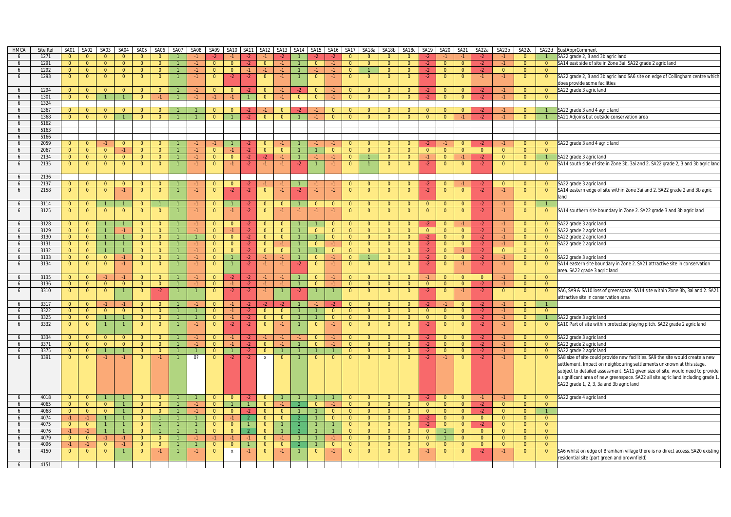| <b>HMCA</b>     | Site Ref     | SA01           | SA02                             | SA03           | SA04                 | SA05           | <b>SA06</b>          | SA07 | SA08 | SA09           | <b>SA10</b>      | <b>SA11</b>  | <b>SA12</b>               | SA13           | <b>SA14</b>    | SA15           | <b>SA16</b>                | SA <sub>17</sub> | SA18a          | SA18b          | SA18c                | SA19           | SA <sub>20</sub> | SA21           | SA22a          | SA22b          | SA22c                | SA22d          | SustApprComment                                                                   |
|-----------------|--------------|----------------|----------------------------------|----------------|----------------------|----------------|----------------------|------|------|----------------|------------------|--------------|---------------------------|----------------|----------------|----------------|----------------------------|------------------|----------------|----------------|----------------------|----------------|------------------|----------------|----------------|----------------|----------------------|----------------|-----------------------------------------------------------------------------------|
| 6               | 1271         | $\Omega$       | $\Omega$                         | $\overline{0}$ | $\Omega$             | $\Omega$       |                      |      |      |                |                  |              |                           |                |                |                |                            | $\Omega$         |                | $\Omega$       |                      |                |                  |                |                |                | $\cap$               |                | SA22 grade 2, 3 and 3b agric land                                                 |
| 6               | 1291         | $\overline{0}$ | $\overline{0}$                   | $\overline{0}$ | $\overline{0}$       | $\overline{0}$ | $\Omega$             |      | $-1$ | $\Omega$       | $\Omega$         | $-2$         | $\Omega$                  |                | $\overline{1}$ | $\Omega$       | $-1$                       | $\overline{0}$   | $\overline{0}$ | $\Omega$       | $\Omega$             | $-2$           | $\overline{0}$   | $\overline{0}$ | $-2$           |                | $\Omega$             | $\overline{0}$ | SA14 east side of site in Zone 3ai. SA22 grade 2 agric land                       |
| 6               | 1292         | $\overline{0}$ | $\overline{0}$                   | $\overline{0}$ | $\overline{0}$       | $\overline{0}$ | $\Omega$             |      | $-1$ | $\overline{0}$ | $\overline{0}$   | $-1$         |                           | $-1$           | $\mathbf{1}$   | $-1$           | $-1$                       | $\overline{0}$   |                | $\overline{0}$ | $\Omega$             | $-2$           | $\overline{0}$   | $\overline{0}$ | $-2$           | $\overline{0}$ | $\overline{0}$       | $\overline{0}$ |                                                                                   |
| 6               | 1293         | $\overline{0}$ | $\overline{0}$                   | $\overline{0}$ | $\overline{0}$       | $\overline{0}$ | $\Omega$             |      | $-1$ | $\overline{0}$ | $-2$             | $-2$         | $\overline{0}$            | $-1$           |                | $\overline{0}$ | $-1$                       | $\overline{0}$   | $\Omega$       | $\Omega$       | $\Omega$             | $-2$           | $\Omega$         | $\overline{0}$ | $-1$           | $-1$           | $\Omega$             | $\overline{0}$ | SA22 grade 2, 3 and 3b agric land SA6 site on edge of Collingham centre which     |
|                 |              |                |                                  |                |                      |                |                      |      |      |                |                  |              |                           |                |                |                |                            |                  |                |                |                      |                |                  |                |                |                |                      |                | does provide some facilities                                                      |
| 6               | 1294         | $\overline{0}$ | $\Omega$                         | $\overline{0}$ | $\Omega$             | $\Omega$       | $\Omega$             |      | $-1$ | $\Omega$       | $\Omega$         | $-2$         | $\overline{0}$            | $\cdot$ 1      | $-2$           | $\Omega$       | $-1$                       | $\Omega$         | $\Omega$       | $\Omega$       | $\Omega$             | $-2$           | $\Omega$         | $\Omega$       | $-2$           | $-1$           | $\Omega$             | $\overline{0}$ | SA22 grade 3 agric land                                                           |
| 6               | 1301         | $\mathbf{0}$   | $\overline{0}$                   | $\mathbf{1}$   |                      | $\overline{0}$ | $-1$                 |      |      |                | $-1$             |              | $\overline{0}$            |                | $\overline{0}$ | $\overline{0}$ | $-1$                       | $\overline{0}$   | $\overline{0}$ | $\Omega$       | $\Omega$             | $-2$           | $\Omega$         | $\overline{0}$ |                |                | $\Omega$             | $\overline{0}$ |                                                                                   |
| 6               | 1324         |                |                                  |                |                      |                |                      |      |      |                |                  |              |                           |                |                |                |                            |                  |                |                |                      |                |                  |                |                |                |                      |                |                                                                                   |
| 6               | 1367         | $\overline{0}$ | $\overline{0}$                   | $\overline{0}$ | $\overline{0}$       | $\overline{0}$ | $\Omega$             |      |      | $\Omega$       | $\Omega$         |              |                           | $\overline{0}$ |                |                | $\Omega$                   | $\overline{0}$   | $\Omega$       | $\Omega$       | $\Omega$             | $\overline{0}$ | $\overline{0}$   | $\overline{0}$ | $-2$           |                | $\overline{0}$       |                | SA22 grade 3 and 4 agric land                                                     |
| 6               | 1368         | $\overline{0}$ | $\overline{0}$                   | $\overline{0}$ |                      | $\overline{0}$ | $\overline{0}$       |      |      | $\Omega$       |                  |              | $\overline{0}$            | $\overline{0}$ |                |                | $\overline{0}$             | $\overline{0}$   | $\overline{0}$ | $\Omega$       | $\Omega$             | $\Omega$       | $\Omega$         |                |                |                | $\overline{0}$       |                | SA21 Adjoins but outside conservation area                                        |
| 6               | 5162         |                |                                  |                |                      |                |                      |      |      |                |                  |              |                           |                |                |                |                            |                  |                |                |                      |                |                  |                |                |                |                      |                |                                                                                   |
| 6               | 5163         |                |                                  |                |                      |                |                      |      |      |                |                  |              |                           |                |                |                |                            |                  |                |                |                      |                |                  |                |                |                |                      |                |                                                                                   |
| 6               | 5166         |                |                                  |                |                      |                |                      |      |      |                |                  |              |                           |                |                |                |                            |                  |                |                |                      |                |                  |                |                |                |                      |                |                                                                                   |
| 6               | 2059         | $\mathbf{0}$   | $\overline{0}$                   | $-1$           | $\Omega$             | $\Omega$       |                      |      |      |                |                  | -2           | $\Omega$                  |                |                |                |                            |                  | $\Omega$       | $\Omega$       |                      |                |                  | $\overline{0}$ | $-2$           |                | $\Omega$             | $\overline{0}$ | SA22 grade 3 and 4 agric land                                                     |
| 6               | 2067         | $\overline{0}$ | $\overline{0}$                   | $\overline{0}$ | $-1$                 | $\overline{0}$ | $\overline{0}$       |      | $-1$ | $\mathbf{0}$   |                  | $-2$         | $\overline{0}$            | $\overline{0}$ |                |                | $\overline{0}$             | $\overline{0}$   | $\overline{0}$ | $\Omega$       | $\Omega$             | $\overline{0}$ | $\mathbf{0}$     | $\overline{0}$ | $\overline{0}$ | $\overline{0}$ | $\Omega$             | $\overline{0}$ |                                                                                   |
| 6               | 2134         | $\overline{0}$ | $\overline{0}$                   | $\overline{0}$ | $\overline{0}$       | $\overline{0}$ | $\Omega$             |      | $-1$ | $\overline{0}$ | $\Omega$         | -2.          |                           |                | $\overline{1}$ | -1.            | $-1$                       | $\overline{0}$   |                | $\mathbf{0}$   | $\Omega$             | $-1$           | $\Omega$         | $-1$           | $-2$           | $\mathbf{0}$   | $\overline{0}$       |                | SA22 grade 3 agric land                                                           |
| 6               | 2135         | $\mathbf{0}$   | $\overline{0}$                   | $\overline{0}$ | $\mathbf{0}$         | $\mathbf{0}$   | $\overline{0}$       |      | $-1$ | $\mathbf{0}$   | $-1$             | $-2$         | -1                        | $-1$           | $-2$           |                | $-1$                       | $\overline{0}$   |                | $\mathbf{0}$   | $\overline{0}$       | $-2$           | $\mathbf 0$      | $\overline{0}$ | $-2$           | $\overline{0}$ | $\mathbf{0}$         | $\mathbf{0}$   | SA14 south side of site in Zone 3b, 3ai and 2. SA22 grade 2, 3 and 3b agric land  |
|                 |              |                |                                  |                |                      |                |                      |      |      |                |                  |              |                           |                |                |                |                            |                  |                |                |                      |                |                  |                |                |                |                      |                |                                                                                   |
| 6               | 2136         |                |                                  |                |                      |                |                      |      |      |                |                  |              |                           |                |                |                |                            |                  |                |                |                      |                |                  |                |                |                |                      |                |                                                                                   |
| 6               | 2137         | $\overline{0}$ | $\overline{0}$                   | $\overline{0}$ | $\overline{0}$       | $\overline{0}$ | $\Omega$             |      | $-1$ | $\Omega$       | $\Omega$         |              |                           |                |                |                |                            | $\mathbf{0}$     | $\Omega$       | $\Omega$       | $\Omega$             | -2             | $\Omega$         | $-1$           | $-2$           | $\Omega$       | $\Omega$             | $\mathbf{0}$   | SA22 grade 3 agric land                                                           |
| 6               | 2158         | $\mathbf{0}$   | $\overline{0}$                   | $\overline{0}$ | $-1$                 | $\Omega$       | $\Omega$             |      | $-1$ | $\mathbf{0}$   | $-2$             | $-2$         | $\overline{0}$            |                | $-2$           | $-1$           | $-1$                       | $\overline{0}$   | $\Omega$       | $\Omega$       | $\Omega$             | $-2$           | $\overline{0}$   | $\overline{0}$ | $-2$           |                | $\Omega$             | $\overline{0}$ | SA14 eastern edge of site within Zone 3ai and 2. SA22 grade 2 and 3b agric        |
|                 |              |                |                                  |                |                      |                |                      |      |      |                |                  |              |                           |                |                |                |                            |                  |                |                |                      |                |                  |                |                |                |                      |                | land                                                                              |
| 6               | 3114         | $\overline{0}$ | $\overline{0}$                   | $\mathbf{1}$   |                      | $\Omega$       |                      |      | $-1$ | $\overline{0}$ |                  | $-2$         | $\Omega$                  | $\overline{0}$ |                | $\Omega$       | $\Omega$                   | $\overline{0}$   | $\overline{0}$ | $\overline{0}$ | $\Omega$             | $\overline{0}$ | $\Omega$         | $\overline{0}$ | $-2$           | $-1$           | $\Omega$             |                |                                                                                   |
| 6               | 3125         |                |                                  | $\mathbf{0}$   | $\mathbf{0}$         | $\mathbf{0}$   | $\mathbf{0}$         |      | $-1$ | $\mathbf{0}$   |                  |              | $\mathbf{0}$              |                |                | -1             | -1                         | $\overline{0}$   | $\Omega$       | - 0            | $\Omega$             | $\overline{0}$ | 0                | $\overline{0}$ |                | -1             | $\mathbf{0}$         |                | SA14 southern site boundary in Zone 2. SA22 grade 3 and 3b agric land             |
|                 |              | $\overline{0}$ | $\mathbf{0}$                     |                |                      |                |                      |      |      |                | -1               | $-2$         |                           |                | -1             |                |                            |                  |                |                |                      |                |                  |                | $-2$           |                |                      | $\overline{0}$ |                                                                                   |
|                 |              |                |                                  |                |                      | $\Omega$       |                      |      |      |                |                  | $\cdot$      |                           |                |                |                |                            |                  | $\Omega$       | $\Omega$       |                      |                | $\Omega$         |                | $-2$           |                | $\Omega$             |                |                                                                                   |
| 6               | 3128<br>3129 | $\mathbf{0}$   | $\overline{0}$                   |                |                      |                | $\Omega$             |      |      | $\mathbf{0}$   | $\overline{0}$   |              | $\Omega$                  | $\overline{0}$ |                |                | $\Omega$                   | $\overline{0}$   |                |                | $\Omega$<br>$\Omega$ | $-2$           |                  |                |                |                |                      | $\overline{0}$ | SA22 grade 3 agric land                                                           |
| 6               |              | $\overline{0}$ | $\overline{0}$<br>$\overline{0}$ | $\mathbf{1}$   | $-1$<br>$\mathbf{1}$ | $\mathbf{0}$   | $\Omega$<br>$\Omega$ |      | $-1$ | $\mathbf{0}$   | $-1$<br>$\Omega$ | $-2$         | $\mathbf{0}$              | $\mathbf{0}$   | $\overline{1}$ | $\mathbf{0}$   | $\overline{0}$<br>$\Omega$ | $\overline{0}$   | $\mathbf{0}$   | $\overline{0}$ | $\Omega$             | $\overline{0}$ | $\mathbf{0}$     | $\overline{0}$ | $-2$<br>$-2$   | -1<br>$-1$     | $\Omega$<br>$\Omega$ | $\overline{0}$ | SA22 grade 2 agric land                                                           |
| 6               | 3130         | $\overline{0}$ |                                  | $\mathbf{1}$   |                      | $\overline{0}$ |                      |      |      | $\overline{0}$ |                  | $-2$         | $\overline{0}$            | $\overline{0}$ |                |                |                            | $\overline{0}$   | $\overline{0}$ | $\overline{0}$ |                      | $-2$           | $\overline{0}$   | $\overline{0}$ |                |                |                      | $\overline{0}$ | SA22 grade 2 agric land                                                           |
| 6               | 3131         | $\overline{0}$ | $\overline{0}$                   | $\mathbf{1}$   | $\mathbf{1}$         | $\overline{0}$ | $\overline{0}$       |      | $-1$ | $\overline{0}$ | $\overline{0}$   | $-2$         | $\overline{0}$            | $-1$           | $\overline{1}$ | $\overline{0}$ | $-1$                       | $\overline{0}$   | $\overline{0}$ | $\overline{0}$ | $\overline{0}$       | $-2$           | $\overline{0}$   | $\overline{0}$ | $-2$           | $-1$           | $\overline{0}$       | $\overline{0}$ | SA22 grade 2 agric land                                                           |
| 6               | 3132         | $\overline{0}$ | $\overline{0}$                   | 1              | $\mathbf{1}$         | $\Omega$       | $\Omega$             |      | $-1$ | $\overline{0}$ | $\Omega$         | $-2$         | $\Omega$                  | $\overline{0}$ | $\overline{1}$ |                | $\Omega$                   | $\overline{0}$   | $\Omega$       | $\overline{0}$ | $\Omega$             | $-2$           | $\overline{0}$   | $-1$           | $-2$           | $\overline{0}$ | $\Omega$             | $\Omega$       |                                                                                   |
| 6               | 3133         | $\overline{0}$ | $\overline{0}$                   | $\overline{0}$ | $-1$                 | $\overline{0}$ | $\overline{0}$       |      | $-1$ | $\mathbf{0}$   |                  | $-2$         | $-1$                      | $-1$           | $\overline{1}$ | $\overline{0}$ | $-1$                       | $\overline{0}$   |                | $\overline{0}$ | $\Omega$             | $-2$           | $\overline{0}$   | $\overline{0}$ | $-2$           | $-1$           | $\overline{0}$       | $\overline{0}$ | SA22 grade 3 agric land                                                           |
| 6               | 3134         | $\mathbf{0}$   | $\overline{0}$                   | $\overline{0}$ | $-1$                 | $\overline{0}$ | $\Omega$             |      | $-1$ | $\Omega$       |                  | $-2$         |                           |                | $-2$           | $\Omega$       | -1                         | $\overline{0}$   | $\Omega$       | $\Omega$       | $\Omega$             | $-2$           | $\Omega$         | $-1$           | $-2$           |                | $\Omega$             | $\overline{0}$ | SA14 eastern site boundary in Zone 2. SA21 attractive site in conservation        |
|                 |              |                |                                  |                |                      |                |                      |      |      |                |                  |              |                           |                |                |                |                            |                  |                |                |                      |                |                  |                |                |                |                      |                | area. SA22 grade 3 agric land                                                     |
| 6               | 3135         | $\overline{0}$ | $\overline{0}$                   | $-1$           | $-1$                 | $\Omega$       | $\overline{0}$       |      |      | $\overline{0}$ | $-2$             | $-2$         |                           |                |                | $\overline{0}$ | $-1$                       | $\overline{0}$   | $\overline{0}$ | $\Omega$       | $\Omega$             |                | $\overline{0}$   | $\overline{0}$ | $\overline{0}$ | $-1$           | $\Omega$             | $\overline{0}$ |                                                                                   |
| 6               | 3136         | $\overline{0}$ | $\overline{0}$                   | $\overline{0}$ | $\overline{0}$       | $\overline{0}$ | $\overline{0}$       |      | $-1$ | $\overline{0}$ | $-1$             | $-2$         |                           |                | $\overline{1}$ | $\Omega$       | -1                         | $\overline{0}$   | $\overline{0}$ | $\mathbf{0}$   | $\Omega$             | $\overline{0}$ | $\mathbf{0}$     | $\overline{0}$ | $-2$           | -1             | $\Omega$             | $\overline{0}$ |                                                                                   |
| 6               | 3310         | $\mathbf{0}$   | $\overline{0}$                   | $\overline{0}$ |                      | $\mathbf{0}$   | $-2$                 |      |      | $\overline{0}$ | $-2$             | $-2$         | $-1$                      |                | $-2$           |                |                            | $\overline{0}$   | $\Omega$       | $\Omega$       | $\Omega$             | $-2$           | $\overline{0}$   | $-1$           | $-2$           | $\overline{0}$ | $\overline{0}$       | $\overline{0}$ | SA6, SA9 & SA10 loss of greenspace. SA14 site within Zone 3b, 3ai and 2. SA21     |
|                 |              |                |                                  |                |                      |                |                      |      |      |                |                  |              |                           |                |                |                |                            |                  |                |                |                      |                |                  |                |                |                |                      |                | attractive site in conservation area                                              |
| 6               | 3317         | $\Omega$       | $\Omega$                         | $-1$           |                      | $\Omega$       |                      |      | $-1$ | $\overline{0}$ | $-1$             | -2           |                           |                |                |                | -2                         | $\overline{0}$   | $\Omega$       | $\Omega$       | $\Omega$             | $-2$           | $-1$             | $\overline{0}$ | $-2$           | $-1$           | $\Omega$             | $\overline{1}$ |                                                                                   |
| 6               | 3322         | $\overline{0}$ | $\overline{0}$                   | $\overline{0}$ | $\overline{0}$       | $\overline{0}$ | $\Omega$             |      |      | $\Omega$       | $-1$             | $-2$         | $\Omega$                  | $\overline{0}$ | $\overline{1}$ |                | $\Omega$                   | $\overline{0}$   | $\overline{0}$ | $\overline{0}$ | $\Omega$             | $\overline{0}$ | $\Omega$         | $\Omega$       | $-2$           | $-1$           | $\overline{0}$       | $\overline{0}$ |                                                                                   |
| 6               | 3325         | $\overline{0}$ | $\overline{0}$                   | $\mathbf{1}$   |                      | $\overline{0}$ | $\Omega$             |      |      | $\overline{0}$ | $-1$             | $-2$         | $\Omega$                  | $\overline{0}$ | $\overline{1}$ |                | $\overline{0}$             | $\overline{0}$   | $\overline{0}$ | $\overline{0}$ | $\Omega$             | $\overline{0}$ | $\overline{0}$   | $\overline{0}$ | $-2$           | $-1$           | $\overline{0}$       |                | SA22 grade 3 agric land                                                           |
| 6               | 3332         | $\overline{0}$ | $\overline{0}$                   |                |                      | $\mathbf{0}$   | $\Omega$             |      | $-1$ | $\mathbf{0}$   | $-2$             | $-2$         | $\mathbf{0}$              |                |                | $\Omega$       | $-1$                       | $\overline{0}$   | $\Omega$       | $\Omega$       | $\Omega$             | $-2$           | $\mathbf{0}$     | $\mathbf{0}$   | $-2$           | $-1$           | $\mathbf{0}$         | $\mathbf{0}$   | SA10 Part of site within protected playing pitch. SA22 grade 2 agric land         |
|                 |              |                |                                  |                |                      |                |                      |      |      |                |                  |              |                           |                |                |                |                            |                  |                |                |                      |                |                  |                |                |                |                      |                |                                                                                   |
| 6               | 3334         | $\Omega$       | $\Omega$                         | $\overline{0}$ | $\Omega$             | $\Omega$       | $\Omega$             |      |      | $\Omega$       |                  |              |                           |                |                | $\Omega$       |                            | $\mathbf{0}$     | $\Omega$       | $\Omega$       | $\Omega$             | -2             | $\Omega$         | $\mathbf{0}$   | $-2$           |                | $\Omega$             | $\overline{0}$ | SA22 grade 3 agric land                                                           |
| 6               | 3371         | $\Omega$       | $\Omega$                         | $\overline{0}$ | $\Omega$             | $\Omega$       | $\Omega$             |      | $-1$ | $\Omega$       | $-1$             | $-2$         | $\Omega$                  | $-1$           | $\overline{1}$ | $\Omega$       | $-1$                       | $\Omega$         | $\Omega$       | $\Omega$       | $\Omega$             | $-2$           | $\Omega$         | $\Omega$       | $-2$           | $-1$           | $\Omega$             | $\overline{0}$ | SA22 grade 2 agric land                                                           |
| 6               | 3375         | $\mathbf{0}$   | $\overline{0}$                   | $\mathbf{1}$   |                      | $\Omega$       | $\overline{0}$       |      |      | $\Omega$       |                  | $-2$         | $\Omega$                  |                |                |                |                            | $\overline{0}$   | $\Omega$       | $\Omega$       | $\Omega$             | $-2$           | $\Omega$         | $\overline{0}$ | $-2$           |                | $\Omega$             | $\overline{0}$ | SA22 grade 2 agric land                                                           |
| 6               | 3391         | $\Omega$       | $\mathbf{0}$                     | $-1$           | $-1$                 | $\Omega$       | $-1$                 |      | 0?   | $\Omega$       | -2               | $-2$         | $\boldsymbol{\mathsf{x}}$ | $\Omega$       |                | $\Omega$       | $\mathbf{0}$               | $\mathbf{0}$     | $\Omega$       | $\Omega$       | $\Omega$             | $-2$           |                  | $\Omega$       | $-2$           | -1             | $\Omega$             | $\overline{0}$ | SA8 size of site could provide new facilities. SA9 the site would create a new    |
|                 |              |                |                                  |                |                      |                |                      |      |      |                |                  |              |                           |                |                |                |                            |                  |                |                |                      |                |                  |                |                |                |                      |                | settlement. Impact on neighbouring settlements unknown at this stage,             |
|                 |              |                |                                  |                |                      |                |                      |      |      |                |                  |              |                           |                |                |                |                            |                  |                |                |                      |                |                  |                |                |                |                      |                | subject to detailed assessment. SA11 given size of site, would need to provide    |
|                 |              |                |                                  |                |                      |                |                      |      |      |                |                  |              |                           |                |                |                |                            |                  |                |                |                      |                |                  |                |                |                |                      |                | a significant area of new greenspace. SA22 all site agric land including grade 1. |
|                 |              |                |                                  |                |                      |                |                      |      |      |                |                  |              |                           |                |                |                |                            |                  |                |                |                      |                |                  |                |                |                |                      |                | SA22 grade 1, 2, 3, 3a and 3b agric land                                          |
|                 |              |                |                                  |                |                      |                |                      |      |      |                |                  |              |                           |                |                |                |                            |                  |                |                |                      |                |                  |                |                |                |                      |                |                                                                                   |
| 6               | 4018         | $\overline{0}$ | $\overline{0}$                   |                |                      |                |                      |      |      | $\Omega$       | $\overline{0}$   |              |                           |                |                |                |                            | $\Omega$         | $\Omega$       | $\Omega$       |                      |                | $\overline{0}$   | $\overline{0}$ | $-1$           | $-1$           | $\Omega$             | $\overline{0}$ | SA22 grade 4 agric land                                                           |
| 6               | 4065         | $\overline{0}$ | $\overline{0}$                   | $\overline{0}$ |                      | $\overline{0}$ | $\overline{0}$       |      | $-1$ | $\mathbf{0}$   |                  | $\mathbf{1}$ | $\overline{0}$            |                |                | $\overline{0}$ | $-1$                       | $\overline{0}$   | $\overline{0}$ | $\mathbf{0}$   | $\Omega$             | $\overline{0}$ | $\overline{0}$   | $\overline{0}$ | $-2$           | $\overline{0}$ | $\Omega$             | $\overline{0}$ |                                                                                   |
| 6               | 4068         | $\overline{0}$ | $\overline{0}$                   | $\overline{0}$ |                      | $\overline{0}$ | $\Omega$             |      | $-1$ | $\Omega$       | $\Omega$         |              | $\Omega$                  | $\Omega$       |                |                | $\overline{0}$             | $\overline{0}$   | $\Omega$       | $\Omega$       | $\Omega$             | $\overline{0}$ | $\Omega$         | $\overline{0}$ | $-2$           | $\mathbf{0}$   | $\Omega$             | $\mathbf{1}$   |                                                                                   |
| 6               | 4074         | $-1$           | $-1$                             | $\mathbf{1}$   |                      | $\Omega$       |                      |      |      | $\Omega$       | $-1$             |              | $\Omega$                  | $\overline{0}$ |                |                | $\overline{0}$             | $\overline{0}$   | $\overline{0}$ | $\overline{0}$ | $\Omega$             | $\cdot$        | $\Omega$         | $\overline{0}$ | $\Omega$       | $\overline{0}$ | $\Omega$             | $\overline{0}$ |                                                                                   |
| 6               | 4075         | $\overline{0}$ | $\overline{0}$                   | $\mathbf{1}$   |                      | $\Omega$       |                      |      |      | $\Omega$       | $\overline{0}$   |              | $\overline{0}$            |                | $\mathcal{P}$  |                |                            | $\overline{0}$   | $\overline{0}$ | $\overline{0}$ | $\Omega$             | $-2$           | $\overline{0}$   | $\overline{0}$ | $-2$           | $\overline{0}$ | $\overline{0}$       | $\overline{0}$ |                                                                                   |
| 6               | 4076         | $-1$           | $-1$                             | $\mathbf{1}$   |                      | $\Omega$       |                      |      |      | $\overline{0}$ | $\overline{0}$   |              | $\Omega$                  |                | $\mathcal{P}$  |                |                            | $\overline{0}$   | $\overline{0}$ | $\overline{0}$ | $\Omega$             | $\overline{0}$ | $\overline{1}$   | $\overline{0}$ | $\overline{0}$ | $\overline{0}$ | $\Omega$             | $\overline{0}$ |                                                                                   |
| $6\overline{6}$ | 4079         | $\overline{0}$ | $\overline{0}$                   | $-1$           | $-1$                 | $\overline{0}$ | $\Omega$             |      | $-1$ | $-1$           | $-1$             | $-1$         | $\mathbf{0}$              |                |                |                | $-1$                       | $\overline{0}$   | $\overline{0}$ | $\overline{0}$ | $\Omega$             | $\overline{0}$ |                  | $\overline{0}$ | $\overline{0}$ | $\overline{0}$ | $\Omega$             | $\overline{0}$ |                                                                                   |
| 6               | 4096         | $-1$           | $-1$                             | $\overline{0}$ | $-1$                 | $\overline{0}$ | $\Omega$             |      |      | $\overline{0}$ | $\overline{0}$   |              | $\Omega$                  | $\overline{0}$ |                |                | $\overline{0}$             | $\overline{0}$   | $\overline{0}$ | $\Omega$       | $\Omega$             | $\overline{0}$ | $\Omega$         | $\Omega$       | $\overline{0}$ | $\overline{0}$ | $\overline{0}$       | $\overline{0}$ |                                                                                   |
| 6               | 4150         | $\mathbf{0}$   | $\mathbf{0}$                     | $\overline{0}$ |                      | $\mathbf{0}$   | $-1$                 |      | $-1$ | $\mathbf{0}$   | X                | $-1$         | $\mathbf{0}$              |                |                | $\Omega$       | -1.                        | $\mathbf{0}$     | $\Omega$       | $\Omega$       | $\mathbf{0}$         | $-1$           | $\mathbf 0$      | $\mathbf{0}$   | $-2$           | $-1$           | $\mathbf{0}$         | $\mathbf{0}$   | SA6 whilst on edge of Bramham village there is no direct access. SA20 existing    |
|                 |              |                |                                  |                |                      |                |                      |      |      |                |                  |              |                           |                |                |                |                            |                  |                |                |                      |                |                  |                |                |                |                      |                | residential site (part green and brownfield)                                      |
| 6               | 4151         |                |                                  |                |                      |                |                      |      |      |                |                  |              |                           |                |                |                |                            |                  |                |                |                      |                |                  |                |                |                |                      |                |                                                                                   |
|                 |              |                |                                  |                |                      |                |                      |      |      |                |                  |              |                           |                |                |                |                            |                  |                |                |                      |                |                  |                |                |                |                      |                |                                                                                   |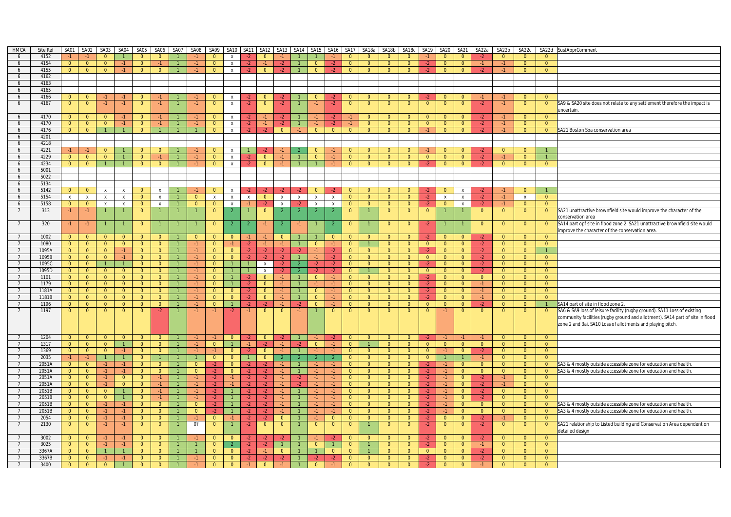| <b>HMCA</b>    | Site Ref | SA01                             | SA02                             | SA03                             | SA04                 | SA05                             | SA06                   | SA07           | SA08           | SA09                             | SA10                         | SA <sub>11</sub> | SA12           |                        | SA13 SA14      | SA15                   | SA <sub>16</sub> | SA17                    | SA18a                          | SA18b                          | SA18c                            | SA <sub>19</sub>       | SA20                             | <b>SA21</b>                      | SA22a          | SA22b          | SA22c                            |                | SA22d SustApprComment                                                         |
|----------------|----------|----------------------------------|----------------------------------|----------------------------------|----------------------|----------------------------------|------------------------|----------------|----------------|----------------------------------|------------------------------|------------------|----------------|------------------------|----------------|------------------------|------------------|-------------------------|--------------------------------|--------------------------------|----------------------------------|------------------------|----------------------------------|----------------------------------|----------------|----------------|----------------------------------|----------------|-------------------------------------------------------------------------------|
| 6              | 4152     | $-1$                             |                                  | $\overline{0}$                   |                      | $\Omega$                         | $\Omega$               |                |                | $\Omega$                         | $\pmb{\chi}$                 |                  | $\Omega$       |                        |                |                        | $\cdot$ 1        | $\overline{0}$          | $\Omega$                       | $\Omega$                       | $\Omega$                         | $-1$                   | $\Omega$                         | $\Omega$                         |                | $\overline{0}$ | $\Omega$                         | $\Omega$       |                                                                               |
| 6              | 4154     | $\overline{0}$                   | $\overline{0}$                   | $\Omega$                         | $-1$                 | $\Omega$                         | $-1$                   |                |                | $\overline{0}$                   | $\mathsf{x}$                 | $-2$             | $-1$           | $-2$                   |                | $\Omega$               | $-2$             | $\Omega$                | $\Omega$                       | $\Omega$                       | $\Omega$                         | $-2$                   | $\overline{0}$                   | $\overline{0}$                   | $-1$           | $-1$           | $\overline{0}$                   | $\overline{0}$ |                                                                               |
| 6              | 4155     | $\overline{0}$                   | $\overline{0}$                   | $\overline{0}$                   | $-1$                 | $\overline{0}$                   | $\mathbf{0}$           |                |                | $\Omega$                         | $\mathsf{x}$                 | $-2$             | $\overline{0}$ | $-2$                   |                | $\overline{0}$         | -2.              | $\overline{0}$          | $\overline{0}$                 | $\overline{0}$                 | $\Omega$                         | $-2$                   | $\Omega$                         | $\Omega$                         | $-2$           |                | $\mathbf{0}$                     | $\overline{0}$ |                                                                               |
| 6              | 4162     |                                  |                                  |                                  |                      |                                  |                        |                |                |                                  |                              |                  |                |                        |                |                        |                  |                         |                                |                                |                                  |                        |                                  |                                  |                |                |                                  |                |                                                                               |
| 6              | 4163     |                                  |                                  |                                  |                      |                                  |                        |                |                |                                  |                              |                  |                |                        |                |                        |                  |                         |                                |                                |                                  |                        |                                  |                                  |                |                |                                  |                |                                                                               |
| 6              | 4165     |                                  |                                  |                                  |                      |                                  |                        |                |                |                                  |                              |                  |                |                        |                |                        |                  |                         |                                |                                |                                  |                        |                                  |                                  |                |                |                                  |                |                                                                               |
| 6              | 4166     | $\overline{0}$                   | $\overline{\mathbf{0}}$          | $-1$                             | $-1$                 | $\mathbf{0}$                     | -1 -                   |                |                | $\overline{0}$                   | $\mathsf{X}$                 |                  | $\Omega$       |                        |                | $\overline{0}$         | -2.              | $\overline{0}$          | $\mathbf{0}$                   | $\Omega$                       | $\Omega$                         |                        | $\overline{0}$                   | $\overline{0}$                   | $-1$           |                | $\overline{0}$                   | $\Omega$       |                                                                               |
|                |          |                                  |                                  |                                  |                      |                                  |                        |                |                |                                  |                              |                  |                |                        |                |                        |                  |                         |                                |                                |                                  | $\Omega$               |                                  |                                  |                |                |                                  |                |                                                                               |
| 6              | 4167     | $\mathbf{0}$                     | $\overline{0}$                   | $-1$                             | $-1$                 | $\overline{0}$                   | $-1$                   |                | -1.            | $\overline{0}$                   | $\mathsf{X}$                 | $-2$             | $\overline{0}$ | $-2$                   |                | $-1$                   | $-2$             | $\overline{0}$          | - 0                            | $\Omega$                       | $\overline{0}$                   |                        | $\mathbf{0}$                     | $\overline{0}$                   | $-2$           | -1             | $\overline{0}$                   | $\overline{0}$ | SA9 & SA20 site does not relate to any settlement therefore the impact is     |
|                |          |                                  |                                  |                                  |                      |                                  |                        |                |                |                                  |                              |                  |                |                        |                |                        |                  |                         |                                |                                |                                  |                        |                                  |                                  |                |                |                                  |                | uncertain.                                                                    |
| 6              | 4170     | $\Omega$                         | $\overline{0}$                   | $\Omega$                         |                      | $\overline{0}$                   |                        |                |                | $\Omega$                         | $\mathsf{x}$                 |                  |                | $-2$                   |                |                        | -2               |                         | $\overline{0}$                 | $\Omega$                       | $\overline{0}$                   | $\Omega$               | $\overline{0}$                   | $\overline{0}$                   | $-2$           |                | $\overline{0}$                   | $\overline{0}$ |                                                                               |
| 6              | 4170     | $\overline{0}$<br>$\overline{0}$ | $\overline{0}$<br>$\overline{0}$ | $\overline{0}$<br>$\overline{1}$ | $-1$<br>$\mathbf{1}$ | $\overline{0}$<br>$\overline{0}$ | $-1$<br>$\overline{1}$ | $\mathbf{1}$   |                | $\overline{0}$<br>$\overline{0}$ | $\mathsf{X}$<br>$\mathsf{x}$ | $-2$<br>$\cdot$  | $-1$<br>$-2$   | $-2$<br>$\overline{0}$ | $-1$           | $-1$<br>$\overline{0}$ | -2               | -1                      | $\mathbf{0}$<br>$\overline{0}$ | $\mathbf{0}$<br>$\overline{0}$ | $\overline{0}$<br>$\overline{0}$ | $\overline{0}$<br>$-1$ | $\overline{0}$<br>$\overline{0}$ | $\overline{0}$<br>$\overline{0}$ | $-2$<br>$-2$   | -1<br>$-1$     | $\overline{0}$<br>$\overline{0}$ | $\overline{0}$ |                                                                               |
| 6              | 4176     |                                  |                                  |                                  |                      |                                  |                        |                |                |                                  |                              |                  |                |                        |                |                        | $\overline{0}$   | $\overline{0}$          |                                |                                |                                  |                        |                                  |                                  |                |                |                                  | $\overline{0}$ | SA21 Boston Spa conservation area                                             |
| 6              | 4201     |                                  |                                  |                                  |                      |                                  |                        |                |                |                                  |                              |                  |                |                        |                |                        |                  |                         |                                |                                |                                  |                        |                                  |                                  |                |                |                                  |                |                                                                               |
| 6              | 4218     |                                  |                                  |                                  |                      |                                  |                        |                |                |                                  |                              |                  |                |                        |                |                        |                  |                         |                                |                                |                                  |                        |                                  |                                  | $-2$           |                |                                  |                |                                                                               |
| 6              | 4221     |                                  |                                  | $\overline{0}$                   |                      |                                  |                        |                |                |                                  | x                            |                  |                |                        |                | $\Omega$               |                  | $\Omega$                |                                |                                |                                  |                        |                                  | - 0                              |                | $\Omega$       |                                  | $\mathbf{1}$   |                                                                               |
| 6              | 4229     | $\overline{0}$                   | $\overline{0}$                   | $\overline{0}$                   | $\mathbf{1}$         | $\overline{0}$                   | $-1$                   |                |                | $\overline{0}$                   | $\mathsf{x}$                 | $-2$             | $\overline{0}$ | $-1$                   | $\overline{1}$ | $\overline{0}$         | $-1$             | $\overline{0}$          | $\overline{0}$                 | $\overline{0}$                 | $\overline{0}$                   | $\overline{0}$         | $\overline{0}$                   | $\overline{0}$                   | $-2$           | $-1$           | $\overline{0}$                   | $\mathbf{1}$   |                                                                               |
| 6              | 4234     | $\overline{0}$                   | $\overline{0}$                   | $\overline{1}$                   |                      | $\overline{0}$                   | $\overline{0}$         |                |                | $\overline{0}$                   | $\boldsymbol{\mathsf{x}}$    | $-2$             | $\overline{0}$ | $-1$                   |                |                        | $-1$             | $\overline{0}$          | $\overline{0}$                 | $\overline{0}$                 | $\overline{0}$                   | $-2$                   | $\overline{0}$                   | $\Omega$                         | $-2$           | $\overline{0}$ | $\mathbf{0}$                     | $\overline{0}$ |                                                                               |
| 6              | 5001     |                                  |                                  |                                  |                      |                                  |                        |                |                |                                  |                              |                  |                |                        |                |                        |                  |                         |                                |                                |                                  |                        |                                  |                                  |                |                |                                  |                |                                                                               |
| 6              | 5022     |                                  |                                  |                                  |                      |                                  |                        |                |                |                                  |                              |                  |                |                        |                |                        |                  |                         |                                |                                |                                  |                        |                                  |                                  |                |                |                                  |                |                                                                               |
| 6              | 5134     |                                  |                                  |                                  |                      |                                  |                        |                |                |                                  |                              |                  |                |                        |                |                        |                  |                         |                                |                                |                                  |                        |                                  |                                  |                |                |                                  |                |                                                                               |
| 6              | 5142     | $\mathbf{0}$                     | $\overline{0}$                   | $\mathsf{x}$                     | X                    | $\overline{0}$                   | $\mathsf{X}$           |                |                | $\overline{0}$                   | $\mathsf{x}$                 |                  |                | $-2$                   |                | $\overline{0}$         | -2               | $\overline{0}$          | $\overline{0}$                 | $\overline{0}$                 | $\Omega$                         | $-2$                   | $\mathbf{0}$                     | $\mathsf{x}$                     | $-2$           | $-1$           | $\overline{0}$                   | $\overline{1}$ |                                                                               |
| 6              | 5154     | $\mathbf{x}$                     | $\mathbf{x}$                     | $\mathsf{X}$                     | x                    | $\overline{0}$                   | $\mathsf{x}$           |                | $\overline{0}$ | $\mathsf{x}$                     | $\mathbf{x}$                 | $\mathbf{x}$     | $\overline{0}$ | $\mathsf{x}$           | $\mathsf{X}$   | $\mathsf{X}$           | $\mathbf{x}$     | $\overline{0}$          | $\overline{0}$                 | $\overline{0}$                 | $\overline{0}$                   | $-2$                   | $\mathsf{x}$                     | $\mathbf{x}$                     | $-2$           | $-1$           | $\mathbf{x}$                     | $\overline{0}$ |                                                                               |
| 6              | 5158     | $\overline{0}$                   | $\overline{0}$                   | $\mathbf{x}$                     | x                    | $\overline{0}$                   | $\mathsf{X}$           | $\overline{1}$ | $\overline{0}$ | $\overline{0}$                   | $\mathsf{X}$                 | $-1$             |                | $\mathsf{x}$           | $\cdot$        | $\mathbf{x}$           | $\mathsf{X}$     | $\overline{0}$          | $\overline{0}$                 | $\overline{0}$                 | $\overline{0}$                   | $-2$                   | $\overline{0}$                   | $\mathsf{x}$                     | $-2$           | $-1$           | $\overline{0}$                   | $\overline{0}$ |                                                                               |
| $\overline{7}$ | 313      | $-1$                             | $-1$                             | $\overline{1}$                   |                      | $\overline{0}$                   |                        |                |                | $\overline{0}$                   | $\overline{2}$               |                  | $\overline{0}$ | $\overline{2}$         | $\overline{2}$ | $\overline{2}$         | $\overline{2}$   | $\overline{0}$          |                                | $\mathbf{0}$                   | $\overline{0}$                   | $\overline{0}$         |                                  |                                  | $\overline{0}$ | $\mathbf{0}$   | $\overline{0}$                   | $\overline{0}$ | SA21 unattractive brownfield site would improve the character of the          |
|                |          |                                  |                                  |                                  |                      |                                  |                        |                |                |                                  |                              |                  |                |                        |                |                        |                  |                         |                                |                                |                                  |                        |                                  |                                  |                |                |                                  |                | conservation area                                                             |
| $\overline{7}$ | 320      | $-1$                             | $-1$                             | $\overline{1}$                   |                      | $\overline{0}$                   |                        |                |                | $\overline{0}$                   | $\overline{2}$               |                  | $-1$           | $\overline{2}$         | $-1$           | $\overline{1}$         |                  | $\overline{\mathbf{0}}$ |                                | $\overline{0}$                 | $\overline{0}$                   | $-2$                   |                                  |                                  | $\overline{0}$ | $\overline{0}$ | $\overline{0}$                   | $\overline{0}$ | SA14 part opf site in flood zone 2. SA21 unattractive brownfield site would   |
|                |          |                                  |                                  |                                  |                      |                                  |                        |                |                |                                  |                              |                  |                |                        |                |                        |                  |                         |                                |                                |                                  |                        |                                  |                                  |                |                |                                  |                | improve the character of the conservation area.                               |
|                | 1002     | $\mathbf{0}$                     | $\overline{0}$                   | $\overline{0}$                   | $\mathbf{0}$         | $\overline{0}$                   | $\mathbf{0}$           |                | $\mathbf{0}$   | $\mathbf{0}$                     | $\overline{0}$               | -1               |                | $\mathbf{0}$           |                |                        | $\mathbf{0}$     | $\overline{0}$          | $\mathbf{0}$                   | $\mathbf{0}$                   | $\Omega$                         |                        | $\mathbf{0}$                     | $\overline{0}$                   | $-2$           | $\mathbf{0}$   | $\mathbf{0}$                     | $\overline{0}$ |                                                                               |
| $\overline{7}$ | 1080     | $\overline{0}$                   | $\overline{0}$                   | $\overline{0}$                   | $\Omega$             | $\overline{0}$                   | $\Omega$               | $\mathbf{1}$   | $-1$           | $\overline{0}$                   | $-1$                         | $-2$             | $-1$           | $-1$                   |                | $\overline{0}$         | $-1$             | $\overline{0}$          |                                | $\overline{0}$                 | $\Omega$                         | $\overline{0}$         | $\overline{0}$                   | $\overline{0}$                   | $-2$           | $\overline{0}$ | $\overline{0}$                   | $\Omega$       |                                                                               |
| $\overline{7}$ | 1095A    | $\overline{0}$                   | $\overline{0}$                   | $\overline{0}$                   | $-1$                 | $\overline{0}$                   | $\overline{0}$         |                |                | $\overline{0}$                   | $\Omega$                     |                  |                |                        |                |                        | $-2$             | $\overline{0}$          | $\Omega$                       | $\Omega$                       | $\Omega$                         | $-2$                   | $\overline{0}$                   | $\Omega$                         | $-2$           | $\Omega$       | $\Omega$                         |                |                                                                               |
| $\overline{7}$ | 1095B    | $\overline{0}$                   | $\overline{0}$                   | $\overline{0}$                   | $-1$                 | $\overline{0}$                   | $\overline{0}$         |                | $-1$           | $\overline{0}$                   | $\overline{0}$               | $-2$             | $-2$           | $-2$                   |                | $-1$                   | $-2$             | $\overline{0}$          | $\overline{0}$                 | $\overline{0}$                 | $\overline{0}$                   | $\overline{0}$         | $\overline{0}$                   | $\mathbf{0}$                     | $-2$           | $\overline{0}$ | $\overline{0}$                   | $\overline{0}$ |                                                                               |
|                | 1095C    | $\overline{0}$                   | $\overline{0}$                   | $\mathbf{1}$                     | $\mathbf{1}$         | $\overline{0}$                   | $\overline{0}$         |                |                | $\Omega$                         | $\overline{1}$               |                  | X              |                        |                | $-2$                   | $\cdot$          | $\overline{0}$          | $\overline{0}$                 | $\overline{0}$                 | $\Omega$                         | -2                     | $\Omega$                         | $\overline{0}$                   | $-2$           | $\overline{0}$ | $\overline{0}$                   | $\Omega$       |                                                                               |
| $\overline{7}$ | 1095D    | $\overline{0}$                   | $\overline{0}$                   | $\overline{0}$                   | $\overline{0}$       | $\overline{0}$                   | $\overline{0}$         |                |                | $\overline{0}$                   | $\overline{1}$               | $\overline{1}$   | $\mathsf{x}$   | $-2$                   | -2             | $-2$                   | $-2$             | $\overline{0}$          |                                | $\overline{0}$                 | $\overline{0}$                   | $\overline{0}$         | $\overline{0}$                   | $\overline{0}$                   | $-2$           | $\overline{0}$ | $\overline{0}$                   | $\overline{0}$ |                                                                               |
| $\overline{7}$ | 1101     | $\overline{0}$                   | $\overline{0}$                   | $\overline{0}$                   | $\overline{0}$       | $\overline{0}$                   | $\overline{0}$         |                | $-1$           | $\overline{0}$                   | $\mathbf{1}$                 | $-2$             | $\overline{0}$ | $-1$                   |                | $\overline{0}$         | $-1$             | $\overline{0}$          | $\overline{0}$                 | $\overline{0}$                 | $\overline{0}$                   | $-2$                   | $\overline{0}$                   | $\overline{0}$                   | $\overline{0}$ | $\overline{0}$ | $\overline{0}$                   | $\overline{0}$ |                                                                               |
| $\overline{7}$ | 1179     | $\overline{0}$                   | $\overline{0}$                   | $\overline{0}$                   | $\overline{0}$       | $\overline{0}$                   | $\overline{0}$         | $\mathbf{1}$   | $\overline{1}$ | $\overline{0}$                   | $\mathbf{1}$                 | $-2$             | $\overline{0}$ | $-1$                   | $\overline{1}$ | $-1$                   | $-1$             | $\overline{0}$          | $\overline{0}$                 | $\overline{0}$                 | $\overline{0}$                   | $-2$                   | $\overline{0}$                   | $\overline{0}$                   | $-1$           | $\overline{0}$ | $\overline{0}$                   | $\overline{0}$ |                                                                               |
| $\overline{7}$ | 1181A    | $\overline{0}$                   | $\overline{0}$                   | $\overline{0}$                   | $\overline{0}$       | $\overline{0}$                   | $\Omega$               |                | $-1$           | $\overline{0}$                   | $\overline{0}$               | $-2$             | $\overline{0}$ | $-1$                   | $\mathbf{1}$   | $\Omega$               | $-1$             | $\Omega$                | $\overline{0}$                 | $\Omega$                       | $\Omega$                         | $-2$                   | $\overline{0}$                   | $\overline{0}$                   | $-1$           | $\overline{0}$ | $\overline{0}$                   | $\Omega$       |                                                                               |
| $\overline{7}$ | 1181B    | $\overline{0}$                   | $\overline{0}$                   | $\overline{0}$                   | $\overline{0}$       | $\overline{0}$                   | $\overline{0}$         |                | -1             | $\overline{0}$                   | $\overline{0}$               | $-2$             | $\overline{0}$ | $-1$                   |                | $\overline{0}$         | $-1$             | $\overline{0}$          | $\overline{0}$                 | $\overline{0}$                 | $\overline{0}$                   | $-2$                   | $\overline{0}$                   | $\Omega$                         | $-1$           | $\overline{0}$ | $\overline{0}$                   | $\overline{0}$ |                                                                               |
| $\overline{7}$ | 1196     | $\overline{0}$                   | $\overline{0}$                   | $\overline{0}$                   | $\overline{0}$       | $\overline{0}$                   | $\overline{0}$         |                |                | $\overline{0}$                   | $\overline{1}$               | $-2$             |                | $-1$                   | $-2$           | $\overline{0}$         | $-1$             | $\overline{0}$          | $\overline{0}$                 | $\overline{0}$                 | $\overline{0}$                   | $\overline{0}$         | $\overline{0}$                   | $\overline{0}$                   | $-2$           | $\overline{0}$ | $\overline{0}$                   | $\mathbf{1}$   | SA14 part of site in flood zone 2.                                            |
| $\overline{7}$ | 1197     | $\mathbf{0}$                     | $\overline{0}$                   | $\overline{0}$                   | $\mathbf{0}$         | $\overline{0}$                   | $-2$                   |                |                | -11                              | -2                           | -1               | $\mathbf{0}$   | $\overline{0}$         | -1             |                        | $\mathbf{0}$     | $\overline{0}$          | - 0                            | $\Omega$                       | $\overline{0}$                   | $\mathbf{0}$           |                                  | 0                                | $\mathbf{0}$   | $\mathbf{0}$   | $\overline{0}$                   | $\overline{0}$ | SA6 & SA9 loss of leisure facility (rugby ground). SA11 Loss of existing      |
|                |          |                                  |                                  |                                  |                      |                                  |                        |                |                |                                  |                              |                  |                |                        |                |                        |                  |                         |                                |                                |                                  |                        |                                  |                                  |                |                |                                  |                | community facilities (rugby ground and allotment). SA14 part of site in flood |
|                |          |                                  |                                  |                                  |                      |                                  |                        |                |                |                                  |                              |                  |                |                        |                |                        |                  |                         |                                |                                |                                  |                        |                                  |                                  |                |                |                                  |                | zone 2 and 3ai. SA10 Loss of allotments and playing pitch.                    |
|                |          |                                  |                                  |                                  |                      |                                  |                        |                |                |                                  |                              |                  |                |                        |                |                        |                  |                         |                                |                                |                                  |                        |                                  |                                  |                |                |                                  |                |                                                                               |
| $\overline{7}$ | 1204     | $\overline{0}$                   | $\overline{0}$                   | $\overline{0}$                   | $\overline{0}$       | $\overline{0}$                   | $\overline{0}$         | $\overline{1}$ | $-1$           | $-1$                             | $\overline{0}$               | $-2$             | $\overline{0}$ | $-2$                   | $\overline{1}$ | $-1$                   | $-2$             | $\overline{0}$          | $\overline{0}$                 | $\overline{0}$                 | $\overline{0}$                   | $-2$                   | $-1$                             | $-1$                             | $-1$           | $\overline{0}$ | $\overline{0}$                   | $\overline{0}$ |                                                                               |
| $\overline{7}$ | 1317     | $\overline{0}$                   | $\overline{0}$                   | $\overline{0}$                   | $\mathbf{1}$         | $\overline{0}$                   | $\overline{0}$         |                |                | $\overline{0}$                   | $\overline{1}$               | $-1$             | $-2$           | $-1$                   | $-2$           | $\overline{0}$         | $-1$             | $\overline{0}$          |                                | $\overline{0}$                 | $\overline{0}$                   | $\overline{0}$         | $\overline{0}$                   | $\overline{0}$                   | $\overline{0}$ | $\overline{0}$ | $\overline{0}$                   | $\overline{0}$ |                                                                               |
| $\overline{7}$ | 1369     | $\overline{0}$                   | $\overline{0}$                   | $\overline{0}$                   | $-1$                 | $\overline{0}$                   | $\overline{0}$         |                |                | $-1$                             | $\overline{0}$               | -2               | $\overline{0}$ |                        |                | $-1$                   |                  | $\overline{0}$          | $\mathbf{0}$                   | $\overline{0}$                 | $\overline{0}$                   | $\overline{0}$         | $-1$                             | $\overline{0}$                   | $-2$           | $\overline{0}$ | $\overline{0}$                   | $\overline{0}$ |                                                                               |
| $\overline{7}$ | 2035     | $-1$                             | $-1$                             | $\overline{1}$                   | 1 <sup>1</sup>       | $\Omega$                         | $\mathbf{1}$           |                |                | $\overline{0}$                   | $\overline{0}$               | $\overline{1}$   | $\Omega$       |                        |                | $\mathcal{L}$          | $\mathcal{D}$    | $\Omega$                | $\Omega$                       | $\Omega$                       | $\Omega$                         | $\Omega$               |                                  | $\overline{1}$                   | $-1$           | $\overline{0}$ | $\Omega$                         | $\Omega$       |                                                                               |
| $\overline{7}$ | 2051A    | $\overline{0}$                   | $\overline{0}$                   | $-1$                             | $-1$                 | $\overline{0}$                   | $\overline{0}$         |                | $\Omega$       | $-2$                             | $\Omega$                     | -2               | $-2$           |                        |                |                        |                  | $\overline{0}$          | $\overline{0}$                 | $\Omega$                       | $\Omega$                         | $-2$                   |                                  | $\overline{0}$                   | $\mathbf{0}$   | $\mathbf{0}$   | $\mathbf{0}$                     | $\overline{0}$ | SA3 & 4 mostly outside accessible zone for education and health.              |
| $\overline{7}$ | 2051A    | $\overline{0}$                   | $\overline{0}$                   | $-1$                             | $-1$                 | $\overline{0}$                   | $\overline{0}$         |                | $\overline{0}$ | $-2$                             | $\overline{0}$               | $-2$             | $-2$           | -1                     |                | $-1$                   | $-1$             | $\overline{0}$          | $\overline{0}$                 | $\overline{0}$                 | $\overline{0}$                   | $-2$                   | $-1$                             | $\mathbf{0}$                     | $\overline{0}$ | $\overline{0}$ | $\overline{0}$                   | $\overline{0}$ | SA3 & 4 mostly outside accessible zone for education and health.              |
|                | 2051A    | $\overline{0}$                   | $\overline{0}$                   | $-1$                             | $\overline{0}$       | $\overline{0}$                   | $-1$                   |                |                |                                  | $-1$                         |                  |                |                        |                |                        |                  | $\overline{0}$          | $\overline{0}$                 | $\overline{0}$                 | $\Omega$                         | $-2$                   |                                  | $\overline{0}$                   | $-2$           |                | $\overline{0}$                   | $\overline{0}$ |                                                                               |
| $\overline{7}$ | 2051A    | $\overline{0}$                   | $\overline{0}$                   | $-1$                             | $\overline{0}$       | $\overline{0}$                   | $-1$                   |                |                | $-2$                             | $-1$                         | $-2$             | $-2$           |                        | $-2$           | $-1$                   | $-1$             | $\overline{0}$          | $\overline{0}$                 | $\overline{0}$                 | $\overline{0}$                   | $-2$                   | $-1$                             | $\overline{0}$                   | $-2$           | $-1$           | $\overline{0}$                   | $\overline{0}$ |                                                                               |
| $\overline{7}$ | 2051B    | $\overline{0}$                   | $\overline{0}$                   | $\overline{0}$                   | $\mathbf{1}$         | $\overline{0}$                   | $-1$                   |                | $-1$           | $-2$                             | $\overline{1}$               | $-2$             | $-2$           | $-1$                   |                | $-1$                   | $-1$             | $\overline{0}$          | $\overline{0}$                 | $\overline{0}$                 | $\overline{0}$                   | $-2$                   | $-1$                             | $\overline{0}$                   | $-2$           | $\overline{0}$ | $\overline{0}$                   | $\overline{0}$ |                                                                               |
| $\overline{7}$ | 2051B    | $\overline{0}$                   | $\overline{0}$                   | $\overline{0}$                   | $\mathbf{1}$         | $\overline{0}$                   | $-1$                   |                |                | $-2$                             | $\mathbf{1}$                 | $-2$             | $\cdot$        | $-1$                   | $\overline{1}$ | $-1$                   | $-1$             | $\overline{0}$          | $\overline{0}$                 | $\overline{0}$                 | $\overline{0}$                   | $-2$                   | $-1$                             | $\overline{0}$                   | $-2$           | $\mathbf{0}$   | $\overline{0}$                   | $\overline{0}$ |                                                                               |
| $\overline{7}$ | 2051B    | $\overline{0}$                   | $\overline{0}$                   | $-1$                             | $-1$                 | $\Omega$                         | $\Omega$               | 1              | $\Omega$       | $-2$                             | $\mathbf{1}$                 | $-2$             | $-2$           | $-1$                   |                | $-1$                   | $-1$             | $\Omega$                | $\Omega$                       | $\Omega$                       | $\Omega$                         | $-2$                   | $-1$                             | $\overline{0}$                   | $\overline{0}$ | $\overline{0}$ | $\overline{0}$                   | $\overline{0}$ | SA3 & 4 mostly outside accessible zone for education and health.              |
| $\overline{7}$ | 2051B    | $\overline{0}$                   | $\overline{0}$                   | $-1$                             | $-1$                 | $\overline{0}$                   | $\overline{0}$         |                | $\overline{0}$ | $-2$                             |                              | $-2$             | $-2$           |                        |                | -1                     | $-1$             | $\overline{0}$          | $\overline{0}$                 | $\overline{0}$                 | $\overline{0}$                   | $-2$                   | $-1$                             | $\overline{0}$                   | $\overline{0}$ | $\overline{0}$ | $\overline{0}$                   | $\overline{0}$ | SA3 & 4 mostly outside accessible zone for education and health               |
| $\overline{7}$ | 2054     | $\overline{0}$                   | $\overline{0}$                   | $-1$                             | $-1$                 | $\overline{0}$                   | $\overline{0}$         |                | $-1$           | $\overline{0}$                   | $-1$                         | $-2$             |                | $\overline{0}$         | $\overline{1}$ | $-1$                   | $\overline{0}$   | $\overline{0}$          | $\overline{0}$                 | $\mathbf{0}$                   | $\overline{0}$                   | $-2$                   | $\overline{0}$                   | $\overline{0}$                   | $-2$           | $-1$           | $\overline{0}$                   | $\overline{0}$ |                                                                               |
|                | 2130     | $\mathbf{0}$                     | $\overline{0}$                   | $\bullet$                        | -1.                  | $\overline{0}$                   | $\mathbf{0}$           |                | 0?             | $\mathbf{0}$                     |                              | $-2$             | $\overline{0}$ | $\Omega$               |                | $\overline{0}$         | $\mathbf{0}$     | $\overline{0}$          |                                | $\Omega$                       | $\overline{0}$                   | $-2$                   | $\mathbf{0}$                     | $\overline{0}$                   | $-2$           | $\mathbf{0}$   | $\overline{0}$                   | $\overline{0}$ | SA21 relationship to Listed building and Conservation Area dependent on       |
|                |          |                                  |                                  |                                  |                      |                                  |                        |                |                |                                  |                              |                  |                |                        |                |                        |                  |                         |                                |                                |                                  |                        |                                  |                                  |                |                |                                  |                | detailed design                                                               |
| $\overline{7}$ | 3002     | $\overline{0}$                   | $\overline{0}$                   | $-1$                             | $-1$                 | $\overline{0}$                   | $\mathbf{0}$           |                |                | $\overline{0}$                   | $\overline{0}$               |                  |                |                        |                | $-1$                   | -2               | $\overline{0}$          | $\mathbf{0}$                   | $\Omega$                       | $\Omega$                         | $-2$                   | $\overline{0}$                   | $\overline{0}$                   | $-2$           | $\overline{0}$ | $\overline{0}$                   | $\overline{0}$ |                                                                               |
|                | 3025     | $\mathbf{0}$                     | $\overline{0}$                   | $-1$                             | $-1$                 | $\overline{0}$                   | $\overline{0}$         |                |                | $\mathbf{0}$                     |                              |                  |                |                        |                | $\overline{0}$         |                  | $\overline{0}$          |                                | $\Omega$                       | $\mathbf{0}$                     | $-2$                   | $\overline{0}$                   | $\overline{0}$                   | $-1$           | $\mathbf{0}$   | $\bullet$                        | $\overline{0}$ |                                                                               |
|                | 3367A    | $\overline{0}$                   | $\overline{0}$                   | $\overline{1}$                   | $\mathbf{1}$         | $\overline{0}$                   | $\overline{0}$         | $\overline{1}$ | $\overline{1}$ | $\overline{0}$                   | $\overline{0}$               | $-2$             | $-1$           | $\overline{0}$         |                | $\overline{1}$         | $\overline{0}$   | $\overline{0}$          |                                | $\overline{0}$                 | $\overline{0}$                   | $\overline{0}$         | $\overline{0}$                   | $\overline{0}$                   | $-2$           | $\overline{0}$ | $\overline{0}$                   | $\overline{0}$ |                                                                               |
| $\overline{7}$ | 3367B    | $\overline{0}$                   | $\overline{0}$                   | $-1$                             | $-1$                 | $\overline{0}$                   | $\overline{0}$         |                |                | $\overline{0}$                   | $\overline{0}$               | $-2$             | $-2$           | $-2$                   |                | $-2$                   | $-2$             | $\overline{0}$          | $\overline{0}$                 | $\Omega$                       | $\overline{0}$                   | $-2$                   | $\overline{0}$                   | $\overline{0}$                   | $-2$           | $\overline{0}$ | $\overline{0}$                   | $\overline{0}$ |                                                                               |
|                | 3400     | $\overline{0}$                   | $\overline{0}$                   | $\Omega$                         |                      | $\Omega$                         | $\Omega$               |                |                | $\Omega$                         | $\Omega$                     |                  |                |                        |                | $\Omega$               |                  | $\Omega$                | $\Omega$                       |                                |                                  |                        |                                  | $\overline{0}$                   |                | $\Omega$       | $\Omega$                         | $\overline{0}$ |                                                                               |
|                |          |                                  |                                  |                                  |                      |                                  |                        |                |                |                                  |                              |                  |                |                        |                |                        |                  |                         |                                |                                |                                  |                        |                                  |                                  |                |                |                                  |                |                                                                               |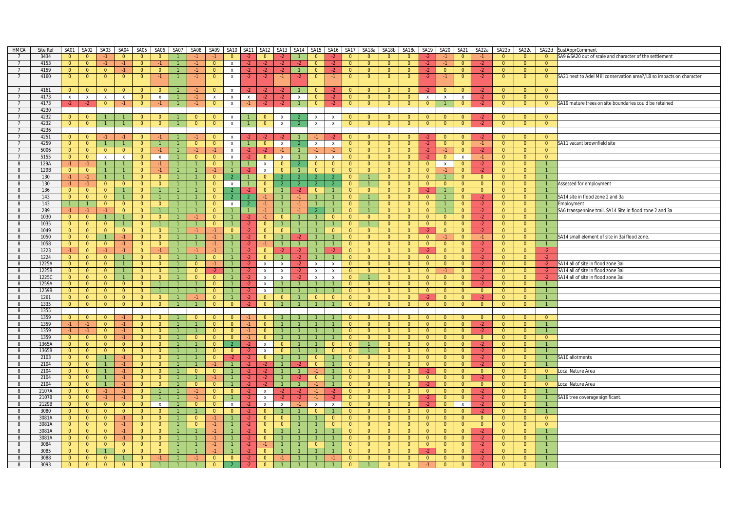| <b>HMCA</b>     | Site Ref | SA01           | SA02           | SA03           | SA04           | SA05           | SA06           | SA07           | SA08           | SA09           | SA10 SA11                 |                | SA12           |                           | SA13 SA14      | SA <sub>15</sub> |                | SA16 SA17      | SA18a          | SA18b          | SA18c          | SA <sub>19</sub> | SA <sub>20</sub> | SA21           | SA22a          | SA22b          | SA22c          |                | SA22d SustApprComment                                                |
|-----------------|----------|----------------|----------------|----------------|----------------|----------------|----------------|----------------|----------------|----------------|---------------------------|----------------|----------------|---------------------------|----------------|------------------|----------------|----------------|----------------|----------------|----------------|------------------|------------------|----------------|----------------|----------------|----------------|----------------|----------------------------------------------------------------------|
|                 | 3434     | $\Omega$       | $\Omega$       |                | $\overline{0}$ | $\Omega$       | $\Omega$       |                |                |                |                           |                | $\Omega$       |                           |                | $\Omega$         |                | $\overline{0}$ | $\overline{0}$ | $\Omega$       | $\Omega$       |                  | $-1$             | $\Omega$       |                | $\Omega$       | $\Omega$       | $\Omega$       | SA9 & SA20 out of scale and character of the settlement              |
| $\overline{7}$  | 4153     | $\overline{0}$ | $\overline{0}$ | $-1$           | $\bullet$      | $\overline{0}$ | $-1$           |                | $-1$           | $\overline{0}$ | $\mathsf{x}$              | $-2$           | $-2$           | $-2$                      |                | $\overline{0}$   | $-2$           | $\overline{0}$ | $\overline{0}$ | $\overline{0}$ | $\overline{0}$ | $-2$             | $-1$             | $\overline{0}$ | $-2$           | $\overline{0}$ | $\overline{0}$ | $\overline{0}$ |                                                                      |
| 7               | 4159     | $\overline{0}$ | $\overline{0}$ | $\overline{0}$ | $-1$           | $\overline{0}$ | $\overline{0}$ | $\overline{1}$ | $-1$           | $\overline{0}$ | $\mathbf{x}$              | $-2$           | $-2$           | $-2$                      | $\overline{1}$ | $\overline{0}$   | $-2$           | $\overline{0}$ | $\overline{0}$ | $\overline{0}$ | $\overline{0}$ | $-2$             | $\overline{0}$   | $\overline{0}$ | $-2$           | $\overline{0}$ | $\overline{0}$ | $\overline{0}$ |                                                                      |
| $\overline{7}$  | 4160     | $\overline{0}$ | $\overline{0}$ | $\overline{0}$ | $\overline{0}$ | $\overline{0}$ | $-1$           |                | $-1$           | $\overline{0}$ | $\mathsf{x}$              | $-2$           | $-2$           | $-1$                      | $-2$           | $\overline{0}$   | $-1$           | $\overline{0}$ | $\overline{0}$ | $\overline{0}$ | $\overline{0}$ | $-2$             | $-1$             | $\overline{0}$ | $-2$           | $\overline{0}$ | $\overline{0}$ | $\overline{0}$ | SA21 next to Adel Mill conservation area?/LB so impacts on character |
|                 |          |                |                |                |                |                |                |                |                |                |                           |                |                |                           |                |                  |                |                |                |                |                |                  |                  |                |                |                |                |                |                                                                      |
|                 |          |                |                |                |                |                |                |                |                |                |                           |                |                |                           |                |                  |                |                |                |                |                |                  |                  |                |                |                |                |                |                                                                      |
| $\overline{7}$  | 4161     | $\overline{0}$ | $\overline{0}$ | $\overline{0}$ | $\overline{0}$ | $\overline{0}$ | $\overline{0}$ |                | $-1$           | $\overline{0}$ | $\mathbf{x}$              | $-2$           | $-2$           |                           |                | $\Omega$         | $-2$           | $\overline{0}$ | $\overline{0}$ | $\overline{0}$ | $\overline{0}$ | $-2$             | $\overline{0}$   | $\overline{0}$ | $-2$           | $\Omega$       | $\Omega$       | $\Omega$       |                                                                      |
| $\overline{7}$  | 4173     | $\mathbf{x}$   | $\mathbf{x}$   | $\mathsf{X}$   | $\mathsf{X}$   | $\overline{0}$ | $\mathsf{X}$   | $\mathbf{1}$   | $-1$           | $\mathsf{X}$   | $\mathsf{x}$              | $\mathsf{X}$   | $-2$           | $-2$                      | $\mathbf{x}$   | $\overline{0}$   | $-2$           | $\overline{0}$ | $\overline{0}$ | $\overline{0}$ | $\overline{0}$ | $\mathsf{x}$     | $\mathsf{X}$     | $\mathbf{x}$   | $-2$           | $\overline{0}$ | $\overline{0}$ | $\overline{0}$ |                                                                      |
| $\overline{7}$  | 4173     | $-2$           | $-2$           | $\overline{0}$ | $-1$           | $\overline{0}$ | $-1$           |                | $-1$           | $\overline{0}$ | $\boldsymbol{\mathsf{x}}$ | $-1$           | $-2$           | $-2$                      |                | $\Omega$         | $-2$           | $\overline{0}$ | $\overline{0}$ | $\overline{0}$ | $\overline{0}$ | $\overline{0}$   |                  | $\overline{0}$ | $-2$           | $\overline{0}$ | $\overline{0}$ | $\overline{0}$ | SA19 mature trees on site boundaries could be retained               |
| $7^{\circ}$     | 4230     |                |                |                |                |                |                |                |                |                |                           |                |                |                           |                |                  |                |                |                |                |                |                  |                  |                |                |                |                |                |                                                                      |
| $7\overline{ }$ | 4232     | $\overline{0}$ | $\overline{0}$ | $\mathbf{1}$   |                | $\overline{0}$ | $\overline{0}$ |                | $\overline{0}$ | $\Omega$       | $\mathsf{x}$              |                | $\overline{0}$ | $\mathsf{x}$              |                | $\mathsf X$      | $\mathsf{x}$   | $\overline{0}$ | $\overline{0}$ | $\overline{0}$ | $\overline{0}$ | $\overline{0}$   | $\overline{0}$   | $\overline{0}$ | $-2$           | $\overline{0}$ | $\overline{0}$ | $\overline{0}$ |                                                                      |
| $\overline{7}$  | 4232     | $\overline{0}$ | $\overline{0}$ | $\overline{1}$ | $\overline{1}$ | $\overline{0}$ | $\mathbf{0}$   | $\mathbf{1}$   | $\overline{0}$ | $\overline{0}$ | $\pmb{\chi}$              |                | $\overline{0}$ | $\mathsf{x}$              |                | $\mathbf{x}$     | $\mathbf{x}$   | $\overline{0}$ | $\overline{0}$ | $\overline{0}$ | $\overline{0}$ | $\overline{0}$   | $\overline{0}$   | $\overline{0}$ | $-2$           | $\overline{0}$ | $\overline{0}$ | $\overline{0}$ |                                                                      |
| $\overline{7}$  | 4236     |                |                |                |                |                |                |                |                |                |                           |                |                |                           |                |                  |                |                |                |                |                |                  |                  |                |                |                |                |                |                                                                      |
| 7               | 4251     | $\overline{0}$ | $\overline{0}$ | $-1$           | -1 -           | $\overline{0}$ | $-1$           |                | $-1$           | $\Omega$       | $\mathsf{x}$              | -2.            |                | $-2$                      |                |                  | $-2$           | $\mathbf{0}$   | $\mathbf{0}$   | $\mathbf{0}$   | $\overline{0}$ | $-2$             | $\mathbf{0}$     | $\Omega$       | $-2$           | $\overline{0}$ | $\overline{0}$ | $\Omega$       |                                                                      |
| $\overline{7}$  | 4259     | $\overline{0}$ | $\overline{0}$ | $\mathbf{1}$   | 1              | $\overline{0}$ | $\mathbf{1}$   | $\mathbf{1}$   | $\Omega$       | $\overline{0}$ | $\mathsf{x}$              | $\sim$         | $\overline{0}$ | $\mathsf{x}$              |                | $\mathsf{x}$     | $\mathbf{x}$   | $\overline{0}$ | $\overline{0}$ | $\overline{0}$ | $\overline{0}$ | $-2$             | $\overline{0}$   | $\Omega$       | $-1$           | $\overline{0}$ | $\Omega$       | $\overline{0}$ | SA11 vacant brownfield site                                          |
| $\overline{7}$  | 5006     | $\overline{0}$ | $\overline{0}$ | $\overline{0}$ | $\overline{0}$ | $\overline{0}$ | $-1$           | $\mathbf{1}$   | $-1$           | $-1$           | $\mathbf{x}$              | -2             |                | $-1$                      |                |                  | $-1$           | $\overline{0}$ | $\overline{0}$ | $\overline{0}$ | $\overline{0}$ | $-2$             | $-1$             | $\overline{0}$ | $-2$           | $\overline{0}$ | $\overline{0}$ | $\overline{0}$ |                                                                      |
| $\overline{7}$  | 5155     |                |                |                |                |                |                |                | $\overline{0}$ | $\overline{0}$ |                           | $-2$           | $\overline{0}$ |                           |                |                  |                |                |                | $\overline{0}$ |                |                  |                  |                | $-1$           |                | $\overline{0}$ |                |                                                                      |
|                 |          | $\overline{0}$ | $\overline{0}$ | $\mathsf{x}$   | $\mathsf{x}$   | $\overline{0}$ | $\mathsf{x}$   |                |                |                | $\mathsf{x}$              |                |                | $\boldsymbol{\mathsf{x}}$ |                | $\mathsf{x}$     | $\mathsf{x}$   | $\overline{0}$ | $\overline{0}$ |                | $\overline{0}$ | $-2$             | $\overline{0}$   | $\mathbf{x}$   |                | $\overline{0}$ |                | $\overline{0}$ |                                                                      |
| 8               | 129A     | $-1$           | $-1$           | $\mathbf{1}$   | $\mathbf{1}$   | $\overline{0}$ | $-1$           | $\mathbf{1}$   | $\mathbf{1}$   | $\overline{0}$ |                           |                | $\mathsf{x}$   | $\overline{0}$            |                | $\overline{0}$   | $\overline{0}$ | $\overline{0}$ | $\overline{0}$ | $\overline{0}$ | $\overline{0}$ | $\overline{0}$   | $\mathsf{X}$     | $\mathbf{0}$   | $-2$           | $\overline{0}$ | $\overline{0}$ | $\overline{1}$ |                                                                      |
| 8               | 129B     | $\overline{0}$ | $\overline{0}$ | $\mathbf{1}$   | $\mathbf{1}$   | $\overline{0}$ | $-1$           | $\mathbf{1}$   | $\mathbf{1}$   | $-1$           | $\overline{1}$            | -2.            | $\mathsf{x}$   | $\overline{0}$            |                | $\bullet$        | $\overline{0}$ | $\overline{0}$ | $\overline{0}$ | $\overline{0}$ | $\overline{0}$ | $\overline{0}$   | -1.              | $\overline{0}$ | -2             | $\overline{0}$ | $\overline{0}$ | $\overline{1}$ |                                                                      |
| 8               | 130      | $-1$           | $-1$           | $\overline{1}$ | $\overline{1}$ | $\overline{0}$ | $\overline{0}$ | $\mathbf{1}$   | $\mathbf{1}$   | $\Omega$       |                           | $\overline{1}$ | $\overline{0}$ |                           |                | $\mathcal{P}$    | $\overline{2}$ | $\overline{0}$ | $\mathbf{1}$   | $\overline{0}$ | $\overline{0}$ | $\overline{0}$   | $\mathbf{1}$     | $\overline{0}$ | $\overline{0}$ | $\overline{0}$ | $\overline{0}$ | $\overline{1}$ |                                                                      |
| 8               | 130      | $-1$           | $-1$           | $\overline{0}$ | $\overline{0}$ | $\overline{0}$ | $\overline{0}$ | $\mathbf{1}$   |                | $\Omega$       | $\mathsf{x}$              |                | $\overline{0}$ | $\overline{2}$            | $\overline{2}$ | $\mathcal{P}$    | $\overline{2}$ | $\overline{0}$ | $\mathbf{1}$   | $\overline{0}$ | $\overline{0}$ | $\overline{0}$   | $\overline{0}$   | $\overline{0}$ | $\overline{0}$ | $\overline{0}$ | $\overline{0}$ |                | Assessed for employment                                              |
| 8               | 136      | $\overline{0}$ | $\overline{0}$ | $\overline{0}$ | 1              | $\overline{0}$ | $\mathbf{1}$   | 1              |                | $\overline{0}$ |                           | $-2$           | $\mathbf{0}$   |                           | $-2$           | $\mathbf{0}$     |                | $\overline{0}$ | $\overline{0}$ | $\mathbf{0}$   | $\overline{0}$ | $-2$             | 1                | $\mathbf{0}$   | $\overline{0}$ | $\overline{0}$ | $\overline{0}$ |                |                                                                      |
| 8               | 143      | $\overline{0}$ | $\overline{0}$ | $\overline{0}$ | $\overline{1}$ | $\overline{0}$ | $\overline{1}$ | $\mathbf{1}$   | $\overline{1}$ | $\overline{0}$ |                           |                | $-1$           | $\overline{1}$            | $-1$           | $\overline{1}$   | $\overline{1}$ | $\overline{0}$ | $\mathbf{1}$   | $\overline{0}$ | $\overline{0}$ | $\Omega$         | 1                | $\Omega$       | $-2$           | $\overline{0}$ | $\Omega$       | $\overline{1}$ | SA14 site in flood zone 2 and 3a                                     |
| 8               | 143      | $\overline{1}$ | $\overline{1}$ | $\overline{0}$ | $\overline{0}$ | $\overline{0}$ | $\overline{0}$ | $\mathbf{1}$   | $\mathbf{1}$   | $\overline{0}$ | $\mathsf{x}$              |                | $-1$           |                           |                | $\overline{1}$   |                | $\overline{0}$ | $\mathbf{1}$   | $\overline{0}$ | $\overline{0}$ | $\overline{0}$   | $\mathbf{1}$     | $\overline{0}$ | $-2$           | $\overline{0}$ | $\overline{0}$ | $\overline{1}$ | Employment                                                           |
| 8               | 289      | $-1$           | $-1$           | $-1$           | $\overline{0}$ | $\overline{0}$ |                |                |                | $\Omega$       |                           |                |                |                           |                |                  |                | $\overline{0}$ |                | $\overline{0}$ | $\overline{0}$ | $\overline{0}$   |                  | $\overline{0}$ | $-2$           | $\overline{0}$ | $\overline{0}$ | $\mathbf{1}$   | SA6 transpennine trail. SA14 Site in flood zone 2 and 3a             |
| 8               | 1030     | $\overline{0}$ | $\overline{0}$ | $\mathbf{1}$   | $\mathbf{1}$   | $\overline{0}$ | $\overline{0}$ | $\mathbf{1}$   | $-1$           | $\overline{0}$ |                           | $-2$           | $-1$           | $\overline{0}$            |                | $\mathbf{1}$     | $\overline{0}$ | $\overline{0}$ | $\overline{0}$ | $\overline{0}$ | $\overline{0}$ | $\overline{0}$   | $\overline{0}$   | $\overline{0}$ | $-2$           | $\overline{0}$ | $\overline{0}$ | $\overline{1}$ |                                                                      |
| 8               | 1035     | $\overline{0}$ | $\overline{0}$ | $\overline{0}$ | $\mathbf{1}$   | $\overline{0}$ | $\mathbf{1}$   | $\mathbf{1}$   | $\mathbf{1}$   | $\Omega$       |                           | -2             | $\overline{0}$ |                           |                |                  |                | $\overline{0}$ | 1.             | $\mathbf{0}$   | $\overline{0}$ | $\overline{0}$   | $\overline{0}$   | $\overline{0}$ | $-2$           | $\overline{0}$ | $\overline{0}$ | $\mathbf{1}$   |                                                                      |
| 8               | 1049     | $\overline{0}$ | $\overline{0}$ | $\overline{0}$ | $\overline{0}$ | $\overline{0}$ | $\overline{0}$ | $\overline{1}$ | $-1$           | $-1$           | $\overline{0}$            | $-2$           | $\overline{0}$ | $\overline{0}$            |                |                  | $\overline{0}$ | $\overline{0}$ | $\overline{0}$ | $\overline{0}$ | $\overline{0}$ | $-2$             | $\overline{0}$   | $\overline{0}$ | $-2$           | $\overline{0}$ | $\overline{0}$ | $\overline{1}$ |                                                                      |
|                 |          |                |                |                |                |                |                |                | $\mathbf{1}$   | $-1$           |                           |                |                |                           |                | $\mathbf{1}$     | $\mathbf{1}$   |                |                | $\overline{0}$ |                | $\overline{0}$   |                  |                |                | $\overline{0}$ |                | $\overline{1}$ |                                                                      |
| 8               | 1050     | $\overline{0}$ | $\overline{0}$ | $\overline{1}$ | $-1$           | $\overline{0}$ | $\overline{0}$ | $\overline{1}$ |                |                |                           | $-2$           | $\overline{0}$ | $\overline{1}$            | -2             |                  |                | $\overline{0}$ | $\overline{0}$ |                | $\overline{0}$ |                  | $-1$             | $\overline{0}$ | $-1$           |                | $\overline{0}$ |                | SA14 small element of site in 3ai flood zone.                        |
| 8               | 1058     | $\overline{0}$ | $\overline{0}$ | $\overline{0}$ | $-1$           | $\overline{0}$ | $\mathbf{0}$   | $\mathbf{1}$   | $\mathbf{1}$   | $-1$           |                           | $-2$           | $-1$           |                           |                | $\overline{1}$   | $\mathbf{1}$   | $\mathbf{0}$   | $\overline{0}$ | $\overline{0}$ | $\overline{0}$ | $\overline{0}$   | $\overline{0}$   | $\overline{0}$ | $-2$           | $\overline{0}$ | $\overline{0}$ | $\overline{1}$ |                                                                      |
| 8               | 1223     | $-1$           | $\Omega$       | $-1$           | $-1$           | $\Omega$       | $-1$           | $\mathbf{1}$   | $-1$           | $-1$           |                           | $\cdot$        | $\Omega$       |                           | $\cdot$        |                  | $-2$           | $\Omega$       | $\overline{0}$ | $\Omega$       | $\Omega$       |                  | $\overline{0}$   | $\Omega$       | $\cdot$        | $\Omega$       | $\Omega$       | $-2$           |                                                                      |
| 8               | 1224     | $\overline{0}$ | $\overline{0}$ | $\overline{0}$ | 1              | $\overline{0}$ | $\overline{0}$ | $\overline{1}$ | $\mathbf{1}$   | $\overline{0}$ | $\overline{1}$            | $-2$           | $\overline{0}$ | $\mathbf{1}$              | $-2$           | $\overline{1}$   | $\overline{1}$ | $\overline{0}$ | $\overline{0}$ | $\overline{0}$ | $\overline{0}$ | $\overline{0}$   | $\overline{0}$   | $\overline{0}$ | $-2$           | $\overline{0}$ | $\overline{0}$ | $-2$           |                                                                      |
| 8               | 1225A    | $\overline{0}$ | $\overline{0}$ | $\overline{0}$ | $\mathbf{1}$   | $\overline{0}$ | $\overline{0}$ | $\mathbf{1}$   | $\overline{0}$ | $-1$           |                           | $-2$           | $\mathsf{x}$   | $\mathsf{x}$              | $-2$           | $\mathsf{x}$     | $\mathbf{x}$   | $\overline{0}$ | $\overline{0}$ | $\overline{0}$ | $\overline{0}$ | $\overline{0}$   | $\overline{0}$   | $\overline{0}$ | $-2$           | $\overline{0}$ | $\overline{0}$ | $-2$           | SA14 all of site in flood zone 3ai                                   |
| 8               | 1225B    | $\overline{0}$ | $\overline{0}$ | $\overline{0}$ | $\overline{1}$ | $\overline{0}$ | $\overline{0}$ | $\mathbf{1}$   | $\overline{0}$ | $-2$           |                           | $-2$           | $\mathsf{x}$   | X                         | $-2$           | $\,$ X           | $\mathbf{x}$   | $\overline{0}$ | $\overline{0}$ | $\overline{0}$ | $\overline{0}$ | $\overline{0}$   | $-1$             | $\overline{0}$ | $-2$           | $\overline{0}$ | $\overline{0}$ | $-2$           | SA14 all of site in flood zone 3ai                                   |
| 8               | 12250    | $\overline{0}$ | $\overline{0}$ | $\overline{0}$ | 1              | $\overline{0}$ | $\overline{0}$ | $\mathbf{1}$   | $\overline{0}$ | $\overline{0}$ |                           | $-2$           | $\mathsf{x}$   | X                         |                | $\mathbf{x}$     | $\mathsf{X}$   | $\overline{0}$ |                | $\overline{0}$ | $\overline{0}$ | $\overline{0}$   | $\overline{0}$   | $\overline{0}$ | $-2$           | $\overline{0}$ | $\overline{0}$ | $-2$           | SA14 all of site in flood zone 3ai                                   |
| 8               | 1259A    | $\overline{0}$ | $\overline{0}$ | $\overline{0}$ | $\overline{0}$ | $\overline{0}$ | $\overline{1}$ | $\mathbf{1}$   |                | $\Omega$       | $\overline{1}$            | $-2$           | $\mathbf{x}$   | $\overline{1}$            | $\overline{1}$ | $\overline{1}$   | $\overline{1}$ | $\overline{0}$ | $\overline{0}$ | $\overline{0}$ | $\overline{0}$ | $\overline{0}$   | $\overline{0}$   | $\overline{0}$ | $-2$           | $\overline{0}$ | $\overline{0}$ | $\overline{1}$ |                                                                      |
| 8               | 1259B    | $\overline{0}$ | $\overline{0}$ | $\overline{0}$ | $\overline{0}$ | $\overline{0}$ |                |                |                | $\Omega$       |                           | $-2$           | $\mathsf{x}$   |                           |                |                  |                | $\overline{0}$ | $\overline{0}$ | $\overline{0}$ | $\overline{0}$ | $\overline{0}$   | $\overline{0}$   | $\overline{0}$ | $\overline{0}$ | $\overline{0}$ | $\overline{0}$ |                |                                                                      |
| 8               | 1261     | $\mathbf{0}$   | $\overline{0}$ | $\overline{0}$ | $\overline{0}$ | $\overline{0}$ | $\mathbf{0}$   | $\mathbf{1}$   | $-1$           | $\Omega$       |                           | -2.            | $\mathbf{0}$   | $\mathbf{0}$              |                | $\mathbf{0}$     | $\overline{0}$ | $\mathbf{0}$   | $\overline{0}$ | $\overline{0}$ | $\overline{0}$ | $-2$             | $\overline{0}$   | $\mathbf{0}$   | $-2$           | $\overline{0}$ | $\overline{0}$ |                |                                                                      |
| 8               | 1335     | $\overline{0}$ | $\overline{0}$ | $\overline{0}$ | $\overline{0}$ | $\overline{0}$ | $\overline{0}$ | $\mathbf{1}$   | $\mathbf{1}$   | $\overline{0}$ | $\overline{0}$            | $-2$           | $\overline{0}$ |                           |                |                  |                | $\overline{0}$ | $\overline{0}$ | $\overline{0}$ | $\overline{0}$ | $\overline{0}$   | $\overline{0}$   | $\overline{0}$ | $\overline{0}$ | $\overline{0}$ | $\overline{0}$ | $\overline{1}$ |                                                                      |
| 8               | 1355     |                |                |                |                |                |                |                |                |                |                           |                |                |                           |                |                  |                |                |                |                |                |                  |                  |                |                |                |                |                |                                                                      |
| 8               | 1359     | $\overline{0}$ | $\overline{0}$ | $\overline{0}$ | $-1$           | $\overline{0}$ | $\Omega$       |                | $\Omega$       | $\Omega$       | $\Omega$                  | $-1$           | $\Omega$       |                           |                |                  |                | $\Omega$       | $\Omega$       | $\Omega$       | $\overline{0}$ | $\overline{0}$   | $\mathbf{0}$     | $\Omega$       | $\Omega$       | $\overline{0}$ | $\Omega$       | $\Omega$       |                                                                      |
| 8               | 1359     | $-1$           | $-1$           | $\overline{0}$ | $-1$           | $\overline{0}$ | $\overline{0}$ | $\mathbf{1}$   |                | $\Omega$       | $\overline{0}$            | $-1$           | $\overline{0}$ |                           |                |                  |                | $\overline{0}$ | $\overline{0}$ | $\overline{0}$ | $\overline{0}$ | $\overline{0}$   | $\overline{0}$   | $\overline{0}$ | $-2$           | $\overline{0}$ | $\Omega$       | $\overline{1}$ |                                                                      |
| 8               | 1359     | $-1$           | $-1$           | $\overline{0}$ | $-1$           | $\overline{0}$ | $\overline{0}$ | $\mathbf{1}$   |                | $\Omega$       | $\Omega$                  | -1             | $\Omega$       |                           |                |                  |                | $\overline{0}$ | $\overline{0}$ | $\overline{0}$ | $\overline{0}$ | $\Omega$         | $\overline{0}$   | $\overline{0}$ | $-2$           | $\overline{0}$ | $\Omega$       |                |                                                                      |
| 8               | 1359     | $\overline{0}$ | $\overline{0}$ | $\overline{0}$ | $-1$           | $\overline{0}$ | $\overline{0}$ | $\mathbf{1}$   | $\overline{0}$ | $\overline{0}$ | $\overline{0}$            | $-1$           | $\overline{0}$ |                           |                |                  |                | $\overline{0}$ | $\overline{0}$ | $\overline{0}$ | $\overline{0}$ | $\overline{0}$   | $\overline{0}$   | $\overline{0}$ | $\overline{0}$ | $\overline{0}$ | $\Omega$       | $\overline{0}$ |                                                                      |
|                 | 1365A    |                | $\overline{0}$ | $\overline{0}$ | $\overline{0}$ | $\overline{0}$ |                | $\overline{1}$ | $\mathbf{1}$   | $\Omega$       |                           |                |                | $\overline{0}$            |                |                  | $\overline{0}$ | $\overline{0}$ | $\mathbf{1}$   | $\overline{0}$ | $\overline{0}$ | $\overline{0}$   | $\overline{0}$   |                |                | $\overline{0}$ | $\overline{0}$ |                |                                                                      |
| 8               |          | $\overline{0}$ |                |                |                |                | $\overline{0}$ |                |                |                |                           | $-2$           | $\mathsf{x}$   |                           |                |                  |                |                |                |                |                |                  |                  | $\overline{0}$ | $-2$           |                |                |                |                                                                      |
| 8               | 1365B    | $\overline{0}$ | $\overline{0}$ | $\overline{0}$ | $\overline{0}$ | $\overline{0}$ | $\overline{0}$ | $\mathbf{1}$   |                | $\overline{0}$ | $\overline{0}$            | $-2$           | $\mathsf{x}$   | $\overline{0}$            |                | -1               | $\overline{0}$ | $\overline{0}$ | $\mathbf{1}$   | $\overline{0}$ | $\overline{0}$ | $\overline{0}$   | $\overline{0}$   | $\overline{0}$ | $-2$           | $\overline{0}$ | $\overline{0}$ |                |                                                                      |
| 8               | 2103     | $\overline{0}$ | $\overline{0}$ | $\overline{1}$ | $-1$           | $\overline{0}$ | $\overline{0}$ | $\overline{1}$ |                | $\Omega$       |                           | $-2$           | $\overline{0}$ |                           |                | $\overline{0}$   |                | $\overline{0}$ | $\overline{0}$ | $\overline{0}$ | $\overline{0}$ | $\Omega$         | $\overline{0}$   | $\overline{0}$ | $-2$           | $\overline{0}$ | $\Omega$       | $\overline{1}$ | SA10 allotments                                                      |
| 8               | 2104     | $\overline{0}$ | $\overline{0}$ | $\mathbf{1}$   | $-1$           | $\overline{0}$ | $\overline{0}$ | $\mathbf{1}$   | $\mathbf{1}$   | $-1$           | $\mathbf{1}$              | $\cdot$        |                |                           |                | $\overline{0}$   | $\overline{1}$ | $\overline{0}$ | $\overline{0}$ | $\overline{0}$ | $\overline{0}$ | $\overline{0}$   | $\overline{0}$   | $\overline{0}$ | $-2$           | $\overline{0}$ | $\overline{0}$ |                |                                                                      |
| 8               | 2104     | $\overline{0}$ | $\overline{0}$ | $\mathbf{1}$   | $-1$           | $\overline{0}$ | $\overline{0}$ | $\mathbf{1}$   | $\overline{0}$ | $\overline{0}$ |                           | $-2$           | $-2$           |                           |                |                  | $\mathbf{1}$   | $\overline{0}$ | $\overline{0}$ | $\overline{0}$ | $\overline{0}$ | $-2$             | $\overline{0}$   | $\overline{0}$ | $\overline{0}$ | $\overline{0}$ | $\overline{0}$ | $\overline{0}$ | Local Nature Area                                                    |
| 8               | 2104     | $\overline{0}$ | $\overline{0}$ | $\mathbf{1}$   | $-1$           | $\overline{0}$ | $\overline{0}$ | $\mathbf{1}$   |                |                |                           |                |                |                           |                | $\Omega$         |                | $\overline{0}$ | $\overline{0}$ | $\overline{0}$ | $\overline{0}$ | $\Omega$         | $\overline{0}$   | $\overline{0}$ |                | $\Omega$       | $\Omega$       |                |                                                                      |
| 8               | 2104     | $\overline{0}$ | $\overline{0}$ | $\mathbf{1}$   | $-1$           | $\overline{0}$ | $\overline{0}$ | $\mathbf{1}$   | $\overline{0}$ | $\overline{0}$ |                           | $-2$           |                | $\overline{1}$            |                | $-1$             | $\overline{1}$ | $\overline{0}$ | $\overline{0}$ | $\overline{0}$ | $\overline{0}$ | $-2$             | $\overline{0}$   | $\overline{0}$ | $\overline{0}$ | $\overline{0}$ | $\overline{0}$ | $\overline{0}$ | Local Nature Area                                                    |
| 8               | 2107A    | $\overline{0}$ | $\overline{0}$ | $-1$           | $-1$           | $\Omega$       | $\mathbf{1}$   | $\mathbf{1}$   | $-1$           | $\overline{0}$ | $\overline{0}$            | $-2$           | $\mathsf{X}$   | $-2$                      | $-2$           | $-1$             | $-2$           | $\Omega$       | $\overline{0}$ | $\Omega$       | $\overline{0}$ | $\Omega$         | $\overline{0}$   | $\Omega$       | $-2$           | $\Omega$       | $\Omega$       |                |                                                                      |
| 8               | 2107B    | $\overline{0}$ | $\overline{0}$ | $-1$           | $-1$           | $\overline{0}$ | $\mathbf{1}$   |                | $-1$           | $\overline{0}$ |                           | $-2$           | $\mathsf{x}$   | $-2$                      | $-2$           | $-1$             | $-2$           | $\overline{0}$ | $\overline{0}$ | $\overline{0}$ | $\overline{0}$ | $-2$             | $\overline{0}$   | $\overline{0}$ | $-2$           | $\overline{0}$ | $\overline{0}$ |                | SA19 tree coverage significant.                                      |
| 8               | 2129B    | $\mathbf{0}$   | $\overline{0}$ | $\overline{0}$ | $\overline{0}$ | $\overline{0}$ | $\mathsf{X}$   | $\mathbf{1}$   | $\overline{0}$ | $\overline{0}$ | $\mathsf{x}$              | $-2$           | $\mathsf{x}$   | $\mathsf{x}$              | $-1$           | $\mathsf{x}$     | $\mathsf{X}$   | $\mathbf{0}$   | $\overline{0}$ | $\mathbf{0}$   | $\overline{0}$ | $-2$             | $\overline{0}$   | $\mathsf{X}$   | $-2$           | $\overline{0}$ | $\overline{0}$ | $\overline{1}$ |                                                                      |
| 8               | 3080     | $\overline{0}$ | $\overline{0}$ | $\overline{0}$ | $\overline{0}$ | $\overline{0}$ | $\overline{0}$ | $\overline{1}$ | $\mathbf{1}$   | $\overline{0}$ | $\overline{0}$            | $-2$           | $\overline{0}$ |                           |                | $\overline{0}$   | $\mathbf{1}$   | $\overline{0}$ | $\overline{0}$ | $\overline{0}$ | $\overline{0}$ | $\overline{0}$   | $\overline{0}$   | $\overline{0}$ | $-2$           | $\overline{0}$ | $\Omega$       | $\overline{1}$ |                                                                      |
| 8               | 3081A    | $\overline{0}$ | $\overline{0}$ | $\overline{0}$ | $-1$           | $\overline{0}$ | $\Omega$       | $\overline{1}$ | $\overline{0}$ | $-1$           | $\overline{1}$            | $-2$           | $\overline{0}$ | $\overline{0}$            |                | $\overline{1}$   | $\overline{0}$ | $\overline{0}$ | $\overline{0}$ | $\overline{0}$ | $\overline{0}$ | $\Omega$         | $\overline{0}$   | $\overline{0}$ | $\Omega$       | $\overline{0}$ | $\Omega$       | $\overline{0}$ |                                                                      |
| 8               | 3081A    | $\overline{0}$ | $\overline{0}$ | $\overline{0}$ | $-1$           | $\overline{0}$ | $\overline{0}$ | $\mathbf{1}$   | $\overline{0}$ | $-1$           |                           | $-2$           | $\overline{0}$ | $\overline{0}$            |                | $\mathbf{1}$     | $\overline{0}$ | $\overline{0}$ | $\overline{0}$ | $\overline{0}$ | $\overline{0}$ | $\overline{0}$   | $\overline{0}$   | $\overline{0}$ | $\overline{0}$ | $\overline{0}$ | $\overline{0}$ | $\overline{0}$ |                                                                      |
|                 |          |                |                |                |                |                |                |                |                |                |                           |                |                |                           |                |                  | $\mathbf{1}$   |                |                |                |                |                  |                  |                |                |                |                |                |                                                                      |
| 8               | 3081A    | $\overline{0}$ | $\overline{0}$ | $\overline{0}$ | $-1$           | $\overline{0}$ | $\overline{0}$ | $\mathbf{1}$   | $\mathbf{1}$   | $-1$           |                           | $-2$           | $\overline{0}$ | $\mathbf{1}$              |                | $\overline{1}$   |                | $\overline{0}$ | $\overline{0}$ | $\overline{0}$ | $\overline{0}$ | $\overline{0}$   | $\overline{0}$   | $\overline{0}$ | $-2$           | $\overline{0}$ | $\overline{0}$ |                |                                                                      |
| 8               | 3081A    | $\mathbf{0}$   | $\overline{0}$ | $\overline{0}$ | $-1$           | $\overline{0}$ | $\overline{0}$ | $\mathbf{1}$   |                | $-1$           |                           | $-2$           | $\overline{0}$ |                           |                |                  |                | $\overline{0}$ | $\overline{0}$ | $\overline{0}$ | $\overline{0}$ | $\overline{0}$   | $\overline{0}$   | $\overline{0}$ | $-2$           | $\overline{0}$ | -0             |                |                                                                      |
| 8               | 3084     | $\overline{0}$ | $\overline{0}$ | $\overline{0}$ | $\overline{0}$ | $\overline{0}$ | $\overline{0}$ | $\overline{1}$ | $\overline{1}$ | $-1$           |                           | $-2$           | $-1$           |                           |                | $\overline{0}$   | $\overline{1}$ | $\overline{0}$ | $\overline{0}$ | $\overline{0}$ | $\overline{0}$ | $\overline{0}$   | $\overline{0}$   | $\overline{0}$ | $-2$           | $\overline{0}$ | $\overline{0}$ | $\overline{1}$ |                                                                      |
| 8               | 3085     | $\overline{0}$ | $\overline{0}$ | $\mathbf{1}$   | $\overline{0}$ | $\overline{0}$ | $\overline{0}$ | $\mathbf{1}$   | $\mathbf{1}$   |                |                           |                | $\overline{0}$ |                           |                |                  | $\mathbf{1}$   | $\overline{0}$ | $\overline{0}$ | $\overline{0}$ | $\overline{0}$ | $-2$             | $\overline{0}$   | $\overline{0}$ |                | $\overline{0}$ | $\overline{0}$ |                |                                                                      |
| 8               | 3088     | $\overline{0}$ | $\overline{0}$ | $\overline{0}$ | $\mathbf{1}$   | $\overline{0}$ | $-1$           | 1              | $-1$           | $\mathbf{0}$   | $\overline{0}$            | $-2$           | $\mathbf{0}$   | $-1$                      |                |                  | $-1$           | $\mathbf{0}$   | $\overline{0}$ | $\mathbf{0}$   | $\overline{0}$ | $\overline{0}$   | $\overline{0}$   | $\overline{0}$ | $-2$           | $\overline{0}$ | $\overline{0}$ |                |                                                                      |
| $\mathbf{R}$    | 3093     | $\Omega$       | $\Omega$       | $\Omega$       | $\Omega$       | $\Omega$       |                |                |                | $\Omega$       |                           | $-2$           | $\Omega$       |                           |                |                  |                | $\Omega$       |                | $\Omega$       | $\Omega$       | $-1$             | $\overline{0}$   | $\Omega$       | $-2$           | $\Omega$       | $\Omega$       |                |                                                                      |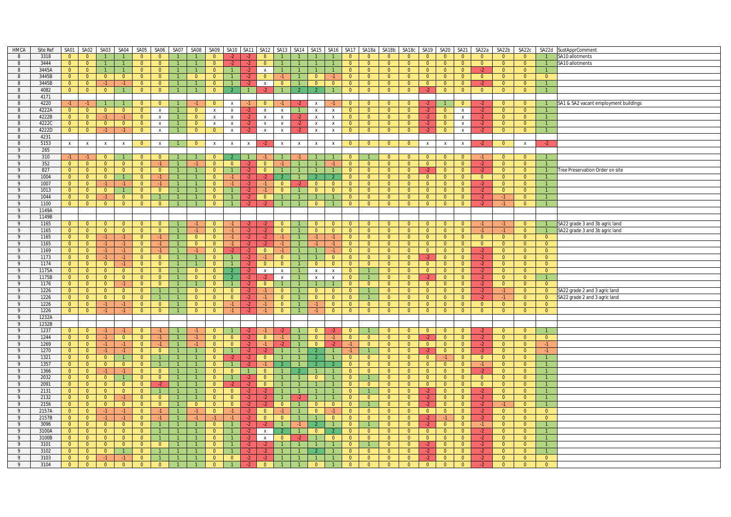| HMCA           | Site Ref | SA01           | SA02                    | SA03           | SA04           | SA05           | SA06           | SA07           | SA08           | SA09           | <b>SA10</b>    | SA11           | SA12                      | <b>SA13</b>    | SA14           | SA <sub>15</sub>        | <b>SA16</b>    | <b>SA17</b>    | SA18a          | SA18b          | SA18c          | SA19           | SA <sub>20</sub> | SA21           | SA22a          | SA22b          | SA22c          |                | SA22d SustApprComment                 |
|----------------|----------|----------------|-------------------------|----------------|----------------|----------------|----------------|----------------|----------------|----------------|----------------|----------------|---------------------------|----------------|----------------|-------------------------|----------------|----------------|----------------|----------------|----------------|----------------|------------------|----------------|----------------|----------------|----------------|----------------|---------------------------------------|
| 8              | 3318     | $\overline{0}$ | $\overline{0}$          | $\overline{1}$ | $\overline{1}$ | $\overline{0}$ | $\overline{0}$ |                |                | $\overline{0}$ |                | $\cdot$        | $\overline{0}$            |                | $\overline{1}$ |                         |                | $\overline{0}$ | $\overline{0}$ | $\overline{0}$ | $\overline{0}$ | $\overline{0}$ | $\overline{0}$   | $\overline{0}$ | $\Omega$       | $\overline{0}$ | $\Omega$       |                | SA10 allotments                       |
| 8              | 3444     | $\overline{0}$ | $\overline{0}$          | $\overline{1}$ | $\overline{1}$ | $\overline{0}$ | $\overline{0}$ | $\overline{1}$ |                | $\overline{0}$ | $-2$           | $-2$           | $\overline{0}$            | $\overline{1}$ | $\overline{1}$ | $\overline{1}$          | $\mathbf{1}$   | $\overline{0}$ | $\overline{0}$ | $\overline{0}$ | $\overline{0}$ | $\overline{0}$ | $\overline{0}$   | $\overline{0}$ | $\overline{0}$ | $\overline{0}$ | $\overline{0}$ | $\overline{1}$ | SA10 allotments                       |
| 8              | 3445A    | $\overline{0}$ | $\overline{0}$          | $\mathbf{1}$   | $\overline{1}$ | $\overline{0}$ | $\overline{0}$ |                |                | $\overline{0}$ |                | $-2$           | $\mathsf{x}$              |                |                |                         | $\mathbf{1}$   | $\overline{0}$ | $\overline{0}$ | $\overline{0}$ | $\overline{0}$ | $\overline{0}$ | $\overline{0}$   | $\overline{0}$ | $-2$           | $\overline{0}$ | $\overline{0}$ |                |                                       |
| 8              | 3445B    | $\overline{0}$ | $\overline{0}$          | $\overline{0}$ | $\overline{0}$ | $\overline{0}$ | $\overline{0}$ | 1              | $\overline{0}$ | $\overline{0}$ |                | $-2$           | $\overline{0}$            | $\bullet$      | $\vert$ 1      | $\overline{0}$          | $-1$           | $\overline{0}$ | $\overline{0}$ | $\overline{0}$ | $\overline{0}$ | $\overline{0}$ | $\overline{0}$   | $\overline{0}$ | $\overline{0}$ | $\overline{0}$ | $\overline{0}$ | $\overline{0}$ |                                       |
|                | 3445B    | $\overline{0}$ |                         |                | $-1$           |                |                |                |                | $\Omega$       |                |                |                           | $\Omega$       |                | $\overline{0}$          | $\Omega$       | $\overline{0}$ | $\overline{0}$ |                | $\overline{0}$ |                |                  | $\overline{0}$ |                |                |                |                |                                       |
| 8              |          |                | $\overline{0}$          | $-1$           |                | $\mathbf{0}$   | $\overline{0}$ |                |                |                |                | $-2$           | $\mathsf{x}$              |                |                |                         |                |                |                | $\overline{0}$ |                | $\overline{0}$ | $\bullet$        |                | $-2$           | $\overline{0}$ | $\overline{0}$ |                |                                       |
| 8              | 4082     | $\overline{0}$ | $\overline{0}$          | $\overline{0}$ | $\overline{1}$ | $\overline{0}$ | $\overline{0}$ |                |                | $\overline{0}$ |                | $\overline{1}$ |                           |                |                |                         | $\mathbf{1}$   | $\overline{0}$ | $\overline{0}$ | $\overline{0}$ | $\overline{0}$ | $-2$           | $\overline{0}$   | $\overline{0}$ | $\overline{0}$ | $\overline{0}$ | $\overline{0}$ | $\overline{1}$ |                                       |
| 8              | 4171     |                |                         |                |                |                |                |                |                |                |                |                |                           |                |                |                         |                |                |                |                |                |                |                  |                |                |                |                |                |                                       |
| 8              | 4220     | $-1$           | $-1$                    | $\overline{1}$ | $\mathbf{1}$   | $\overline{0}$ | $\mathbf{0}$   |                | $-1$           | $\mathbf{0}$   | $\mathsf{x}$   | $-1$           | $\mathbf{0}$              | $-1$           | $-2$           | $\mathsf{x}$            | $-1$           | $\overline{0}$ | $\mathbf{0}$   | $\overline{0}$ | $\overline{0}$ | $-2$           |                  | $\mathbf{0}$   | $-2$           | $\overline{0}$ | $\overline{0}$ | $\vert$ 1      | SA1 & SA2 vacant employment buildings |
| 8              | 4222A    | $\overline{0}$ | $\overline{0}$          | $\Omega$       | $\overline{0}$ | $\overline{0}$ | $\mathsf{x}$   |                | $\Omega$       | $\mathbf{x}$   | $\pmb{\chi}$   |                | $\mathbf{x}$              | $\mathsf{x}$   | $\overline{1}$ | $\mathbf{x}$            | $\pmb{\chi}$   | $\Omega$       | $\overline{0}$ | $\Omega$       | $\overline{0}$ | $-2$           | $\overline{0}$   | $\mathbf{x}$   | $-2$           | $\overline{0}$ | $\Omega$       |                |                                       |
| 8              | 4222B    | $\overline{0}$ | $\overline{0}$          | $-1$           | $-1$           | $\overline{0}$ | $\mathsf{X}$   | $\overline{1}$ | $\overline{0}$ | $\mathbf{x}$   | $\mathsf{x}$   | $-2$           | $\boldsymbol{\mathsf{x}}$ | $\mathsf{x}$   | $-2$           | $\mathbf{x}$            | $\mathbf{x}$   | $\overline{0}$ | $\overline{0}$ | $\overline{0}$ | $\overline{0}$ | $-2$           | $\overline{0}$   | $\mathbf{x}$   | $-2$           | $\overline{0}$ | $\overline{0}$ |                |                                       |
| 8              | 4222C    | $\overline{0}$ | $\overline{0}$          | $\overline{0}$ | $\overline{0}$ | $\overline{0}$ | X              |                | $\overline{0}$ | $\mathbf{x}$   | $\mathsf{x}$   | $-2$           | $\boldsymbol{\mathsf{X}}$ | $\mathsf{X}$   | $-2$           | $\mathsf{x}$            | $\mathbf{x}$   | $\overline{0}$ | $\overline{0}$ | $\overline{0}$ | $\overline{0}$ | $-2$           | $\overline{0}$   | $\mathsf{X}$   | $-2$           | $\overline{0}$ | $\overline{0}$ |                |                                       |
| 8              | 4222D    | $\overline{0}$ |                         |                | $-1$           | $\overline{0}$ |                | $\overline{1}$ |                |                |                |                |                           |                | $-2$           |                         |                |                | $\overline{0}$ | $\overline{0}$ | $\overline{0}$ | $-2$           |                  |                |                | $\overline{0}$ | $\overline{0}$ | $\overline{1}$ |                                       |
|                |          |                | $\overline{0}$          | $-1$           |                |                | $\mathsf{x}$   |                | $\overline{0}$ | $\overline{0}$ | $\mathsf{x}$   | $-2$           | $\boldsymbol{\mathsf{X}}$ | $\mathsf{X}$   |                | $\mathsf{x}$            | x              | $\overline{0}$ |                |                |                |                | $\overline{0}$   | $\mathsf{X}$   | $-2$           |                |                |                |                                       |
| 8              | 4231     |                |                         |                |                |                |                |                |                |                |                |                |                           |                |                |                         |                |                |                |                |                |                |                  |                |                |                |                |                |                                       |
| 8              | 5153     | $\mathbf{x}$   | $\mathbf{x}$            | $\mathsf{x}$   | $\mathbf{x}$   | $\overline{0}$ | $\mathsf{x}$   |                | $\Omega$       | $\mathbf{x}$   | $\mathsf{x}$   | $\mathsf{x}$   |                           | $\mathsf{x}$   | $\mathbf x$    | $\mathbf{x}$            | $\mathsf{x}$   | $\overline{0}$ | $\mathbf{0}$   | $\overline{0}$ | $\overline{0}$ | $\pmb{\chi}$   | $\mathsf{x}$     | $\mathsf{x}$   |                | $\overline{0}$ | $\mathbf{x}$   | $-2$           |                                       |
| 9              | 265      |                |                         |                |                |                |                |                |                |                |                |                |                           |                |                |                         |                |                |                |                |                |                |                  |                |                |                |                |                |                                       |
| 9              | 310      | $-1$           | $-1$                    | $\overline{0}$ | $\overline{1}$ | $\overline{0}$ | $\overline{0}$ |                |                | $\Omega$       |                |                | -1.                       |                | -1.            | $\mathbf{1}$            | $\mathbf{1}$   | $\overline{0}$ |                | $\overline{0}$ | $\overline{0}$ | $\overline{0}$ | $\overline{0}$   | $\mathbf{0}$   | $-1$           | $\overline{0}$ | $\overline{0}$ |                |                                       |
| 9              | 352      | $\overline{0}$ | $\overline{0}$          | $\overline{0}$ | $\overline{0}$ | $\overline{0}$ | $-1$           |                | $-1$           | $\overline{0}$ | $\overline{0}$ |                | $\overline{0}$            | $-1$           |                |                         | $-1$           | $\overline{0}$ | $\overline{0}$ | $\overline{0}$ | $\overline{0}$ | $\overline{0}$ | $\overline{0}$   | $\overline{0}$ | $-2$           | $\overline{0}$ | $\Omega$       | $\overline{1}$ |                                       |
| 9              | 827      | $\overline{0}$ | $\overline{0}$          | $\overline{0}$ | $\overline{0}$ | $\overline{0}$ | $\overline{0}$ | $\overline{1}$ |                | $\overline{0}$ | $\overline{1}$ | $-2$           | $\overline{0}$            | $\overline{1}$ | $\overline{1}$ | $\overline{1}$          | $\mathbf{1}$   | $\overline{0}$ | $\overline{0}$ | $\overline{0}$ | $\overline{0}$ | $-2$           | $\overline{0}$   | $\overline{0}$ | $-2$           | $\overline{0}$ | $\overline{0}$ | $\overline{1}$ | ree Preservation Order on site        |
| 9              | 1004     | $\overline{0}$ | $\overline{0}$          | $\overline{0}$ | $\vert$ 1      | $\overline{0}$ | $-1$           |                |                | $\overline{0}$ | $-1$           | $-2$           | $-2$                      | $\mathcal{P}$  |                | $\overline{2}$          | $\mathcal{P}$  | $\overline{0}$ | $\overline{0}$ | $\overline{0}$ | $\overline{0}$ | $\overline{0}$ | $\overline{0}$   | $\overline{0}$ | $\overline{0}$ | $\overline{0}$ | $\overline{0}$ | $\overline{1}$ |                                       |
|                |          |                |                         |                |                |                |                |                |                |                |                |                |                           |                |                |                         |                |                |                |                |                |                |                  |                |                |                | $\overline{0}$ |                |                                       |
| $\overline{9}$ | 1007     | $\overline{0}$ | $\overline{0}$          | $-1$           | $-1$           | $\overline{0}$ | $-1$           |                |                | $\overline{0}$ | $-1$           | $-2$           | $-1$                      | $\overline{0}$ | $-2$           | $\overline{0}$          | $\overline{0}$ | $\overline{0}$ | $\overline{0}$ | $\overline{0}$ | $\overline{0}$ | $\overline{0}$ | $\overline{0}$   | $\overline{0}$ | $-2$           | $\overline{0}$ |                |                |                                       |
| 9              | 1013     | $\overline{0}$ | $\overline{0}$          | $\overline{0}$ | $\mathbf{1}$   | $\overline{0}$ | $\overline{0}$ |                |                | $\overline{0}$ |                | $-2$           | $-1$                      | $\overline{0}$ | $\overline{1}$ | $\overline{0}$          | $\overline{0}$ | $\overline{0}$ | $\overline{0}$ | $\overline{0}$ | $\overline{0}$ | $\overline{0}$ | $\overline{0}$   | $\overline{0}$ | $-2$           | $\overline{0}$ | $\overline{0}$ |                |                                       |
| 9              | 1044     | $\overline{0}$ | $\overline{0}$          | $-1$           | $\overline{0}$ | $\overline{0}$ | $\mathbf{1}$   | $\overline{1}$ | $\overline{1}$ | $\overline{0}$ | $\mathbf{1}$   | $-2$           | $\overline{0}$            | $\mathbf{1}$   | $\overline{1}$ |                         | $\mathbf{1}$   | $\overline{0}$ | $\overline{0}$ | $\overline{0}$ | $\overline{0}$ | $\overline{0}$ | $\overline{0}$   | $\overline{0}$ | $-2$           | $-1$           | $\overline{0}$ | $\overline{1}$ |                                       |
| 9              | 1100     | $\overline{0}$ | $\overline{0}$          | $\overline{0}$ | $\overline{0}$ | $\overline{0}$ | $\overline{0}$ | $\overline{1}$ |                | $\overline{0}$ |                | $-2$           | $-2$                      | $\mathbf{1}$   | $\overline{1}$ | $\overline{0}$          | $\mathbf{1}$   | $\overline{0}$ | $\overline{0}$ | $\overline{0}$ | $\overline{0}$ | $\overline{0}$ | $\overline{0}$   | $\overline{0}$ | $-2$           | $-1$           | $\overline{0}$ | $\overline{1}$ |                                       |
| 9              | 1149A    |                |                         |                |                |                |                |                |                |                |                |                |                           |                |                |                         |                |                |                |                |                |                |                  |                |                |                |                |                |                                       |
| 9              | 1149B    |                |                         |                |                |                |                |                |                |                |                |                |                           |                |                |                         |                |                |                |                |                |                |                  |                |                |                |                |                |                                       |
| 9              | 1165     | $\overline{0}$ | $\overline{\mathbf{0}}$ | $\overline{0}$ | $\overline{0}$ | $\overline{0}$ | $\overline{0}$ | $\overline{1}$ | $-1$           | $\overline{0}$ | $-1$           | $-2$           | $-2$                      | $\overline{0}$ | $\mathbf{1}$   | $\overline{0}$          | $\overline{0}$ | $\overline{0}$ | $\overline{0}$ | $\overline{0}$ | $\overline{0}$ | $\overline{0}$ | $\overline{0}$   | $\overline{0}$ | $-1$           | $-1$           | $\overline{0}$ | $\overline{1}$ | SA22 grade 3 and 3b agric land        |
| 9              | 1165     | $\overline{0}$ | $\overline{0}$          | $\overline{0}$ | $\overline{0}$ | $\overline{0}$ | $\overline{0}$ |                | $-1$           | $\overline{0}$ | $-1$           | $-2$           | $-2$                      | $\overline{0}$ | $\overline{1}$ | $\overline{0}$          | $\overline{0}$ | $\overline{0}$ | $\overline{0}$ | $\overline{0}$ | $\overline{0}$ | $\overline{0}$ | $\overline{0}$   | $\overline{0}$ | $-1$           | $-1$           | $\overline{0}$ |                |                                       |
|                |          |                |                         |                |                |                | $-1$           |                |                |                |                |                |                           |                |                |                         |                |                |                |                |                |                |                  |                |                | $\overline{0}$ | $\Omega$       |                | SA22 grade 3 and 3b agric land        |
| 9              | 1165     | $\overline{0}$ | $\overline{0}$          | $-1$           | $-1$           | $\overline{0}$ |                | $\mathbf{1}$   | $\overline{0}$ | $\overline{0}$ | $-1$           | $-2$           | $-2$                      | $-1$           | $\overline{1}$ | $-1$                    | $-1$           | $\overline{0}$ | $\overline{0}$ | $\overline{0}$ | $\overline{0}$ | $\overline{0}$ | $\overline{0}$   | $\overline{0}$ | $\overline{0}$ |                |                | $\overline{0}$ |                                       |
| 9              | 1165     | $\overline{0}$ | $\overline{0}$          | $-1$           | $-1$           | $\overline{0}$ | $-1$           | $\overline{1}$ | $\overline{0}$ | $\overline{0}$ | $-1$           | $-2$           | $-2$                      | $-1$           |                | $-1$                    | $-1$           | $\overline{0}$ | $\overline{0}$ | $\overline{0}$ | $\overline{0}$ | $\overline{0}$ | $\overline{0}$   | $\overline{0}$ | $\overline{0}$ | $\overline{0}$ | $\overline{0}$ | $\overline{0}$ |                                       |
| 9              | 1169     | $\overline{0}$ | $\overline{\mathbf{0}}$ | $-1$           | $-1$           | $\Omega$       | $-1$           |                | $-1$           | $\Omega$       | $-2$           | $-2$           | $\Omega$                  | $-1$           | $\overline{1}$ | $\overline{1}$          | $-1$           | $\Omega$       | $\overline{0}$ | $\overline{0}$ | $\overline{0}$ | $\Omega$       | $\overline{0}$   | $\Omega$       | $-2$           | $\Omega$       | $\Omega$       | $\Omega$       |                                       |
| 9              | 1173     | $\overline{0}$ | $\overline{0}$          | $-1$           | $-1$           | $\overline{0}$ | $\overline{0}$ | $\overline{1}$ | $\mathbf{1}$   | $\overline{0}$ | $\overline{1}$ | $-2$           | $-1$                      | $\overline{0}$ | $\overline{1}$ | $\overline{1}$          | $\overline{0}$ | $\overline{0}$ | $\overline{0}$ | $\overline{0}$ | $\overline{0}$ | $-2$           | $\overline{0}$   | $\overline{0}$ | $-2$           | $\overline{0}$ | $\overline{0}$ | $\overline{0}$ |                                       |
| 9              | 1174     | $\overline{0}$ | $\overline{0}$          | $\mathbf{0}$   | $-1$           | $\overline{0}$ | $\overline{0}$ |                |                | $\overline{0}$ |                | $-2$           | $\mathbf{0}$              | $\overline{0}$ |                | $\overline{0}$          | $\mathbf{0}$   | $\overline{0}$ | $\overline{0}$ | $\overline{0}$ | $\overline{0}$ | $\overline{0}$ | $\overline{0}$   | $\mathbf{0}$   | $-2$           | $\overline{0}$ | $\overline{0}$ | $\overline{0}$ |                                       |
| 9              | 1175A    | $\overline{0}$ | $\overline{0}$          | $\overline{0}$ | $\overline{0}$ | $\overline{0}$ | $\overline{0}$ | $\mathbf{1}$   | $\overline{0}$ | $\overline{0}$ |                | $-2$           | $\pmb{\chi}$              | $\mathsf{x}$   |                | $\mathbf{x}$            | $\mathbf{x}$   | $\overline{0}$ | $\mathbf{1}$   | $\overline{0}$ | $\overline{0}$ | $\overline{0}$ | $\overline{0}$   | $\overline{0}$ | $-2$           | $\overline{0}$ | $\Omega$       | $\overline{0}$ |                                       |
| 9              | 1175B    | $\overline{0}$ | $\overline{0}$          | $\overline{0}$ | $\overline{0}$ | $\overline{0}$ | $\overline{0}$ | $\overline{1}$ | $\overline{0}$ | $\Omega$       | $\overline{2}$ | $-2$           | $-2$                      | $\mathbf{x}$   | $\overline{1}$ | $\mathbf{x}$            | $\mathbf{x}$   | $\overline{0}$ | $\mathbf{1}$   | $\overline{0}$ | $\overline{0}$ | $-2$           | $\overline{0}$   | $\overline{0}$ | $-2$           | $\overline{0}$ | $\overline{0}$ | $\mathbf{1}$   |                                       |
| 9              | 1176     | $\overline{0}$ | $\overline{0}$          | $\overline{0}$ | $-1$           | $\overline{0}$ | $\overline{0}$ |                |                | $\overline{0}$ |                | $-2$           | $\overline{0}$            |                |                |                         |                | $\overline{0}$ | $\overline{0}$ | $\overline{0}$ | $\overline{0}$ | $\overline{0}$ | $\overline{0}$   | $\overline{0}$ | $-2$           | $\overline{0}$ | $\overline{0}$ | $\overline{0}$ |                                       |
|                |          |                |                         |                |                |                |                |                |                |                |                |                |                           |                |                |                         |                |                |                |                |                |                |                  |                |                |                |                |                |                                       |
| 9              | 1226     | $\overline{0}$ | $\overline{0}$          | $\overline{0}$ | $\overline{0}$ | $\overline{0}$ | $\mathbf{1}$   | $\mathbf{1}$   | $\overline{0}$ | $\overline{0}$ | $\overline{0}$ | $-2$           | $-1$                      | $\overline{0}$ | $\mathbf{1}$   | $\overline{0}$          | $\overline{0}$ | $\overline{0}$ | $\mathbf{1}$   | $\overline{0}$ | $\overline{0}$ | $\overline{0}$ | $\overline{0}$   | $\overline{0}$ | $-2$           | $-1$           | $\overline{0}$ | $\overline{0}$ | SA22 grade 2 and 3 agric land         |
| 9              | 1226     | $\overline{0}$ | $\overline{0}$          | $\overline{0}$ | $\overline{0}$ | $\overline{0}$ | $\mathbf{1}$   | $\mathbf{1}$   | $\overline{0}$ | $\overline{0}$ | $\overline{0}$ | $-2$           | -1.                       | $\overline{0}$ | 1              | $\overline{0}$          | $\overline{0}$ | $\overline{0}$ | 1              | $\overline{0}$ | $\overline{0}$ | $\overline{0}$ | $\overline{0}$   | $\overline{0}$ | $-2$           | $-1$           | $\overline{0}$ | $\overline{0}$ | SA22 grade 2 and 3 agric land         |
| 9              | 1226     | $\overline{0}$ | $\overline{0}$          | $-1$           | $-1$           | $\overline{0}$ | $\overline{0}$ | $\overline{1}$ | $\overline{0}$ | $\overline{0}$ | $-1$           | $-2$           | $-1$                      | $\overline{0}$ | $\overline{1}$ | $-1$                    | $\overline{0}$ | $\overline{0}$ | $\overline{0}$ | $\overline{0}$ | $\overline{0}$ | $\overline{0}$ | $\overline{0}$   | $\overline{0}$ | $\overline{0}$ | $\overline{0}$ | $\overline{0}$ | $\overline{0}$ |                                       |
| 9              | 1226     | $\overline{0}$ | $\overline{0}$          | $-1$           | $-1$           | $\overline{0}$ | $\overline{0}$ | $\mathbf{1}$   | $\overline{0}$ | $\overline{0}$ | $-1$           | $-2$           | $-1$                      | $\overline{0}$ | $\overline{1}$ | $-1$                    | $\overline{0}$ | $\overline{0}$ | $\overline{0}$ | $\overline{0}$ | $\overline{0}$ | $\overline{0}$ | $\overline{0}$   | $\overline{0}$ | $\overline{0}$ | $\overline{0}$ | $\overline{0}$ | $\overline{0}$ |                                       |
| 9              | 1232A    |                |                         |                |                |                |                |                |                |                |                |                |                           |                |                |                         |                |                |                |                |                |                |                  |                |                |                |                |                |                                       |
| 9              | 1232B    |                |                         |                |                |                |                |                |                |                |                |                |                           |                |                |                         |                |                |                |                |                |                |                  |                |                |                |                |                |                                       |
| 9              | 1237     | $\overline{0}$ | $\overline{\mathbf{0}}$ | $-1$           | $-1$           | $\overline{0}$ | $-1$           | $\overline{1}$ | $-1$           | $\overline{0}$ |                | $-2$           | $-1$                      | $-2$           |                | $\overline{0}$          | $-2$           | $\overline{0}$ | $\overline{1}$ | $\overline{0}$ | $\overline{0}$ | $\overline{0}$ | $\overline{0}$   | $\overline{0}$ | $-2$           | $\overline{0}$ | $\overline{0}$ | $\mathbf{1}$   |                                       |
| 9              | 1244     | $\overline{0}$ | $\overline{0}$          | $-1$           | $\overline{0}$ | $\overline{0}$ | $-1$           |                | $-1$           | $\overline{0}$ | $\overline{0}$ | $-2$           | $\overline{0}$            | $-1$           |                | $\overline{0}$          | $-1$           | $\overline{0}$ | $\overline{0}$ | $\overline{0}$ | $\overline{0}$ | $-2$           | $\overline{0}$   | $\overline{0}$ | $-2$           | $\overline{0}$ | $\overline{0}$ | $\overline{0}$ |                                       |
|                |          |                |                         |                |                |                |                |                |                |                |                |                |                           |                | $\overline{1}$ |                         |                |                |                | $\overline{0}$ |                |                |                  |                |                |                | $\overline{0}$ |                |                                       |
| 9              | 1269     | $\overline{0}$ | $\overline{0}$          | $-1$           | $-1$           | $\overline{0}$ | $-1$           | $\mathbf{1}$   | $-1$           | $\overline{0}$ | $\overline{0}$ | $-2$           | $-1$                      | $-2$           |                | $\overline{0}$          | $-2$           | $-1$           | $\overline{0}$ |                | $\overline{0}$ | $\overline{0}$ | $\overline{0}$   | $\overline{0}$ | $-2$           | $\overline{0}$ |                | $-1$           |                                       |
| 9              | 1270     | $\overline{0}$ | $\overline{0}$          | $-1$           | $-1$           | $\overline{0}$ | $\overline{0}$ | $\overline{1}$ |                | $\Omega$       |                | $-2$           | $-2$                      |                |                | $\overline{2}$          |                | $-1$           |                | $\overline{0}$ | $\overline{0}$ | $-2$           | $\overline{0}$   | $\overline{0}$ | $-2$           | $\overline{0}$ | $\overline{0}$ | $-1$           |                                       |
| 9              | 1321     | $\overline{0}$ | $\overline{0}$          | $\overline{0}$ | $\overline{1}$ | $\overline{0}$ | $\mathbf{1}$   |                |                | $\overline{0}$ | $-2$           | $-2$           | $\overline{0}$            |                | $\overline{1}$ | $\overline{2}$          | $\overline{1}$ | $\overline{0}$ | $\overline{0}$ | $\overline{0}$ | $\overline{0}$ | $\overline{0}$ | $-1$             | $\overline{0}$ | $\overline{0}$ | $\overline{0}$ | $\overline{0}$ | $\overline{1}$ |                                       |
| 9              | 1357     | $\overline{0}$ | $\overline{0}$          | $\overline{0}$ | $\overline{0}$ | $\overline{0}$ | $\mathbf{1}$   | $\mathbf{1}$   |                | $\overline{0}$ |                | $-2$           | $-1$                      | $\overline{2}$ | $\overline{1}$ | $\overline{2}$          | $\mathcal{P}$  | $\overline{0}$ | $\overline{0}$ | $\overline{0}$ | $\overline{0}$ | $\overline{0}$ | $\overline{0}$   | $\overline{0}$ | $-1$           | $\overline{0}$ | $\overline{0}$ |                |                                       |
| 9              | 1366     | $\overline{0}$ | $\overline{0}$          | $-1$           | $-1$           | $\overline{0}$ | $\overline{0}$ | $\overline{1}$ |                | $\overline{0}$ | $\mathbf{0}$   | $\vert$ 1      | $\mathbf{0}$              |                |                | $\overline{1}$          | $\mathbf{1}$   | $\overline{0}$ | $\overline{0}$ | $\overline{0}$ | $\overline{0}$ | $\overline{0}$ | $\overline{0}$   | $\overline{0}$ | $-2$           | $\overline{0}$ | $\overline{0}$ |                |                                       |
| 9              | 2032     | $\overline{0}$ | $\overline{0}$          | $\overline{0}$ | $\overline{1}$ | $\overline{0}$ | $\overline{0}$ |                |                | $\overline{0}$ |                | $-2$           | $\overline{0}$            |                |                | $\overline{0}$          | $\mathbf{1}$   | $\overline{0}$ | $\mathbf{1}$   | $\overline{0}$ | $\overline{0}$ | $\Omega$       | $\overline{0}$   | $\overline{0}$ | $\Omega$       | $\overline{0}$ | $\Omega$       | $\overline{1}$ |                                       |
| 9              | 2091     | $\overline{0}$ | $\overline{0}$          | $\overline{0}$ | $\overline{0}$ | $\overline{0}$ | $-2$           | $\overline{1}$ |                | $\overline{0}$ | $-2$           | $-2$           | $\overline{0}$            | $\overline{1}$ | $\overline{1}$ | $\overline{1}$          | 1              | $\overline{0}$ | $\overline{0}$ | $\overline{0}$ | $\overline{0}$ | $\overline{0}$ | $\overline{0}$   | $\overline{0}$ | $\overline{0}$ | $\overline{0}$ | $\overline{0}$ | $\overline{1}$ |                                       |
| 9              | 2131     | $\overline{0}$ | $\overline{0}$          | $\overline{0}$ | $\overline{0}$ | $\overline{0}$ | $\mathbf{1}$   |                |                | $\overline{0}$ | $\overline{0}$ | $-2$           | $-2$                      |                | $\mathbf{1}$   | $\overline{1}$          | $\mathbf{1}$   | $\overline{0}$ |                | $\overline{0}$ | $\overline{0}$ | $-2$           | $\overline{0}$   | $\overline{0}$ | $-2$           | $\overline{0}$ | $\overline{0}$ | $\overline{1}$ |                                       |
|                |          |                |                         |                |                |                |                |                |                |                |                |                |                           |                |                |                         |                |                |                |                |                |                |                  |                |                | $\overline{0}$ |                | $\overline{1}$ |                                       |
| 9              | 2132     | $\overline{0}$ | $\overline{0}$          | $\overline{0}$ | $-1$           | $\overline{0}$ | $\overline{0}$ | $\mathbf{1}$   |                | $\overline{0}$ | $\overline{0}$ | $-2$           | $-2$                      |                | $-2$           | $\overline{1}$          | $\mathbf{1}$   | $\overline{0}$ | $\overline{0}$ | $\overline{0}$ | $\overline{0}$ | $-2$           | $\overline{0}$   | $\overline{0}$ | $-2$           |                | $\overline{0}$ |                |                                       |
| 9              | 2156     | $\overline{0}$ | $\overline{0}$          | $\overline{0}$ | $\overline{0}$ | $\overline{0}$ | $\overline{0}$ | $\mathbf{1}$   | $\overline{0}$ | $\overline{0}$ | $\overline{0}$ | $-2$           | $-2$                      | $\overline{0}$ | $\mathbf{1}$   | $\overline{0}$          | $\overline{0}$ | $\overline{0}$ |                | $\overline{0}$ | $\overline{0}$ | $-2$           | $\overline{0}$   | $\overline{0}$ | $-2$           | $-1$           | $\overline{0}$ |                |                                       |
| 9              | 2157A    | $\overline{0}$ | $\overline{0}$          | $-1$           | $-1$           | $\overline{0}$ | $-1$           | $\mathbf{1}$   | $-1$           | $\overline{0}$ | $-1$           | $-2$           | $\overline{0}$            | $-1$           |                | $\overline{0}$          | $-1$           | $\overline{0}$ | $\overline{0}$ | $\overline{0}$ | $\overline{0}$ | $\overline{0}$ | $\overline{0}$   | $\overline{0}$ | $-2$           | $\overline{0}$ | $\overline{0}$ | $\overline{0}$ |                                       |
| 9              | 2157B    | $\overline{0}$ | $\overline{0}$          | $-1$           | $-1$           | $\overline{0}$ | $-1$           | $\overline{1}$ | $-1$           | $-1$           | $-1$           | $-2$           | $\overline{0}$            | $\overline{0}$ | $\overline{1}$ | $\overline{1}$          | $\overline{0}$ | $\overline{0}$ | $\overline{0}$ | $\overline{0}$ | $\overline{0}$ | $-2$           | $-1$             | $\overline{0}$ | $-2$           | $\overline{0}$ | $\overline{0}$ | $\overline{0}$ |                                       |
| 9              | 3096     | $\overline{0}$ | $\overline{0}$          | $\overline{0}$ | $\overline{0}$ | $\overline{0}$ | $\mathbf{1}$   | $\mathbf{1}$   |                | $\overline{0}$ |                | $-2$           | $-2$                      | $\mathbf{1}$   |                | $\overline{2}$          | $\mathbf{1}$   | $\overline{0}$ | $\mathbf{1}$   | $\overline{0}$ | $\overline{0}$ | $-2$           | $\overline{0}$   | $\overline{0}$ | $-1$           | $\overline{0}$ | $\overline{0}$ | $\overline{1}$ |                                       |
| 9              | 3100A    | $\overline{0}$ | $\overline{\mathbf{0}}$ | $\overline{0}$ | $\overline{0}$ | $\overline{0}$ | 1              |                |                | $\overline{0}$ |                | $-2$           | $\mathsf{x}$              | $\overline{2}$ | ◆              | $\overline{\mathbf{0}}$ |                | $\overline{0}$ | $\overline{0}$ | $\overline{0}$ | $\overline{0}$ | $\Omega$       | $\overline{0}$   | $\overline{0}$ | $-2$           | $\overline{0}$ | $\Omega$       | $\overline{1}$ |                                       |
| 9              | 3100B    | $\overline{0}$ | $\overline{0}$          | $\overline{0}$ | $\overline{0}$ | $\overline{0}$ | $\overline{1}$ | $\overline{1}$ | $\mathbf{1}$   | $\overline{0}$ | $\overline{1}$ | $-2$           | $\mathsf{x}$              | $\overline{0}$ | $-2$           | $\overline{1}$          | $\overline{0}$ | $\overline{0}$ | $\overline{0}$ | $\overline{0}$ | $\overline{0}$ | $\overline{0}$ | $\overline{0}$   | $\overline{0}$ | $-2$           | $\overline{0}$ | $\overline{0}$ |                |                                       |
| 9              | 3101     | $\overline{0}$ | $\overline{0}$          | $\overline{0}$ | $\overline{0}$ | $\overline{0}$ | $\overline{0}$ |                |                | $\overline{0}$ |                | $-2$           | $-2$                      |                |                |                         | $\mathbf{1}$   | $\overline{0}$ |                | $\overline{0}$ | $\overline{0}$ | $-2$           | $\overline{0}$   | $\overline{0}$ | $-2$           | $\overline{0}$ | $\overline{0}$ |                |                                       |
| 9              | 3102     | $\overline{0}$ | $\overline{0}$          | $\overline{0}$ | $\overline{1}$ | $\overline{0}$ | $\mathbf{1}$   | $\overline{1}$ |                | $\overline{0}$ |                |                |                           |                |                | $\overline{2}$          | $\mathbf{1}$   | $\overline{0}$ | $\overline{0}$ | $\overline{0}$ | $\overline{0}$ | $-2$           | $\overline{0}$   |                | $-2$           | $\overline{0}$ | $\overline{0}$ | $\overline{1}$ |                                       |
|                |          |                |                         |                |                |                |                |                |                |                |                | $-2$           | $-2$                      |                |                |                         |                |                |                |                |                |                |                  | $\overline{0}$ |                |                |                |                |                                       |
| 9              | 3103     | $\overline{0}$ | $\overline{0}$          | $-1$           | $-1$           | $\overline{0}$ |                |                |                | $\overline{0}$ | $\overline{0}$ | $-2$           |                           |                |                |                         |                | $\overline{0}$ | $\mathbf{0}$   | $\overline{0}$ | $\overline{0}$ | $-2$           | $\overline{0}$   | $\overline{0}$ | $-2$           | $\overline{0}$ | $\overline{0}$ | $\overline{0}$ |                                       |
| 9              | 3104     | $\overline{0}$ | $\overline{0}$          | $\overline{0}$ | $\overline{0}$ | $\overline{0}$ | $\overline{0}$ |                |                | $\overline{0}$ |                | $-2$           | $\overline{0}$            |                |                | $\overline{0}$          |                | $\overline{0}$ | $\Omega$       | $\overline{0}$ | $\overline{0}$ | $\overline{0}$ | $\overline{0}$   | $\overline{0}$ | $-2$           | $\overline{0}$ | $\overline{0}$ | $\overline{0}$ |                                       |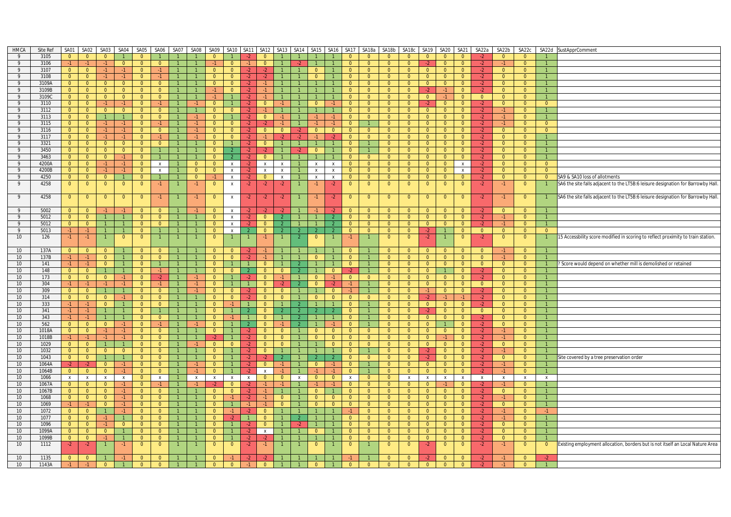| <b>HMCA</b>      | Site Ref       | SA01                             | SA02                             | <b>SA03</b>                    | SA04                           | SA05                             |                                  | SA06 SA07      | SA08                   | SA09                             | SA10                       | SA <sub>11</sub> | SA12                      | SA13                     | SA <sub>14</sub>                 | SA <sub>15</sub>                 |                             |                                | SA16 SA17 SA18a                  | SA18b                            | SA18c SA19                       |                                  | SA20                             | SA21                             | SA22a          | SA22b          | SA22c                            |                                | SA22d SustApprComment                                                            |
|------------------|----------------|----------------------------------|----------------------------------|--------------------------------|--------------------------------|----------------------------------|----------------------------------|----------------|------------------------|----------------------------------|----------------------------|------------------|---------------------------|--------------------------|----------------------------------|----------------------------------|-----------------------------|--------------------------------|----------------------------------|----------------------------------|----------------------------------|----------------------------------|----------------------------------|----------------------------------|----------------|----------------|----------------------------------|--------------------------------|----------------------------------------------------------------------------------|
| -9               | 3105           | $\overline{0}$                   | $\overline{0}$                   | $\overline{0}$                 |                                | $\Omega$                         |                                  |                |                        | $\Omega$                         |                            | $\cdot$          | $\Omega$                  |                          |                                  |                                  |                             | $\Omega$                       | $\overline{0}$                   | $\overline{0}$                   | $\overline{0}$                   | $\overline{0}$                   | $\Omega$                         | $\overline{0}$                   | $-2$           | $\overline{0}$ | $\Omega$                         |                                |                                                                                  |
| 9                | 3106           | $-1$                             | $-1$                             | $-1$                           | $\overline{0}$                 | $\overline{0}$                   | $\overline{0}$                   | $\overline{1}$ |                        | $-1$                             | $\overline{0}$             | $-1$             | $\overline{0}$            |                          | $-2$                             |                                  | $\mathbf{1}$                | $\overline{0}$                 | $\overline{0}$                   | $\overline{0}$                   | $\overline{0}$                   | $-2$                             | $\overline{0}$                   | $\overline{0}$                   | $-2$           | $-1$           | $\overline{0}$                   | $\mathbf{1}$                   |                                                                                  |
| 9                | 3107           | $\overline{0}$                   | $\overline{0}$                   | $-1$                           | $-1$                           | $\mathbf{0}$                     | $-1$                             |                |                        | $\Omega$                         | $\mathbf{0}$               | -2               |                           |                          |                                  | $\mathbf{0}$                     | $\mathbf{1}$                | $\Omega$                       | $\overline{0}$                   | $\overline{0}$                   | $\overline{0}$                   | $\overline{0}$                   | $\overline{0}$                   | $\overline{0}$                   | $-2$           | $\overline{0}$ | $\overline{0}$                   |                                |                                                                                  |
| 9                | 3108           | $\overline{0}$                   | $\overline{0}$                   | $-1$                           | $-1$                           | $\overline{0}$                   | $-1$                             | $\overline{1}$ |                        | $\overline{0}$                   | $\overline{0}$             | $-2$             | $-2$                      |                          |                                  | $\overline{0}$                   | $\overline{1}$              | $\overline{0}$                 | $\overline{0}$                   | $\overline{0}$                   | $\overline{0}$                   | $\overline{0}$                   | $\overline{0}$                   | $\overline{0}$                   | $-2$           | $\overline{0}$ | $\overline{0}$                   | $\overline{1}$                 |                                                                                  |
| 9                | 3109A          | $\overline{0}$                   | $\overline{0}$                   | $\overline{0}$                 | $\overline{0}$                 | $\overline{0}$                   | $\overline{0}$                   |                |                        | $\Omega$                         | $\overline{0}$             | $-2$             | $-1$                      |                          |                                  |                                  |                             | $\Omega$                       | $\overline{0}$                   | $\Omega$                         | $\overline{0}$                   | $\overline{0}$                   | $\overline{0}$                   | $\overline{0}$                   | $-2$           | $\mathbf{0}$   | $\overline{0}$                   |                                |                                                                                  |
| 9                | 3109B          | $\overline{0}$                   | $\overline{0}$                   | $\overline{0}$                 | $\overline{0}$                 | $\overline{0}$                   | $\overline{0}$                   | $\overline{1}$ |                        | $-1$                             | $\overline{0}$             | $-2$             | $-1$                      |                          | $\overline{1}$<br>$\overline{1}$ |                                  |                             | $\Omega$                       | $\overline{0}$                   | $\overline{0}$                   | $\overline{0}$                   | $-2$                             |                                  | $\overline{0}$                   | $-2$           | $\overline{0}$ | $\overline{0}$                   |                                |                                                                                  |
| 9                | 3109C          | $\overline{0}$                   | $\overline{0}$                   | $\overline{0}$                 | $\overline{0}$                 | $\overline{0}$                   | $\overline{0}$                   |                |                        | $-1$                             | $\overline{1}$             | $-2$             | $-1$                      |                          |                                  | $\mathbf{1}$                     | $\overline{1}$<br>$-1$      | $\Omega$                       | $\Omega$                         | $\overline{0}$                   | $\overline{0}$                   | $\overline{\mathbf{0}}$          | $-1$                             | $\overline{0}$                   | $\overline{0}$ | $\overline{0}$ | $\overline{0}$                   | $\overline{1}$                 |                                                                                  |
| 9                | 3110           | $\overline{0}$                   | $\overline{0}$                   | $-1$                           | $-1$                           | $\overline{0}$                   | $-1$                             | $\overline{1}$ | $-1$                   | $\overline{0}$                   | $\mathbf{1}$               | $-2$             | $\mathbf{0}$              | $-1$                     |                                  | $\overline{0}$                   | $\overline{1}$              | $\mathbf{0}$                   | $\overline{0}$                   | $\mathbf{0}$                     | $\overline{0}$                   | $-2$                             | $\overline{0}$                   | $\overline{0}$                   | $-2$           | $\overline{0}$ | $\overline{0}$                   | $\overline{0}$                 |                                                                                  |
| -9<br>9          | 3112<br>3113   | $\overline{0}$<br>$\overline{0}$ | $\overline{0}$<br>$\overline{0}$ | $\overline{0}$<br>$\mathbf{1}$ | $\overline{0}$<br>$\mathbf{1}$ | $\overline{0}$<br>$\overline{0}$ | $\overline{0}$<br>$\overline{0}$ | $\overline{1}$ | $\overline{1}$<br>$-1$ | $\overline{0}$<br>$\overline{0}$ | $\Omega$<br>$\overline{1}$ | -2<br>$-2$       | $-1$<br>$\Omega$          |                          |                                  | $\mathbf{1}$<br>$-1$             | $-1$                        | $\overline{0}$<br>$\Omega$     | $\overline{0}$<br>$\overline{0}$ | $\overline{0}$<br>$\overline{0}$ | $\overline{0}$<br>$\overline{0}$ | $\overline{0}$<br>$\overline{0}$ | $\overline{0}$<br>$\overline{0}$ | $\overline{0}$<br>$\overline{0}$ | $-2$<br>$-2$   | $-1$<br>$-1$   | $\overline{0}$<br>$\overline{0}$ | $\overline{1}$<br>$\mathbf{1}$ |                                                                                  |
| 9                | 3115           | $\overline{\mathbf{0}}$          | $\overline{0}$                   | $-1$                           | $-1$                           | $\overline{0}$                   | $-1$                             |                | $-1$                   | $\overline{0}$                   | $\overline{0}$             | $-2$             | $-2$                      |                          | $\overline{1}$                   | $-1$                             | $-1$                        | $\Omega$                       |                                  | $\overline{0}$                   | $\overline{0}$                   | $\overline{0}$                   | $\overline{0}$                   | $\overline{0}$                   | $-2$           | $-1$           | $\overline{0}$                   | $\overline{0}$                 |                                                                                  |
| 9                | 3116           | $\overline{\mathbf{0}}$          | $\overline{0}$                   | $-1$                           | $-1$                           | $\overline{0}$                   | $\mathbf{0}$                     |                | $-1$                   | $\mathbf{0}$                     | $\mathbf{0}$               | $-2$             | $\mathbf{0}$              | $\overline{0}$           | $-2$                             | $\overline{0}$                   | $\overline{0}$              | $\overline{0}$                 | $\mathbf{0}$                     | $\overline{0}$                   | $\overline{0}$                   | $\overline{0}$                   | $\mathbf{0}$                     | $\overline{0}$                   | $-2$           | $\overline{0}$ | $\overline{0}$                   | $\mathbf{0}$                   |                                                                                  |
| $\overline{9}$   | 3117           | $\overline{0}$                   | $\overline{0}$                   | $-1$                           | $-1$                           | $\overline{0}$                   | $-1$                             |                | $-1$                   | $\Omega$                         | $\mathbf{0}$               | $-2$             | $-1$                      | $-2$                     | $-2$                             | $-1$                             | $-2$                        | $\overline{0}$                 | $\overline{0}$                   | $\Omega$                         | $\overline{0}$                   | $\overline{0}$                   | $\overline{0}$                   | $\overline{0}$                   | $-2$           | $\mathbf{0}$   | $\overline{0}$                   | $\mathbf{1}$                   |                                                                                  |
| 9                | 3321           | $\overline{0}$                   | $\overline{0}$                   | $\overline{0}$                 | $\overline{0}$                 | $\overline{0}$                   | $\overline{0}$                   |                |                        | $\Omega$                         | $\mathbf{1}$               | -2               | $\overline{0}$            |                          | $\overline{1}$                   |                                  | $\overline{1}$              | $\overline{0}$                 |                                  | $\Omega$                         | $\overline{0}$                   | $\overline{0}$                   | $\overline{0}$                   | $\overline{0}$                   | $-2$           | $\overline{0}$ | $\overline{0}$                   | $\mathbf{1}$                   |                                                                                  |
| 9                | 3450           | $\overline{0}$                   | $\overline{0}$                   | $\overline{0}$                 | $\overline{0}$                 | $\overline{0}$                   | $\overline{1}$                   |                |                        | $\Omega$                         |                            | -2               | $-2$                      |                          | -2                               | $\overline{0}$                   |                             | $\overline{0}$                 |                                  | $\Omega$                         | $\overline{0}$                   | $\overline{0}$                   | $\mathbf{0}$                     | $\mathbf{0}$                     | $-2$           | $\overline{0}$ | $\mathbf{0}$                     |                                |                                                                                  |
| 9                | 3463           | $\overline{0}$                   | $\overline{0}$                   | $\overline{0}$                 | $-1$                           | $\overline{0}$                   | $\mathbf{1}$                     |                |                        | $\Omega$                         |                            |                  | $\Omega$                  |                          |                                  |                                  |                             | $\Omega$                       | $\overline{0}$                   | $\Omega$                         | $\overline{0}$                   | $\overline{0}$                   | $\overline{0}$                   | $\overline{0}$                   | $-2$           | $\mathbf{0}$   | $\mathbf{0}$                     | $\mathbf{1}$                   |                                                                                  |
| 9                | 4200A          | $\overline{0}$                   | $\overline{0}$                   | $-1$                           | $-1$                           | $\overline{0}$                   | $\mathsf{X}$                     | $\mathbf{1}$   | $\overline{0}$         | $\overline{0}$                   | $\mathsf{X}$               | $-2$             | $\mathsf{X}$              | $\mathsf{x}$             | $\overline{1}$                   | x                                | $\mathbf{x}$                | $\bullet$                      | $\overline{0}$                   | $\overline{0}$                   | $\overline{0}$                   | $\overline{0}$                   | $\overline{0}$                   | $\mathsf{X}$                     | $-2$           | $\overline{0}$ | $\overline{0}$                   | $\overline{0}$                 |                                                                                  |
| - 9              | 4200B          | $\overline{0}$                   | $\overline{0}$                   | $-1$                           | $-1$                           | $\overline{0}$                   | $\boldsymbol{\mathsf{X}}$        |                | $\overline{0}$         | $\overline{0}$                   | $\mathbf{x}$               | $-2$             | $\boldsymbol{\mathsf{x}}$ | $\mathsf{x}$             | $\overline{1}$                   | $\mathbf{x}$                     | $\mathbf{x}$                | $\overline{0}$                 | $\overline{0}$                   | $\overline{0}$                   | $\overline{0}$                   | $\overline{0}$                   | $\overline{0}$                   | $\mathbf{x}$                     | $-2$           | $\overline{0}$ | $\Omega$                         | $\overline{0}$                 |                                                                                  |
| 9                | 4250           | $\overline{0}$                   | $\overline{0}$                   | $\overline{0}$                 |                                | $\overline{0}$                   | $\mathbf{1}$                     |                | $\overline{0}$         | $-1$                             | $\mathsf{X}$               | $-2$             | $\overline{0}$            | $\mathsf{x}$             | $\overline{1}$                   | x                                | $\mathbf{x}$                | $\overline{0}$                 | $\overline{0}$                   | $\mathbf{0}$                     | $\overline{0}$                   | $\overline{0}$                   | $\overline{0}$                   | $\overline{0}$                   | $-2$           | $\overline{0}$ | $\overline{0}$                   | $\overline{0}$                 | SA9 & SA10 loss of allotments                                                    |
| 9                | 4258           | $\mathbf 0$                      | $\overline{0}$                   | $\mathbf{0}$                   | $\overline{0}$                 | $\overline{0}$                   | $-1$                             |                | $-1$                   | $\Omega$                         | $\,$ X                     | $-2$             | $-2$                      | $-2$                     |                                  | $-1$                             | $-2$                        | $\overline{0}$                 | $\overline{0}$                   | $\overline{0}$                   | $\overline{0}$                   | $\overline{0}$                   | $\overline{0}$                   | $\mathbf{0}$                     | $-2$           | $-1$           | $\overline{0}$                   | $\overline{1}$                 | SA6 the site falls adjacent to the LT5B:6 leisure designation for Barrowby Hall. |
|                  |                |                                  |                                  |                                |                                |                                  |                                  |                |                        |                                  |                            |                  |                           |                          |                                  |                                  |                             |                                |                                  |                                  |                                  |                                  |                                  |                                  |                |                |                                  |                                |                                                                                  |
| 9                | 4258           | $\overline{0}$                   | $\overline{0}$                   | $\overline{0}$                 | $\mathbf{0}$                   | $\overline{0}$                   | $-1$                             |                | $-1$                   | $\mathbf{0}$                     | $\mathsf{X}$               | $-2$             | $-2$                      | $-2$                     |                                  | $-1$                             | $-2$                        | $\overline{0}$                 | $\overline{0}$                   | $\overline{0}$                   | $\mathbf{0}$                     | $\overline{0}$                   | $\mathbf{0}$                     | $\overline{0}$                   | $-2$           | $-1$           | $\overline{0}$                   | $\mathbf{1}$                   | SA6 the site falls adjacent to the LT5B:6 leisure designation for Barrowby Hall. |
| -9               | 5002           | $\overline{0}$                   | $\overline{0}$                   | $-1$                           | $-1$                           | $\overline{0}$                   | $\overline{0}$                   |                | $-1$                   | $\overline{0}$                   | $\mathbf{x}$               | $-2$             | -2                        | -2                       |                                  |                                  | $\cdot$                     | $\overline{0}$                 | $\overline{0}$                   | $\overline{0}$                   | $\overline{0}$                   | $\overline{0}$                   | $\overline{0}$                   | $\overline{0}$                   | $-2$           | $\overline{0}$ | $\overline{0}$                   | $\overline{1}$                 |                                                                                  |
| 9                | 5012           | $\overline{0}$                   | $\overline{0}$                   | $\mathbf{1}$                   |                                | $\overline{0}$                   | $\overline{0}$                   |                |                        | $\overline{0}$                   | $\mathsf{x}$               | $-2$             | $\mathbf{0}$              | $\overline{2}$           | $\overline{1}$                   |                                  | $\overline{2}$              | $\overline{0}$                 | $\overline{0}$                   | $\overline{0}$                   | $\overline{0}$                   | $\overline{0}$                   | $\overline{0}$                   | $\overline{0}$                   | $-2$           | $-1$           | $\overline{0}$                   | $\overline{1}$                 |                                                                                  |
| 9                | 5012           | $\overline{0}$                   | $\overline{0}$                   | $\mathbf{1}$                   | $\mathbf{1}$                   | $\Omega$                         | $\overline{0}$                   | $\mathbf{1}$   |                        | $\overline{0}$                   | $\mathsf{x}$               | -2.              | $\overline{0}$            | 2                        | $\mathbf{1}$                     | $\mathbf{1}$                     | $\overline{2}$              | $\overline{0}$                 | $\overline{0}$                   | $\overline{0}$                   | $\overline{0}$                   | $\overline{0}$                   | $\overline{0}$                   | $\overline{0}$                   | $-2$           | -1             | $\overline{0}$                   | $\mathbf{1}$                   |                                                                                  |
| 9                | 5013           | $-1$                             | $-1$                             | $\overline{1}$                 | $\overline{1}$                 | $\overline{0}$                   | $\overline{1}$                   | $\overline{1}$ | $\overline{1}$         | $\overline{0}$                   | $\mathsf{x}$               | $\overline{2}$   | $\overline{0}$            | -2                       | $\overline{2}$                   |                                  | $\overline{2}$              | $\overline{0}$                 | $\overline{0}$                   | $\overline{0}$                   | $\overline{0}$                   | $-2$                             | $\overline{1}$                   | $\overline{0}$                   | $\overline{0}$ | $\overline{0}$ | $\overline{0}$                   | $\overline{0}$                 |                                                                                  |
| 10               | 126            | $-1$                             | $-1$                             | $\mathbf{1}$                   | $\overline{0}$                 | $\overline{0}$                   |                                  |                |                        | $\mathbf{0}$                     |                            |                  | $-1$                      |                          | $\overline{2}$                   | $\overline{0}$                   |                             |                                |                                  | $\overline{0}$                   | $\overline{0}$                   | $-2$                             |                                  | $\overline{0}$                   | $-2$           | $\overline{0}$ | $\overline{0}$                   | $\mathbf{1}$                   | 15 Accessbility score modified in scoring to reflect proximity to train station. |
|                  |                |                                  |                                  |                                |                                |                                  |                                  |                |                        |                                  |                            |                  |                           |                          |                                  |                                  |                             |                                |                                  |                                  |                                  |                                  |                                  |                                  |                |                |                                  |                                |                                                                                  |
| 10               | 137A           | $\overline{0}$                   | $\Omega$                         | $\Omega$                       |                                | $\overline{0}$                   | $\overline{0}$                   |                |                        | $\Omega$                         | $\Omega$                   |                  |                           |                          |                                  |                                  |                             | $\Omega$                       |                                  | $\Omega$                         | $\overline{0}$                   | $\overline{0}$                   | $\overline{0}$                   | $\overline{0}$                   | $\overline{0}$ | $-1$           | $\overline{0}$                   |                                |                                                                                  |
| 10               | 137B           | $-1$                             | $-1$                             | $\overline{0}$                 | $\overline{1}$                 | $\overline{0}$                   | $\overline{0}$                   |                |                        | $\overline{0}$                   | $\overline{0}$             | $-2$             | $-1$                      |                          | $\mathbf{1}$                     | $\overline{0}$                   | $\vert$ 1                   | $\overline{0}$                 | $\overline{1}$                   | $\overline{0}$                   | $\overline{0}$                   | $\overline{0}$                   | $\overline{0}$                   | $\overline{0}$                   | $\overline{0}$ | $-1$           | $\overline{0}$                   |                                |                                                                                  |
| 10               | 141            | $-1$                             | $-1$                             | $\overline{0}$                 |                                | $\overline{0}$                   | $\mathbf{1}$                     |                |                        | $\Omega$                         |                            |                  | $\overline{0}$            |                          |                                  |                                  |                             | $\overline{0}$                 |                                  | $\overline{0}$                   | $\overline{0}$                   | $\overline{0}$                   | $\overline{0}$                   | $\Omega$                         | $\overline{0}$ | $\overline{0}$ | $\overline{0}$                   |                                | ? Score would depend on whether mill is demolished or retained                   |
| 10               | 148            | $\overline{0}$                   | $\overline{0}$                   | $\mathbf{1}$                   | $\overline{1}$                 | $\overline{0}$                   | $-1$                             | $\overline{1}$ |                        | $\overline{0}$                   | $\overline{0}$             |                  | $\overline{0}$            | $\overline{0}$           | $\overline{2}$                   | $\mathbf{1}$                     | $\overline{0}$              | $-2$                           |                                  | $\overline{0}$                   | $\overline{0}$                   | $\overline{0}$                   | $\overline{1}$                   | $\overline{0}$                   | $-2$           | $\overline{0}$ | $\overline{0}$                   | $\mathbf{1}$                   |                                                                                  |
| 10               | 173            | $\overline{0}$                   | $\overline{0}$                   | $\overline{0}$                 | $-1$                           | $\overline{0}$                   | $-2$                             | $\mathbf{1}$   | $-1$                   | $\overline{0}$                   | $\overline{1}$             |                  | $\overline{0}$            | $-1$                     | $\overline{1}$                   | $\overline{0}$                   | $-1$                        | $\overline{0}$                 | $\overline{0}$                   | $\overline{0}$                   | $\overline{0}$                   | $\overline{0}$                   | $\overline{0}$                   | $\overline{0}$                   | $-2$           | $\overline{0}$ | $\overline{0}$                   | $\mathbf{1}$                   |                                                                                  |
| 10               | 304            | $-1$                             | $-1$                             | $-1$                           | $-1$                           | $\overline{0}$                   | -1 -                             |                | $-1$                   | $\overline{0}$                   | $\mathbf{1}$               |                  | $\overline{0}$            |                          |                                  | $\overline{0}$                   | -2.                         | $-1$                           |                                  | $\overline{0}$                   | $\overline{0}$                   | $\overline{0}$                   | $\overline{0}$                   | $\overline{0}$                   | $\overline{0}$ | $\overline{0}$ | $\overline{0}$                   | $\mathbf{1}$                   |                                                                                  |
| 10               | 309            | $\overline{0}$                   | $\overline{0}$                   | $\mathbf{1}$                   | $\mathbf{1}$                   | $\overline{0}$                   | $\overline{0}$                   | $\overline{1}$ | $-1$                   | $\Omega$                         | $\overline{0}$             | $-2$             | $\overline{0}$            | $\overline{0}$           | $\overline{1}$                   | $\mathbf{1}$                     | $\overline{0}$              | $-1$                           |                                  | $\Omega$                         | $\overline{0}$                   | $-1$                             | $\overline{0}$                   | $\overline{0}$                   | $-2$           | $\mathbf{0}$   | $\overline{0}$                   | $\mathbf{1}$                   |                                                                                  |
| 10               | 314            | $\overline{0}$                   | $\overline{0}$                   | $\overline{0}$                 | $-1$                           | $\overline{0}$                   | $\overline{0}$                   |                |                        | $\overline{0}$                   | $\overline{0}$             |                  | $\overline{0}$            | $\Omega$                 | $\overline{1}$                   | $\overline{0}$                   | $\overline{0}$              | $\overline{0}$                 | $\overline{0}$                   | $\Omega$                         | $\overline{0}$                   | $-2$                             |                                  | -1                               | $-2$           | $\overline{0}$ | $\overline{0}$                   |                                |                                                                                  |
| 10               | 333            | $-1$                             | $-1$                             | $\overline{0}$                 | $\mathbf{1}$                   | $\overline{0}$                   | $\overline{0}$                   |                |                        | $\Omega$                         |                            |                  | $\Omega$                  |                          |                                  |                                  |                             | $\overline{0}$                 |                                  | $\overline{0}$                   | $\overline{0}$                   | $\overline{0}$                   | $\mathbf{0}$                     | $\mathbf{0}$                     | $-2$           | $\overline{0}$ | $\overline{0}$                   | $\mathbf{1}$                   |                                                                                  |
| 10               | 341            | $-1$                             | $-1$                             | $\mathbf{1}$                   |                                | $\overline{0}$                   | $\mathbf{1}$                     |                |                        | $\Omega$                         |                            |                  | $\Omega$                  |                          |                                  |                                  |                             | $\Omega$                       |                                  | $\Omega$                         | $\overline{0}$                   | $-2$                             | $\overline{0}$                   | $\overline{0}$                   | $\overline{0}$ | $\mathbf{0}$   | $\mathbf{0}$                     |                                |                                                                                  |
| 10               | 343            | $-1$                             | $-1$                             | $\mathbf{1}$                   | $\overline{1}$                 | $\overline{0}$                   | $\overline{0}$                   | $\mathbf{1}$   |                        | $\overline{0}$                   | $-1$                       |                  | $\overline{0}$            |                          | $\overline{2}$                   | 1                                | $\overline{1}$              | $\Omega$                       |                                  | $\overline{0}$                   | $\overline{0}$                   | $\overline{0}$                   | $\overline{0}$                   | $\overline{0}$                   | $-2$           | $\overline{0}$ | $\overline{0}$                   |                                |                                                                                  |
| 10               | 562            | $\overline{0}$                   | $\overline{0}$                   | $\overline{0}$                 | $-1$                           | $\overline{0}$                   |                                  |                | $-1$                   | $\overline{0}$                   | $\mathbf{1}$               |                  | $\Omega$                  | $-1$                     | $\overline{2}$                   |                                  |                             | $\Omega$                       |                                  | $\overline{0}$                   | $\overline{0}$                   | $\overline{0}$                   |                                  | $\overline{0}$                   | $-2$           | $\overline{0}$ | $\overline{0}$                   |                                |                                                                                  |
| 10<br>10         | 1018A<br>1018B | $\overline{0}$                   | $\overline{0}$<br>$-1$           | $-1$<br>$-1$                   | $-1$                           | $\overline{0}$<br>$\overline{0}$ | $\overline{0}$<br>$\overline{0}$ | $\mathbf{1}$   | $\mathbf{1}$           | $\mathbf{0}$                     | $\mathbf{1}$               | -2<br>-2         | $\mathbf{0}$<br>$\Omega$  | $\mathbf{0}$<br>$\Omega$ | $\overline{1}$<br>$\mathbf{1}$   | $\overline{0}$<br>$\overline{0}$ | $\overline{0}$              | $\mathbf{0}$<br>$\overline{0}$ | $\overline{0}$<br>$\overline{0}$ | $\mathbf{0}$<br>$\Omega$         | $\overline{0}$<br>$\overline{0}$ | $\overline{0}$<br>$\overline{0}$ | $\overline{0}$                   | $\mathbf{0}$                     | $-2$           | -1<br>$-1$     | $\overline{0}$                   |                                |                                                                                  |
| 10               | 1029           | -1.<br>$\overline{0}$            | $\overline{0}$                   | $\mathbf{1}$                   | $-1$<br>$\overline{1}$         | $\overline{0}$                   | $\overline{0}$                   | $\overline{1}$ | $-1$                   | -2<br>$\overline{0}$             | $\overline{0}$             | $-2$             | $\overline{0}$            | $\Omega$                 |                                  |                                  | $\bullet$<br>$\overline{0}$ | $\overline{0}$                 | $\overline{0}$                   | $\overline{0}$                   | $\overline{0}$                   | $\overline{0}$                   | $-1$<br>$\overline{0}$           | $\overline{0}$<br>$\overline{0}$ | $-2$<br>$-2$   | $\overline{0}$ | $\overline{0}$<br>$\overline{0}$ | -1.<br>$\mathbf{1}$            |                                                                                  |
| 10               | 1032           | $\overline{0}$                   | $\overline{0}$                   | $\overline{0}$                 | $\overline{0}$                 | $\overline{0}$                   | $\overline{0}$                   | $\overline{1}$ | $\overline{1}$         | $\mathbf{0}$                     | $\mathbf{1}$               | $-2$             | $\overline{0}$            |                          | $\mathbf{1}$                     | $\mathbf{1}$                     | $\mathbf{1}$                | $\overline{0}$                 |                                  | $\overline{0}$                   | $\overline{0}$                   | $-2$                             | $\overline{0}$                   | $\overline{0}$                   | $-2$           | $-1$           | $\overline{0}$                   | $\overline{1}$                 |                                                                                  |
| 10 <sup>10</sup> | 1043           | $\overline{0}$                   | $\overline{0}$                   | $\mathbf{1}$                   | $\mathbf{1}$                   | $\overline{0}$                   | $\overline{0}$                   |                |                        | $\mathbf{0}$                     | $\overline{1}$             | $-2$             |                           |                          | $\mathbf{1}$                     |                                  |                             | $\Omega$                       | $\overline{0}$                   | $\mathbf{0}$                     | $\overline{0}$                   | $-2$                             | $\mathbf{0}$                     | $\overline{0}$                   | $-2$           | $\overline{0}$ | $\mathbf{0}$                     | $\bullet$                      | Site covered by a tree preservation order                                        |
| 10               | 1064A          | $-2$                             | $-2$                             | $\overline{0}$                 | $-1$                           | $\overline{0}$                   | $\overline{0}$                   |                | $-1$                   | $\overline{0}$                   | $\overline{1}$             | $-2$             | $\overline{0}$            | $-1$                     | $\overline{1}$                   | $\overline{0}$                   | $-1$                        | $\overline{0}$                 |                                  | $\overline{0}$                   | $\overline{0}$                   | $\overline{0}$                   | $\overline{0}$                   | $\overline{0}$                   | $-2$           | $-1$           | $\overline{0}$                   | $\overline{1}$                 |                                                                                  |
| 10               | 1064B          | $\overline{0}$                   | $\overline{0}$                   | $\overline{0}$                 | $-1$                           | $\overline{0}$                   | $\overline{0}$                   | $\mathbf{1}$   | $-1$                   | $\overline{0}$                   | $\mathbf{1}$               | $-2$             | $\mathsf{X}$              | $-1$                     | $\overline{1}$                   | $-1$                             | $-1$                        | $\Omega$                       |                                  | $\Omega$                         | $\overline{0}$                   | $\overline{0}$                   | $\overline{0}$                   | $\overline{0}$                   | $-2$           | $-1$           | $\overline{0}$                   | $\overline{1}$                 |                                                                                  |
| 10               | 1066           | $\mathbf{x}$                     | $\mathbf{x}$                     | X                              | $\mathbf x$                    | $\mathbf{0}$                     | $\mathsf{X}$                     |                | $\mathbf{x}$           | $\boldsymbol{\mathsf{x}}$        | $\mathsf{x}$               | $\mathsf{X}$     | $\Omega$                  | $\overline{0}$           | $\mathsf{x}$                     | $\overline{0}$                   | $\overline{0}$              | X                              | $\mathbf{0}$                     | $\overline{0}$                   | x                                | $\mathsf{X}$                     | $\mathsf{x}$                     | $\mathsf{x}$                     | $\mathbf{x}$   | $\mathsf{x}$   | $\mathbf{x}$                     | $x -$                          |                                                                                  |
| 10               | 1067A          | $\overline{\mathbf{0}}$          | $\overline{0}$                   | $\overline{0}$                 | $-1$                           | $\overline{0}$                   | $-1$                             | $\overline{1}$ | $-1$                   |                                  | $\overline{0}$             | $-2$             | $-1$                      | $-1$                     |                                  | $-1$                             | $-1$                        | $\Omega$                       | $\overline{0}$                   | $\Omega$                         | $\overline{0}$                   | $\overline{0}$                   |                                  | $\Omega$                         | $-2$           | $-1$           | $\Omega$                         | 1                              |                                                                                  |
| 10               | 1067B          | $\overline{0}$                   | $\overline{0}$                   | $\overline{0}$                 | $-1$                           | $\overline{0}$                   | $\overline{0}$                   |                |                        | $\overline{0}$                   | $\overline{0}$             | $-2$             | $-1$                      |                          |                                  | $\overline{0}$                   | $\overline{1}$              | $\overline{0}$                 | $\overline{0}$                   | $\overline{0}$                   | $\overline{0}$                   | $\overline{0}$                   | $\overline{0}$                   | $\overline{0}$                   | $-2$           | $\overline{0}$ | $\overline{0}$                   | $\mathbf{1}$                   |                                                                                  |
| 10               | 1068           | $\overline{0}$                   | $\overline{0}$                   | $\overline{0}$                 | $-1$                           | $\overline{0}$                   | $\overline{0}$                   |                |                        | $\mathbf{0}$                     | $-1$                       | $-2$             | $-1$                      | $\overline{0}$           | $\overline{1}$                   | $\overline{0}$                   | $\overline{0}$              | $\overline{0}$                 | $\overline{0}$                   | $\overline{0}$                   | $\overline{0}$                   | $\overline{0}$                   | $\overline{0}$                   | $\overline{0}$                   | $-2$           | $-1$           | $\overline{0}$                   |                                |                                                                                  |
| 10               | 1069           | $-1$                             | $-1$                             | $\overline{0}$                 | $-1$                           | $\overline{0}$                   | $\overline{0}$                   |                |                        | $\overline{0}$                   | $\mathbf{1}$               | $-1$             | $-1$                      | $\overline{0}$           | $\overline{1}$                   | $\overline{0}$                   | $\overline{0}$              | $\overline{0}$                 | $\overline{0}$                   | $\Omega$                         | $\overline{0}$                   | $\overline{0}$                   | $\overline{0}$                   | $\overline{0}$                   | $-2$           | $\mathbf{0}$   | $\overline{0}$                   | $\mathbf{1}$                   |                                                                                  |
| 10               | 1072           | $\overline{0}$                   | $\overline{0}$                   | $\mathbf{1}$                   | $-1$                           | $\overline{0}$                   | $\overline{0}$                   |                |                        | $\overline{0}$                   | $-1$                       | $-2$             | $\overline{0}$            |                          |                                  |                                  |                             |                                | $\overline{0}$                   | $\overline{0}$                   | $\overline{0}$                   | $\overline{0}$                   | $\overline{0}$                   | $\overline{0}$                   | $-2$           | $-1$           | $\overline{0}$                   | $-1$                           |                                                                                  |
| 10               | 1077           | $\overline{0}$                   | $\overline{0}$                   | $-1$                           | $\mathbf{1}$                   | $\overline{0}$                   | $\overline{0}$                   | $\overline{1}$ |                        | $\overline{0}$                   | $-2$                       |                  | $\overline{0}$            |                          | $\mathcal{P}$                    |                                  |                             | $\overline{0}$                 | $\overline{0}$                   | $\overline{0}$                   | $\overline{0}$                   | $\overline{0}$                   | $\overline{0}$                   | $\overline{0}$                   | $-2$           | $-1$           | $\overline{0}$                   | $\mathbf{1}$                   |                                                                                  |
| 10 <sup>1</sup>  | 1096           | $\overline{0}$                   | $\overline{0}$                   | $-1$                           | $\overline{0}$                 | $\overline{0}$                   | $\overline{0}$                   |                |                        | $\overline{0}$                   | $\mathbf{1}$               | -2               | $\overline{0}$            |                          | -2                               |                                  |                             | $\Omega$                       | $\overline{0}$                   | $\Omega$                         | $\overline{0}$                   | $\overline{0}$                   | $\overline{0}$                   | $\overline{0}$                   | $-2$           | $\mathbf{0}$   | $\overline{0}$                   | $\mathbf{1}$                   |                                                                                  |
| 10               | 1099A          | $\overline{0}$                   | $\overline{0}$                   | $\overline{0}$                 | $\overline{1}$                 | $\overline{0}$                   | $\overline{0}$                   | $\overline{1}$ |                        | $\overline{0}$                   | $\vert$ 1                  | $-2$             | $\mathsf{x}$              | $\overline{1}$           | $\vert$ 1                        | $\overline{0}$                   | $\overline{1}$              | $\Omega$                       | $\overline{0}$                   | $\overline{0}$                   | $\overline{0}$                   | $\overline{0}$                   | $\overline{0}$                   | $\overline{0}$                   | $-2$           | $\overline{0}$ | $\overline{0}$                   | $\mathbf{1}$                   |                                                                                  |
| 10               | 1099B          | $\overline{0}$                   | $\overline{0}$                   | $-1$                           |                                | $\overline{0}$                   | $\overline{0}$                   |                |                        | $\overline{0}$                   | $\mathbf{1}$               | $-2$             | -2                        |                          | $\mathbf{1}$                     | -1                               |                             | $\Omega$                       | $\overline{0}$                   | $\overline{0}$                   | $\overline{0}$                   | $\overline{0}$                   | $\overline{0}$                   | $\overline{0}$                   | $-2$           | $\overline{0}$ | $\overline{0}$                   |                                |                                                                                  |
| 10               | 1112           | $-2$                             | $-2$                             | $\mathbf{1}$                   | $-1$                           | $\mathbf{0}$                     | $\mathbf{0}$                     |                |                        | $\mathbf{0}$                     | $\overline{0}$             | $-2$             | $-1$                      |                          |                                  | $\overline{0}$                   |                             | $\mathbf{0}$                   |                                  | $\mathbf 0$                      | $\mathbf{0}$                     | $-2$                             | $\mathbf{0}$                     | $\mathbf{0}$                     | $-2$           | $-1$           | $\mathbf{0}$                     | $\overline{0}$                 | Existing employment allocation, borders but is not itself an Local Nature Area   |
| 10               | 1135           | $\overline{0}$                   | $\overline{0}$                   |                                | -1.                            | $\mathbf{0}$                     | $\mathbf{0}$                     |                |                        | $\mathbf{0}$                     |                            | -2               | $-2$                      |                          |                                  |                                  |                             |                                |                                  | $\mathbf{0}$                     | $\mathbf{0}$                     | $-2$                             | $\mathbf{0}$                     | $\mathbf{0}$                     | $-2$           |                | $\mathbf{0}$                     | $-2$                           |                                                                                  |
| 10               | 1143A          | $-1$                             |                                  | $\overline{0}$                 |                                | $\overline{0}$                   | $\overline{0}$                   |                |                        | $\overline{0}$                   | $\overline{0}$             | $-1$             | $\overline{0}$            |                          |                                  | $\overline{0}$                   |                             | $\overline{0}$                 | $\overline{0}$                   | $\overline{0}$                   | $\overline{0}$                   | $\overline{0}$                   | $\overline{0}$                   | $\overline{0}$                   | $-2$           |                | $\overline{0}$                   |                                |                                                                                  |
|                  |                |                                  |                                  |                                |                                |                                  |                                  |                |                        |                                  |                            |                  |                           |                          |                                  |                                  |                             |                                |                                  |                                  |                                  |                                  |                                  |                                  |                |                |                                  |                                |                                                                                  |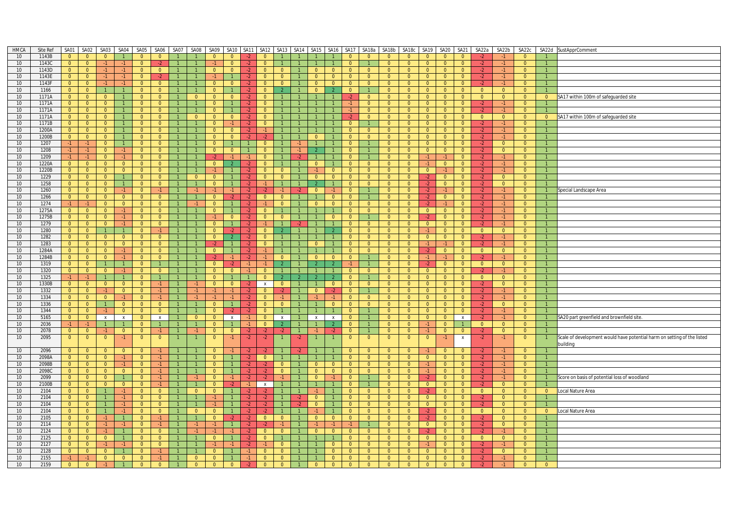| <b>HMCA</b>             | Site Ref       |                                  | SA01 SA02                                 |                                  | SA03 SA04                      | SA05                             | SA06                             |                | SA07 SA08      |                                  | SA09 SA10              |                |                                  |                            | SA11 SA12 SA13 SA14 | SA <sub>15</sub>                 | SA16 SA17                      |                                  |                                  |                                  | SA18a SA18b SA18c                |                                  | SA19 SA20                            | SA21                             | SA22a                  | SA22b                            | SA22c                            |                                | SA22d SustApprComment                                                   |
|-------------------------|----------------|----------------------------------|-------------------------------------------|----------------------------------|--------------------------------|----------------------------------|----------------------------------|----------------|----------------|----------------------------------|------------------------|----------------|----------------------------------|----------------------------|---------------------|----------------------------------|--------------------------------|----------------------------------|----------------------------------|----------------------------------|----------------------------------|----------------------------------|--------------------------------------|----------------------------------|------------------------|----------------------------------|----------------------------------|--------------------------------|-------------------------------------------------------------------------|
| 10                      | 1143B          | $\overline{0}$                   | $\overline{0}$                            | $\overline{0}$                   |                                | $\overline{0}$                   | $\overline{0}$                   |                |                | $\mathbf{0}$                     | $\mathbf{0}$           |                | $\overline{0}$                   |                            |                     |                                  |                                | $\overline{0}$                   | $\mathbf{0}$                     | $\overline{0}$                   | $\overline{0}$                   | $\overline{0}$                   | $\overline{0}$                       | $\overline{0}$                   |                        |                                  | $\mathbf{0}$                     |                                |                                                                         |
| 10                      | 1143C          | $\overline{0}$                   | $\overline{0}$                            | $-1$                             | $-1$                           | $\overline{0}$                   | $-2$                             |                |                | $-1$                             | $\overline{0}$         | $-2$           | $\overline{0}$                   |                            |                     |                                  |                                | $\overline{0}$                   |                                  | $\overline{0}$                   | $\overline{0}$                   | $\overline{0}$                   | $\overline{0}$                       | $\overline{0}$                   | $-2$                   | $-1$                             | $\overline{0}$                   | $\mathbf{1}$                   |                                                                         |
| 10                      | 1143D          | $\overline{0}$                   | $\overline{0}$                            | $-1$                             | $-1$                           | $\overline{0}$                   | $\overline{0}$                   |                |                | $\Omega$                         | $\Omega$               | $-2$           | $\mathbf{0}$                     | $\Omega$                   |                     | $\overline{0}$                   | $\overline{0}$                 | $\overline{0}$                   | $\overline{0}$                   | $\overline{0}$                   | $\Omega$                         | $\Omega$                         | $\overline{0}$                       | $\overline{0}$                   | $-2$                   | $-1$                             | $\overline{0}$                   | 1                              |                                                                         |
| 10<br>10                | 1143E<br>1143F | $\overline{0}$<br>$\overline{0}$ | $\overline{0}$<br>$\overline{0}$          | $-1$<br>$-1$                     | $-1$<br>$-1$                   | $\overline{0}$<br>$\overline{0}$ | $-2$<br>$\mathbf{0}$             | $\overline{1}$ |                | $\mathbf{0}$                     | $\mathbf{0}$           | $-2$<br>$-2$   | $\overline{0}$<br>$\overline{0}$ | $\overline{0}$<br>$\Omega$ |                     | $\overline{0}$<br>$\overline{0}$ | $\overline{0}$<br>$\mathbf{0}$ | $\overline{0}$<br>$\overline{0}$ | $\overline{0}$<br>$\overline{0}$ | $\overline{0}$<br>$\overline{0}$ | $\overline{0}$<br>$\overline{0}$ | $\overline{0}$<br>$\mathbf{0}$   | $\overline{0}$<br>$\overline{0}$     | $\overline{0}$<br>$\overline{0}$ | $-2$<br>$-2$           | $-1$<br>$-1$                     | $\overline{0}$<br>$\mathbf{0}$   | $\mathbf{1}$<br>$\mathbf{1}$   |                                                                         |
| $10$                    | 1166           | $\overline{0}$                   | $\overline{0}$                            | $\overline{1}$                   | $\mathbf{1}$                   | $\Omega$                         | $\overline{0}$                   |                |                | $\Omega$                         |                        | $-2$           | $\mathbf{0}$                     |                            |                     | $\Omega$                         |                                | $\overline{0}$                   |                                  | $\overline{0}$                   | $\Omega$                         | $\overline{0}$                   | $\overline{0}$                       | $\Omega$                         | $\overline{0}$         | $\overline{0}$                   | $\overline{0}$                   | $\mathbf{1}$                   |                                                                         |
| 10 <sup>°</sup>         | 1171A          | $\overline{0}$                   | $\overline{0}$                            | $\overline{0}$                   | $\overline{1}$                 | $\overline{0}$                   | $\overline{0}$                   | $\overline{1}$ | $\overline{0}$ | $\overline{0}$                   | $\overline{0}$         | $-2$           | $\overline{0}$                   |                            | $\overline{1}$      | $\mathbf{1}$                     | $\overline{1}$                 | $-2$                             | $\overline{0}$                   | $\overline{0}$                   | $\overline{0}$                   | $\overline{0}$                   | $\overline{0}$                       | $\overline{0}$                   | $\overline{0}$         | $\overline{0}$                   | $\overline{0}$                   | $\overline{0}$                 | SA17 within 100m of safeguarded site                                    |
| 10                      | 1171A          | $\overline{0}$                   | $\overline{0}$                            | $\overline{0}$                   | $\overline{1}$                 | $\overline{0}$                   | $\overline{0}$                   |                | $\mathbf{1}$   | $\overline{0}$                   |                        | $-2$           | $\mathbf{0}$                     |                            |                     |                                  |                                | $-1$                             | $\mathbf{0}$                     | $\overline{0}$                   | $\overline{0}$                   | $\overline{0}$                   | $\overline{0}$                       | $\overline{0}$                   | $-2$                   | $-1$                             | $\overline{0}$                   | $\mathbf{1}$                   |                                                                         |
| 10                      | 1171A          | $\overline{0}$                   | $\overline{0}$                            | $\overline{0}$                   | $\overline{1}$                 | $\overline{0}$                   | $\overline{0}$                   |                |                | $\overline{0}$                   |                        | $-2$           | $\mathbf{0}$                     |                            |                     | $\mathbf{1}$                     |                                | $-1$                             | $\Omega$                         | $\overline{0}$                   | $\overline{0}$                   | $\overline{0}$                   | $\overline{0}$                       | $\overline{0}$                   | $\cdot$                | $-1$                             | $\overline{0}$                   | $\overline{1}$                 |                                                                         |
| 10 <sup>10</sup>        | 1171A          | $\overline{0}$                   | $\bullet$                                 | $\overline{0}$                   | 1                              | $\overline{0}$                   | $\overline{0}$                   | $\overline{1}$ | $\Omega$       | $\overline{0}$                   | $\overline{0}$         | $-2$           | $\overline{0}$                   |                            |                     | $\mathbf{1}$                     |                                | $-2$                             | $\Omega$                         | $\overline{0}$                   | $\overline{0}$                   | $\overline{0}$                   | $\overline{0}$                       | $\overline{0}$                   | $\overline{0}$         | $\overline{0}$                   | $\overline{0}$                   | $\overline{0}$                 | SA17 within 100m of safeguarded site                                    |
| 10<br>10                | 1171B<br>1200A | $\overline{0}$<br>$\overline{0}$ | $\overline{0}$<br>$\overline{0}$          | $\overline{0}$<br>$\overline{0}$ | $\mathbf{1}$<br>1              | $\overline{0}$<br>$\overline{0}$ | $\Omega$<br>$\overline{0}$       |                | $\overline{1}$ | $\Omega$<br>$\overline{0}$       | $-1$<br>$\overline{0}$ | $-2$<br>$-2$   | $\overline{0}$<br>$-1$           |                            |                     |                                  |                                | $\overline{0}$<br>$\overline{0}$ | $\overline{0}$                   | $\overline{0}$<br>$\overline{0}$ | $\Omega$<br>$\overline{0}$       | $\overline{0}$<br>$\overline{0}$ | $\overline{0}$<br>$\overline{0}$     | $\Omega$<br>$\overline{0}$       | $-2$<br>$-2$           | $-1$<br>$-1$                     | $\overline{0}$<br>$\overline{0}$ | $\mathbf{1}$<br>1 <sup>1</sup> |                                                                         |
| 10 <sup>°</sup>         | 1200B          | $\overline{0}$                   | $\overline{0}$                            | $\mathbf{0}$                     | $\mathbf{1}$                   | $\mathbf{0}$                     | $\mathbf{0}$                     |                |                | $\mathbf{0}$                     | $\mathbf{0}$           | $-2$           | -2                               |                            |                     | $\Omega$                         |                                | $\mathbf{0}$                     | $\Omega$                         | $\mathbf{0}$                     | $\mathbf{0}$                     | $\mathbf{0}$                     | $\overline{0}$                       | $\mathbf{0}$                     | $-2$                   | -1                               | $\overline{0}$                   |                                |                                                                         |
| 10                      | 1207           | $-1$                             | $-1$                                      | $\overline{0}$                   | $\overline{1}$                 | $\overline{0}$                   | $\overline{0}$                   | $\overline{1}$ | $\overline{1}$ | $\overline{0}$                   | $\overline{1}$         | $\overline{1}$ | $\overline{0}$                   |                            | $-1$                | $\overline{1}$                   |                                | $\overline{0}$                   | $\mathbf{1}$                     | $\overline{0}$                   | $\overline{0}$                   | $\overline{0}$                   | $\overline{0}$                       | $\overline{0}$                   | $-2$                   | $\overline{0}$                   | $\overline{0}$                   | $\overline{1}$                 |                                                                         |
| 10                      | 1208           | $-1$                             | $-1$                                      | $\overline{0}$                   | $-1$                           | $\overline{0}$                   | $\overline{0}$                   | $\overline{1}$ |                | $\overline{0}$                   | $\overline{0}$         | $\mathbf{1}$   | $\overline{0}$                   |                            | $-1$                | $\overline{2}$                   |                                | $\overline{0}$                   |                                  | $\overline{0}$                   | $\overline{0}$                   | $\overline{0}$                   | $\overline{0}$                       | $\overline{0}$                   | $-2$                   | $\overline{0}$                   | $\overline{0}$                   | $\mathbf{1}$                   |                                                                         |
| 10 <sup>°</sup>         | 1209           | $-1$                             | $-1$                                      | $\overline{0}$                   | $-1$                           | $\overline{0}$                   | $\overline{0}$                   |                |                | -2                               | $-1$                   | $-1$           | $\overline{0}$                   |                            | $-2$                | $\overline{1}$                   |                                | $\overline{0}$                   |                                  | $\overline{0}$                   | $\overline{0}$                   | $-1$                             | -1                                   | $\overline{0}$                   | $-2$                   | $-1$                             | $\overline{0}$                   |                                |                                                                         |
| $10$                    | 1220A          | $\overline{0}$                   | $\overline{0}$                            | $\overline{0}$                   | $\overline{0}$                 | $\overline{0}$                   | $\overline{0}$                   | $\mathbf{1}$   | $\mathbf{1}$   | $\overline{0}$                   | $\overline{2}$         | $-2$           | $\overline{0}$                   |                            | $\overline{1}$      | $\overline{0}$                   |                                | $\overline{0}$                   | $\overline{0}$                   | $\overline{0}$                   | $\overline{0}$                   | $-1$                             | $\overline{0}$                       | $\overline{0}$                   | $-2$                   | $-1$                             | $\overline{0}$                   | $\mathbf{1}$                   |                                                                         |
| 10<br>10                | 1220B<br>1229  | $\overline{0}$<br>$\overline{0}$ | $\overline{0}$<br>$\overline{0}$          | $\overline{0}$<br>$\overline{0}$ | $\overline{0}$<br>$\mathbf{1}$ | $\overline{0}$<br>$\overline{0}$ | $\mathbf{0}$<br>$\overline{0}$   |                | $\overline{0}$ | $\overline{0}$                   |                        | $-2$<br>$-2$   | $\overline{0}$<br>$\overline{0}$ | $\Omega$<br>$\overline{0}$ |                     | $\overline{0}$                   | $\mathbf{0}$<br>$\overline{0}$ | $\overline{0}$<br>$\overline{0}$ | $\overline{0}$<br>$\overline{0}$ | $\overline{0}$<br>$\overline{0}$ | $\overline{0}$<br>$\overline{0}$ | $\overline{0}$<br>$-2$           | $-1$<br>$\overline{0}$               | $\overline{0}$<br>$\mathbf{0}$   | $-2$<br>$-2$           | $\Omega$                         | $\overline{0}$<br>$\overline{0}$ | $\mathbf{1}$                   |                                                                         |
| 10                      | 1258           | $\overline{0}$                   | $\overline{0}$                            | $\overline{0}$                   | $\sim$ 1                       | $\overline{0}$                   | $\overline{0}$                   | $\mathbf{1}$   | $\overline{1}$ | $\overline{0}$                   | $\overline{1}$         | $-2$           | $-1$                             |                            |                     | $\overline{2}$                   | $\mathbf{1}$                   | $\overline{0}$                   | $\overline{0}$                   | $\overline{0}$                   | $\overline{0}$                   | $-2$                             | $\overline{0}$                       | $\overline{0}$                   | $-2$                   | $\overline{0}$                   | $\overline{0}$                   | $\overline{1}$                 |                                                                         |
| 10                      | 1260           | $\overline{0}$                   | $\overline{0}$                            | $\overline{0}$                   | $-1$                           | $\overline{0}$                   | $-1$                             |                | $-1$           | $-1$                             | $-1$                   | $-2$           | $-2$                             |                            | $-2$                | $\overline{0}$                   | $-1$                           | $\overline{0}$                   |                                  | $\overline{0}$                   | $\overline{0}$                   | $-2$                             | $-1$                                 | $\overline{0}$                   | $-2$                   | $-1$                             | $\overline{0}$                   | $\mathbf{1}$                   | Special Landscape Area                                                  |
| 10                      | 1266           | $\overline{0}$                   | $\overline{0}$                            | $\overline{0}$                   | $\overline{0}$                 | $\overline{0}$                   | $\overline{0}$                   |                | $\mathbf{1}$   | $\overline{0}$                   | $-2$                   | $-2$           | $\overline{0}$                   | $\overline{0}$             |                     | $\mathbf{1}$                     | $\overline{0}$                 | $\overline{0}$                   |                                  | $\overline{0}$                   | $\overline{0}$                   | $-2$                             | $\overline{0}$                       | $\overline{0}$                   | $-2$                   | $-1$                             | $\overline{0}$                   | $\mathbf{1}$                   |                                                                         |
| 10                      | 1274           | $-1$                             | $-1$                                      | $\overline{0}$                   | $\overline{0}$                 | $\overline{0}$                   | $\overline{0}$                   |                | $-1$           | $\overline{0}$                   | $\mathbf{1}$           | $-2$           | $-1$                             | $\overline{0}$             |                     | $\overline{0}$                   | $\overline{0}$                 | $\overline{0}$                   | $\overline{0}$                   | $\overline{0}$                   | $\overline{0}$                   | $-2$                             | $-1$                                 | $\overline{0}$                   | $-2$                   | $-1$                             | $\overline{0}$                   | $\mathbf{1}$                   |                                                                         |
| 10                      | 1275A          | $\overline{0}$                   | $\overline{0}$                            | $\overline{0}$                   | $-1$                           | $\overline{0}$                   | $\overline{0}$                   |                |                | $\overline{0}$                   |                        | -2.            | $\overline{0}$                   |                            |                     |                                  |                                | $\overline{0}$                   | $\overline{0}$                   | $\overline{0}$                   | $\overline{0}$                   | $\overline{0}$                   | $\overline{0}$                       | $\overline{0}$                   | $-2$                   | $-1$                             | $\overline{0}$                   | $\mathbf{1}$                   |                                                                         |
| 10<br>10                | 1275B<br>1279  | $\overline{0}$<br>$\overline{0}$ | $\overline{0}$<br>$\overline{0}$          | $\overline{0}$<br>$\overline{0}$ | $-1$<br>$-1$                   | $\overline{0}$<br>$\overline{0}$ | $\overline{0}$<br>$\overline{0}$ |                |                | $-1$<br>$\overline{0}$           | $\overline{0}$         | $-2$<br>$-2$   | $\overline{0}$<br>$-1$           | $\overline{0}$             |                     | $\mathbf{1}$                     | $\overline{0}$                 | $\overline{0}$<br>$\Omega$       | $\overline{0}$                   | $\overline{0}$<br>$\overline{0}$ | $\overline{0}$<br>$\overline{0}$ | $-2$<br>$\overline{0}$           | $\overline{0}$<br>$\overline{0}$     | $\overline{0}$<br>$\overline{0}$ | $-2$<br>$-2$           | $-1$<br>$-1$                     | $\overline{0}$<br>$\overline{0}$ | $\mathbf{1}$<br>$\mathbf{1}$   |                                                                         |
| 10                      | 1280           | $\overline{0}$                   | $\overline{0}$                            | $\mathbf{1}$                     | $\mathbf{1}$                   | $\overline{0}$                   | $-1$                             | $\overline{1}$ |                | $\overline{0}$                   | $-2$                   | $-2$           | $\overline{0}$                   |                            |                     |                                  |                                | $\overline{0}$                   | $\overline{0}$                   | $\overline{0}$                   | $\overline{0}$                   | $-1$                             | $\overline{0}$                       | $\overline{0}$                   | $\overline{0}$         | $\overline{0}$                   | $\overline{0}$                   | $\mathbf{1}$                   |                                                                         |
| 10                      | 1282           | $\overline{0}$                   | $\overline{0}$                            | $\overline{0}$                   | $\overline{0}$                 | $\overline{0}$                   | $\mathbf{0}$                     |                |                | $\mathbf{0}$                     | $\overline{2}$         | $-2$           | $\mathbf{0}$                     |                            |                     |                                  |                                | $\overline{0}$                   | $\overline{0}$                   | $\overline{0}$                   | $\overline{0}$                   | $\overline{0}$                   | $\overline{0}$                       | $\overline{0}$                   | $-2$                   | $-1$                             | $\mathbf{0}$                     | $\mathbf{1}$                   |                                                                         |
| $10$                    | 1283           | $\overline{0}$                   | $\overline{0}$                            | $\overline{0}$                   | $\overline{0}$                 | $\Omega$                         | $\Omega$                         |                |                | -2                               | $\overline{1}$         | $-2$           | $\mathbf{0}$                     |                            |                     | $\overline{0}$                   |                                | $\Omega$                         | $\Omega$                         | $\overline{0}$                   | $\overline{0}$                   | $-1$                             | $-1$                                 | $\Omega$                         | $-2$                   | $-1$                             | $\overline{0}$                   | $\mathbf{1}$                   |                                                                         |
| 10 <sup>1</sup>         | 1284A          | $\overline{0}$                   | $\overline{0}$                            | $\overline{0}$                   | $-1$                           | $\overline{0}$                   | $\overline{0}$                   | $\overline{1}$ | $\mathbf{1}$   | $\overline{0}$                   | $\overline{1}$         | $-2$           | $\overline{1}$                   |                            |                     |                                  | $\mathbf{1}$                   | $\overline{0}$                   | $\Omega$                         | $\overline{0}$                   | $\overline{0}$                   | $-2$                             | $\overline{0}$                       | $\overline{0}$                   | $\overline{0}$         | $\Omega$                         | $\overline{0}$                   | $\mathbf{1}$                   |                                                                         |
| 10                      | 1284B          | $\overline{0}$                   | $\overline{0}$                            | $\overline{0}$                   | $-1$                           | $\overline{0}$                   | $\overline{0}$                   | $\mathbf{1}$   | $\overline{1}$ | $-2$                             | $-1$                   | $-2$           | $-1$                             | $\overline{0}$             |                     | $\overline{0}$                   | $\overline{0}$                 | $\overline{0}$                   | $\mathbf{1}$                     | $\overline{0}$                   | $\overline{0}$                   | $-1$                             | $-1$                                 | $\overline{0}$                   | $-2$                   | $-1$                             | $\overline{0}$                   | $\mathbf{1}$                   |                                                                         |
| 10<br>10 <sup>°</sup>   | 1319<br>1320   | $\overline{0}$<br>$\overline{0}$ | $\overline{0}$<br>$\overline{0}$          | $\mathbf{1}$<br>$\overline{0}$   | $\overline{1}$<br>$-1$         | $\overline{0}$<br>$\overline{0}$ | $\overline{1}$<br>$\overline{0}$ | $\overline{1}$ |                | $\overline{0}$<br>$\overline{0}$ | $-2$<br>$\overline{0}$ | $-1$<br>$-1$   | $-1$<br>$\overline{0}$           | $\overline{2}$             |                     | 2 <sup>7</sup>                   | $\overline{2}$                 | $-1$<br>$\overline{0}$           | $\Omega$                         | $\mathbf{0}$<br>$\overline{0}$   | $\overline{0}$<br>$\overline{0}$ | $-2$<br>$\overline{0}$           | $\overline{0}$<br>$\overline{0}$     | $\overline{0}$<br>$\overline{0}$ | $\overline{0}$<br>-2   | $\overline{0}$<br>$-1$           | $\overline{0}$<br>$\overline{0}$ | 1 <sup>1</sup>                 |                                                                         |
| 10                      | 1325           | $-1$                             | $-1$                                      | $\overline{1}$                   | $\mathbf{1}$                   | $\overline{0}$                   |                                  |                | $\mathbf{1}$   | $\Omega$                         |                        | $\overline{1}$ | $\Omega$                         |                            |                     | $\mathcal{L}$                    |                                | $\overline{0}$                   |                                  | $\overline{0}$                   | $\Omega$                         | $\overline{0}$                   | $\overline{0}$                       | $\overline{0}$                   | $\overline{0}$         | $\overline{0}$                   | $\overline{0}$                   | $\mathbf{1}$                   |                                                                         |
| 10                      | 1330B          | $\overline{0}$                   | $\overline{0}$                            | $\overline{0}$                   | $\overline{0}$                 | $\overline{0}$                   | $-1$                             | $\mathbf{1}$   |                | $\overline{0}$                   | $\overline{0}$         |                | $\mathsf{x}$                     | $\overline{0}$             |                     | $\mathbf{1}$                     | $\overline{0}$                 | $\overline{0}$                   | $\overline{0}$                   | $\overline{0}$                   | $\overline{0}$                   | $\overline{0}$                   | $\overline{0}$                       | $\overline{0}$                   | $-2$                   | $\overline{0}$                   | $\overline{0}$                   | $\mathbf{1}$                   |                                                                         |
| 10 <sup>°</sup>         | 1332           | $\overline{0}$                   | $\overline{0}$                            | $-1$                             | $\overline{0}$                 | $\overline{0}$                   | $-1$                             |                | $-1$           | -1                               | $-1$                   | $-2$           | $\mathbf{0}$                     | -2                         |                     | $\Omega$                         |                                | $\overline{0}$                   |                                  | $\mathbf{0}$                     | $\mathbf{0}$                     | $\mathbf{0}$                     | $\overline{0}$                       | $\mathbf{0}$                     | $-2$                   | $-1$                             | $\mathbf{0}$                     |                                |                                                                         |
| 10                      | 1334           | $\overline{0}$                   | $\overline{0}$                            | $\overline{0}$                   | $-1$                           | $\overline{0}$                   | $-1$                             | $\overline{1}$ | $-1$           | $-1$                             | $-1$                   | $-2$           | $\overline{0}$                   | $-1$                       |                     | $-1$                             | $-1$                           | $\overline{0}$                   | $\overline{0}$                   | $\overline{0}$                   | $\overline{0}$                   | $\overline{0}$                   | $\overline{0}$                       | $\overline{0}$                   | $-2$                   | $-1$                             | $\overline{0}$                   | $\overline{1}$                 |                                                                         |
| 10                      | 1336           | $\overline{0}$                   | $\overline{0}$                            | $\overline{1}$                   | $\overline{0}$                 | $\overline{0}$                   | $\overline{0}$                   | $\overline{1}$ |                | $\overline{0}$                   | $\overline{1}$         | $-2$           | $\overline{0}$                   | $\overline{0}$             |                     | $\mathbf{1}$                     | $\overline{0}$                 | $\overline{0}$                   | $\overline{0}$                   | $\overline{0}$                   | $\overline{0}$                   | $\overline{0}$                   | $\overline{0}$                       | $\overline{0}$                   | $-2$                   | $\overline{0}$                   | $\overline{0}$                   | $\mathbf{1}$                   |                                                                         |
| 10 <sup>1</sup><br>$10$ | 1344<br>5165   | $\overline{0}$<br>$\overline{0}$ | $\overline{0}$<br>$\overline{\mathbf{0}}$ | $-1$<br>$\mathbf{x}$             | $\overline{0}$<br>$\mathsf{x}$ | $\overline{0}$<br>$\Omega$       | $\overline{0}$<br>$\mathbf{x}$   |                | $\Omega$       | $\overline{0}$<br>$\mathbf{0}$   | -2<br>$\mathbf{x}$     | $-2$<br>$-1$   | $\overline{0}$<br>$\overline{0}$ | $\,$ X                     |                     | $\mathsf{x}$                     | $\,$ X $\,$                    | $\overline{0}$<br>$\Omega$       | $\mathbf{1}$                     | $\overline{0}$<br>$\Omega$       | $\overline{0}$<br>$\Omega$       | $\overline{0}$<br>$\Omega$       | $\overline{0}$<br>$\overline{0}$     | $\overline{0}$<br>$\mathbf{x}$   | $-2$<br>$-2$           | $-1$<br>$-1$                     | $\overline{0}$<br>$\Omega$       | $\mathbf{1}$                   | SA20 part greenfield and brownfield site                                |
| 10                      | 2036           | $-1$                             | $-1$                                      |                                  |                                | $\overline{0}$                   |                                  |                |                | $\overline{0}$                   |                        |                | $\overline{0}$                   | $\overline{2}$             |                     |                                  | $\overline{2}$                 | $\overline{0}$                   |                                  | $\overline{0}$                   | $\overline{0}$                   | $-1$                             | $\overline{0}$                       |                                  | $\overline{0}$         | $\Omega$                         | $\overline{0}$                   | $\mathbf{1}$                   |                                                                         |
| 10 <sup>10</sup>        | 2078           | $\overline{0}$                   | $\overline{0}$                            | $-1$                             | $\overline{0}$                 | $\overline{0}$                   | $-1$                             |                | $-1$           | $\overline{0}$                   | $\mathbf{0}$           | $-2$           | $-2$                             | $-2$                       |                     | $-1$                             | $-2$                           | $\overline{0}$                   |                                  | $\overline{0}$                   | $\overline{0}$                   | $-1$                             | $\overline{0}$                       | $\mathbf{0}$                     | $-2$                   | $\overline{0}$                   | $\overline{0}$                   | $\mathbf{1}$                   |                                                                         |
| 10                      | 2095           | $\overline{0}$                   | $\overline{0}$                            | $\overline{0}$                   | $-1$                           | $\overline{0}$                   | $\overline{0}$                   |                |                | $\overline{0}$                   | $-1$                   | $-2$           | $-2$                             |                            | $-2$                |                                  |                                | $\mathbf{0}$                     | $\mathbf{0}$                     | $\mathbf{0}$                     | $\overline{0}$                   | $\overline{0}$                   | $-1$                                 | $\mathbf{x}$                     | $-2$                   | $-1$                             | $\overline{0}$                   | $\mathbf{1}$                   | Scale of development would have potential harm on setting of the listed |
|                         |                |                                  |                                           |                                  |                                |                                  |                                  |                |                |                                  |                        |                |                                  |                            |                     |                                  |                                |                                  |                                  |                                  |                                  |                                  |                                      |                                  |                        |                                  |                                  |                                | building                                                                |
| 10                      | 2096           | $\overline{0}$                   | $\overline{0}$                            | $\overline{0}$                   | $\overline{0}$                 | $\mathbf{0}$                     | $-1$                             |                |                | $\mathbf{0}$                     | $-1$<br>$\overline{1}$ | $-2$           |                                  |                            |                     | $\mathbf{1}$                     |                                | $\Omega$                         | $\Omega$<br>$\Omega$             | $\Omega$                         | $\mathbf{0}$                     |                                  | $\mathbf{0}$                         | $\overline{0}$                   | $-2$                   | -1<br>$-1$                       | $\mathbf{0}$                     | $\mathbf{1}$<br>$\mathbf{1}$   |                                                                         |
| 10<br>10                | 2098A<br>2098B | $\overline{0}$<br>$\overline{0}$ | $\overline{0}$<br>$\overline{0}$          | $\overline{0}$<br>$\overline{0}$ | $-1$<br>$-1$                   | $\overline{0}$<br>$\overline{0}$ | $-1$                             |                |                | $\overline{0}$<br>$\mathbf{0}$   |                        | $-2$<br>-2     | $\overline{0}$<br>$-2$           | $\mathbf{0}$               |                     | $\overline{0}$                   | $\overline{0}$                 | $\overline{0}$<br>$\overline{0}$ | $\overline{0}$                   | $\overline{0}$<br>$\overline{0}$ | $\overline{0}$<br>$\overline{0}$ | $\overline{0}$<br>$-1$           | $\overline{0}$<br>$\overline{0}$     | $\overline{0}$<br>$\overline{0}$ | $-2$<br>$-2$           | $-1$                             | $\overline{0}$<br>$\overline{0}$ | $\mathbf{1}$                   |                                                                         |
| 10                      | 2098C          | $\overline{0}$                   | $\overline{0}$                            | $\overline{0}$                   | $\overline{0}$                 | $\overline{0}$                   | $-1$                             | $\mathbf{1}$   | $\mathbf{1}$   | $\overline{0}$                   |                        | $-2$           | $-2$                             | $\overline{0}$             |                     | $\overline{0}$                   | $\overline{0}$                 | $\overline{0}$                   | $\overline{0}$                   | $\overline{0}$                   | $\overline{0}$                   | $-1$                             | $\overline{0}$                       | $\overline{0}$                   | $-2$                   | $-1$                             | $\overline{0}$                   | $\mathbf{1}$                   |                                                                         |
| 10                      | 2099           | $\overline{0}$                   | $\overline{0}$                            | $\overline{0}$                   | $\mathbf{1}$                   | $\overline{0}$                   | $-1$                             |                |                | $\Omega$                         | $-1$                   | $-2$           |                                  |                            |                     | $\overline{0}$                   |                                | $\Omega$                         |                                  | $\overline{0}$                   | $\overline{0}$                   |                                  | $\overline{0}$                       | $\Omega$                         | $\cdot$                | $-1$                             | $\mathbf{0}$                     | $\mathbf{1}$                   | Score on basis of potential loss of woodland                            |
| 10                      | 2100B          | $\overline{0}$                   | $\overline{0}$                            | $\overline{0}$                   | $\overline{0}$                 | $\overline{0}$                   | $-1$                             |                |                | $\overline{0}$                   | $-2$                   | $-1$           | $\mathsf{x}$                     |                            |                     | $\mathbf{1}$                     |                                | $\overline{0}$                   |                                  | $\overline{0}$                   | $\overline{0}$                   | $\overline{0}$                   | $\overline{0}$                       | $\overline{0}$                   | $-2$                   | $\overline{0}$                   | $\overline{0}$                   | $\mathbf{1}$                   |                                                                         |
| 10                      | 2104           | $\overline{0}$                   | $\overline{0}$                            | $\mathbf{1}$                     | $-1$                           | $\overline{0}$                   | $\overline{0}$                   |                | $\overline{0}$ | $\overline{0}$                   |                        | $-2$           | $-2$                             |                            |                     | $-1$                             |                                | $\overline{0}$                   | $\mathbf{0}$                     | $\overline{0}$                   | $\mathbf{0}$                     | $-2$                             | $\overline{0}$                       | $\overline{0}$                   | $\overline{0}$         | $\overline{0}$                   | $\overline{0}$                   | $\overline{0}$                 | Local Nature Area                                                       |
| 10<br>10 <sup>1</sup>   | 2104<br>2104   | $\overline{0}$<br>$\overline{0}$ | $\overline{0}$<br>$\overline{0}$          | $\overline{1}$<br>$\overline{1}$ | $-1$<br>$-1$                   | $\overline{0}$<br>$\overline{0}$ | $\overline{0}$<br>$\overline{0}$ | $\overline{1}$ | $\mathbf{1}$   | $-1$<br>$\cdot$ 1                | $\overline{1}$         | $-2$<br>$-2$   | $-2$<br>$-2$                     |                            | $-2$<br>$-2$        | $\overline{0}$<br>$\Omega$       | $\mathbf{1}$<br>$\mathbf{1}$   | $\overline{0}$<br>$\overline{0}$ | $\overline{0}$<br>$\overline{0}$ | $\overline{0}$<br>$\overline{0}$ | $\overline{0}$<br>$\overline{0}$ | $\overline{0}$<br>$\overline{0}$ | $\overline{\mathbf{0}}$<br>$\bullet$ | $\overline{0}$<br>$\overline{0}$ | $-2$                   | $\overline{0}$<br>$\overline{0}$ | $\overline{0}$<br>$\overline{0}$ | $\mathbf{1}$                   |                                                                         |
| 10                      | 2104           | $\overline{0}$                   | $\overline{0}$                            | $\overline{1}$                   | $-1$                           | $\overline{0}$                   | $\overline{0}$                   |                | $\overline{0}$ | $\mathbf{0}$                     |                        | $-2$           | $-2$                             |                            |                     | $-1$                             |                                | $\overline{0}$                   | $\overline{0}$                   | $\overline{0}$                   | $\overline{0}$                   | $-2$                             | $\overline{0}$                       | $\overline{0}$                   | $-2$<br>$\overline{0}$ | $\overline{0}$                   | $\overline{0}$                   | $\overline{0}$                 | Local Nature Area                                                       |
| 10                      | 2105           | $\overline{0}$                   | $\overline{0}$                            | $-1$                             | 1                              | $\overline{0}$                   | $-1$                             | $\overline{1}$ | $\mathbf{1}$   | $\overline{0}$                   | $-2$                   | $-2$           | $\overline{0}$                   | $\overline{0}$             | $\overline{1}$      | $\overline{0}$                   | $\overline{0}$                 | $\overline{0}$                   | $\overline{0}$                   | $\overline{0}$                   | $\overline{0}$                   | $-2$                             | $\overline{0}$                       | $\overline{0}$                   | $-2$                   | $\overline{0}$                   | $\overline{0}$                   | $\mathbf{1}$                   |                                                                         |
| 10 <sup>1</sup>         | 2114           | $\overline{0}$                   | $\overline{0}$                            | $-1$                             | $-1$                           | $\overline{0}$                   | $-1$                             |                |                |                                  |                        | $-2$           | $-2$                             | $-1$                       |                     | $-1$                             |                                | -1                               |                                  | $\overline{0}$                   | $\overline{0}$                   | $\overline{0}$                   | $\overline{0}$                       | $\overline{0}$                   | $-2$                   | $\Omega$                         | $\overline{0}$                   |                                |                                                                         |
| 10                      | 2124           | $\overline{0}$                   | $\overline{0}$                            | $-1$                             | $\overline{1}$                 | $\overline{0}$                   | $\overline{0}$                   |                | $-1$           | $\cdot$ 1                        | $-1$                   | $-2$           | $\overline{0}$                   | $\overline{0}$             |                     | $\overline{0}$                   | $\overline{0}$                 | $\overline{0}$                   | $\overline{0}$                   | $\overline{0}$                   | $\Omega$                         | $-2$                             | $\overline{0}$                       | $\overline{0}$                   | $-2$                   | $-1$                             | $\overline{0}$                   | $\mathbf{1}$                   |                                                                         |
| 10                      | 2125           | $\overline{0}$                   | $\overline{0}$                            | $\overline{0}$                   | $\bullet$                      | $\overline{0}$                   | $\overline{0}$                   | $\mathbf{1}$   |                | $\overline{0}$                   | $\overline{1}$         | $-2$           | $\overline{0}$                   |                            |                     |                                  | $\mathbf{1}$                   | $\overline{0}$                   | $\overline{0}$                   | $\overline{0}$                   | $\overline{0}$                   | $\overline{0}$                   | $\overline{0}$                       | $\overline{0}$                   | $\overline{0}$         | $\overline{0}$                   | $\overline{0}$                   | $\mathbf{1}$                   |                                                                         |
| 10<br>10                | 2127<br>2128   | $\overline{0}$<br>$\overline{0}$ | $\overline{0}$<br>$\overline{0}$          | $-1$<br>$\overline{0}$           | $-1$<br>$\overline{1}$         | $\Omega$<br>$\overline{0}$       | $\overline{0}$<br>$-1$           | $\overline{1}$ | $\overline{1}$ | $\overline{0}$                   | $-1$<br>$\overline{1}$ | -2<br>$-1$     | -1<br>$\overline{0}$             | $\Omega$<br>$\overline{0}$ |                     | $\mathbf{1}$                     | $\Omega$<br>$\overline{0}$     | $\overline{0}$<br>$\overline{0}$ | $\mathbf{0}$<br>$\overline{0}$   | $\mathbf{0}$<br>$\overline{0}$   | $\mathbf{0}$<br>$\overline{0}$   | -1.<br>$\overline{0}$            | $\overline{0}$<br>$\overline{0}$     | $\Omega$<br>$\overline{0}$       | $-2$<br>$-2$           | $-1$<br>$\overline{0}$           | $\mathbf{0}$<br>$\overline{0}$   | $\overline{1}$                 |                                                                         |
| 10                      | 2155           | $-1$                             | $-1$                                      | $\overline{0}$                   | $\overline{0}$                 | $\overline{0}$                   | $-1$                             | $\overline{1}$ | $\overline{0}$ | $\overline{0}$                   |                        | $-1$           | $\overline{0}$                   | $\overline{0}$             |                     |                                  | $\overline{0}$                 | $\overline{0}$                   | $\Omega$                         | $\overline{0}$                   | $\overline{0}$                   | $\overline{0}$                   | $\overline{0}$                       | $\overline{0}$                   | $-2$                   | $-1$                             | $\overline{0}$                   | $\overline{1}$                 |                                                                         |
| 10                      | 2159           | $\overline{0}$                   | $\overline{0}$                            |                                  |                                | $\Omega$                         | $\Omega$                         |                | $\Omega$       | $\mathbf{0}$                     | $\Omega$               |                | $\overline{0}$                   | $\Omega$                   |                     | $\Omega$                         | $\Omega$                       | $\Omega$                         | $\Omega$                         | $\overline{0}$                   | $\overline{0}$                   | $\Omega$                         | $\overline{0}$                       | $\Omega$                         |                        |                                  | $\overline{0}$                   | $\overline{0}$                 |                                                                         |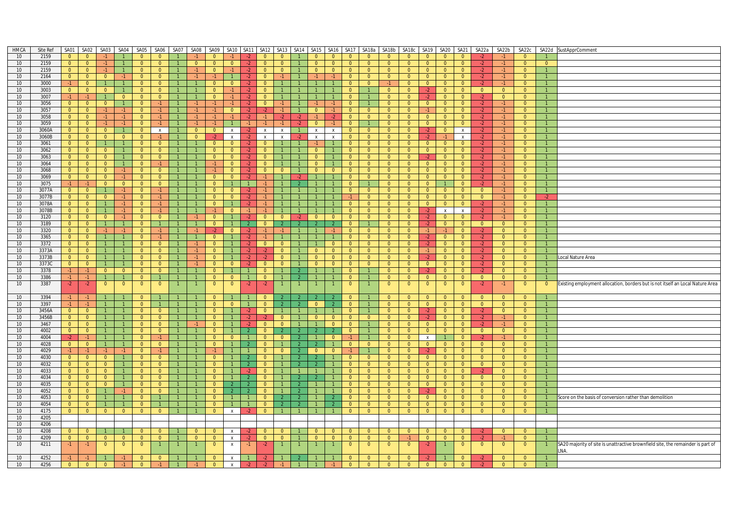| HMCA             | Site Ref | SA01           | SA02                    | SA03           | SA04           | SA05           | SA06             | SA07           | SA08           | SA09           | SA10                      | SA <sub>11</sub> | SA <sub>12</sub> | SA13                      |                |                | SA14 SA15 SA16 |                | SA17 SA18a     | SA18b                   | SA18c          | SA <sub>19</sub> | SA20           | <b>SA21</b>    | SA22a          | SA22b          | SA22c          |                | SA22d SustApprComment                                                           |
|------------------|----------|----------------|-------------------------|----------------|----------------|----------------|------------------|----------------|----------------|----------------|---------------------------|------------------|------------------|---------------------------|----------------|----------------|----------------|----------------|----------------|-------------------------|----------------|------------------|----------------|----------------|----------------|----------------|----------------|----------------|---------------------------------------------------------------------------------|
| 10               | 2159     | $\overline{0}$ | $\overline{0}$          | $-1$           | $\overline{1}$ | $\overline{0}$ | $\overline{0}$   |                |                | $\overline{0}$ |                           |                  | $\overline{0}$   |                           |                | $\overline{0}$ | $\overline{0}$ | $\overline{0}$ | $\overline{0}$ | $\overline{0}$          | $\overline{0}$ | $\overline{0}$   | $\overline{0}$ | $\overline{0}$ |                |                | $\overline{0}$ |                |                                                                                 |
| 10               | 2159     | $\overline{0}$ | $\overline{0}$          | $-1$           | $\overline{1}$ | $\overline{0}$ | $\overline{0}$   |                | $\overline{0}$ | $\overline{0}$ | $\overline{0}$            | $-2$             | $\overline{0}$   | $\overline{0}$            |                | $\overline{0}$ | $\overline{0}$ | $\overline{0}$ | $\overline{0}$ | $\overline{0}$          | $\overline{0}$ | $\overline{0}$   | $\overline{0}$ | $\overline{0}$ | $-2$           | $-1$           | $\overline{0}$ | $\overline{0}$ |                                                                                 |
| 10               | 2159     | $\overline{0}$ | $\overline{0}$          | $-1$           | $\overline{1}$ | $\overline{0}$ | $\overline{0}$   |                | $-1$           | $\overline{0}$ | $-1$                      | $-2$             | $\overline{0}$   | $\overline{0}$            |                | $\overline{0}$ | $\overline{0}$ | $\overline{0}$ | $\overline{0}$ | $\overline{0}$          | $\overline{0}$ | $\overline{0}$   | $\overline{0}$ | $\overline{0}$ | $-2$           | $-1$           | $\overline{0}$ |                |                                                                                 |
| 10               | 2164     | $\overline{0}$ | $\overline{\mathbf{0}}$ | $\overline{0}$ | $-1$           | $\overline{0}$ | $\overline{0}$   |                | $-1$           | $-1$           |                           | $-2$             | $\overline{0}$   | $-1$                      |                | $-1$           | $-1$           | $\overline{0}$ | $\overline{0}$ | $\overline{0}$          | $\overline{0}$ | $\overline{0}$   | $\overline{0}$ | $\overline{0}$ | $-2$           | $-1$           | $\overline{0}$ | $\overline{1}$ |                                                                                 |
| 10 <sup>°</sup>  | 3000     | $-1$           | $\overline{0}$          | $\overline{1}$ | $\mathbf{1}$   | $\overline{0}$ | $\overline{0}$   | $\overline{1}$ | $\mathbf{1}$   | $\overline{0}$ | $\overline{0}$            | $-2$             | $\overline{0}$   | $\mathbf{1}$              |                | $\overline{1}$ | $\mathbf{1}$   | $\overline{0}$ | $\overline{0}$ | $-1$                    | $\overline{0}$ | $\overline{0}$   | $\overline{0}$ | $\overline{0}$ | $-2$           | $-1$           | $\overline{0}$ |                |                                                                                 |
| 10               | 3003     | $\overline{0}$ | $\overline{0}$          | $\overline{0}$ | $\overline{1}$ | $\overline{0}$ | $\overline{0}$   |                | $\mathbf{1}$   | $\overline{0}$ | $-1$                      | $-2$             | $\mathbf{0}$     |                           |                |                | $\mathbf{1}$   | $\overline{0}$ |                | $\overline{0}$          | $\overline{0}$ | $-2$             | $\overline{0}$ | $\overline{0}$ | $\overline{0}$ | $\overline{0}$ | $\overline{0}$ |                |                                                                                 |
| 10               | 3007     | $-1$           | $-1$                    | $\overline{1}$ | $\overline{0}$ | $\overline{0}$ | $\overline{0}$   |                | $\mathbf{1}$   | $\overline{0}$ |                           | $-2$             | $\overline{0}$   |                           |                |                | 1              | $\overline{0}$ | $\mathbf{1}$   | $\overline{0}$          | $\overline{0}$ | $\bullet$        | $\overline{0}$ | $\overline{0}$ | $-2$           | $\overline{0}$ | $\Omega$       | $\overline{1}$ |                                                                                 |
| 10               | 3056     | $\overline{0}$ | $\overline{0}$          | $\overline{0}$ | $\mathbf{1}$   | $\overline{0}$ | $-1 -$           |                | $-1$           | $-1$           |                           | $-2$             | $\overline{0}$   | $-1$                      |                | $-1$           | $-1$           | $\overline{0}$ |                | $\overline{0}$          | $\overline{0}$ | $\overline{0}$   | $\overline{0}$ | $\overline{0}$ | $-2$           | $-1$           | $\overline{0}$ |                |                                                                                 |
| 10               | 3057     | $\overline{0}$ | $\overline{0}$          | $-1$           | $-1$           | $\Omega$       | $-1 -$           | $\overline{1}$ | $-1$           | $-1$           | $\overline{0}$            | $-2$             | $\cdot$          | $-1$                      | $\overline{1}$ | $\Omega$       | $-1$           | $\Omega$       | $\Omega$       | $\Omega$                | $\Omega$       | $-1$             | $\overline{0}$ | $\Omega$       | $-2$           | $-1$           | $\Omega$       | $\overline{1}$ |                                                                                 |
|                  |          |                |                         |                |                |                |                  |                |                | $-1$           |                           |                  | $-1$             |                           |                | $-1$           | $-2$           |                |                |                         |                |                  |                |                |                | $-1$           |                |                |                                                                                 |
| 10               | 3058     | $\overline{0}$ | $\overline{0}$          | $-1$           | $-1$           | $\overline{0}$ | $-1$             |                | $-1$           |                | $-1$                      | $-2$             |                  | $-2$                      | $-2$           |                |                | $\overline{0}$ | $\overline{0}$ | $\overline{0}$          | $\overline{0}$ | $\overline{0}$   | $\overline{0}$ | $\overline{0}$ | $-2$           |                | $\overline{0}$ |                |                                                                                 |
| 10 <sup>10</sup> | 3059     | $\overline{0}$ | $\overline{0}$          | $-1$           | $-1$           | $\overline{0}$ | $-1$             |                | $-1$           | $-1$           |                           | $-1$             | $-1$             | $-1$                      | $-2$           | $\overline{0}$ | $-1$           | $\overline{0}$ |                | $\overline{0}$          | $\overline{0}$ | $\overline{0}$   | $\overline{0}$ | $\overline{0}$ | $-2$           | $-1$           | $\overline{0}$ |                |                                                                                 |
| 10               | 3060A    | $\overline{0}$ | $\overline{0}$          | $\overline{0}$ | $\overline{1}$ | $\overline{0}$ | $\boldsymbol{X}$ |                | $\overline{0}$ | $\overline{0}$ | $\mathsf{x}$              |                  | X                | $\boldsymbol{\mathsf{x}}$ |                | $\mathbf{x}$   | $\pmb{\chi}$   | $\overline{0}$ | $\overline{0}$ | $\overline{0}$          | $\overline{0}$ | $-2$             | $\overline{0}$ | $\pmb{\chi}$   | $-2$           | $-1$           | $\Omega$       | $\overline{1}$ |                                                                                 |
| 10               | 3060B    | $\overline{0}$ | $\overline{\mathbf{0}}$ | $\overline{0}$ | $\overline{0}$ | $\overline{0}$ | $-1$             | $\overline{1}$ | $\overline{0}$ | $-2$           | $\mathsf{x}$              | $-2$             | $\mathsf{x}$     | $\mathsf{x}$              |                | $\mathbf{x}$   | $\mathsf{x}$   | $\overline{0}$ | $\overline{0}$ | $\overline{0}$          | $\overline{0}$ | $-2$             | $-1$           | $\mathsf{x}$   | $-2$           | $-1$           | $\overline{0}$ | $\overline{1}$ |                                                                                 |
| 10               | 3061     | $\overline{0}$ | $\overline{0}$          | $\overline{1}$ | $\overline{1}$ | $\overline{0}$ | $\overline{0}$   |                | $\mathbf{1}$   | $\overline{0}$ | $\overline{0}$            | $-2$             | $\overline{0}$   | $\mathbf{1}$              |                | $-1$           | $\mathbf{1}$   | $\overline{0}$ | $\overline{0}$ | $\overline{0}$          | $\overline{0}$ | $\overline{0}$   | $\overline{0}$ | $\overline{0}$ | $-2$           | $-1$           | $\overline{0}$ |                |                                                                                 |
| 10               | 3062     | $\overline{0}$ | $\overline{0}$          | $\overline{0}$ | $\mathbf{1}$   | $\overline{0}$ | $\overline{0}$   |                | $\overline{1}$ | $\overline{0}$ | $\overline{0}$            | $-2$             | $\overline{0}$   | $\overline{1}$            |                | $\overline{0}$ | $\mathbf{1}$   | $\overline{0}$ | $\overline{0}$ | $\overline{0}$          | $\overline{0}$ | $\overline{0}$   | $\overline{0}$ | $\overline{0}$ | $-2$           | $-1$           | $\overline{0}$ |                |                                                                                 |
| 10 <sup>1</sup>  | 3063     | $\overline{0}$ | $\overline{0}$          | $\overline{0}$ | $\overline{1}$ | $\overline{0}$ | $\overline{0}$   |                |                | $\overline{0}$ | $\overline{0}$            | $-2$             | $\overline{0}$   |                           |                | $\overline{0}$ |                | $\overline{0}$ | $\overline{0}$ | $\overline{0}$          | $\overline{0}$ | $-2$             | $\overline{0}$ | $\overline{0}$ | $-2$           | $-1$           | $\overline{0}$ |                |                                                                                 |
| 10               | 3064     | $\overline{0}$ | $\overline{0}$          | $\Omega$       | $\overline{1}$ | $\overline{0}$ | $-1$             |                | $\mathbf{1}$   | $-1$           | $\overline{0}$            | $-2$             | $\Omega$         |                           |                | $\Omega$       | 1              | $\Omega$       | $\overline{0}$ | $\overline{0}$          | $\overline{0}$ | $\overline{0}$   | $\overline{0}$ | $\overline{0}$ | $-2$           | $-1$           | $\Omega$       | $\overline{1}$ |                                                                                 |
| 10 <sup>1</sup>  | 3068     | $\overline{0}$ | $\overline{0}$          | $\overline{0}$ | $-1$           | $\overline{0}$ | $\overline{0}$   |                |                |                | $\overline{0}$            | $-2$             | $\overline{0}$   | $\overline{0}$            |                | $\overline{0}$ | $\overline{0}$ | $\overline{0}$ | $\overline{0}$ | $\overline{0}$          | $\overline{0}$ | $\overline{0}$   | $\overline{0}$ | $\overline{0}$ | $-2$           | $-1$           | $\overline{0}$ |                |                                                                                 |
| 10               | 3069     | $\overline{0}$ | $\overline{\mathbf{0}}$ | $\overline{0}$ | $-1$           | $\overline{0}$ | $\overline{0}$   |                |                | $\overline{0}$ | $\overline{0}$            | $-2$             | $-1$             | -1                        | $-2$           |                | $\mathbf{1}$   | $\overline{0}$ | $\overline{0}$ | $\overline{0}$          | $\overline{0}$ | $\overline{0}$   | $\overline{0}$ | $\overline{0}$ | $-2$           | $-1$           | $\overline{0}$ |                |                                                                                 |
| 10               | 3075     | $-1$           | $-1$                    | $\overline{0}$ | $\overline{0}$ | $\overline{0}$ | $\overline{0}$   | $\overline{1}$ | $\mathbf{1}$   | $\overline{0}$ | $\mathbf{1}$              |                  | $-1$             | $\mathbf{1}$              |                | $\overline{1}$ | $\mathbf{1}$   | $\overline{0}$ | $\mathbf{1}$   | $\overline{0}$          | $\overline{0}$ | $\overline{0}$   | $\mathbf{1}$   | $\overline{0}$ | $-2$           | $-1$           | $\overline{0}$ | $\overline{1}$ |                                                                                 |
| 10               | 3077A    | $\overline{0}$ | $\overline{0}$          | $\overline{1}$ | $-1$           | $\overline{0}$ | $-1$             |                | $\overline{1}$ | $\overline{0}$ | $\Omega$                  | $-2$             | $-1$             | $\mathbf{1}$              |                |                |                | $\Omega$       | $\overline{0}$ | $\overline{0}$          | $\overline{0}$ | $\overline{0}$   | $\overline{0}$ | $\overline{0}$ | $\overline{0}$ | $-1$           | $\overline{0}$ | $\mathbf{1}$   |                                                                                 |
| 10               | 3077B    | $\overline{0}$ | $\overline{0}$          | $\overline{0}$ | $-1$           | $\overline{0}$ | $-1 -$           |                |                | $\overline{0}$ | $\overline{0}$            | $-2$             | -1               |                           |                |                |                |                | $\overline{0}$ | $\overline{0}$          | $\overline{0}$ | $\overline{0}$   | $\overline{0}$ | $\overline{0}$ | $\overline{0}$ | $-1$           | $\overline{0}$ | $-2$           |                                                                                 |
|                  |          |                | $\overline{0}$          |                | $-1$           | $\overline{0}$ | $-1$             |                | $\overline{1}$ |                |                           |                  | $-1$             | $\mathbf{1}$              |                |                | 1              | $\overline{0}$ | $\overline{0}$ | $\overline{0}$          |                |                  |                |                |                | $-1$           |                | $\overline{1}$ |                                                                                 |
| 10               | 3078A    | $\overline{0}$ |                         | $\overline{1}$ |                |                |                  |                |                | $\overline{0}$ |                           | $-2$             |                  |                           |                |                |                |                |                |                         | $\overline{0}$ | $\overline{0}$   | $\overline{0}$ | $\overline{0}$ | $-2$           |                | $\overline{0}$ |                |                                                                                 |
| 10               | 3078B    | $\overline{0}$ | $\overline{0}$          |                | $-1$           | $\overline{0}$ | $-1$             |                |                | $-1$           | $\overline{0}$            | $-1$             |                  |                           |                |                |                | $\mathbf{0}$   | $\overline{0}$ | $\overline{\mathbf{0}}$ | $\overline{0}$ | $-2$             | $\mathsf{x}$   | $\mathsf{X}$   | $-2$           | $-1$           | $\overline{0}$ |                |                                                                                 |
| 10               | 3120     | $\overline{0}$ | $\overline{0}$          | $\overline{0}$ | $-1$           | $\overline{0}$ | $\Omega$         | $\overline{1}$ | $-1$           | $\Omega$       |                           | $-2$             | $\Omega$         | $\Omega$                  | $\cdot$        | $\Omega$       | $\Omega$       | $\Omega$       | $\Omega$       | $\overline{0}$          | $\overline{0}$ | $-2$             | $\overline{0}$ | $\Omega$       | $-2$           | $-1$           | $\Omega$       | $\overline{1}$ |                                                                                 |
| 10               | 3189     | $\overline{0}$ | $\overline{0}$          | $\overline{1}$ | $\mathbf{1}$   | $\overline{0}$ | $\mathbf{1}$     | $\mathbf{1}$   | $\mathbf{1}$   | $\overline{0}$ |                           | $\overline{2}$   | $\overline{0}$   | $\mathcal{P}$             |                |                | $\mathcal{P}$  | $\overline{0}$ | $\overline{1}$ | $\overline{0}$          | $\overline{0}$ | $-2$             | $\overline{0}$ | $\overline{0}$ | $\overline{0}$ | $\overline{0}$ | $\overline{0}$ |                |                                                                                 |
| 10               | 3320     | $\overline{0}$ | $\overline{0}$          | $-1$           | $-1$           | $\overline{0}$ | $-1$             |                | $-1$           | $-2$           | $\overline{0}$            | $-2$             | $-1$             | $-1$                      |                |                | $-1$           | $\overline{0}$ | $\overline{0}$ | $\overline{0}$          | $\overline{0}$ | $-1$             | $-1$           | $\mathbf{0}$   | $-2$           | $\overline{0}$ | $\overline{0}$ |                |                                                                                 |
| 10               | 3365     | $\overline{0}$ | $\overline{0}$          |                | $\overline{1}$ | $\overline{0}$ | $-1$             |                | $\mathbf{1}$   | $\overline{0}$ |                           |                  | $-1$             |                           |                |                | 1              | $\overline{0}$ | $\overline{0}$ | $\overline{0}$          | $\overline{0}$ | $-2$             | $\overline{0}$ | $\overline{0}$ | $-2$           | $\overline{0}$ | $\Omega$       | $\overline{1}$ |                                                                                 |
| 10               | 3372     | $\overline{0}$ | $\overline{0}$          | $\overline{1}$ | $\mathbf{1}$   | $\overline{0}$ | $\overline{0}$   | $\overline{1}$ | $-1$           | $\overline{0}$ |                           | $-2$             | $\overline{0}$   | $\overline{0}$            |                |                | $\Omega$       | $\overline{0}$ | $\overline{0}$ | $\overline{0}$          | $\overline{0}$ | $-2$             | $\overline{0}$ | $\overline{0}$ | $-2$           | $\overline{0}$ | $\overline{0}$ | $\overline{1}$ |                                                                                 |
| 10               | 3373A    | $\overline{0}$ | $\overline{0}$          | $\overline{1}$ | $\overline{1}$ | $\overline{0}$ | $\overline{0}$   |                | $-1$           | $\overline{0}$ |                           | $-2$             | $-2$             | $\overline{0}$            |                | $\overline{0}$ | $\overline{0}$ | $\overline{0}$ | $\overline{0}$ | $\overline{0}$          | $\overline{0}$ | $-1$             | $\overline{0}$ | $\overline{0}$ | $-2$           | $\overline{0}$ | $\overline{0}$ |                |                                                                                 |
| 10               | 3373B    | $\overline{0}$ | $\overline{0}$          | $\overline{1}$ | $\overline{1}$ | $\overline{0}$ | $\mathbf{0}$     |                | $-1$           | $\overline{0}$ |                           | $-2$             | $-2$             | $\overline{0}$            |                | $\mathbf{0}$   | $\Omega$       | $\overline{0}$ | $\overline{0}$ | $\overline{0}$          | $\overline{0}$ | $-2$             | $\overline{0}$ | $\overline{0}$ | $-2$           | $\overline{0}$ | $\overline{0}$ | $\overline{1}$ | ocal Nature Area                                                                |
| 10               | 3373C    | $\overline{0}$ | $\overline{0}$          | $\overline{1}$ | $\overline{1}$ | $\overline{0}$ | $\overline{0}$   |                | $-1$           | $\overline{0}$ | $\overline{0}$            | $-2$             | $\Omega$         | $\overline{0}$            |                | $\overline{0}$ | $\overline{0}$ | $\overline{0}$ | $\overline{0}$ | $\overline{0}$          | $\overline{0}$ | $\overline{0}$   | $\overline{0}$ | $\overline{0}$ | $-2$           | $\overline{0}$ | $\overline{0}$ | $\overline{1}$ |                                                                                 |
| 10               | 3378     | $-1$           | $-1$                    | $\overline{0}$ | $\overline{0}$ | $\overline{0}$ | $\overline{0}$   |                |                | $\Omega$       |                           |                  | $\Omega$         |                           |                |                |                | $\Omega$       |                | $\overline{0}$          | $\overline{0}$ | $-2$             | $\overline{0}$ | $\overline{0}$ | $-2$           | $\overline{0}$ | $\Omega$       |                |                                                                                 |
| 10               | 3386     | $-1$           | $-1$                    | $\overline{1}$ | $\mathbf{1}$   | $\overline{0}$ | $\mathbf{1}$     | $\mathbf{1}$   | $\mathbf{1}$   | $\overline{0}$ | $\overline{0}$            | $\overline{1}$   | $\overline{0}$   | $\mathbf{1}$              |                | $\overline{1}$ | $\mathbf{1}$   | $\overline{0}$ | $\overline{1}$ | $\overline{0}$          | $\overline{0}$ | $\overline{0}$   | $\overline{0}$ | $\overline{0}$ | $\overline{0}$ | $\overline{0}$ | $\overline{0}$ |                |                                                                                 |
| 10               | 3387     |                |                         |                |                |                | $\mathbf{0}$     |                |                |                | $\overline{0}$            |                  |                  |                           |                |                | -1             | $\mathbf{0}$   |                |                         |                |                  |                |                |                |                |                |                |                                                                                 |
|                  |          | $-2$           | $-2$                    | $\overline{0}$ | $\overline{0}$ | $\overline{0}$ |                  |                |                | $\mathbf{0}$   |                           | $-2$             | $-2$             |                           |                |                |                |                |                | $\mathbf{0}$            | $\overline{0}$ | $\overline{0}$   | $\mathbf{0}$   | $\mathbf{0}$   | $-2$           | $-1$           | $\overline{0}$ | $\overline{0}$ | Existing employment allocation, borders but is not itself an Local Nature Area  |
|                  |          |                |                         |                |                |                |                  |                |                |                |                           |                  |                  |                           |                |                |                |                |                |                         |                |                  |                |                |                |                |                |                |                                                                                 |
| 10               | 3394     | $-1$           | $-1$                    | $\overline{1}$ | $\mathbf{1}$   | $\overline{0}$ |                  |                |                | $\mathbf{0}$   |                           |                  | $\Omega$         |                           |                |                | $\mathcal{P}$  | $\overline{0}$ |                | $\overline{0}$          | $\overline{0}$ | $\overline{0}$   | $\overline{0}$ | $\mathbf{0}$   | $\Omega$       | $\overline{0}$ | $\overline{0}$ | $\overline{1}$ |                                                                                 |
| 10               | 3397     | $-1$           | $-1$                    | $\overline{1}$ | $\overline{1}$ | $\overline{0}$ | $\mathbf{1}$     |                | $\mathbf{1}$   | $\overline{0}$ | $\overline{0}$            |                  | $\overline{0}$   | $\overline{2}$            |                | $\overline{0}$ | <sup>2</sup>   | $\overline{0}$ |                | $\overline{0}$          | $\overline{0}$ | $\overline{0}$   | $\overline{0}$ | $\overline{0}$ | $\overline{0}$ | $\overline{0}$ | $\overline{0}$ | $\overline{1}$ |                                                                                 |
| 10               | 3456A    | $\overline{0}$ | $\overline{0}$          | $\overline{1}$ | $\overline{1}$ | $\overline{0}$ | $\overline{0}$   |                | $\mathbf{1}$   | $\overline{0}$ |                           | $-2$             | $\overline{0}$   | 1                         |                |                | $\overline{1}$ | $\overline{0}$ | $\overline{1}$ | $\overline{0}$          | $\overline{0}$ | $-2$             | $\overline{0}$ | $\overline{0}$ | $-2$           | $\overline{0}$ | $\overline{0}$ |                |                                                                                 |
| 10               | 3456B    | $\overline{0}$ | $\overline{0}$          | $\overline{1}$ | $\mathbf{1}$   | $\overline{0}$ | $\overline{0}$   |                |                | $\overline{0}$ |                           | $-2$             | $-2$             | $\overline{0}$            |                | $\overline{0}$ | $\mathbf{0}$   | $\overline{0}$ | $\overline{0}$ | $\overline{0}$          | $\overline{0}$ | $-2$             | $\overline{0}$ | $\overline{0}$ | $-2$           | $-1$           | $\overline{0}$ |                |                                                                                 |
| 10               | 3467     | $\overline{0}$ | $\overline{0}$          | $\overline{1}$ | $\overline{1}$ | $\overline{0}$ | $\Omega$         | $\overline{1}$ | $-1$           | $\Omega$       | $\overline{1}$            | $-2$             | $\Omega$         | $\overline{0}$            |                | $\overline{1}$ | $\Omega$       | $\Omega$       | $\mathbf{1}$   | $\overline{0}$          | $\overline{0}$ | $\overline{0}$   | $\overline{0}$ | $\overline{0}$ | $-2$           | $-1$           | $\Omega$       | $\overline{1}$ |                                                                                 |
| 10 <sup>°</sup>  | 4002     | $\overline{0}$ | $\overline{0}$          | $\overline{1}$ |                | $\overline{0}$ | $\overline{0}$   |                | $\overline{1}$ | $\overline{0}$ |                           |                  | $\overline{0}$   |                           |                |                |                | $\overline{0}$ |                | $\overline{0}$          | $\overline{0}$ | $\overline{0}$   | $\overline{0}$ | $\overline{0}$ | $\overline{0}$ | $\overline{0}$ | $\overline{0}$ |                |                                                                                 |
| 10               | 4004     | $-2$           | $-1$                    |                | $\mathbf{1}$   | $\overline{0}$ | $-1$             |                |                | $\mathbf{0}$   | $\mathbf{0}$              |                  | $\mathbf{0}$     | $\mathbf{0}$              |                |                | $\mathbf{0}$   |                |                | $\overline{0}$          | $\overline{0}$ | $\mathsf{X}$     |                | $\mathbf{0}$   | $-2$           | $-1$           | $\overline{0}$ |                |                                                                                 |
| 10               | 4028     | $\overline{0}$ | $\overline{\mathbf{0}}$ | $\overline{1}$ | $\overline{1}$ | $\overline{0}$ | $\overline{0}$   |                | $\overline{1}$ | $\overline{0}$ |                           |                  | $\overline{0}$   | $\mathbf{1}$              |                |                | 1              | $\overline{0}$ | $\overline{0}$ | $\overline{0}$          | $\overline{0}$ | $\overline{0}$   | $\overline{0}$ | $\overline{0}$ | $\overline{0}$ | $\overline{0}$ | $\overline{0}$ | $\overline{1}$ |                                                                                 |
| 10 <sup>°</sup>  | 4029     | $-1$           | $-1$                    | $-1$           | $-1$           | $\overline{0}$ | $-1$             |                |                |                |                           |                  | $\overline{0}$   | $\overline{0}$            |                | $\overline{0}$ | $\Omega$       | -1.            |                | $\overline{0}$          | $\bullet$      | $-2$             | $\overline{0}$ | $\overline{0}$ | $\overline{0}$ | $\overline{0}$ | $\overline{0}$ |                |                                                                                 |
| 10               | 4030     | $\overline{0}$ | $\overline{0}$          | $\overline{0}$ | $\overline{1}$ | $\overline{0}$ | $\overline{0}$   |                |                | $\overline{0}$ |                           |                  | $\overline{0}$   | $\mathbf{1}$              | $\overline{2}$ |                | $\mathbf{1}$   | $\overline{0}$ | $\overline{0}$ | $\overline{0}$          | $\overline{0}$ | $\overline{0}$   | $\overline{0}$ | $\overline{0}$ | $\overline{0}$ | $\overline{0}$ | $\overline{0}$ | $\overline{1}$ |                                                                                 |
| 10               | 4032     | $\overline{0}$ | $\overline{0}$          | $\overline{0}$ | $\mathbf{1}$   | $\overline{0}$ | $\overline{0}$   | $\overline{1}$ | $\mathbf{1}$   | $\overline{0}$ | $\mathbf{1}$              | 2                | $\overline{0}$   | $\mathbf{1}$              |                | $\mathcal{P}$  | $\mathbf{1}$   | $\overline{0}$ | $\overline{0}$ | $\overline{0}$          | $\overline{0}$ | $\overline{0}$   | $\overline{0}$ | $\overline{0}$ | $\overline{0}$ | $\overline{0}$ | $\overline{0}$ |                |                                                                                 |
| 10 <sup>°</sup>  | 4033     | $\overline{0}$ | $\overline{0}$          | $\overline{0}$ | $\overline{1}$ | $\overline{0}$ | $\overline{0}$   |                | $\mathbf{1}$   | $\overline{0}$ |                           | $-2$             | $\overline{0}$   | $\mathbf{1}$              |                |                | $\mathbf{1}$   | $\overline{0}$ | $\overline{0}$ | $\overline{0}$          | $\overline{0}$ | $\overline{0}$   | $\overline{0}$ | $\overline{0}$ | $-2$           | $\overline{0}$ | $\overline{0}$ |                |                                                                                 |
| 10               |          | $\overline{0}$ | $\overline{0}$          | $\Omega$       | $\overline{1}$ | $\overline{0}$ | $\Omega$         |                |                | $\Omega$       |                           |                  | $\Omega$         |                           |                |                |                | $\Omega$       | $\overline{0}$ | $\overline{0}$          | $\overline{0}$ | $\Omega$         | $\overline{0}$ | $\Omega$       | $\Omega$       | $\Omega$       | $\Omega$       |                |                                                                                 |
|                  | 4034     |                |                         |                |                |                |                  |                |                |                |                           |                  |                  |                           |                |                |                |                |                |                         |                |                  |                |                |                |                |                |                |                                                                                 |
| 10 <sup>°</sup>  | 4035     | $\overline{0}$ | $\overline{0}$          | $\overline{0}$ | $\overline{1}$ | $\overline{0}$ | $\overline{0}$   | $\overline{1}$ |                | $\overline{0}$ | $\overline{2}$            | $\overline{2}$   | $\overline{0}$   | $\mathbf{1}$              |                |                |                | $\overline{0}$ | $\overline{0}$ | $\overline{0}$          | $\overline{0}$ | $\overline{0}$   | $\overline{0}$ | $\overline{0}$ | $\overline{0}$ | $\overline{0}$ | $\overline{0}$ |                |                                                                                 |
| 10               | 4052     | $\overline{0}$ | $\overline{0}$          | $\overline{1}$ | $-1$           | $\overline{0}$ | $\overline{0}$   |                |                | $\overline{0}$ |                           | $\overline{2}$   | $\mathbf{0}$     | $\mathbf{1}$              |                |                | $\mathbf{1}$   | $\overline{0}$ | $\overline{0}$ | $\overline{0}$          | $\overline{0}$ | $-2$             | $\overline{0}$ | $\overline{0}$ | $\Omega$       | $\overline{0}$ | $\overline{0}$ |                |                                                                                 |
| 10               | 4053     | $\overline{0}$ | $\overline{0}$          | $\overline{1}$ | $\mathbf{1}$   | $\overline{0}$ | $\mathbf{1}$     |                | $\overline{1}$ | $\overline{0}$ | $\mathbf{1}$              |                  | $\overline{0}$   | $\overline{2}$            |                | $\overline{1}$ | $\overline{2}$ | $\overline{0}$ | $\overline{0}$ | $\overline{0}$          | $\overline{0}$ | $\overline{0}$   | $\overline{0}$ | $\overline{0}$ | $\overline{0}$ | $\overline{0}$ | $\overline{0}$ | $\overline{1}$ | Score on the basis of conversion rather than demolition                         |
| 10 <sup>°</sup>  | 4054     | $\overline{0}$ | $\overline{0}$          |                | $\mathbf{1}$   | $\overline{0}$ |                  |                |                | $\overline{0}$ |                           |                  | $\Omega$         | $\overline{2}$            |                |                | $\mathcal{P}$  | $\overline{0}$ | $\overline{0}$ | $\overline{0}$          | $\overline{0}$ | $\overline{0}$   | $\overline{0}$ | $\overline{0}$ | $\Omega$       | $\overline{0}$ | $\overline{0}$ |                |                                                                                 |
| 10               | 4175     | $\overline{0}$ | $\overline{0}$          | $\overline{0}$ | $\overline{0}$ | $\overline{0}$ | $\overline{0}$   |                | $\overline{1}$ | $\overline{0}$ | $\mathbf{x}$              | $-2$             | $\overline{0}$   | $\mathbf{1}$              |                |                | $\mathbf{1}$   | $\overline{0}$ | $\overline{0}$ | $\overline{0}$          | $\overline{0}$ | $\overline{0}$   | $\overline{0}$ | $\overline{0}$ | $\overline{0}$ | $\overline{0}$ | $\overline{0}$ | $\overline{1}$ |                                                                                 |
| 10 <sup>°</sup>  | 4205     |                |                         |                |                |                |                  |                |                |                |                           |                  |                  |                           |                |                |                |                |                |                         |                |                  |                |                |                |                |                |                |                                                                                 |
| 10               | 4206     |                |                         |                |                |                |                  |                |                |                |                           |                  |                  |                           |                |                |                |                |                |                         |                |                  |                |                |                |                |                |                |                                                                                 |
| 10               | 4208     | $\overline{0}$ | $\overline{0}$          | $\overline{1}$ | $\overline{1}$ | $\overline{0}$ | $\mathbf{0}$     |                | $\mathbf{0}$   | $\Omega$       | x                         |                  | $\overline{0}$   | $\mathbf{0}$              |                | $\overline{0}$ | $\overline{0}$ | $\overline{0}$ | $\overline{0}$ | $\overline{0}$          | $\overline{0}$ | $\overline{0}$   | $\overline{0}$ | $\mathbf{0}$   |                | $\overline{0}$ | $\overline{0}$ |                |                                                                                 |
| 10 <sup>1</sup>  | 4209     | $\overline{0}$ | $\overline{0}$          | $\overline{0}$ | $\overline{0}$ | $\overline{0}$ | $\overline{0}$   | $\overline{1}$ | $\overline{0}$ | $\overline{0}$ | $\mathsf{X}$              | $-2$             | $\overline{0}$   | $\overline{0}$            | $\overline{1}$ | $\overline{0}$ | $\overline{0}$ | $\overline{0}$ | $\overline{0}$ | $\overline{0}$          | $-1$           | $\overline{0}$   | $\overline{0}$ | $\overline{0}$ | $-2$           | $-1$           | $\overline{0}$ |                |                                                                                 |
| 10               | 4211     | $-1$           | $-1$                    | $\overline{0}$ | $\overline{0}$ | $\overline{0}$ |                  |                | $\mathbf{1}$   | $\mathbf{0}$   | $\boldsymbol{\mathsf{x}}$ | $-1$             | $-2$             |                           |                |                | $\mathbf{1}$   | $\mathbf{0}$   | $\overline{0}$ | $\overline{0}$          | $\overline{0}$ | $-2$             |                | $\mathbf{0}$   | $\mathbf{0}$   | $\overline{0}$ | $\overline{0}$ |                | SA20 majority of site is unattractive brownfield site, the remainder is part of |
|                  |          |                |                         |                |                |                |                  |                |                |                |                           |                  |                  |                           |                |                |                |                |                |                         |                |                  |                |                |                |                |                |                | LNA.                                                                            |
| 10               | 4252     | $-1$           | -1                      |                | $-1$           | $\overline{0}$ | $\overline{0}$   |                |                | $\mathbf{0}$   |                           |                  |                  |                           |                |                |                | $\mathbf{0}$   | $\Omega$       | $\mathbf{0}$            | $\overline{0}$ |                  |                |                |                | $\Omega$       | $\Omega$       |                |                                                                                 |
| 10               | 4256     | $\overline{0}$ | $\overline{0}$          | $\overline{0}$ | $-1$           | $\overline{0}$ | $-1$             | $\overline{1}$ | $-1$           | $\overline{0}$ | $\mathsf{X}$              | $-2$             | $-2$             | $-1$                      | $\overline{1}$ | $\overline{1}$ | $-1$           | $\overline{0}$ | $\overline{0}$ | $\overline{0}$          | $\overline{0}$ | $\overline{0}$   | $\overline{0}$ | $\overline{0}$ | $-2$           | $\overline{0}$ | $\overline{0}$ |                |                                                                                 |
|                  |          |                |                         |                |                |                |                  |                |                |                | $\mathsf{x}$              |                  |                  |                           |                |                |                |                |                |                         |                |                  |                |                |                |                |                |                |                                                                                 |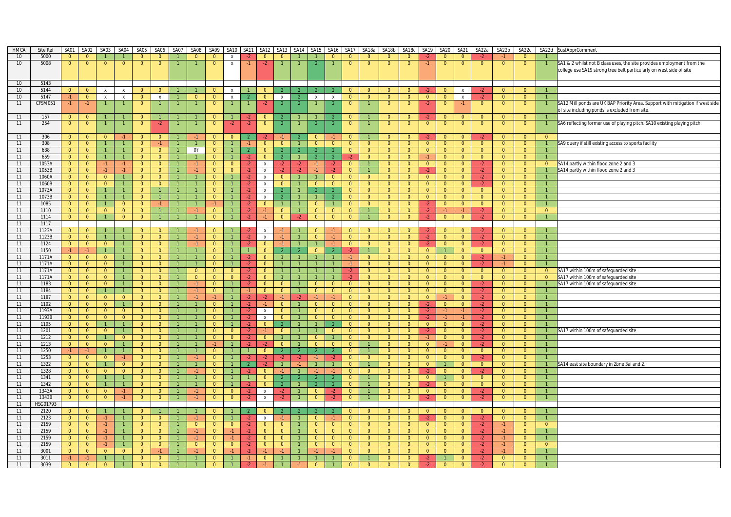| <b>HMCA</b> | Site Ref | <b>SA01</b>    | SA02           | <b>SA03</b>    | SA04           | SA05           | SA06           | SA07           | SA08           | SA09           | SA <sub>10</sub>          | <b>SA11</b>    | <b>SA12</b>               | SA <sub>13</sub> | SA <sub>14</sub> | <b>SA15</b>    | SA <sub>16</sub> | SA <sub>17</sub> | SA18a          | SA18b          | SA18c          | SA19           | <b>SA20</b>    | SA21           | SA22a          | SA22b          | SA22c          | SA22d          | SustApprComment                                                                |
|-------------|----------|----------------|----------------|----------------|----------------|----------------|----------------|----------------|----------------|----------------|---------------------------|----------------|---------------------------|------------------|------------------|----------------|------------------|------------------|----------------|----------------|----------------|----------------|----------------|----------------|----------------|----------------|----------------|----------------|--------------------------------------------------------------------------------|
| 10          | 5000     | $\mathbf{0}$   | $\overline{0}$ |                |                | $\mathbf{0}$   | $\mathbf{0}$   |                | $\Omega$       | $\Omega$       | $\boldsymbol{\mathsf{x}}$ | $-2$           | $\mathbf{0}$              | $\Omega$         |                  |                | $\Omega$         | $\mathbf{0}$     | $\mathbf 0$    | $\mathbf{0}$   | $\mathbf{0}$   |                | $\mathbf{0}$   | $\Omega$       |                |                | $\overline{0}$ |                |                                                                                |
| 10          | 5008     | $\overline{0}$ | $\overline{0}$ | $\Omega$       | $\overline{0}$ | $\overline{0}$ | $\overline{0}$ |                |                | $\Omega$       | $\mathbf{x}$              | $-1$           | $-2$                      |                  |                  |                |                  | $\overline{0}$   | $\overline{0}$ | $\overline{0}$ | $\overline{0}$ | $-1$           | $\mathbf{0}$   | $\overline{0}$ | $\overline{0}$ | $\overline{0}$ | $\overline{0}$ |                | SA1 & 2 whilst not B class uses, the site provides employment from the         |
|             |          |                |                |                |                |                |                |                |                |                |                           |                |                           |                  |                  |                |                  |                  |                |                |                |                |                |                |                |                |                |                | college use SA19 strong tree belt particularly on west side of site:           |
|             |          |                |                |                |                |                |                |                |                |                |                           |                |                           |                  |                  |                |                  |                  |                |                |                |                |                |                |                |                |                |                |                                                                                |
|             |          |                |                |                |                |                |                |                |                |                |                           |                |                           |                  |                  |                |                  |                  |                |                |                |                |                |                |                |                |                |                |                                                                                |
| 10          | 5143     |                |                |                |                |                |                |                |                |                |                           |                |                           |                  |                  |                |                  |                  |                |                |                |                |                |                |                |                |                |                |                                                                                |
| 10          | 5144     | $\overline{0}$ | $\overline{0}$ | $\mathsf{x}$   | $\mathsf{x}$   | $\overline{0}$ | $\overline{0}$ |                |                | $\overline{0}$ | $\pmb{\chi}$              | $\overline{1}$ | $\overline{0}$            |                  | $\overline{2}$   | $\overline{2}$ | $\overline{2}$   | $\overline{0}$   | $\overline{0}$ | $\overline{0}$ | $\overline{0}$ | $-2$           | $\overline{0}$ | $\mathbf{x}$   | $-2$           | $\overline{0}$ | $\overline{0}$ | $\overline{1}$ |                                                                                |
| 10          | 5147     | $-1$           | $\overline{0}$ | $\mathsf{X}$   | $\mathsf{X}$   | $\overline{0}$ | $\mathsf{X}$   |                | $\Omega$       | $\overline{0}$ | $\mathsf{x}$              | -2             | $\overline{0}$            | $\mathsf{X}$     | $\overline{2}$   | $\mathsf{X}$   | $\mathsf{X}$     | $\overline{0}$   | $\overline{0}$ | $\overline{0}$ | $\overline{0}$ | $\overline{0}$ | $\overline{0}$ | $\mathsf{X}$   |                | $\overline{0}$ | $\overline{0}$ |                |                                                                                |
| 11          | CFSM051  | $-1$           | $-1$           |                | $\overline{1}$ | $\overline{0}$ |                |                |                | $\mathbf{0}$   |                           |                | $-2$                      | $\overline{2}$   | $\overline{2}$   |                |                  | $\overline{0}$   |                | $\overline{0}$ | $\overline{0}$ | $-2$           | $\overline{0}$ | $-1$           | $\overline{0}$ | $\overline{0}$ | $\overline{0}$ |                | SA12 Mill ponds are UK BAP Priority Area. Support with mitigation if west side |
|             |          |                |                |                |                |                |                |                |                |                |                           |                |                           |                  |                  |                |                  |                  |                |                |                |                |                |                |                |                |                |                | of site including ponds is excluded from site.                                 |
| 11          | 157      | $\mathbf{0}$   | $\Omega$       |                |                | $\mathbf{0}$   |                |                |                | $\mathbf{0}$   |                           | -2             | $\mathbf{0}$              |                  |                  |                | $\mathfrak{p}$   | $\mathbf{0}$     |                | $\mathbf{0}$   | $\mathbf{0}$   | -2.            | $\Omega$       | $\Omega$       | $\Omega$       | $\mathbf{0}$   | $\overline{0}$ |                |                                                                                |
| 11          | 254      | $\overline{0}$ | $\overline{0}$ |                | $\overline{1}$ | $\overline{0}$ | $-2$           |                |                | $\overline{0}$ | $-2$                      | $-2$           | $\overline{0}$            | $\overline{2}$   |                  | $\overline{2}$ | $\overline{2}$   | $\overline{0}$   |                | $\overline{0}$ | $\overline{0}$ | $\overline{0}$ | $\overline{0}$ | $\overline{0}$ | $\overline{0}$ | $\overline{0}$ | $\overline{0}$ |                | SA6 reflecting former use of playing pitch. SA10 existing playing pitch.       |
|             |          |                |                |                |                |                |                |                |                |                |                           |                |                           |                  |                  |                |                  |                  |                |                |                |                |                |                |                |                |                |                |                                                                                |
| 11          | 306      | $\overline{0}$ | $\overline{0}$ | $\overline{0}$ | $-1$           | $\overline{0}$ | $\overline{0}$ |                | $-1$           | $\Omega$       | $\overline{0}$            |                |                           | $-1$             |                  | $\overline{0}$ | $-1$             | $\overline{0}$   |                | $\overline{0}$ | $\Omega$       | $\cdot$        | $\Omega$       | $\overline{0}$ | $-2$           | $\Omega$       | $\overline{0}$ | $\overline{0}$ |                                                                                |
| 11          | 308      | $\overline{0}$ | $\overline{0}$ | $\mathbf{1}$   | $\overline{1}$ | $\overline{0}$ | $-1$           | $\mathbf{1}$   | $\mathbf{1}$   | $\overline{0}$ | $\overline{1}$            | $-1$           | $\overline{0}$            | $\overline{0}$   | $\vert$ 1        | $\overline{0}$ | $\overline{0}$   | $\overline{0}$   | $\overline{0}$ | $\overline{0}$ | $\overline{0}$ | $\overline{0}$ | $\overline{0}$ | $\overline{0}$ | $\overline{0}$ | $\overline{0}$ | $\overline{0}$ | $\vert$ 1      | SA9 query if still existing access to sports facility                          |
| 11          | 638      |                |                |                | $\mathbf{1}$   | $\overline{0}$ |                |                | 0?             | $\Omega$       |                           |                | $\Omega$                  |                  |                  |                |                  | $\Omega$         | $\overline{0}$ |                |                |                |                |                | $\Omega$       |                |                |                |                                                                                |
|             |          | $\overline{0}$ | $\overline{0}$ |                |                |                | $\overline{0}$ |                |                |                |                           |                |                           |                  |                  |                | 2                |                  |                | $\overline{0}$ | $\overline{0}$ | $\overline{0}$ | $\overline{0}$ | $\overline{0}$ |                | $\overline{0}$ | $\overline{0}$ |                |                                                                                |
| 11          | 659      | $\overline{0}$ | $\overline{0}$ | $\overline{1}$ | $\overline{1}$ | $\overline{0}$ | $\overline{0}$ |                |                | $\overline{0}$ |                           | $-2$           | $\overline{0}$            | 2 <sup>7</sup>   |                  | $\overline{2}$ | $\overline{2}$   | $-2$             | $\overline{0}$ | $\overline{0}$ | $\overline{0}$ | $-1$           | $\overline{0}$ | $\overline{0}$ | $\overline{0}$ | $\overline{0}$ | $\overline{0}$ |                |                                                                                |
| 11          | 1053A    | $\overline{0}$ | $\overline{0}$ | $-1$           | $-1$           | $\overline{0}$ | $\overline{0}$ | $\overline{1}$ | $-1$           | $\overline{0}$ | $\overline{0}$            | $-2$           | $\mathsf{x}$              | $-2$             | $-2$             | $-1$           | $-2$             | $\overline{0}$   | $\overline{1}$ | $\overline{0}$ | $\overline{0}$ | $\overline{0}$ | $\overline{0}$ | $\overline{0}$ | $-2$           | $\overline{0}$ | $\overline{0}$ | $\overline{0}$ | SA14 partly within flood zone 2 and 3                                          |
| 11          | 1053B    | $\overline{0}$ | $\overline{0}$ | $-1$           | $-1$           | $\overline{0}$ | $\overline{0}$ | $\mathbf{1}$   | $-1$           | $\overline{0}$ | $\overline{0}$            | $-2$           | $\boldsymbol{\mathsf{X}}$ | $-2$             | $-2$             | $-1$           | $-2$             | $\overline{0}$   | $\mathbf{1}$   | $\overline{0}$ | $\overline{0}$ | $-2$           | $\overline{0}$ | $\overline{0}$ | $-2$           | $\overline{0}$ | $\overline{0}$ | $\overline{1}$ | SA14 partly within flood zone 2 and 3                                          |
| 11          | 1060A    | $\overline{0}$ | $\overline{0}$ | $\overline{0}$ | $\overline{1}$ | $\overline{0}$ | $\overline{0}$ |                |                | $\overline{0}$ |                           | $-2$           | $\mathsf{x}$              | $\Omega$         | $\overline{1}$   | $\overline{1}$ | $\overline{0}$   | $\overline{0}$   | $\overline{0}$ | $\overline{0}$ | $\overline{0}$ | $\Omega$       | $\overline{0}$ | $\overline{0}$ | $-2$           | $\overline{0}$ | $\Omega$       |                |                                                                                |
| 11          | 1060B    | $\overline{0}$ | $\overline{0}$ | $\overline{0}$ | $\overline{1}$ | $\overline{0}$ | $\overline{0}$ | $\overline{1}$ |                | $\overline{0}$ |                           | $-2$           | $\mathsf{x}$              | $\overline{0}$   | $\overline{1}$   | $\overline{0}$ | $\overline{0}$   | $\overline{0}$   | $\overline{0}$ | $\overline{0}$ | $\overline{0}$ | $\overline{0}$ | $\overline{0}$ | $\overline{0}$ |                | $\overline{0}$ | $\overline{0}$ |                |                                                                                |
| 11          | 1073A    | $\overline{0}$ | $\overline{0}$ |                | $\overline{1}$ | $\overline{0}$ |                |                |                | $\overline{0}$ |                           | $-2$           | $\mathsf{x}$              |                  |                  | $\mathcal{P}$  | $\mathcal{P}$    | $\overline{0}$   | $\overline{0}$ | $\overline{0}$ | $\overline{0}$ | $\overline{0}$ | $\overline{0}$ | $\overline{0}$ | $\overline{0}$ | $\overline{0}$ | $\overline{0}$ |                |                                                                                |
| 11          | 1073B    | $\overline{0}$ | $\overline{0}$ | $\overline{1}$ | $\overline{1}$ | $\overline{0}$ | 1              |                |                | $\overline{0}$ |                           | $-2$           | $\mathbf{x}$              |                  |                  |                | $\overline{2}$   | $\overline{0}$   | $\overline{0}$ | $\overline{0}$ | $\overline{0}$ | $\overline{0}$ | $\overline{0}$ | $\overline{0}$ | $\Omega$       | $\overline{0}$ | $\Omega$       |                |                                                                                |
| 11          | 1085     | $\overline{0}$ | $\overline{0}$ | $\overline{1}$ | $\overline{0}$ | $\overline{0}$ | $-1$           |                |                | -1             |                           | $-2$           | $\mathbf{0}$              |                  |                  | $\overline{0}$ |                  | $\overline{0}$   | $\overline{0}$ | $\overline{0}$ | $\overline{0}$ | $-2$           | $\overline{0}$ | $\overline{0}$ | $\Omega$       | $\overline{0}$ | $\overline{0}$ |                |                                                                                |
| 11          | 1110     | $\overline{0}$ | $\overline{0}$ | $\overline{0}$ | $\overline{0}$ | $\overline{0}$ | $\mathbf{1}$   | $\overline{1}$ | $-1$           | $\overline{0}$ | $\overline{1}$            | $-2$           | $-1$                      | $\overline{0}$   | $\overline{1}$   | $\overline{0}$ | $\overline{0}$   | $\overline{0}$   | $\mathbf{1}$   | $\overline{0}$ | $\overline{0}$ | $-2$           | $-1$           | $-1$           | $-2$           | $\overline{0}$ | $\overline{0}$ | $\overline{0}$ |                                                                                |
| 11          | 1114     | $\overline{0}$ | $\overline{0}$ |                | $\overline{0}$ | $\overline{0}$ | $\mathbf{1}$   | $\overline{1}$ |                | $\overline{0}$ |                           | $-2$           | $-1$                      | $\overline{0}$   | $-2$             | $\overline{0}$ | $\mathbf{0}$     | $\overline{0}$   | $\mathbf{1}$   | $\overline{0}$ | $\overline{0}$ | $-2$           | $\overline{0}$ | $\overline{0}$ | $-2$           | $\overline{0}$ | $\overline{0}$ |                |                                                                                |
| 11          | 1117     |                |                |                |                |                |                |                |                |                |                           |                |                           |                  |                  |                |                  |                  |                |                |                |                |                |                |                |                |                |                |                                                                                |
| 11          |          | $\overline{0}$ |                |                |                | $\overline{0}$ | $\overline{0}$ |                |                | $\Omega$       |                           |                | $\mathbf{x}$              |                  |                  | $\Omega$       | $-1$             | $\overline{0}$   | $\overline{0}$ | $\overline{0}$ | $\overline{0}$ | $-2$           |                | $\Omega$       | $-2$           | $\overline{0}$ | $\Omega$       |                |                                                                                |
|             | 1123A    |                | $\overline{0}$ |                |                |                |                |                |                |                |                           |                |                           |                  |                  |                |                  |                  |                |                |                |                | $\overline{0}$ |                | $-2$           |                |                |                |                                                                                |
| 11          | 1123B    | $\overline{0}$ | $\overline{0}$ | $\overline{1}$ | $\mathbf{1}$   | $\overline{0}$ | $\overline{0}$ | $\mathbf{1}$   | $-1$           | $\overline{0}$ |                           | $-2$           | $\mathsf{x}$              | $-1$             |                  | $\overline{0}$ | $-1$             | $\overline{0}$   | $\overline{0}$ | $\overline{0}$ | $\overline{0}$ | $-2$           | $\overline{0}$ | $\overline{0}$ |                | $\overline{0}$ | $\overline{0}$ |                |                                                                                |
| 11          | 1124     | $\overline{0}$ | $\overline{0}$ | $\overline{0}$ | $\overline{1}$ | $\overline{0}$ | $\overline{0}$ |                | $-1$           | $\overline{0}$ |                           | $-2$           | $\overline{0}$            | $-1$             |                  | $\overline{1}$ | $-1$             | $\overline{0}$   | $\overline{0}$ | $\overline{0}$ | $\overline{0}$ | $-2$           | $\overline{0}$ | $\overline{0}$ | $-2$           | $\overline{0}$ | $\overline{0}$ |                |                                                                                |
| 11          | 1150     | $-1$           | $-1$           | $\mathbf{1}$   | $\overline{1}$ | $\bullet$      | $\overline{0}$ | $\overline{1}$ |                | $\overline{0}$ |                           | $\overline{1}$ | $\mathbf{0}$              | $\mathcal{L}$    |                  | $\overline{0}$ | $\overline{2}$   | $-2$             | $\mathbf{1}$   | $\overline{0}$ | $\overline{0}$ | $\overline{0}$ | 1              | $\overline{0}$ | $\overline{0}$ | $\overline{0}$ | $\overline{0}$ |                |                                                                                |
| 11          | 1171A    | $\overline{0}$ | $\overline{0}$ | $\overline{0}$ | $\mathbf{1}$   | $\overline{0}$ | $\overline{0}$ | $\overline{1}$ |                | $\Omega$       |                           | $-2$           | $\overline{0}$            |                  |                  | $\overline{1}$ | $\mathbf{1}$     | $-1$             | $\overline{0}$ | $\overline{0}$ | $\overline{0}$ | $\overline{0}$ | $\overline{0}$ | $\overline{0}$ | $-2$           | $-1$           | $\overline{0}$ |                |                                                                                |
| 11          | 1171A    | $\overline{0}$ | $\overline{0}$ | $\overline{0}$ | $\overline{1}$ | $\overline{0}$ | $\overline{0}$ | $\mathbf{1}$   |                | $\overline{0}$ |                           | $-2$           | $\overline{0}$            |                  |                  | $\overline{1}$ | $\overline{1}$   | $-1$             | $\overline{0}$ | $\overline{0}$ | $\overline{0}$ | $\overline{0}$ | $\overline{0}$ | $\overline{0}$ | $-2$           | $-1$           | $\overline{0}$ |                |                                                                                |
| 11          | 1171A    | $\overline{0}$ | $\overline{0}$ | $\overline{0}$ | $\overline{1}$ | $\overline{0}$ | $\overline{0}$ | $\mathbf{1}$   | $\overline{0}$ | $\overline{0}$ | $\overline{0}$            | $-2$           | $\overline{0}$            |                  |                  | $\mathbf{1}$   | $\mathbf{1}$     | $-2$             | $\overline{0}$ | $\overline{0}$ | $\overline{0}$ | $\overline{0}$ | $\overline{0}$ | $\overline{0}$ | $\overline{0}$ | $\overline{0}$ | $\overline{0}$ | $\overline{0}$ | SA17 within 100m of safeguarded site                                           |
| 11          | 1171A    | $\overline{0}$ | $\overline{0}$ | $\overline{0}$ | $\overline{1}$ | $\overline{0}$ | $\overline{0}$ |                | $\overline{0}$ | $\overline{0}$ | $\mathbf{0}$              | $-2$           | $\overline{0}$            |                  |                  | $\overline{1}$ | $\mathbf{1}$     | $-2$             | $\overline{0}$ | $\overline{0}$ | $\overline{0}$ | $\overline{0}$ | $\overline{0}$ | $\overline{0}$ | $\mathbf{0}$   | $\overline{0}$ | $\overline{0}$ | $\overline{0}$ | SA17 within 100m of safeguarded site                                           |
| 11          | 1183     | $\overline{0}$ | $\overline{0}$ | $\overline{0}$ | $\overline{1}$ | $\overline{0}$ | $\overline{0}$ | $\mathbf{1}$   | $-1$           | $\Omega$       | $\overline{1}$            | $-2$           | $\overline{0}$            | $\overline{0}$   | $\overline{1}$   | $\overline{0}$ | $\overline{0}$   | $\overline{0}$   | $\overline{0}$ | $\overline{0}$ | $\overline{0}$ | $\Omega$       | $\overline{0}$ | $\Omega$       | $-2$           | $\overline{0}$ | $\Omega$       | $\overline{1}$ | SA17 within 100m of safeguarded site                                           |
| 11          | 1184     | $\overline{0}$ | $\overline{0}$ |                | $\mathbf{1}$   | $\overline{0}$ | $\overline{0}$ | $\overline{1}$ | $-1$           | $\overline{0}$ |                           | $-1$           | $\overline{0}$            | $\overline{0}$   | $\mathbf{1}$     | $\overline{0}$ | $\overline{0}$   | $\overline{0}$   | $\overline{0}$ | $\overline{0}$ | $\overline{0}$ | $\overline{0}$ | $\overline{0}$ | $\overline{0}$ | $-2$           | $\overline{0}$ | $\overline{0}$ |                |                                                                                |
| 11          | 1187     | $\overline{0}$ | $\overline{0}$ | $\overline{0}$ | $\overline{0}$ | $\overline{0}$ | $\overline{0}$ |                | $-1$           |                |                           | -2             | $-2$                      | -1.              | -2               |                | $-1$             | $\overline{0}$   | $\Omega$       | $\overline{0}$ | $\overline{0}$ | $\overline{0}$ | -1             | $\overline{0}$ | $-2$           | $\overline{0}$ | $\overline{0}$ |                |                                                                                |
| 11          | 1192     | $\overline{0}$ | $\overline{0}$ | $\overline{0}$ | $\overline{1}$ | $\overline{0}$ | $\overline{0}$ |                |                | $\overline{0}$ |                           | $-2$           | $-1$                      | $\overline{0}$   |                  | $\overline{0}$ | $\overline{0}$   | $\overline{0}$   | $\overline{0}$ | $\overline{0}$ | $\overline{0}$ | $-2$           | $\overline{0}$ | $\overline{0}$ | $-2$           | $\overline{0}$ | $\overline{0}$ | $\overline{1}$ |                                                                                |
| 11          | 1193A    | $\overline{0}$ | $\overline{0}$ | $\overline{0}$ | $\overline{0}$ | $\overline{0}$ | $\overline{0}$ | $\mathbf{1}$   |                | $\Omega$       |                           | $-2$           | $\mathsf{X}$              | $\overline{0}$   | $\overline{1}$   | $\overline{0}$ | $\overline{0}$   | $\overline{0}$   | $\overline{0}$ | $\overline{0}$ | $\overline{0}$ | $-2$           | $-1$           | $-1$           | $-2$           | $\overline{0}$ | $\overline{0}$ | $\mathbf{1}$   |                                                                                |
| 11          | 1193B    | $\overline{0}$ | $\overline{0}$ | $\overline{0}$ | $\overline{0}$ | $\overline{0}$ | $\overline{0}$ | $\mathbf{1}$   |                | $\overline{0}$ | $\overline{1}$            | $-2$           | $\mathsf{x}$              | $\overline{0}$   | $\overline{1}$   | $\overline{0}$ | $\overline{0}$   | $\overline{0}$   | $\overline{0}$ | $\overline{0}$ | $\overline{0}$ | $-2$           | $-1$           | $-1$           | $-2$           | $\overline{0}$ | $\overline{0}$ | $\mathbf{1}$   |                                                                                |
| 11          | 1195     | $\overline{0}$ | $\overline{0}$ | $\overline{1}$ | $\overline{1}$ | $\overline{0}$ | $\overline{0}$ | $\mathbf{1}$   | $\mathbf{1}$   | $\overline{0}$ |                           | $-2$           | $\overline{0}$            | 2 <sup>7</sup>   | $\mathbf{1}$     | $\mathbf{1}$   | $\overline{2}$   | $\overline{0}$   | $\overline{0}$ | $\overline{0}$ | $\overline{0}$ | $\overline{0}$ | $\overline{0}$ | $\overline{0}$ | $-2$           | $\overline{0}$ | $\overline{0}$ |                |                                                                                |
| 11          | 1201     | $\overline{0}$ | $\overline{0}$ | $\overline{0}$ | $\mathbf{1}$   | $\overline{0}$ | $\overline{0}$ |                |                | $\overline{0}$ | $\overline{0}$            | $-2$           | $-1$                      | $\overline{0}$   |                  |                | $\overline{0}$   | $\overline{0}$   | $\overline{0}$ | $\overline{0}$ | $\overline{0}$ | $-2$           | $\overline{0}$ | $\overline{0}$ | $-2$           | $\overline{0}$ | $\overline{0}$ |                | SA17 within 100m of safeguarded site                                           |
| 11          | 1212     | $\overline{0}$ | $\overline{0}$ | $\mathbf{1}$   | $\overline{0}$ | $\overline{0}$ | $\overline{0}$ | $\mathbf{1}$   |                | $\overline{0}$ | $\overline{0}$            | $-2$           | $\overline{0}$            |                  |                  | $\overline{0}$ | $\mathbf{1}$     | $\overline{0}$   | $\overline{0}$ | $\overline{0}$ | $\overline{0}$ | $-1$           | $\overline{0}$ | $\overline{0}$ | $-2$           | $\overline{0}$ | $\overline{0}$ | $\overline{1}$ |                                                                                |
| 11          | 1213     | $\overline{0}$ | $\overline{0}$ | $\overline{0}$ | $\mathbf{1}$   | $\overline{0}$ | $\overline{0}$ | $\overline{1}$ |                | $-1$           |                           | $-2$           | $-2$                      | $\overline{0}$   |                  | $\overline{0}$ | $\overline{0}$   | $\overline{0}$   | $\mathbf{1}$   | $\overline{0}$ | $\overline{0}$ | $\overline{0}$ | $-1$           | $\overline{0}$ | $-2$           | $\overline{0}$ | $\overline{0}$ |                |                                                                                |
| 11          |          |                |                | $\overline{1}$ |                |                |                |                |                |                |                           |                |                           |                  | $\mathcal{P}$    |                |                  |                  | $\mathbf{1}$   |                |                |                |                |                |                |                |                |                |                                                                                |
|             | 1250     | $-1$           | $-1$           |                | $\mathbf{1}$   | $\overline{0}$ | $\overline{0}$ |                |                | $\mathbf{0}$   |                           | $\vert$ 1      | $\overline{0}$<br>$\cdot$ | $\overline{2}$   |                  | $\overline{2}$ | $\overline{2}$   | $\overline{0}$   |                | $\overline{0}$ | $\overline{0}$ | $\overline{0}$ | $\overline{0}$ | $\mathbf{0}$   | $\mathbf{0}$   | $\overline{0}$ | $\overline{0}$ |                |                                                                                |
| 11          | 1253     | $\overline{0}$ | $\overline{0}$ | $\overline{0}$ | $-1$           | $\overline{0}$ | $\overline{0}$ | $\mathbf{1}$   | $-1$           | $\overline{0}$ |                           | $-2$           |                           | $-2$             | $-2$             | $-1$           | $-2$             | $\overline{0}$   | $\overline{0}$ | $\overline{0}$ | $\overline{0}$ | $\Omega$       | $\bullet$      | $\overline{0}$ | $-2$           | $\overline{0}$ | $\Omega$       |                |                                                                                |
| 11          | 1322     | $\overline{0}$ | $\overline{0}$ | $\overline{1}$ | $\overline{0}$ | $\overline{0}$ | $\overline{0}$ | $\overline{1}$ |                | $\overline{0}$ |                           | $\overline{2}$ | $-2$                      |                  | $-1$             | $\overline{1}$ |                  | $\overline{0}$   |                | $\overline{0}$ | $\overline{0}$ | $\overline{0}$ |                | $\overline{0}$ | $\overline{0}$ | $\overline{0}$ | $\overline{0}$ |                | SA14 east site boundary in Zone 3ai and 2.                                     |
| 11          | 1328     | $\overline{0}$ | $\overline{0}$ | $\overline{0}$ | $\overline{0}$ | $\overline{0}$ | $\overline{0}$ |                | $-1$           | $\overline{0}$ |                           | $-2$           | $\overline{0}$            | $-1$             |                  |                | $-1$             | $\overline{0}$   | $\overline{0}$ | $\overline{0}$ | $\overline{0}$ | $-2$           | $\overline{0}$ | $\overline{0}$ | $-2$           | $\overline{0}$ | $\overline{0}$ | $\mathbf{1}$   |                                                                                |
| 11          | 1341     | $\overline{0}$ | $\overline{0}$ | $\overline{1}$ | $\overline{1}$ | $\overline{0}$ | $\overline{0}$ | $\overline{1}$ |                | $\Omega$       |                           | $\overline{1}$ | $\overline{0}$            | 2 <sup>7</sup>   |                  | $\overline{2}$ | $\mathcal{P}$    | $\overline{0}$   | $\overline{1}$ | $\mathbf{0}$   | $\overline{0}$ | $\overline{0}$ | $\mathbf{1}$   | $\overline{0}$ | $\Omega$       | $\overline{0}$ | $\Omega$       | $\overline{1}$ |                                                                                |
| 11          | 1342     | $\overline{0}$ | $\overline{0}$ | $\mathbf{1}$   | $\mathbf{1}$   | $\overline{0}$ | $\mathbf{0}$   |                |                | $\mathbf{0}$   |                           | $-2$           | $\mathbf{0}$              | $\mathcal{P}$    |                  | $\overline{2}$ | $\overline{2}$   | $\mathbf{0}$     |                | $\mathbf{0}$   | $\overline{0}$ | $-2$           | $\overline{0}$ | $\mathbf{0}$   | $\Omega$       | $\mathbf{0}$   | $\Omega$       |                |                                                                                |
| 11          | 1343A    | $\overline{0}$ | $\overline{0}$ | $\overline{0}$ | $-1$           | $\overline{0}$ | $\overline{0}$ | $\overline{1}$ | $-1$           | $\overline{0}$ | $\overline{0}$            | $-2$           | $\mathbf{x}$              | $-2$             | $\overline{1}$   | $\overline{0}$ | $-2$             | $\Omega$         | $\mathbf{1}$   | $\overline{0}$ | $\overline{0}$ | $\Omega$       | $\overline{0}$ | $\overline{0}$ | $-2$           | $\overline{0}$ | $\Omega$       | $\mathbf{1}$   |                                                                                |
| 11          | 1343B    | $\overline{0}$ | $\overline{0}$ | $\overline{0}$ | $-1$           | $\overline{0}$ | $\overline{0}$ |                | $-1$           | $\overline{0}$ | $\overline{0}$            | $-2$           | $\boldsymbol{\mathsf{X}}$ | $-2$             |                  | $\overline{0}$ | $-2$             | $\overline{0}$   |                | $\overline{0}$ | $\overline{0}$ | $-2$           | $\overline{0}$ | $\overline{0}$ | $-2$           | $\overline{0}$ | $\overline{0}$ |                |                                                                                |
| 11          | HSG01793 |                |                |                |                |                |                |                |                |                |                           |                |                           |                  |                  |                |                  |                  |                |                |                |                |                |                |                |                |                |                |                                                                                |
| 11          | 2120     | $\overline{0}$ | $\overline{0}$ | $\overline{1}$ | $\overline{1}$ | $\overline{0}$ | $\mathbf{1}$   |                |                | $\overline{0}$ |                           |                | $\mathbf{0}$              |                  |                  |                | $\mathcal{P}$    | $\overline{0}$   | $\overline{0}$ | $\overline{0}$ | $\overline{0}$ | $\overline{0}$ | $\overline{0}$ | $\Omega$       | $\overline{0}$ | $\overline{0}$ | $\Omega$       | $\mathbf{1}$   |                                                                                |
| 11          | 2123     | $\overline{0}$ | $\overline{0}$ | $-1$           | $\mathbf{1}$   | $\overline{0}$ | $\overline{0}$ | $\mathbf{1}$   | $-1$           | $\Omega$       |                           | $-2$           | $\mathsf{x}$              | $-1$             |                  | $\overline{0}$ | $-1$             | $\overline{0}$   | $\overline{0}$ | $\overline{0}$ | $\overline{0}$ | $-2$           | $\overline{0}$ | $\overline{0}$ | $-2$           | $\overline{0}$ | $\overline{0}$ |                |                                                                                |
| 11          | 2159     | $\overline{0}$ | $\overline{0}$ | $-1$           | $\overline{1}$ | $\overline{0}$ | $\overline{0}$ |                | $\overline{0}$ | $\overline{0}$ | $\overline{0}$            | $-2$           | $\mathbf{0}$              | $\overline{0}$   |                  | $\overline{0}$ | $\overline{0}$   | $\overline{0}$   | $\overline{0}$ | $\overline{0}$ | $\overline{0}$ | $\overline{0}$ | $\overline{0}$ | $\overline{0}$ | $-2$           | $-1$           | $\overline{0}$ | $\overline{0}$ |                                                                                |
| 11          | 2159     | $\overline{0}$ | $\overline{0}$ | $-1$           | $\overline{1}$ | $\overline{0}$ | $\overline{0}$ | $\mathbf{1}$   | $-1$           | $\overline{0}$ | $-1$                      | $-2$           | $\overline{0}$            | $\overline{0}$   | $\overline{1}$   | $\overline{0}$ | $\overline{0}$   | $\overline{0}$   | $\overline{0}$ | $\overline{0}$ | $\overline{0}$ | $\overline{0}$ | $\overline{0}$ | $\overline{0}$ | $-2$           | $-1$           | $\overline{0}$ |                |                                                                                |
|             |          |                |                |                |                |                |                |                |                | $\overline{0}$ |                           |                |                           |                  |                  |                |                  |                  |                |                |                |                |                |                |                |                |                |                |                                                                                |
| 11          | 2159     | $\overline{0}$ | $\overline{0}$ | -1.            |                | $\overline{0}$ | $\overline{0}$ |                | $-1$           |                | $-1$                      | $-2$           | $\overline{0}$            | $\overline{0}$   |                  | $\overline{0}$ | $\overline{0}$   | $\overline{0}$   | $\overline{0}$ | $\overline{0}$ | $\overline{0}$ | $\overline{0}$ | $\overline{0}$ | $\overline{0}$ | $-2$           | $-1$           | $\Omega$       |                |                                                                                |
| 11          | 2159     | $\overline{0}$ | $\overline{0}$ | $-1$           | $\overline{1}$ | $\Omega$       | $\Omega$       | $\overline{1}$ | $\Omega$       | $\Omega$       | $\Omega$                  | $-2$           | $\Omega$                  | $\Omega$         |                  | $\Omega$       | $\Omega$         | $\Omega$         | $\overline{0}$ | $\Omega$       | $\overline{0}$ | $\Omega$       | $\overline{0}$ | $\Omega$       | $-2$           | $-1$           | $\Omega$       | $\Omega$       |                                                                                |
| 11          | 3001     | $\overline{0}$ | $\overline{0}$ | $\overline{0}$ | $\overline{0}$ | $\overline{0}$ | $-1$           |                | $-1$           | $\overline{0}$ | $-1$                      | $-2$           | $-1$                      | $-1$             |                  |                | $-1$             | $\overline{0}$   | $\overline{0}$ | $\overline{0}$ | $\overline{0}$ | $\overline{0}$ | $\overline{0}$ | $\overline{0}$ |                | $-1$           | $\overline{0}$ |                |                                                                                |
| 11          | 3011     | $-1$           | $-1$           |                | $\mathbf{1}$   | $\overline{0}$ | $\overline{0}$ |                |                | $\overline{0}$ |                           | $-1$           | $\mathbf{0}$              |                  |                  |                |                  | $\Omega$         |                | $\overline{0}$ | $\overline{0}$ | $-2$           |                | $\overline{0}$ | $-2$           | $\overline{0}$ | $\overline{0}$ |                |                                                                                |
| 11          | 3039     | $\Omega$       | $\Omega$       | $\Omega$       |                | $\Omega$       | $\Omega$       |                |                | $\Omega$       |                           | $\cdot$        |                           |                  |                  | $\Omega$       |                  | $\Omega$         | $\Omega$       | $\Omega$       | $\Omega$       | $-2$           | $\Omega$       | $\Omega$       | $-2$           | $\Omega$       | $\Omega$       |                |                                                                                |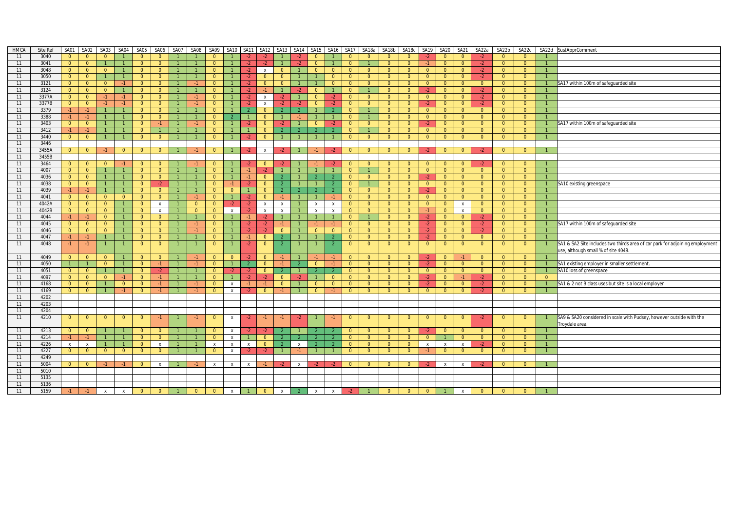| 3040<br>11<br>$\overline{0}$<br>$\Omega$<br>$\overline{0}$<br>$\Omega$<br>$\Omega$<br>$\Omega$<br>$-2$<br>$\Omega$<br>$\Omega$<br>$\Omega$<br>11<br>3041<br>$\overline{0}$<br>$\overline{0}$<br>$-2$<br>$\overline{0}$<br>$\overline{0}$<br>$\mathbf{1}$<br>$\Omega$<br>$\Omega$<br>$\overline{0}$<br>$\Omega$<br>$\Omega$<br>$\Omega$<br>$\Omega$<br>$\overline{0}$<br>$\overline{0}$<br>$-2$<br>$-2$<br>$-1$<br>$-2$<br>3048<br>11<br>$\overline{0}$<br>$\overline{0}$<br>$\Omega$<br>$\Omega$<br>$\Omega$<br>$-2$<br>$\overline{0}$<br>$\overline{0}$<br>$\Omega$<br>$\Omega$<br>$\overline{0}$<br>$-2$<br>$\mathsf{x}$<br>$\Omega$<br>$\Omega$<br>$\Omega$<br>$\Omega$<br>$\Omega$<br>$\Omega$<br>$\overline{0}$<br>$\Omega$<br>3050<br>$\overline{0}$<br>$\overline{0}$<br>$\overline{1}$<br>$\overline{0}$<br>11<br>$\overline{0}$<br>$-2$<br>$\Omega$<br>$\overline{0}$<br>$\Omega$<br>$\overline{0}$<br>$-2$<br>$\overline{0}$<br>$\overline{0}$<br>$\overline{0}$<br>$\overline{0}$<br>$\Omega$<br>$\mathbf{1}$<br>$\overline{0}$<br>$\Omega$<br>$\overline{0}$<br>$\overline{0}$<br>11<br>3121<br>$\overline{0}$<br>$\overline{0}$<br>$\overline{0}$<br>$\overline{0}$<br>$\overline{0}$<br>$\overline{0}$<br>$\overline{0}$<br>$\overline{0}$<br>$\overline{0}$<br>$\overline{0}$<br>$-1$<br>$\overline{0}$<br>$-2$<br>$\overline{0}$<br>$\Omega$<br>$\Omega$<br>$\overline{0}$<br>$\overline{0}$<br>$\overline{0}$<br>$\overline{0}$<br>$\overline{0}$<br>11<br>3124<br>$\overline{0}$<br>$\overline{0}$<br>$-2$<br>$\overline{0}$<br>$\overline{0}$<br>$\overline{0}$<br>$\overline{0}$<br>$-2$<br>$\overline{0}$<br>$\overline{0}$<br>$\overline{0}$<br>$\overline{0}$<br>$\overline{0}$<br>$\overline{0}$<br>$\overline{0}$<br>$\overline{0}$<br>$-2$<br>$-2$<br>3377A<br>11<br>$\overline{0}$<br>$\overline{0}$<br>$-1$<br>$\overline{0}$<br>$\overline{0}$<br>$\overline{0}$<br>$\overline{0}$<br>$-1$<br>$\overline{0}$<br>$\Omega$<br>$\Omega$<br>$-2$<br>$-2$<br>$-2$<br>$\Omega$<br>$\overline{0}$<br>$\Omega$<br>$\Omega$<br>$\overline{0}$<br>$-2$<br>$\overline{0}$<br>$\mathbf{1}$<br>$\mathbf{x}$<br>3377B<br>11<br>$\overline{0}$<br>$\overline{0}$<br>$-1$<br>$-2$<br>$\overline{0}$<br>$-1$<br>$\overline{0}$<br>$\Omega$<br>$\overline{0}$<br>$\overline{0}$<br>$\Omega$<br>$\overline{0}$<br>$\overline{0}$<br>$\overline{0}$<br>$-2$<br>$\overline{0}$<br>$-2$<br>$\overline{0}$<br>$-2$<br>$-1$<br>$-2$<br>$\mathsf{x}$<br>$-2$<br>$\Omega$<br>$\mathbf{1}$<br>3379<br>$-1$<br>$\mathbf{1}$<br>11<br>$-1$<br>$\overline{0}$<br>$\overline{0}$<br>$\overline{0}$<br>$\overline{0}$<br>$\Omega$<br>$\overline{0}$<br>$\overline{0}$<br>$\overline{0}$<br>$\overline{0}$<br>$\overline{0}$<br>$\overline{0}$<br>$\overline{0}$<br>$\overline{0}$<br>3388<br>11<br>$-1$<br>$-1$<br>$\overline{0}$<br>$\overline{0}$<br>$\Omega$<br>$\overline{0}$<br>$\overline{0}$<br>$\overline{0}$<br>$\overline{0}$<br>$\overline{1}$<br>$\overline{0}$<br>$\mathcal{P}$<br>$\overline{0}$<br>$-1$<br>$\Omega$<br>$\Omega$<br>$\overline{0}$<br>$\overline{0}$ | SA17 within 100m of safeguarded site                                         |
|---------------------------------------------------------------------------------------------------------------------------------------------------------------------------------------------------------------------------------------------------------------------------------------------------------------------------------------------------------------------------------------------------------------------------------------------------------------------------------------------------------------------------------------------------------------------------------------------------------------------------------------------------------------------------------------------------------------------------------------------------------------------------------------------------------------------------------------------------------------------------------------------------------------------------------------------------------------------------------------------------------------------------------------------------------------------------------------------------------------------------------------------------------------------------------------------------------------------------------------------------------------------------------------------------------------------------------------------------------------------------------------------------------------------------------------------------------------------------------------------------------------------------------------------------------------------------------------------------------------------------------------------------------------------------------------------------------------------------------------------------------------------------------------------------------------------------------------------------------------------------------------------------------------------------------------------------------------------------------------------------------------------------------------------------------------------------------------------------------------------------------------------------------------------------------------------------------------------------------------------------------------------------------------------------------------------------------------------------------------------------------------------------------------------------------------------------------------------------------------------------------------------------------------------------------------------------------------------------------------------------------------------------------------------------------------------------------------------------------------------------------------------------------------------------------------------------------------------------------------------------------------------------------------------------------------------------------------------------------------------------------------------------------------------------------------------------------|------------------------------------------------------------------------------|
|                                                                                                                                                                                                                                                                                                                                                                                                                                                                                                                                                                                                                                                                                                                                                                                                                                                                                                                                                                                                                                                                                                                                                                                                                                                                                                                                                                                                                                                                                                                                                                                                                                                                                                                                                                                                                                                                                                                                                                                                                                                                                                                                                                                                                                                                                                                                                                                                                                                                                                                                                                                                                                                                                                                                                                                                                                                                                                                                                                                                                                                                                 |                                                                              |
|                                                                                                                                                                                                                                                                                                                                                                                                                                                                                                                                                                                                                                                                                                                                                                                                                                                                                                                                                                                                                                                                                                                                                                                                                                                                                                                                                                                                                                                                                                                                                                                                                                                                                                                                                                                                                                                                                                                                                                                                                                                                                                                                                                                                                                                                                                                                                                                                                                                                                                                                                                                                                                                                                                                                                                                                                                                                                                                                                                                                                                                                                 |                                                                              |
|                                                                                                                                                                                                                                                                                                                                                                                                                                                                                                                                                                                                                                                                                                                                                                                                                                                                                                                                                                                                                                                                                                                                                                                                                                                                                                                                                                                                                                                                                                                                                                                                                                                                                                                                                                                                                                                                                                                                                                                                                                                                                                                                                                                                                                                                                                                                                                                                                                                                                                                                                                                                                                                                                                                                                                                                                                                                                                                                                                                                                                                                                 |                                                                              |
|                                                                                                                                                                                                                                                                                                                                                                                                                                                                                                                                                                                                                                                                                                                                                                                                                                                                                                                                                                                                                                                                                                                                                                                                                                                                                                                                                                                                                                                                                                                                                                                                                                                                                                                                                                                                                                                                                                                                                                                                                                                                                                                                                                                                                                                                                                                                                                                                                                                                                                                                                                                                                                                                                                                                                                                                                                                                                                                                                                                                                                                                                 |                                                                              |
|                                                                                                                                                                                                                                                                                                                                                                                                                                                                                                                                                                                                                                                                                                                                                                                                                                                                                                                                                                                                                                                                                                                                                                                                                                                                                                                                                                                                                                                                                                                                                                                                                                                                                                                                                                                                                                                                                                                                                                                                                                                                                                                                                                                                                                                                                                                                                                                                                                                                                                                                                                                                                                                                                                                                                                                                                                                                                                                                                                                                                                                                                 |                                                                              |
|                                                                                                                                                                                                                                                                                                                                                                                                                                                                                                                                                                                                                                                                                                                                                                                                                                                                                                                                                                                                                                                                                                                                                                                                                                                                                                                                                                                                                                                                                                                                                                                                                                                                                                                                                                                                                                                                                                                                                                                                                                                                                                                                                                                                                                                                                                                                                                                                                                                                                                                                                                                                                                                                                                                                                                                                                                                                                                                                                                                                                                                                                 |                                                                              |
|                                                                                                                                                                                                                                                                                                                                                                                                                                                                                                                                                                                                                                                                                                                                                                                                                                                                                                                                                                                                                                                                                                                                                                                                                                                                                                                                                                                                                                                                                                                                                                                                                                                                                                                                                                                                                                                                                                                                                                                                                                                                                                                                                                                                                                                                                                                                                                                                                                                                                                                                                                                                                                                                                                                                                                                                                                                                                                                                                                                                                                                                                 |                                                                              |
|                                                                                                                                                                                                                                                                                                                                                                                                                                                                                                                                                                                                                                                                                                                                                                                                                                                                                                                                                                                                                                                                                                                                                                                                                                                                                                                                                                                                                                                                                                                                                                                                                                                                                                                                                                                                                                                                                                                                                                                                                                                                                                                                                                                                                                                                                                                                                                                                                                                                                                                                                                                                                                                                                                                                                                                                                                                                                                                                                                                                                                                                                 |                                                                              |
|                                                                                                                                                                                                                                                                                                                                                                                                                                                                                                                                                                                                                                                                                                                                                                                                                                                                                                                                                                                                                                                                                                                                                                                                                                                                                                                                                                                                                                                                                                                                                                                                                                                                                                                                                                                                                                                                                                                                                                                                                                                                                                                                                                                                                                                                                                                                                                                                                                                                                                                                                                                                                                                                                                                                                                                                                                                                                                                                                                                                                                                                                 |                                                                              |
|                                                                                                                                                                                                                                                                                                                                                                                                                                                                                                                                                                                                                                                                                                                                                                                                                                                                                                                                                                                                                                                                                                                                                                                                                                                                                                                                                                                                                                                                                                                                                                                                                                                                                                                                                                                                                                                                                                                                                                                                                                                                                                                                                                                                                                                                                                                                                                                                                                                                                                                                                                                                                                                                                                                                                                                                                                                                                                                                                                                                                                                                                 |                                                                              |
| 3403<br>$\overline{0}$<br>$\mathbf{1}$<br>11<br>$\overline{0}$<br>$\mathbf{1}$<br>$\Omega$<br>$\Omega$<br>$\Omega$<br>$\Omega$<br>$\Omega$<br>$\Omega$<br>$\Omega$<br>$\Omega$<br>$\Omega$<br>$\Omega$<br>$-1$<br>$\overline{1}$<br>$\Omega$<br>$\Omega$<br>$\Omega$<br>$\mathbf{1}$<br>$-2$<br>$-2$<br>-2<br>$-2$                                                                                                                                                                                                                                                                                                                                                                                                                                                                                                                                                                                                                                                                                                                                                                                                                                                                                                                                                                                                                                                                                                                                                                                                                                                                                                                                                                                                                                                                                                                                                                                                                                                                                                                                                                                                                                                                                                                                                                                                                                                                                                                                                                                                                                                                                                                                                                                                                                                                                                                                                                                                                                                                                                                                                              | SA17 within 100m of safequarded site                                         |
| 11<br>3412<br>$\overline{1}$<br>$\overline{0}$<br>$-1$<br>$-1$<br>$\Omega$<br>$\overline{0}$<br>$\overline{0}$<br>$\overline{2}$<br>$\Omega$<br>$\overline{0}$<br>$\overline{0}$<br>$\overline{0}$<br>$\overline{0}$<br>$\overline{0}$<br>$\overline{0}$<br>$\overline{0}$<br>$\overline{1}$                                                                                                                                                                                                                                                                                                                                                                                                                                                                                                                                                                                                                                                                                                                                                                                                                                                                                                                                                                                                                                                                                                                                                                                                                                                                                                                                                                                                                                                                                                                                                                                                                                                                                                                                                                                                                                                                                                                                                                                                                                                                                                                                                                                                                                                                                                                                                                                                                                                                                                                                                                                                                                                                                                                                                                                    |                                                                              |
| 3440<br>11<br>$\overline{0}$<br>$\overline{0}$<br>$\overline{1}$<br>$\overline{0}$<br>$\overline{0}$<br>$\overline{0}$<br>$\overline{0}$<br>$\overline{0}$<br>$\overline{0}$<br>$\overline{0}$<br>$\overline{0}$<br>$\overline{0}$<br>$-2$<br>$\overline{0}$<br>$\overline{1}$<br>$\overline{0}$<br>$\overline{0}$<br>$\overline{0}$<br>$\overline{0}$<br>$\overline{1}$                                                                                                                                                                                                                                                                                                                                                                                                                                                                                                                                                                                                                                                                                                                                                                                                                                                                                                                                                                                                                                                                                                                                                                                                                                                                                                                                                                                                                                                                                                                                                                                                                                                                                                                                                                                                                                                                                                                                                                                                                                                                                                                                                                                                                                                                                                                                                                                                                                                                                                                                                                                                                                                                                                        |                                                                              |
| 3446<br>11                                                                                                                                                                                                                                                                                                                                                                                                                                                                                                                                                                                                                                                                                                                                                                                                                                                                                                                                                                                                                                                                                                                                                                                                                                                                                                                                                                                                                                                                                                                                                                                                                                                                                                                                                                                                                                                                                                                                                                                                                                                                                                                                                                                                                                                                                                                                                                                                                                                                                                                                                                                                                                                                                                                                                                                                                                                                                                                                                                                                                                                                      |                                                                              |
| 3455A<br>11<br>$\overline{0}$<br>$\overline{0}$<br>$-1$<br>$\overline{0}$<br>$\overline{0}$<br>$\overline{0}$<br>$\overline{0}$<br>$\overline{0}$<br>$\overline{0}$<br>$\overline{0}$<br>$\overline{0}$<br>$\overline{0}$<br>$-2$<br>$\overline{0}$<br>$-2$<br>$-1$<br>-2<br>$\overline{0}$<br>$\overline{0}$<br>-2<br>$\mathsf{X}$<br>$-2$                                                                                                                                                                                                                                                                                                                                                                                                                                                                                                                                                                                                                                                                                                                                                                                                                                                                                                                                                                                                                                                                                                                                                                                                                                                                                                                                                                                                                                                                                                                                                                                                                                                                                                                                                                                                                                                                                                                                                                                                                                                                                                                                                                                                                                                                                                                                                                                                                                                                                                                                                                                                                                                                                                                                     |                                                                              |
| 3455B<br>11                                                                                                                                                                                                                                                                                                                                                                                                                                                                                                                                                                                                                                                                                                                                                                                                                                                                                                                                                                                                                                                                                                                                                                                                                                                                                                                                                                                                                                                                                                                                                                                                                                                                                                                                                                                                                                                                                                                                                                                                                                                                                                                                                                                                                                                                                                                                                                                                                                                                                                                                                                                                                                                                                                                                                                                                                                                                                                                                                                                                                                                                     |                                                                              |
| 3464<br>$\overline{0}$<br>11<br>$\overline{0}$<br>$\overline{0}$<br>$\overline{0}$<br>$\overline{0}$<br>$-2$<br>$-1$<br>$\Omega$<br>$\Omega$<br>$-2$<br>$\Omega$<br>$-2$<br>$-1$<br>$-2$<br>$\Omega$<br>$\Omega$<br>$\Omega$<br>$\Omega$<br>$\Omega$<br>$\overline{0}$<br>$\Omega$<br>$\overline{0}$                                                                                                                                                                                                                                                                                                                                                                                                                                                                                                                                                                                                                                                                                                                                                                                                                                                                                                                                                                                                                                                                                                                                                                                                                                                                                                                                                                                                                                                                                                                                                                                                                                                                                                                                                                                                                                                                                                                                                                                                                                                                                                                                                                                                                                                                                                                                                                                                                                                                                                                                                                                                                                                                                                                                                                            |                                                                              |
| 11<br>4007<br>$\overline{0}$<br>$\overline{1}$<br>$\overline{0}$<br>$\overline{0}$<br>$\overline{0}$<br>$\overline{0}$<br>$\overline{1}$<br>$\Omega$<br>$\overline{0}$<br>$\overline{0}$<br>$\overline{0}$<br>$\overline{0}$<br>$\overline{0}$<br>$\overline{0}$<br>$\overline{0}$<br>$\overline{0}$<br>$\overline{1}$<br>$-1$<br>-2                                                                                                                                                                                                                                                                                                                                                                                                                                                                                                                                                                                                                                                                                                                                                                                                                                                                                                                                                                                                                                                                                                                                                                                                                                                                                                                                                                                                                                                                                                                                                                                                                                                                                                                                                                                                                                                                                                                                                                                                                                                                                                                                                                                                                                                                                                                                                                                                                                                                                                                                                                                                                                                                                                                                            |                                                                              |
| 4036<br>11<br>$\overline{0}$<br>$\overline{0}$<br>$\overline{1}$<br>$\overline{0}$<br>$\overline{0}$<br>$\overline{0}$<br>$-1$<br>$\overline{0}$<br>$\overline{0}$<br>$\overline{0}$<br>$\overline{0}$<br>$\Omega$<br>$-2$<br>$\overline{0}$<br>$\overline{0}$<br>$\overline{0}$<br>$\overline{0}$<br>$\overline{0}$                                                                                                                                                                                                                                                                                                                                                                                                                                                                                                                                                                                                                                                                                                                                                                                                                                                                                                                                                                                                                                                                                                                                                                                                                                                                                                                                                                                                                                                                                                                                                                                                                                                                                                                                                                                                                                                                                                                                                                                                                                                                                                                                                                                                                                                                                                                                                                                                                                                                                                                                                                                                                                                                                                                                                            |                                                                              |
| 4038<br>11<br>$\overline{0}$<br>$\overline{0}$<br>$\overline{1}$<br>$\overline{0}$<br>$\overline{0}$<br>$\overline{0}$<br>$\overline{0}$<br>$\overline{0}$<br>$\overline{0}$<br>$-2$<br>$\mathbf{0}$<br>$-2$<br>$\overline{0}$<br>$\overline{1}$<br>$\overline{0}$<br>$\overline{0}$<br>$\mathbf{0}$<br>$\overline{0}$<br>$\mathbf{1}$<br>$-1$<br>-2                                                                                                                                                                                                                                                                                                                                                                                                                                                                                                                                                                                                                                                                                                                                                                                                                                                                                                                                                                                                                                                                                                                                                                                                                                                                                                                                                                                                                                                                                                                                                                                                                                                                                                                                                                                                                                                                                                                                                                                                                                                                                                                                                                                                                                                                                                                                                                                                                                                                                                                                                                                                                                                                                                                            | SA10 existing greenspace                                                     |
| 4039<br>$-1$<br>$\mathbf{1}$<br>$\overline{0}$<br>$\overline{0}$<br>$\overline{0}$<br>$\overline{0}$<br>$\overline{0}$<br>$\overline{0}$<br>11<br>$-1$<br>$\overline{0}$<br>$\overline{0}$<br>$\Omega$<br>$\Omega$<br>$\overline{0}$<br>$\overline{0}$<br>$\overline{0}$<br>$\overline{0}$<br>$-2$<br>$\overline{1}$                                                                                                                                                                                                                                                                                                                                                                                                                                                                                                                                                                                                                                                                                                                                                                                                                                                                                                                                                                                                                                                                                                                                                                                                                                                                                                                                                                                                                                                                                                                                                                                                                                                                                                                                                                                                                                                                                                                                                                                                                                                                                                                                                                                                                                                                                                                                                                                                                                                                                                                                                                                                                                                                                                                                                            |                                                                              |
| 4041<br>$\overline{0}$<br>11<br>$\overline{0}$<br>$\overline{0}$<br>$\overline{0}$<br>$\Omega$<br>$\overline{0}$<br>$\overline{0}$<br>$\Omega$<br>$\Omega$<br>$\overline{0}$<br>$\overline{0}$<br>$\overline{0}$<br>$-2$<br>$\overline{0}$<br>$\overline{0}$<br>$\Omega$<br>$\overline{0}$<br>$\Omega$<br>$\overline{0}$                                                                                                                                                                                                                                                                                                                                                                                                                                                                                                                                                                                                                                                                                                                                                                                                                                                                                                                                                                                                                                                                                                                                                                                                                                                                                                                                                                                                                                                                                                                                                                                                                                                                                                                                                                                                                                                                                                                                                                                                                                                                                                                                                                                                                                                                                                                                                                                                                                                                                                                                                                                                                                                                                                                                                        |                                                                              |
| 4042A<br>$\overline{0}$<br>$\overline{0}$<br>11<br>$\overline{0}$<br>$\overline{0}$<br>$\Omega$<br>$\overline{0}$<br>$\overline{0}$<br>$\overline{0}$<br>$\overline{0}$<br>$\overline{0}$<br>$\mathbf{1}$<br>$\mathsf{x}$<br>$\overline{0}$<br>$\overline{0}$<br>$-2$<br>$-2$<br>$\mathsf{x}$<br>$\mathbf{x}$<br>$\overline{0}$<br>$\overline{0}$<br>$\overline{0}$<br>$\mathbf{x}$<br>$\mathsf{X}$<br>$\mathsf{x}$                                                                                                                                                                                                                                                                                                                                                                                                                                                                                                                                                                                                                                                                                                                                                                                                                                                                                                                                                                                                                                                                                                                                                                                                                                                                                                                                                                                                                                                                                                                                                                                                                                                                                                                                                                                                                                                                                                                                                                                                                                                                                                                                                                                                                                                                                                                                                                                                                                                                                                                                                                                                                                                             |                                                                              |
| $\overline{0}$<br>11<br>4042B<br>$\overline{0}$<br>$\overline{0}$<br>$\overline{0}$<br>$\overline{0}$<br>$\overline{0}$<br>$\overline{0}$<br>$\overline{0}$<br>$\overline{0}$<br>$\overline{0}$<br>$\overline{0}$<br>$\overline{0}$<br>$\overline{0}$<br>$\mathbf{1}$<br>$\mathsf{x}$<br>$\mathbf{1}$<br>$\mathsf{x}$<br>$\mathsf{x}$<br>$\mathsf{x}$<br>$\mathbf{x}$<br>$\overline{0}$<br>$-1$<br>$\mathsf{x}$<br>$\mathbf{1}$<br>$\mathsf{X}$<br>$-2$                                                                                                                                                                                                                                                                                                                                                                                                                                                                                                                                                                                                                                                                                                                                                                                                                                                                                                                                                                                                                                                                                                                                                                                                                                                                                                                                                                                                                                                                                                                                                                                                                                                                                                                                                                                                                                                                                                                                                                                                                                                                                                                                                                                                                                                                                                                                                                                                                                                                                                                                                                                                                         |                                                                              |
| 11<br>4044<br>$\overline{0}$<br>$-1$<br>$-1$<br>$\overline{0}$<br>$\overline{0}$<br>$\Omega$<br>$\overline{1}$<br>$-1$<br>$\overline{1}$<br>$\Omega$<br>$\Omega$<br>$\Omega$<br>$-2$<br>$\Omega$<br>$\overline{0}$<br>$-2$<br>$\overline{0}$<br>$\overline{0}$<br>$-2$<br>$\mathbf{1}$                                                                                                                                                                                                                                                                                                                                                                                                                                                                                                                                                                                                                                                                                                                                                                                                                                                                                                                                                                                                                                                                                                                                                                                                                                                                                                                                                                                                                                                                                                                                                                                                                                                                                                                                                                                                                                                                                                                                                                                                                                                                                                                                                                                                                                                                                                                                                                                                                                                                                                                                                                                                                                                                                                                                                                                          |                                                                              |
| 4045<br>11<br>$\overline{0}$<br>$\overline{0}$<br>$\overline{0}$<br>$\overline{0}$<br>$\overline{0}$<br>$-1$<br>$\overline{0}$<br>$-2$<br>$-1$<br>$\overline{0}$<br>$\overline{0}$<br>$\overline{0}$<br>$\Omega$<br>$-2$<br>$\overline{0}$<br>$\overline{0}$<br>$-2$<br>$\overline{0}$<br>$\overline{0}$<br>$\mathbf{1}$<br>$-2$<br>$-1$<br>$-1$                                                                                                                                                                                                                                                                                                                                                                                                                                                                                                                                                                                                                                                                                                                                                                                                                                                                                                                                                                                                                                                                                                                                                                                                                                                                                                                                                                                                                                                                                                                                                                                                                                                                                                                                                                                                                                                                                                                                                                                                                                                                                                                                                                                                                                                                                                                                                                                                                                                                                                                                                                                                                                                                                                                                | SA17 within 100m of safeguarded site                                         |
| 4046<br>$\overline{0}$<br>$\overline{0}$<br>$-2$<br>$\overline{0}$<br>11<br>$\overline{0}$<br>$\overline{0}$<br>$\overline{0}$<br>$\Omega$<br>$\overline{0}$<br>$\overline{0}$<br>$\overline{0}$<br>$\overline{0}$<br>$\overline{0}$<br>$\overline{0}$<br>$\overline{0}$<br>$-2$<br>$-2$<br>$\overline{0}$<br>$-2$<br>$\overline{0}$<br>$\overline{0}$<br>$\mathbf{1}$<br>$-1$<br>$\overline{1}$                                                                                                                                                                                                                                                                                                                                                                                                                                                                                                                                                                                                                                                                                                                                                                                                                                                                                                                                                                                                                                                                                                                                                                                                                                                                                                                                                                                                                                                                                                                                                                                                                                                                                                                                                                                                                                                                                                                                                                                                                                                                                                                                                                                                                                                                                                                                                                                                                                                                                                                                                                                                                                                                                |                                                                              |
| 4047<br>$-1$<br>$\overline{0}$<br>11<br>$-1$<br>$\overline{1}$<br>$\overline{0}$<br>$\mathbf{0}$<br>$\overline{0}$<br>$-1$<br>$\overline{0}$<br>$\Omega$<br>$\overline{0}$<br>$\Omega$<br>$\overline{0}$<br>$-2$<br>$\overline{0}$<br>$\overline{0}$<br>$\overline{0}$<br>$\overline{0}$<br>2                                                                                                                                                                                                                                                                                                                                                                                                                                                                                                                                                                                                                                                                                                                                                                                                                                                                                                                                                                                                                                                                                                                                                                                                                                                                                                                                                                                                                                                                                                                                                                                                                                                                                                                                                                                                                                                                                                                                                                                                                                                                                                                                                                                                                                                                                                                                                                                                                                                                                                                                                                                                                                                                                                                                                                                   |                                                                              |
| 4048<br>$\overline{0}$<br>11<br>$\overline{0}$<br>$\overline{0}$<br>$-2$<br>$\overline{0}$<br>$\Omega$<br>$\overline{0}$<br>$\overline{0}$<br>$-1$<br>$-1$<br>$\overline{1}$<br>$\overline{0}$<br>$\mathcal{L}$<br>$\overline{0}$<br>$\Omega$<br>$\overline{0}$<br>$\overline{0}$<br>$\overline{0}$<br>$\overline{0}$<br>$\overline{1}$<br>$\overline{2}$                                                                                                                                                                                                                                                                                                                                                                                                                                                                                                                                                                                                                                                                                                                                                                                                                                                                                                                                                                                                                                                                                                                                                                                                                                                                                                                                                                                                                                                                                                                                                                                                                                                                                                                                                                                                                                                                                                                                                                                                                                                                                                                                                                                                                                                                                                                                                                                                                                                                                                                                                                                                                                                                                                                       | SA1 & SA2 Site includes two thirds area of car park for adjoining employment |
|                                                                                                                                                                                                                                                                                                                                                                                                                                                                                                                                                                                                                                                                                                                                                                                                                                                                                                                                                                                                                                                                                                                                                                                                                                                                                                                                                                                                                                                                                                                                                                                                                                                                                                                                                                                                                                                                                                                                                                                                                                                                                                                                                                                                                                                                                                                                                                                                                                                                                                                                                                                                                                                                                                                                                                                                                                                                                                                                                                                                                                                                                 | use, although small % of site 4048                                           |
| 11<br>4049<br>$\overline{0}$<br>$\overline{0}$<br>$\overline{0}$<br>$\overline{0}$<br>$\overline{0}$<br>$\overline{0}$<br>$\overline{0}$<br>$\overline{0}$<br>$\overline{0}$<br>$\overline{0}$<br>$\overline{0}$<br>$\overline{0}$<br>$\overline{0}$<br>$\overline{0}$<br>$\overline{0}$<br>$-1$<br>$\overline{0}$<br>$-2$<br>$-1$<br>$\cdot$<br>$-1$<br>$-1$<br>$-1$                                                                                                                                                                                                                                                                                                                                                                                                                                                                                                                                                                                                                                                                                                                                                                                                                                                                                                                                                                                                                                                                                                                                                                                                                                                                                                                                                                                                                                                                                                                                                                                                                                                                                                                                                                                                                                                                                                                                                                                                                                                                                                                                                                                                                                                                                                                                                                                                                                                                                                                                                                                                                                                                                                           |                                                                              |
| 4050<br>11<br>$\overline{0}$<br>$\overline{0}$<br>$\overline{0}$<br>$\overline{0}$<br>$\overline{1}$<br>$\overline{0}$<br>$-1$<br>$-1$<br>$\overline{0}$<br>$\overline{1}$<br>$\overline{2}$<br>$-1$<br>$-1$<br>$\overline{0}$<br>$\overline{0}$<br>$\overline{0}$<br>$-2$<br>$\overline{0}$<br>$\overline{0}$<br>$\overline{0}$<br>$\overline{0}$<br>$\overline{0}$                                                                                                                                                                                                                                                                                                                                                                                                                                                                                                                                                                                                                                                                                                                                                                                                                                                                                                                                                                                                                                                                                                                                                                                                                                                                                                                                                                                                                                                                                                                                                                                                                                                                                                                                                                                                                                                                                                                                                                                                                                                                                                                                                                                                                                                                                                                                                                                                                                                                                                                                                                                                                                                                                                            | SA1 existing employer in smaller settlement.                                 |
| 4051<br>11<br>$\overline{0}$<br>SA10 loss of greenspace<br>$\overline{0}$<br>$\overline{1}$<br>$\overline{0}$<br>$\overline{0}$<br>$\overline{0}$<br>$\overline{0}$<br>$\overline{0}$<br>$\overline{0}$<br>$\overline{0}$<br>$\overline{0}$<br>$\overline{0}$<br>$\overline{0}$<br>$-2$<br>$-2$<br>$\mathcal{L}$<br>$\overline{0}$<br>$\overline{0}$<br>$\overline{0}$<br>$-2$                                                                                                                                                                                                                                                                                                                                                                                                                                                                                                                                                                                                                                                                                                                                                                                                                                                                                                                                                                                                                                                                                                                                                                                                                                                                                                                                                                                                                                                                                                                                                                                                                                                                                                                                                                                                                                                                                                                                                                                                                                                                                                                                                                                                                                                                                                                                                                                                                                                                                                                                                                                                                                                                                                  |                                                                              |
| 4097<br>11<br>$\overline{0}$<br>$\overline{0}$<br>$\overline{0}$<br>$\Omega$<br>$\overline{0}$<br>$\Omega$<br>$\Omega$<br>$-2$<br>$\Omega$<br>$\Omega$<br>$-1$<br>$-1$<br>$\Omega$<br>$-2$<br>$-2$<br>$\Omega$<br>$\overline{0}$<br>$\Omega$<br>$\Omega$<br>$-2$<br>$\Omega$<br>$-2$<br>$\overline{1}$                                                                                                                                                                                                                                                                                                                                                                                                                                                                                                                                                                                                                                                                                                                                                                                                                                                                                                                                                                                                                                                                                                                                                                                                                                                                                                                                                                                                                                                                                                                                                                                                                                                                                                                                                                                                                                                                                                                                                                                                                                                                                                                                                                                                                                                                                                                                                                                                                                                                                                                                                                                                                                                                                                                                                                          |                                                                              |
| 11<br>4168<br>$\overline{0}$<br>$\overline{0}$<br>$\overline{0}$<br>$-2$<br>$\overline{0}$<br>$\overline{0}$<br>$\overline{0}$<br>$\Omega$<br>$\Omega$<br>$\mathbf{0}$<br>$\Omega$<br>$\overline{0}$<br>$\Omega$<br>$\Omega$<br>$-2$<br>$\overline{0}$<br>$\overline{0}$<br>$\overline{0}$<br>$-1$<br>$\mathsf{x}$<br>$-1$                                                                                                                                                                                                                                                                                                                                                                                                                                                                                                                                                                                                                                                                                                                                                                                                                                                                                                                                                                                                                                                                                                                                                                                                                                                                                                                                                                                                                                                                                                                                                                                                                                                                                                                                                                                                                                                                                                                                                                                                                                                                                                                                                                                                                                                                                                                                                                                                                                                                                                                                                                                                                                                                                                                                                      | SA1 & 2 not B class uses but site is a local employer                        |
| 11<br>4169<br>$\Omega$<br>$\overline{0}$<br>$\Omega$<br>$-2$<br>$\Omega$<br>$\Omega$<br>$\overline{0}$<br>$\Omega$<br>$\Omega$<br>$\Omega$<br>$\Omega$<br>$\Omega$<br>$\overline{0}$<br>$-1$<br>$\mathsf{x}$<br>-2<br>$\Omega$<br>$\Omega$<br>$\Omega$                                                                                                                                                                                                                                                                                                                                                                                                                                                                                                                                                                                                                                                                                                                                                                                                                                                                                                                                                                                                                                                                                                                                                                                                                                                                                                                                                                                                                                                                                                                                                                                                                                                                                                                                                                                                                                                                                                                                                                                                                                                                                                                                                                                                                                                                                                                                                                                                                                                                                                                                                                                                                                                                                                                                                                                                                          |                                                                              |
| 4202<br>11                                                                                                                                                                                                                                                                                                                                                                                                                                                                                                                                                                                                                                                                                                                                                                                                                                                                                                                                                                                                                                                                                                                                                                                                                                                                                                                                                                                                                                                                                                                                                                                                                                                                                                                                                                                                                                                                                                                                                                                                                                                                                                                                                                                                                                                                                                                                                                                                                                                                                                                                                                                                                                                                                                                                                                                                                                                                                                                                                                                                                                                                      |                                                                              |
| 11<br>4203                                                                                                                                                                                                                                                                                                                                                                                                                                                                                                                                                                                                                                                                                                                                                                                                                                                                                                                                                                                                                                                                                                                                                                                                                                                                                                                                                                                                                                                                                                                                                                                                                                                                                                                                                                                                                                                                                                                                                                                                                                                                                                                                                                                                                                                                                                                                                                                                                                                                                                                                                                                                                                                                                                                                                                                                                                                                                                                                                                                                                                                                      |                                                                              |
| 4204<br>11                                                                                                                                                                                                                                                                                                                                                                                                                                                                                                                                                                                                                                                                                                                                                                                                                                                                                                                                                                                                                                                                                                                                                                                                                                                                                                                                                                                                                                                                                                                                                                                                                                                                                                                                                                                                                                                                                                                                                                                                                                                                                                                                                                                                                                                                                                                                                                                                                                                                                                                                                                                                                                                                                                                                                                                                                                                                                                                                                                                                                                                                      |                                                                              |
| 11<br>4210<br>$\overline{0}$<br>$\overline{0}$<br>$\overline{0}$<br>$\overline{0}$<br>$\overline{0}$<br>$\Omega$<br>$\overline{0}$<br>$\overline{0}$<br>$\overline{0}$<br>$-2$<br>$\overline{0}$<br>$\overline{0}$<br>$\overline{0}$<br>$\overline{0}$<br>$\overline{0}$<br>$-2$<br>$\overline{0}$<br>$-1$<br>$\mathbf{1}$<br>$-1$<br>$\mathsf{x}$<br>$-1$<br>$-1$<br>$-2$<br>$\overline{1}$<br>$-1$<br>Troydale area.                                                                                                                                                                                                                                                                                                                                                                                                                                                                                                                                                                                                                                                                                                                                                                                                                                                                                                                                                                                                                                                                                                                                                                                                                                                                                                                                                                                                                                                                                                                                                                                                                                                                                                                                                                                                                                                                                                                                                                                                                                                                                                                                                                                                                                                                                                                                                                                                                                                                                                                                                                                                                                                          | SA9 & SA20 considered in scale with Pudsey, however outside with the         |
| 11<br>4213<br>$\overline{0}$<br>$\overline{0}$<br>$\overline{0}$<br>$\overline{0}$<br>$\overline{0}$<br>$\overline{0}$<br>$\overline{0}$<br>$\Omega$<br>$\overline{0}$<br>$\overline{0}$<br>$\overline{0}$<br>$\overline{0}$<br>$\mathbf{0}$<br>$\overline{0}$<br>$\mathsf{x}$<br>$-2$<br>$-2$<br>-2                                                                                                                                                                                                                                                                                                                                                                                                                                                                                                                                                                                                                                                                                                                                                                                                                                                                                                                                                                                                                                                                                                                                                                                                                                                                                                                                                                                                                                                                                                                                                                                                                                                                                                                                                                                                                                                                                                                                                                                                                                                                                                                                                                                                                                                                                                                                                                                                                                                                                                                                                                                                                                                                                                                                                                            |                                                                              |
| 11<br>4214<br>$\mathbf{1}$<br>$\overline{0}$<br>$\overline{0}$<br>$\overline{0}$<br>$\overline{0}$<br>$\overline{0}$<br>$\overline{0}$<br>$\overline{0}$<br>$-1$<br>$-1$<br>$\overline{0}$<br>$\mathcal{L}$<br>$\overline{0}$<br>$\Omega$<br>$\overline{0}$<br>$\overline{0}$<br>$\overline{0}$<br>$\mathsf{x}$                                                                                                                                                                                                                                                                                                                                                                                                                                                                                                                                                                                                                                                                                                                                                                                                                                                                                                                                                                                                                                                                                                                                                                                                                                                                                                                                                                                                                                                                                                                                                                                                                                                                                                                                                                                                                                                                                                                                                                                                                                                                                                                                                                                                                                                                                                                                                                                                                                                                                                                                                                                                                                                                                                                                                                 |                                                                              |
| 11<br>4226<br>$\mathbf{x}$<br>$\overline{1}$<br>$\bullet$<br>$\overline{0}$<br>$\overline{2}$<br>$\Omega$<br>$\overline{0}$<br>$\overline{0}$<br>$\overline{0}$<br>$-2$<br>$\overline{0}$<br>$\overline{0}$<br>$\mathbf{x}$<br>$\mathbf{x}$<br>$\mathsf{x}$<br>$\mathsf{x}$<br>$\mathsf{x}$<br>$\mathsf{x}$<br>$\mathsf{x}$<br>$\mathsf{x}$<br>$\mathsf{x}$                                                                                                                                                                                                                                                                                                                                                                                                                                                                                                                                                                                                                                                                                                                                                                                                                                                                                                                                                                                                                                                                                                                                                                                                                                                                                                                                                                                                                                                                                                                                                                                                                                                                                                                                                                                                                                                                                                                                                                                                                                                                                                                                                                                                                                                                                                                                                                                                                                                                                                                                                                                                                                                                                                                     |                                                                              |
| 4227<br>11<br>$\overline{0}$<br>$\overline{0}$<br>$\overline{0}$<br>$\overline{0}$<br>$\overline{0}$<br>$\overline{0}$<br>$\overline{0}$<br>$\overline{0}$<br>$\overline{0}$<br>$\Omega$<br>$\Omega$<br>$-1$<br>$\overline{0}$<br>$\overline{0}$<br>$\overline{0}$<br>$\overline{0}$<br>$\overline{0}$<br>$\mathbf{x}$<br>$\cdot$<br>$-2$<br>$-1$                                                                                                                                                                                                                                                                                                                                                                                                                                                                                                                                                                                                                                                                                                                                                                                                                                                                                                                                                                                                                                                                                                                                                                                                                                                                                                                                                                                                                                                                                                                                                                                                                                                                                                                                                                                                                                                                                                                                                                                                                                                                                                                                                                                                                                                                                                                                                                                                                                                                                                                                                                                                                                                                                                                               |                                                                              |
| 4249<br>11                                                                                                                                                                                                                                                                                                                                                                                                                                                                                                                                                                                                                                                                                                                                                                                                                                                                                                                                                                                                                                                                                                                                                                                                                                                                                                                                                                                                                                                                                                                                                                                                                                                                                                                                                                                                                                                                                                                                                                                                                                                                                                                                                                                                                                                                                                                                                                                                                                                                                                                                                                                                                                                                                                                                                                                                                                                                                                                                                                                                                                                                      |                                                                              |
| 5004<br>11<br>$\overline{0}$<br>$\overline{0}$<br>$\Omega$<br>$-2$<br>$\mathbf{0}$<br>$-1$<br>$\Omega$<br>$\mathsf{X}$<br>$\mathsf{x}$<br>$\mathbf{x}$<br>-2<br>$\Omega$<br>$\Omega$<br>$-2$<br>$\mathsf{x}$<br>$\overline{0}$<br>$\overline{0}$<br>X<br>$\mathbf{x}$<br>-2<br>-2<br>$\mathsf{x}$                                                                                                                                                                                                                                                                                                                                                                                                                                                                                                                                                                                                                                                                                                                                                                                                                                                                                                                                                                                                                                                                                                                                                                                                                                                                                                                                                                                                                                                                                                                                                                                                                                                                                                                                                                                                                                                                                                                                                                                                                                                                                                                                                                                                                                                                                                                                                                                                                                                                                                                                                                                                                                                                                                                                                                               |                                                                              |
| 5010<br>11                                                                                                                                                                                                                                                                                                                                                                                                                                                                                                                                                                                                                                                                                                                                                                                                                                                                                                                                                                                                                                                                                                                                                                                                                                                                                                                                                                                                                                                                                                                                                                                                                                                                                                                                                                                                                                                                                                                                                                                                                                                                                                                                                                                                                                                                                                                                                                                                                                                                                                                                                                                                                                                                                                                                                                                                                                                                                                                                                                                                                                                                      |                                                                              |
| 5135<br>11                                                                                                                                                                                                                                                                                                                                                                                                                                                                                                                                                                                                                                                                                                                                                                                                                                                                                                                                                                                                                                                                                                                                                                                                                                                                                                                                                                                                                                                                                                                                                                                                                                                                                                                                                                                                                                                                                                                                                                                                                                                                                                                                                                                                                                                                                                                                                                                                                                                                                                                                                                                                                                                                                                                                                                                                                                                                                                                                                                                                                                                                      |                                                                              |
| 5136<br>11                                                                                                                                                                                                                                                                                                                                                                                                                                                                                                                                                                                                                                                                                                                                                                                                                                                                                                                                                                                                                                                                                                                                                                                                                                                                                                                                                                                                                                                                                                                                                                                                                                                                                                                                                                                                                                                                                                                                                                                                                                                                                                                                                                                                                                                                                                                                                                                                                                                                                                                                                                                                                                                                                                                                                                                                                                                                                                                                                                                                                                                                      |                                                                              |
| 5159<br>11<br>$\overline{0}$<br>$\overline{0}$<br>$\overline{0}$<br>$\overline{0}$<br>$\overline{0}$<br>$\overline{0}$<br>$\overline{0}$<br>$-1$<br>$-1$<br>$\mathbf{x}$<br>$\mathsf{x}$<br>$\overline{0}$<br>$\mathbf{0}$<br>$\mathsf{x}$<br>$\mathbf{x}$<br>$\mathsf{x}$<br>$\mathbf{x}$<br>-2<br>$\overline{0}$<br>$\mathsf{x}$<br>$\Omega$                                                                                                                                                                                                                                                                                                                                                                                                                                                                                                                                                                                                                                                                                                                                                                                                                                                                                                                                                                                                                                                                                                                                                                                                                                                                                                                                                                                                                                                                                                                                                                                                                                                                                                                                                                                                                                                                                                                                                                                                                                                                                                                                                                                                                                                                                                                                                                                                                                                                                                                                                                                                                                                                                                                                  |                                                                              |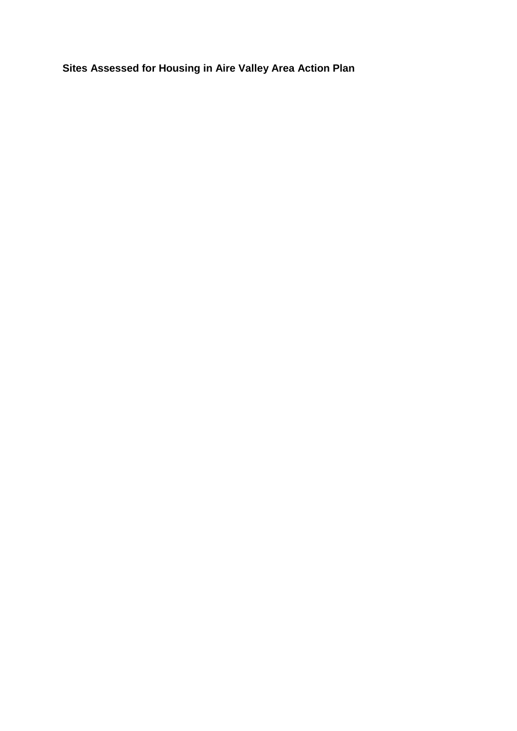**Sites Assessed for Housing in Aire Valley Area Action Plan**